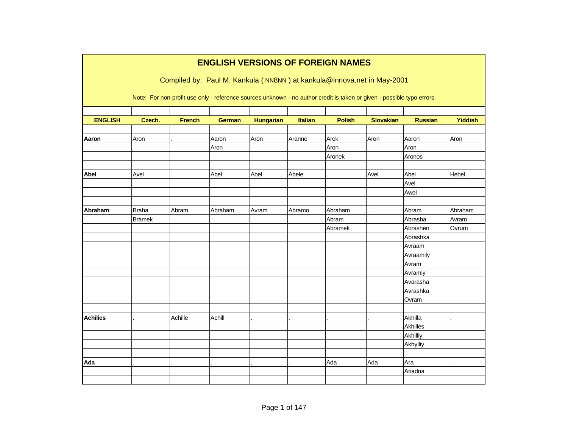|                 |               |                                                                                                                        |         |                  |         | <b>ENGLISH VERSIONS OF FOREIGN NAMES</b> |                  |                |                |
|-----------------|---------------|------------------------------------------------------------------------------------------------------------------------|---------|------------------|---------|------------------------------------------|------------------|----------------|----------------|
|                 |               | Compiled by: Paul M. Kankula (NN8NN) at kankula@innova.net in May-2001                                                 |         |                  |         |                                          |                  |                |                |
|                 |               | Note: For non-profit use only - reference sources unknown - no author credit is taken or given - possible typo errors. |         |                  |         |                                          |                  |                |                |
|                 |               |                                                                                                                        |         |                  |         |                                          |                  |                |                |
| <b>ENGLISH</b>  | Czech.        | <b>French</b>                                                                                                          | German  | <b>Hungarian</b> | Italian | <b>Polish</b>                            | <b>Slovakian</b> | <b>Russian</b> | <b>Yiddish</b> |
| Aaron           | Aron          |                                                                                                                        | Aaron   | Aron             | Aranne  | Arek                                     | Aron             | Aaron          | Aron           |
|                 |               |                                                                                                                        | Aron    |                  |         | Aron                                     |                  | Aron           |                |
|                 |               |                                                                                                                        |         |                  |         | Aronek                                   |                  | Aronos         |                |
|                 |               |                                                                                                                        |         |                  |         |                                          |                  |                |                |
| Abel            | Avel          |                                                                                                                        | Abel    | Abel             | Abele   |                                          | Avel             | Abel           | Hebel          |
|                 |               |                                                                                                                        |         |                  |         |                                          |                  | Avel           |                |
|                 |               |                                                                                                                        |         |                  |         |                                          |                  | Awel           |                |
|                 |               |                                                                                                                        |         |                  |         |                                          |                  |                |                |
| Abraham         | <b>Braha</b>  | Abram                                                                                                                  | Abraham | Avram            | Abramo  | Abraham                                  |                  | Abram          | Abraham        |
|                 | <b>Bramek</b> |                                                                                                                        |         |                  |         | Abram                                    |                  | Abrasha        | Avram          |
|                 |               |                                                                                                                        |         |                  |         | Abramek                                  |                  | Abrashen       | Ovrum          |
|                 |               |                                                                                                                        |         |                  |         |                                          |                  | Abrashka       |                |
|                 |               |                                                                                                                        |         |                  |         |                                          |                  | Avraam         |                |
|                 |               |                                                                                                                        |         |                  |         |                                          |                  | Avraamily      |                |
|                 |               |                                                                                                                        |         |                  |         |                                          |                  | Avram          |                |
|                 |               |                                                                                                                        |         |                  |         |                                          |                  | Avramiy        |                |
|                 |               |                                                                                                                        |         |                  |         |                                          |                  | Avarasha       |                |
|                 |               |                                                                                                                        |         |                  |         |                                          |                  | Avrashka       |                |
|                 |               |                                                                                                                        |         |                  |         |                                          |                  | Ovram          |                |
|                 |               |                                                                                                                        |         |                  |         |                                          |                  |                |                |
| <b>Achilies</b> |               | Achille                                                                                                                | Achill  |                  |         |                                          |                  | Akhilla        |                |
|                 |               |                                                                                                                        |         |                  |         |                                          |                  | Akhilles       |                |
|                 |               |                                                                                                                        |         |                  |         |                                          |                  | Akhilliy       |                |
|                 |               |                                                                                                                        |         |                  |         |                                          |                  | Akhylliy       |                |
|                 |               |                                                                                                                        |         |                  |         |                                          |                  |                |                |
| Ada             |               |                                                                                                                        |         |                  |         | Ada                                      | Ada              | Ara            |                |
|                 |               |                                                                                                                        |         |                  |         |                                          |                  | Ariadna        |                |
|                 |               |                                                                                                                        |         |                  |         |                                          |                  |                |                |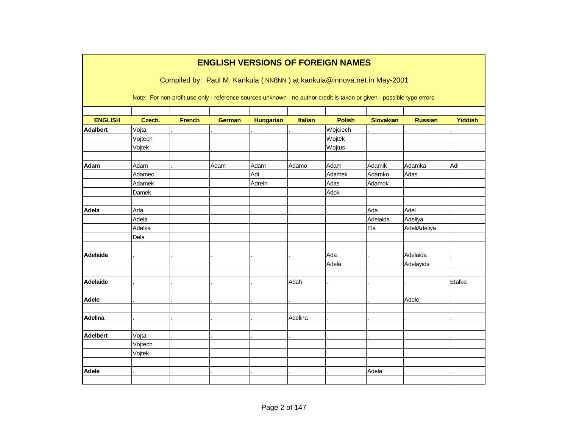|                 | <b>ENGLISH VERSIONS OF FOREIGN NAMES</b><br>Compiled by: Paul M. Kankula (NN8NN) at kankula@innova.net in May-2001 |               |                                                                                                                        |                  |                |               |                  |                |                |  |  |  |  |
|-----------------|--------------------------------------------------------------------------------------------------------------------|---------------|------------------------------------------------------------------------------------------------------------------------|------------------|----------------|---------------|------------------|----------------|----------------|--|--|--|--|
|                 |                                                                                                                    |               | Note: For non-profit use only - reference sources unknown - no author credit is taken or given - possible typo errors. |                  |                |               |                  |                |                |  |  |  |  |
| <b>ENGLISH</b>  | Czech.                                                                                                             | <b>French</b> | <b>German</b>                                                                                                          | <b>Hungarian</b> | <b>Italian</b> | <b>Polish</b> | <b>Slovakian</b> | <b>Russian</b> | <b>Yiddish</b> |  |  |  |  |
| <b>Adalbert</b> | Vojta                                                                                                              |               |                                                                                                                        |                  |                | Wojciech      |                  |                |                |  |  |  |  |
|                 | Vojtech                                                                                                            |               |                                                                                                                        |                  |                | Wojtek        |                  |                |                |  |  |  |  |
|                 | Vojtek                                                                                                             |               |                                                                                                                        |                  |                | Wojtus        |                  |                |                |  |  |  |  |
| Adam            | Adam                                                                                                               |               | Adam                                                                                                                   | Adam             | Adamo          | Adam          | Adamik           | Adamka         | Adi            |  |  |  |  |
|                 | Adamec                                                                                                             |               |                                                                                                                        | Adi              |                | Adamek        | Adamko           | Adas           |                |  |  |  |  |
|                 | Adamek                                                                                                             |               |                                                                                                                        | Adrein           |                | Adas          | Adamok           |                |                |  |  |  |  |
|                 | Damek                                                                                                              |               |                                                                                                                        |                  |                | Adok          |                  |                |                |  |  |  |  |
| Adela           | Ada                                                                                                                |               |                                                                                                                        |                  |                |               | Ada              | Adel           |                |  |  |  |  |
|                 | Adela                                                                                                              |               |                                                                                                                        |                  |                |               | Adelaida         | Adeliya        |                |  |  |  |  |
|                 | Adelka                                                                                                             |               |                                                                                                                        |                  |                |               | Ela              | AdeliAdeliya   |                |  |  |  |  |
|                 | Dela                                                                                                               |               |                                                                                                                        |                  |                |               |                  |                |                |  |  |  |  |
| Adelaida        |                                                                                                                    |               |                                                                                                                        |                  |                | Ada           |                  | Adelaida       |                |  |  |  |  |
|                 |                                                                                                                    |               |                                                                                                                        |                  |                | Adela         |                  | Adelayida      |                |  |  |  |  |
| <b>Adelaide</b> |                                                                                                                    |               |                                                                                                                        |                  | Adah           |               |                  |                | Etalka         |  |  |  |  |
| <b>Adele</b>    |                                                                                                                    |               |                                                                                                                        |                  |                |               |                  | Adele          |                |  |  |  |  |
| Adelina         |                                                                                                                    |               |                                                                                                                        |                  | Adelina        |               |                  |                |                |  |  |  |  |
|                 |                                                                                                                    |               |                                                                                                                        |                  |                |               |                  |                |                |  |  |  |  |
| <b>Adelbert</b> | Vojta                                                                                                              |               |                                                                                                                        |                  |                |               |                  |                |                |  |  |  |  |
|                 | Vojtech                                                                                                            |               |                                                                                                                        |                  |                |               |                  |                |                |  |  |  |  |
|                 | Vojtek                                                                                                             |               |                                                                                                                        |                  |                |               |                  |                |                |  |  |  |  |
| <b>Adele</b>    |                                                                                                                    |               |                                                                                                                        |                  |                |               | Adela            |                |                |  |  |  |  |
|                 |                                                                                                                    |               |                                                                                                                        |                  |                |               |                  |                |                |  |  |  |  |
|                 |                                                                                                                    |               |                                                                                                                        |                  |                |               |                  |                |                |  |  |  |  |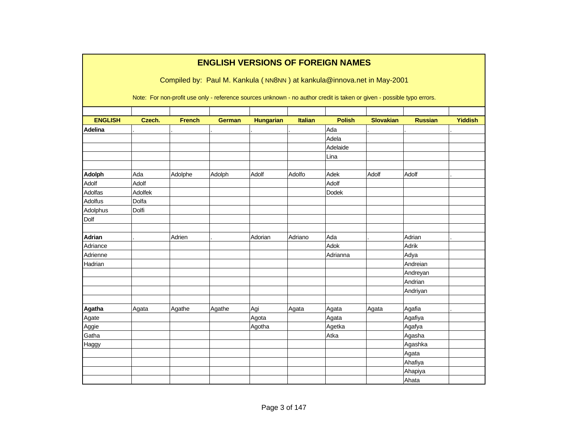|                |         |               | <b>ENGLISH VERSIONS OF FOREIGN NAMES</b> |                  |                |               | Compiled by: Paul M. Kankula (NN8NN) at kankula@innova.net in May-2001<br>Note: For non-profit use only - reference sources unknown - no author credit is taken or given - possible typo errors. |                |                |
|----------------|---------|---------------|------------------------------------------|------------------|----------------|---------------|--------------------------------------------------------------------------------------------------------------------------------------------------------------------------------------------------|----------------|----------------|
|                |         |               |                                          |                  |                |               |                                                                                                                                                                                                  |                |                |
| <b>ENGLISH</b> | Czech.  | <b>French</b> | <b>German</b>                            | <b>Hungarian</b> | <b>Italian</b> | <b>Polish</b> | <b>Slovakian</b>                                                                                                                                                                                 | <b>Russian</b> | <b>Yiddish</b> |
| Adelina        |         |               |                                          |                  |                | Ada           |                                                                                                                                                                                                  |                |                |
|                |         |               |                                          |                  |                | Adela         |                                                                                                                                                                                                  |                |                |
|                |         |               |                                          |                  |                | Adelaide      |                                                                                                                                                                                                  |                |                |
|                |         |               |                                          |                  |                | Lina          |                                                                                                                                                                                                  |                |                |
| Adolph         | Ada     | Adolphe       | Adolph                                   | Adolf            | Adolfo         | Adek          | Adolf                                                                                                                                                                                            | Adolf          |                |
| Adolf          | Adolf   |               |                                          |                  |                | Adolf         |                                                                                                                                                                                                  |                |                |
| Adolfas        | Adolfek |               |                                          |                  |                | <b>Dodek</b>  |                                                                                                                                                                                                  |                |                |
| Adolfus        | Dolfa   |               |                                          |                  |                |               |                                                                                                                                                                                                  |                |                |
| Adolphus       | Dolfi   |               |                                          |                  |                |               |                                                                                                                                                                                                  |                |                |
| Dolf           |         |               |                                          |                  |                |               |                                                                                                                                                                                                  |                |                |
| <b>Adrian</b>  |         | Adrien        |                                          | Adorian          | Adriano        | Ada           |                                                                                                                                                                                                  | Adrian         |                |
| Adriance       |         |               |                                          |                  |                | Adok          |                                                                                                                                                                                                  | Adrik          |                |
| Adrienne       |         |               |                                          |                  |                | Adrianna      |                                                                                                                                                                                                  | Adya           |                |
| Hadrian        |         |               |                                          |                  |                |               |                                                                                                                                                                                                  | Andreian       |                |
|                |         |               |                                          |                  |                |               |                                                                                                                                                                                                  | Andreyan       |                |
|                |         |               |                                          |                  |                |               |                                                                                                                                                                                                  | Andrian        |                |
|                |         |               |                                          |                  |                |               |                                                                                                                                                                                                  | Andriyan       |                |
| Agatha         | Agata   | Agathe        | Agathe                                   | Agi              | Agata          | Agata         | Agata                                                                                                                                                                                            | Agafia         |                |
| Agate          |         |               |                                          | Agota            |                | Agata         |                                                                                                                                                                                                  | Agafiya        |                |
| Aggie          |         |               |                                          | Agotha           |                | Agetka        |                                                                                                                                                                                                  | Agafya         |                |
| Gatha          |         |               |                                          |                  |                | Atka          |                                                                                                                                                                                                  | Agasha         |                |
| Haggy          |         |               |                                          |                  |                |               |                                                                                                                                                                                                  | Agashka        |                |
|                |         |               |                                          |                  |                |               |                                                                                                                                                                                                  | Agata          |                |
|                |         |               |                                          |                  |                |               |                                                                                                                                                                                                  | Ahafiya        |                |
|                |         |               |                                          |                  |                |               |                                                                                                                                                                                                  | Ahapiya        |                |
|                |         |               |                                          |                  |                |               |                                                                                                                                                                                                  | Ahata          |                |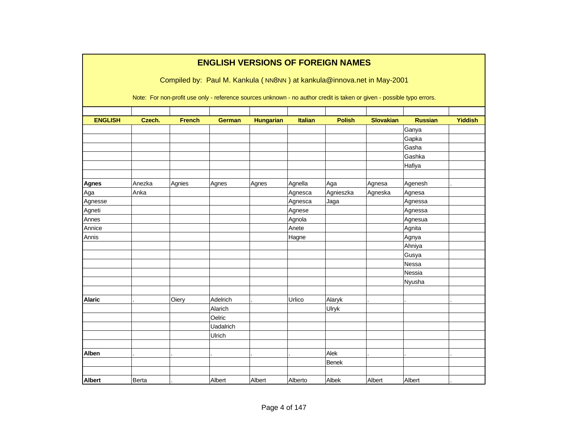|                |        |               |                  |                  |         | <b>ENGLISH VERSIONS OF FOREIGN NAMES</b>                                                                               |                  |                |                |
|----------------|--------|---------------|------------------|------------------|---------|------------------------------------------------------------------------------------------------------------------------|------------------|----------------|----------------|
|                |        |               |                  |                  |         | Compiled by: Paul M. Kankula (NN8NN) at kankula@innova.net in May-2001                                                 |                  |                |                |
|                |        |               |                  |                  |         | Note: For non-profit use only - reference sources unknown - no author credit is taken or given - possible typo errors. |                  |                |                |
| <b>ENGLISH</b> | Czech. | <b>French</b> | <b>German</b>    | <b>Hungarian</b> | Italian | <b>Polish</b>                                                                                                          | <b>Slovakian</b> | <b>Russian</b> | <b>Yiddish</b> |
|                |        |               |                  |                  |         |                                                                                                                        |                  | Ganya          |                |
|                |        |               |                  |                  |         |                                                                                                                        |                  | Gapka          |                |
|                |        |               |                  |                  |         |                                                                                                                        |                  | Gasha          |                |
|                |        |               |                  |                  |         |                                                                                                                        |                  | Gashka         |                |
|                |        |               |                  |                  |         |                                                                                                                        |                  | Hafiya         |                |
| <b>Agnes</b>   | Anezka | Agnies        | Agnes            |                  | Agnella | Aga                                                                                                                    | Agnesa           | Agenesh        |                |
| Aga            | Anka   |               |                  | Agnes            | Agnesca | Agnieszka                                                                                                              | Agneska          | Agnesa         |                |
| Agnesse        |        |               |                  |                  | Agnesca | Jaga                                                                                                                   |                  | Agnessa        |                |
| Agneti         |        |               |                  |                  | Agnese  |                                                                                                                        |                  | Agnessa        |                |
| Annes          |        |               |                  |                  | Agnola  |                                                                                                                        |                  | Agnesua        |                |
| Annice         |        |               |                  |                  | Anete   |                                                                                                                        |                  | Agnita         |                |
| Annis          |        |               |                  |                  | Hagne   |                                                                                                                        |                  | Agnya          |                |
|                |        |               |                  |                  |         |                                                                                                                        |                  | Ahniya         |                |
|                |        |               |                  |                  |         |                                                                                                                        |                  | Gusya          |                |
|                |        |               |                  |                  |         |                                                                                                                        |                  | Nessa          |                |
|                |        |               |                  |                  |         |                                                                                                                        |                  | Nessia         |                |
|                |        |               |                  |                  |         |                                                                                                                        |                  | Nyusha         |                |
|                |        |               |                  |                  |         |                                                                                                                        |                  |                |                |
| <b>Alaric</b>  |        | Oiery         | Adelrich         |                  | Urlico  | Alaryk                                                                                                                 |                  |                |                |
|                |        |               | Alarich          |                  |         | Ulryk                                                                                                                  |                  |                |                |
|                |        |               | Oelric           |                  |         |                                                                                                                        |                  |                |                |
|                |        |               | <b>Uadalrich</b> |                  |         |                                                                                                                        |                  |                |                |
|                |        |               | Ulrich           |                  |         |                                                                                                                        |                  |                |                |
|                |        |               |                  |                  |         |                                                                                                                        |                  |                |                |
| Alben          |        |               |                  |                  |         | Alek                                                                                                                   |                  |                |                |
|                |        |               |                  |                  |         | <b>Benek</b>                                                                                                           |                  |                |                |
| <b>Albert</b>  | Berta  |               | Albert           | Albert           | Alberto | Albek                                                                                                                  | Albert           | Albert         |                |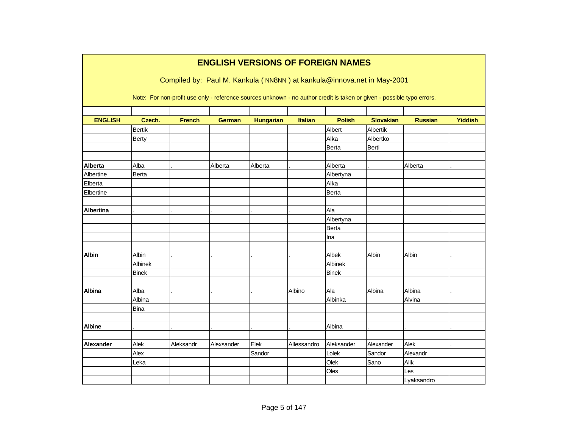|                  |               |               | <b>ENGLISH VERSIONS OF FOREIGN NAMES</b>                                                                                                                                                         |                  |                |               |                  |                |                |
|------------------|---------------|---------------|--------------------------------------------------------------------------------------------------------------------------------------------------------------------------------------------------|------------------|----------------|---------------|------------------|----------------|----------------|
|                  |               |               | Compiled by: Paul M. Kankula (NN8NN) at kankula@innova.net in May-2001<br>Note: For non-profit use only - reference sources unknown - no author credit is taken or given - possible typo errors. |                  |                |               |                  |                |                |
| <b>ENGLISH</b>   | Czech.        | <b>French</b> | <b>German</b>                                                                                                                                                                                    | <b>Hungarian</b> | <b>Italian</b> | <b>Polish</b> | <b>Slovakian</b> | <b>Russian</b> | <b>Yiddish</b> |
|                  | <b>Bertik</b> |               |                                                                                                                                                                                                  |                  |                | Albert        | Albertik         |                |                |
|                  | Berty         |               |                                                                                                                                                                                                  |                  |                | Alka          | Albertko         |                |                |
|                  |               |               |                                                                                                                                                                                                  |                  |                | Berta         | Berti            |                |                |
|                  |               |               |                                                                                                                                                                                                  |                  |                |               |                  |                |                |
| <b>Alberta</b>   | Alba          |               | Alberta                                                                                                                                                                                          | Alberta          |                | Alberta       |                  | Alberta        |                |
| Albertine        | Berta         |               |                                                                                                                                                                                                  |                  |                | Albertyna     |                  |                |                |
| Elberta          |               |               |                                                                                                                                                                                                  |                  |                | Alka          |                  |                |                |
| Elbertine        |               |               |                                                                                                                                                                                                  |                  |                | Berta         |                  |                |                |
|                  |               |               |                                                                                                                                                                                                  |                  |                |               |                  |                |                |
| <b>Albertina</b> |               |               |                                                                                                                                                                                                  |                  |                | Ala           |                  |                |                |
|                  |               |               |                                                                                                                                                                                                  |                  |                | Albertyna     |                  |                |                |
|                  |               |               |                                                                                                                                                                                                  |                  |                | Berta         |                  |                |                |
|                  |               |               |                                                                                                                                                                                                  |                  |                | Ina           |                  |                |                |
|                  |               |               |                                                                                                                                                                                                  |                  |                |               |                  |                |                |
| <b>Albin</b>     | Albin         |               |                                                                                                                                                                                                  |                  |                | Albek         | Albin            | Albin          |                |
|                  | Albinek       |               |                                                                                                                                                                                                  |                  |                | Albinek       |                  |                |                |
|                  | <b>Binek</b>  |               |                                                                                                                                                                                                  |                  |                | <b>Binek</b>  |                  |                |                |
|                  |               |               |                                                                                                                                                                                                  |                  |                |               |                  |                |                |
| <b>Albina</b>    | Alba          |               |                                                                                                                                                                                                  |                  | Albino         | Ala           | Albina           | Albina         |                |
|                  | Albina        |               |                                                                                                                                                                                                  |                  |                | Albinka       |                  | Alvina         |                |
|                  | <b>Bina</b>   |               |                                                                                                                                                                                                  |                  |                |               |                  |                |                |
|                  |               |               |                                                                                                                                                                                                  |                  |                |               |                  |                |                |
| <b>Albine</b>    |               |               |                                                                                                                                                                                                  |                  |                | Albina        |                  |                |                |
|                  |               |               |                                                                                                                                                                                                  |                  |                |               |                  |                |                |
| Alexander        | Alek          | Aleksandr     | Alexsander                                                                                                                                                                                       | Elek             | Allessandro    | Aleksander    | Alexander        | Alek           |                |
|                  | Alex          |               |                                                                                                                                                                                                  | Sandor           |                | Lolek         | Sandor           | Alexandr       |                |
|                  | Leka          |               |                                                                                                                                                                                                  |                  |                | Olek          | Sano             | Alik           |                |
|                  |               |               |                                                                                                                                                                                                  |                  |                | Oles          |                  | Les            |                |
|                  |               |               |                                                                                                                                                                                                  |                  |                |               |                  | Lyaksandro     |                |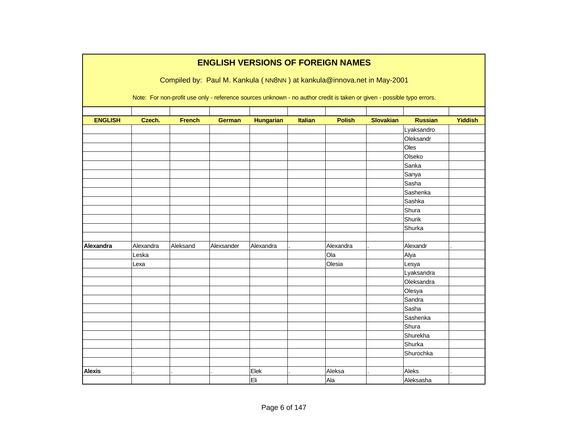|                |           |               |               | <b>ENGLISH VERSIONS OF FOREIGN NAMES</b>                                                                               |                |               |                  |                |                |
|----------------|-----------|---------------|---------------|------------------------------------------------------------------------------------------------------------------------|----------------|---------------|------------------|----------------|----------------|
|                |           |               |               | Compiled by: Paul M. Kankula (NN8NN) at kankula@innova.net in May-2001                                                 |                |               |                  |                |                |
|                |           |               |               |                                                                                                                        |                |               |                  |                |                |
|                |           |               |               | Note: For non-profit use only - reference sources unknown - no author credit is taken or given - possible typo errors. |                |               |                  |                |                |
|                |           |               |               |                                                                                                                        |                |               |                  |                |                |
| <b>ENGLISH</b> | Czech.    | <b>French</b> | <b>German</b> | <b>Hungarian</b>                                                                                                       | <b>Italian</b> | <b>Polish</b> | <b>Slovakian</b> | <b>Russian</b> | <b>Yiddish</b> |
|                |           |               |               |                                                                                                                        |                |               |                  | Lyaksandro     |                |
|                |           |               |               |                                                                                                                        |                |               |                  | Oleksandr      |                |
|                |           |               |               |                                                                                                                        |                |               |                  | Oles           |                |
|                |           |               |               |                                                                                                                        |                |               |                  | Olseko         |                |
|                |           |               |               |                                                                                                                        |                |               |                  | Sanka          |                |
|                |           |               |               |                                                                                                                        |                |               |                  | Sanya          |                |
|                |           |               |               |                                                                                                                        |                |               |                  | Sasha          |                |
|                |           |               |               |                                                                                                                        |                |               |                  | Sashenka       |                |
|                |           |               |               |                                                                                                                        |                |               |                  | Sashka         |                |
|                |           |               |               |                                                                                                                        |                |               |                  | Shura          |                |
|                |           |               |               |                                                                                                                        |                |               |                  | Shurik         |                |
|                |           |               |               |                                                                                                                        |                |               |                  | Shurka         |                |
|                |           |               |               |                                                                                                                        |                |               |                  |                |                |
| Alexandra      | Alexandra | Aleksand      | Alexsander    | Alexandra                                                                                                              |                | Alexandra     |                  | Alexandr       |                |
|                | Leska     |               |               |                                                                                                                        |                | Ola           |                  | Alya           |                |
|                | Lexa      |               |               |                                                                                                                        |                | Olesia        |                  | Lesya          |                |
|                |           |               |               |                                                                                                                        |                |               |                  | Lyaksandra     |                |
|                |           |               |               |                                                                                                                        |                |               |                  | Oleksandra     |                |
|                |           |               |               |                                                                                                                        |                |               |                  | Olesya         |                |
|                |           |               |               |                                                                                                                        |                |               |                  | Sandra         |                |
|                |           |               |               |                                                                                                                        |                |               |                  | Sasha          |                |
|                |           |               |               |                                                                                                                        |                |               |                  | Sashenka       |                |
|                |           |               |               |                                                                                                                        |                |               |                  | Shura          |                |
|                |           |               |               |                                                                                                                        |                |               |                  | Shurekha       |                |
|                |           |               |               |                                                                                                                        |                |               |                  | Shurka         |                |
|                |           |               |               |                                                                                                                        |                |               |                  | Shurochka      |                |
|                |           |               |               |                                                                                                                        |                |               |                  |                |                |
| <b>Alexis</b>  |           |               |               | Elek                                                                                                                   |                | Aleksa        |                  | Aleks          |                |
|                |           |               |               | Eli                                                                                                                    |                | Ala           |                  | Aleksasha      |                |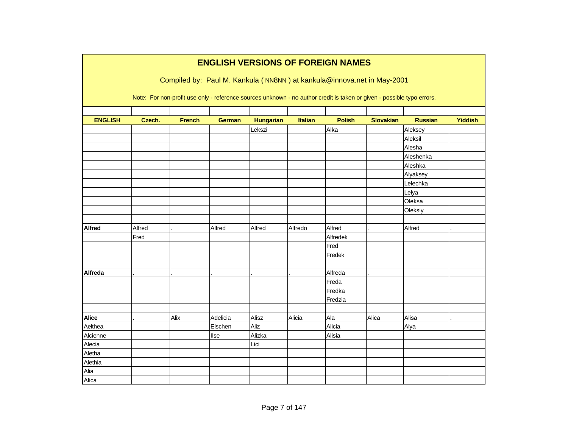|                |        |               |               |                  |                | <b>ENGLISH VERSIONS OF FOREIGN NAMES</b>                                                                               |                  |                |                |
|----------------|--------|---------------|---------------|------------------|----------------|------------------------------------------------------------------------------------------------------------------------|------------------|----------------|----------------|
|                |        |               |               |                  |                | Compiled by: Paul M. Kankula (NN8NN) at kankula@innova.net in May-2001                                                 |                  |                |                |
|                |        |               |               |                  |                | Note: For non-profit use only - reference sources unknown - no author credit is taken or given - possible typo errors. |                  |                |                |
|                |        |               |               |                  |                |                                                                                                                        |                  |                |                |
| <b>ENGLISH</b> | Czech. | <b>French</b> | <b>German</b> | <b>Hungarian</b> | <b>Italian</b> | <b>Polish</b>                                                                                                          | <b>Slovakian</b> | <b>Russian</b> | <b>Yiddish</b> |
|                |        |               |               | Lekszi           |                | Alka                                                                                                                   |                  | Aleksey        |                |
|                |        |               |               |                  |                |                                                                                                                        |                  | Aleksil        |                |
|                |        |               |               |                  |                |                                                                                                                        |                  | Alesha         |                |
|                |        |               |               |                  |                |                                                                                                                        |                  | Aleshenka      |                |
|                |        |               |               |                  |                |                                                                                                                        |                  | Aleshka        |                |
|                |        |               |               |                  |                |                                                                                                                        |                  | Alyaksey       |                |
|                |        |               |               |                  |                |                                                                                                                        |                  | Lelechka       |                |
|                |        |               |               |                  |                |                                                                                                                        |                  | Lelya          |                |
|                |        |               |               |                  |                |                                                                                                                        |                  | Oleksa         |                |
|                |        |               |               |                  |                |                                                                                                                        |                  | Oleksiy        |                |
|                |        |               |               |                  |                |                                                                                                                        |                  |                |                |
| <b>Alfred</b>  | Alfred |               | Alfred        | Alfred           | Alfredo        | Alfred                                                                                                                 |                  | Alfred         |                |
|                | Fred   |               |               |                  |                | Alfredek                                                                                                               |                  |                |                |
|                |        |               |               |                  |                | Fred                                                                                                                   |                  |                |                |
|                |        |               |               |                  |                | Fredek                                                                                                                 |                  |                |                |
| <b>Alfreda</b> |        |               |               |                  |                | Alfreda                                                                                                                |                  |                |                |
|                |        |               |               |                  |                | Freda                                                                                                                  |                  |                |                |
|                |        |               |               |                  |                | Fredka                                                                                                                 |                  |                |                |
|                |        |               |               |                  |                | Fredzia                                                                                                                |                  |                |                |
|                |        |               |               |                  |                |                                                                                                                        |                  |                |                |
| <b>Alice</b>   |        | Alix          | Adelicia      | Alisz            | Alicia         | Ala                                                                                                                    | Alica            | Alisa          |                |
| Aelthea        |        |               | Elschen       | Aliz             |                | Alicia                                                                                                                 |                  | Alya           |                |
| Alcienne       |        |               | llse          | Alizka           |                | Alisia                                                                                                                 |                  |                |                |
| Alecia         |        |               |               | Lici             |                |                                                                                                                        |                  |                |                |
| Aletha         |        |               |               |                  |                |                                                                                                                        |                  |                |                |
| Alethia        |        |               |               |                  |                |                                                                                                                        |                  |                |                |
| Alia           |        |               |               |                  |                |                                                                                                                        |                  |                |                |
| Alica          |        |               |               |                  |                |                                                                                                                        |                  |                |                |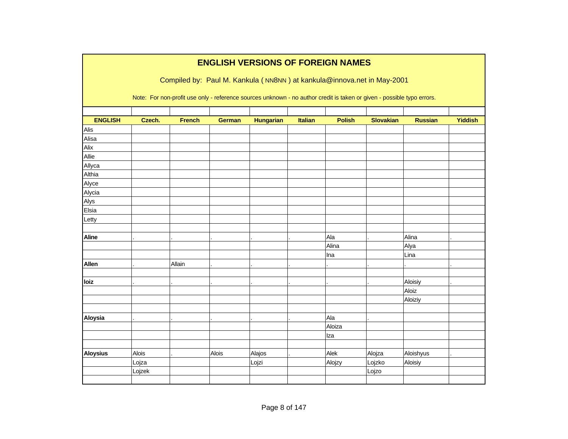|                 |        |               | <b>ENGLISH VERSIONS OF FOREIGN NAMES</b>                                                                               |                  |         |               |                  |                |                |
|-----------------|--------|---------------|------------------------------------------------------------------------------------------------------------------------|------------------|---------|---------------|------------------|----------------|----------------|
|                 |        |               | Compiled by: Paul M. Kankula (NN8NN) at kankula@innova.net in May-2001                                                 |                  |         |               |                  |                |                |
|                 |        |               | Note: For non-profit use only - reference sources unknown - no author credit is taken or given - possible typo errors. |                  |         |               |                  |                |                |
| <b>ENGLISH</b>  | Czech. | <b>French</b> | <b>German</b>                                                                                                          | <b>Hungarian</b> | Italian | <b>Polish</b> | <b>Slovakian</b> | <b>Russian</b> | <b>Yiddish</b> |
| Alis            |        |               |                                                                                                                        |                  |         |               |                  |                |                |
| Alisa           |        |               |                                                                                                                        |                  |         |               |                  |                |                |
| Alix            |        |               |                                                                                                                        |                  |         |               |                  |                |                |
| Allie           |        |               |                                                                                                                        |                  |         |               |                  |                |                |
| Allyca          |        |               |                                                                                                                        |                  |         |               |                  |                |                |
| Althia          |        |               |                                                                                                                        |                  |         |               |                  |                |                |
| Alyce           |        |               |                                                                                                                        |                  |         |               |                  |                |                |
| Alycia          |        |               |                                                                                                                        |                  |         |               |                  |                |                |
| Alys            |        |               |                                                                                                                        |                  |         |               |                  |                |                |
| Elsia           |        |               |                                                                                                                        |                  |         |               |                  |                |                |
| Letty           |        |               |                                                                                                                        |                  |         |               |                  |                |                |
|                 |        |               |                                                                                                                        |                  |         |               |                  |                |                |
| <b>Aline</b>    |        |               |                                                                                                                        |                  |         | Ala           |                  | Alina          |                |
|                 |        |               |                                                                                                                        |                  |         | Alina         |                  | Alya           |                |
|                 |        |               |                                                                                                                        |                  |         | Ina           |                  | Lina           |                |
| Allen           |        | Allain        |                                                                                                                        |                  |         |               |                  |                |                |
|                 |        |               |                                                                                                                        |                  |         |               |                  |                |                |
| loiz            |        |               |                                                                                                                        |                  |         |               |                  | Aloisiy        |                |
|                 |        |               |                                                                                                                        |                  |         |               |                  | Aloiz          |                |
|                 |        |               |                                                                                                                        |                  |         |               |                  | Aloiziy        |                |
|                 |        |               |                                                                                                                        |                  |         |               |                  |                |                |
| <b>Aloysia</b>  |        |               |                                                                                                                        |                  |         | Ala           |                  |                |                |
|                 |        |               |                                                                                                                        |                  |         | Aloiza        |                  |                |                |
|                 |        |               |                                                                                                                        |                  |         | Iza           |                  |                |                |
|                 |        |               |                                                                                                                        |                  |         |               |                  |                |                |
| <b>Aloysius</b> | Alois  |               | Alois                                                                                                                  | Alajos           |         | Alek          | Alojza           | Aloishyus      |                |
|                 | Lojza  |               |                                                                                                                        | Lojzi            |         | Alojzy        | Lojzko           | Aloisiy        |                |
|                 | Lojzek |               |                                                                                                                        |                  |         |               | Lojzo            |                |                |
|                 |        |               |                                                                                                                        |                  |         |               |                  |                |                |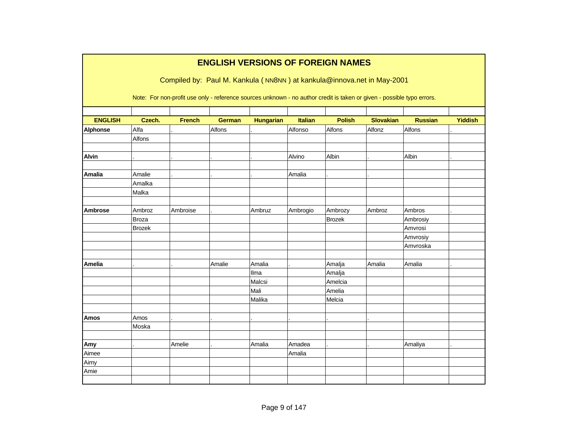|                 |               |                                                                                                                        |               |                  |                | <b>ENGLISH VERSIONS OF FOREIGN NAMES</b> |                  |                |                |
|-----------------|---------------|------------------------------------------------------------------------------------------------------------------------|---------------|------------------|----------------|------------------------------------------|------------------|----------------|----------------|
|                 |               |                                                                                                                        |               |                  |                |                                          |                  |                |                |
|                 |               | Compiled by: Paul M. Kankula (NN8NN) at kankula@innova.net in May-2001                                                 |               |                  |                |                                          |                  |                |                |
|                 |               | Note: For non-profit use only - reference sources unknown - no author credit is taken or given - possible typo errors. |               |                  |                |                                          |                  |                |                |
| <b>ENGLISH</b>  | Czech.        | <b>French</b>                                                                                                          | <b>German</b> | <b>Hungarian</b> | <b>Italian</b> | <b>Polish</b>                            | <b>Slovakian</b> | <b>Russian</b> | <b>Yiddish</b> |
| <b>Alphonse</b> | Alfa          |                                                                                                                        | Alfons        |                  | Alfonso        | Alfons                                   | Alfonz           | Alfons         |                |
|                 | Alfons        |                                                                                                                        |               |                  |                |                                          |                  |                |                |
|                 |               |                                                                                                                        |               |                  |                |                                          |                  |                |                |
| <b>Alvin</b>    |               |                                                                                                                        |               |                  | Alvino         | Albin                                    |                  | Albin          |                |
|                 |               |                                                                                                                        |               |                  |                |                                          |                  |                |                |
| <b>Amalia</b>   | Amalie        |                                                                                                                        |               |                  | Amalia         |                                          |                  |                |                |
|                 | Amalka        |                                                                                                                        |               |                  |                |                                          |                  |                |                |
|                 | Malka         |                                                                                                                        |               |                  |                |                                          |                  |                |                |
|                 |               |                                                                                                                        |               |                  |                |                                          |                  |                |                |
| <b>Ambrose</b>  | Ambroz        | Ambroise                                                                                                               |               | Ambruz           | Ambrogio       | Ambrozy                                  | Ambroz           | Ambros         |                |
|                 | <b>Broza</b>  |                                                                                                                        |               |                  |                | <b>Brozek</b>                            |                  | Ambrosiy       |                |
|                 | <b>Brozek</b> |                                                                                                                        |               |                  |                |                                          |                  | Amvrosi        |                |
|                 |               |                                                                                                                        |               |                  |                |                                          |                  | Amvrosiy       |                |
|                 |               |                                                                                                                        |               |                  |                |                                          |                  | Amvroska       |                |
| <b>Amelia</b>   |               |                                                                                                                        | Amalie        | Amalia           |                | Amalja                                   | Amalia           | Amalia         |                |
|                 |               |                                                                                                                        |               | Ilma             |                | Amalja                                   |                  |                |                |
|                 |               |                                                                                                                        |               | Malcsi           |                | Amelcia                                  |                  |                |                |
|                 |               |                                                                                                                        |               | Mali             |                | Amelia                                   |                  |                |                |
|                 |               |                                                                                                                        |               | Malika           |                | Melcia                                   |                  |                |                |
|                 |               |                                                                                                                        |               |                  |                |                                          |                  |                |                |
| <b>Amos</b>     | Amos          |                                                                                                                        |               |                  |                |                                          |                  |                |                |
|                 | Moska         |                                                                                                                        |               |                  |                |                                          |                  |                |                |
|                 |               |                                                                                                                        |               |                  |                |                                          |                  |                |                |
| Amy             |               | Amelie                                                                                                                 |               | Amalia           | Amadea         |                                          |                  | Amaliya        |                |
| Aimee           |               |                                                                                                                        |               |                  | Amalia         |                                          |                  |                |                |
| Aimy            |               |                                                                                                                        |               |                  |                |                                          |                  |                |                |
| Amie            |               |                                                                                                                        |               |                  |                |                                          |                  |                |                |
|                 |               |                                                                                                                        |               |                  |                |                                          |                  |                |                |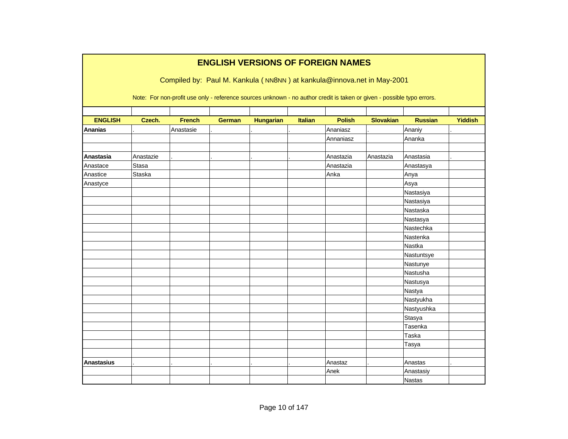|                   |              | Compiled by: Paul M. Kankula (NN8NN) at kankula@innova.net in May-2001                                                 |               | <b>ENGLISH VERSIONS OF FOREIGN NAMES</b> |                |               |                  |                |                |
|-------------------|--------------|------------------------------------------------------------------------------------------------------------------------|---------------|------------------------------------------|----------------|---------------|------------------|----------------|----------------|
|                   |              | Note: For non-profit use only - reference sources unknown - no author credit is taken or given - possible typo errors. |               |                                          |                |               |                  |                |                |
| <b>ENGLISH</b>    | Czech.       | <b>French</b>                                                                                                          | <b>German</b> | <b>Hungarian</b>                         | <b>Italian</b> | <b>Polish</b> | <b>Slovakian</b> | <b>Russian</b> | <b>Yiddish</b> |
| <b>Ananias</b>    |              | Anastasie                                                                                                              |               |                                          |                | Ananiasz      |                  | Ananiy         |                |
|                   |              |                                                                                                                        |               |                                          |                | Annaniasz     |                  | Ananka         |                |
| Anastasia         | Anastazie    |                                                                                                                        |               |                                          |                | Anastazia     | Anastazia        | Anastasia      |                |
| Anastace          | <b>Stasa</b> |                                                                                                                        |               |                                          |                | Anastazia     |                  | Anastasya      |                |
| Anastice          | Staska       |                                                                                                                        |               |                                          |                | Anka          |                  | Anya           |                |
| Anastyce          |              |                                                                                                                        |               |                                          |                |               |                  | Asya           |                |
|                   |              |                                                                                                                        |               |                                          |                |               |                  | Nastasiya      |                |
|                   |              |                                                                                                                        |               |                                          |                |               |                  | Nastasiya      |                |
|                   |              |                                                                                                                        |               |                                          |                |               |                  | Nastaska       |                |
|                   |              |                                                                                                                        |               |                                          |                |               |                  | Nastasya       |                |
|                   |              |                                                                                                                        |               |                                          |                |               |                  | Nastechka      |                |
|                   |              |                                                                                                                        |               |                                          |                |               |                  | Nastenka       |                |
|                   |              |                                                                                                                        |               |                                          |                |               |                  | Nastka         |                |
|                   |              |                                                                                                                        |               |                                          |                |               |                  | Nastuntsye     |                |
|                   |              |                                                                                                                        |               |                                          |                |               |                  | Nastunye       |                |
|                   |              |                                                                                                                        |               |                                          |                |               |                  | Nastusha       |                |
|                   |              |                                                                                                                        |               |                                          |                |               |                  | Nastusya       |                |
|                   |              |                                                                                                                        |               |                                          |                |               |                  | Nastya         |                |
|                   |              |                                                                                                                        |               |                                          |                |               |                  | Nastyukha      |                |
|                   |              |                                                                                                                        |               |                                          |                |               |                  | Nastyushka     |                |
|                   |              |                                                                                                                        |               |                                          |                |               |                  | Stasya         |                |
|                   |              |                                                                                                                        |               |                                          |                |               |                  | Tasenka        |                |
|                   |              |                                                                                                                        |               |                                          |                |               |                  | Taska          |                |
|                   |              |                                                                                                                        |               |                                          |                |               |                  | Tasya          |                |
|                   |              |                                                                                                                        |               |                                          |                |               |                  |                |                |
| <b>Anastasius</b> |              |                                                                                                                        |               |                                          |                | Anastaz       |                  | Anastas        |                |
|                   |              |                                                                                                                        |               |                                          |                | Anek          |                  | Anastasiy      |                |
|                   |              |                                                                                                                        |               |                                          |                |               |                  | <b>Nastas</b>  |                |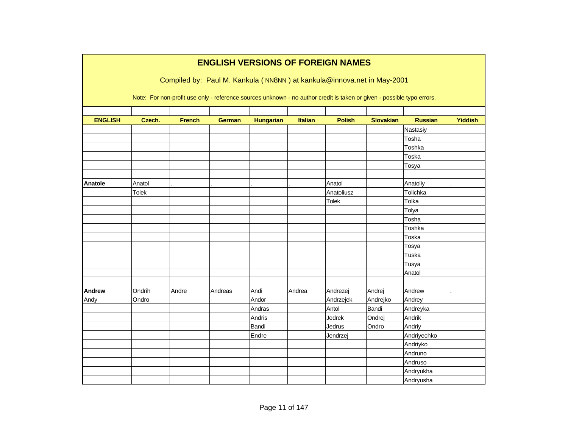|                |              |               | <b>ENGLISH VERSIONS OF FOREIGN NAMES</b>                                                                               |                  |         |               |                  |                |                |
|----------------|--------------|---------------|------------------------------------------------------------------------------------------------------------------------|------------------|---------|---------------|------------------|----------------|----------------|
|                |              |               | Compiled by: Paul M. Kankula (NN8NN) at kankula@innova.net in May-2001                                                 |                  |         |               |                  |                |                |
|                |              |               | Note: For non-profit use only - reference sources unknown - no author credit is taken or given - possible typo errors. |                  |         |               |                  |                |                |
|                |              |               |                                                                                                                        |                  |         |               |                  |                |                |
| <b>ENGLISH</b> | Czech.       | <b>French</b> | <b>German</b>                                                                                                          | <b>Hungarian</b> | Italian | <b>Polish</b> | <b>Slovakian</b> | <b>Russian</b> | <b>Yiddish</b> |
|                |              |               |                                                                                                                        |                  |         |               |                  | Nastasiy       |                |
|                |              |               |                                                                                                                        |                  |         |               |                  | Tosha          |                |
|                |              |               |                                                                                                                        |                  |         |               |                  | Toshka         |                |
|                |              |               |                                                                                                                        |                  |         |               |                  | Toska          |                |
|                |              |               |                                                                                                                        |                  |         |               |                  | Tosya          |                |
| Anatole        | Anatol       |               |                                                                                                                        |                  |         | Anatol        |                  | Anatoliy       |                |
|                | <b>Tolek</b> |               |                                                                                                                        |                  |         | Anatoliusz    |                  | Tolichka       |                |
|                |              |               |                                                                                                                        |                  |         | <b>Tolek</b>  |                  | Tolka          |                |
|                |              |               |                                                                                                                        |                  |         |               |                  | Tolya          |                |
|                |              |               |                                                                                                                        |                  |         |               |                  | Tosha          |                |
|                |              |               |                                                                                                                        |                  |         |               |                  | Toshka         |                |
|                |              |               |                                                                                                                        |                  |         |               |                  | Toska          |                |
|                |              |               |                                                                                                                        |                  |         |               |                  | Tosya          |                |
|                |              |               |                                                                                                                        |                  |         |               |                  | Tuska          |                |
|                |              |               |                                                                                                                        |                  |         |               |                  | Tusya          |                |
|                |              |               |                                                                                                                        |                  |         |               |                  | Anatol         |                |
|                |              |               |                                                                                                                        |                  |         |               |                  |                |                |
| <b>Andrew</b>  | Ondrih       | Andre         | Andreas                                                                                                                | Andi             | Andrea  | Andrezej      | Andrej           | Andrew         |                |
| Andy           | Ondro        |               |                                                                                                                        | Andor            |         | Andrzejek     | Andrejko         | Andrey         |                |
|                |              |               |                                                                                                                        | Andras           |         | Antol         | Bandi            | Andreyka       |                |
|                |              |               |                                                                                                                        | Andris           |         | <b>Jedrek</b> | Ondrej           | Andrik         |                |
|                |              |               |                                                                                                                        | Bandi            |         | Jedrus        | Ondro            | Andriy         |                |
|                |              |               |                                                                                                                        | Endre            |         | Jendrzej      |                  | Andriyechko    |                |
|                |              |               |                                                                                                                        |                  |         |               |                  | Andriyko       |                |
|                |              |               |                                                                                                                        |                  |         |               |                  | Andruno        |                |
|                |              |               |                                                                                                                        |                  |         |               |                  | Andruso        |                |
|                |              |               |                                                                                                                        |                  |         |               |                  | Andryukha      |                |
|                |              |               |                                                                                                                        |                  |         |               |                  | Andryusha      |                |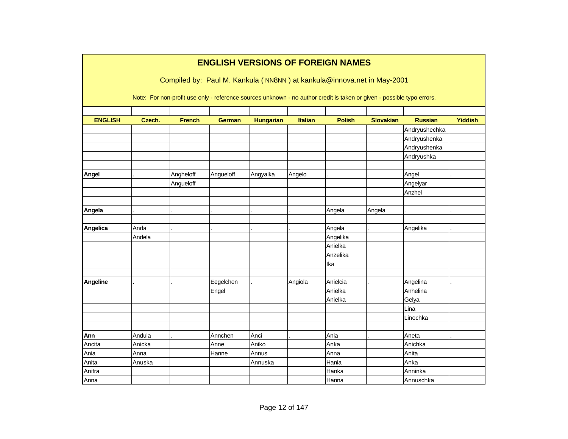|                |        |               |               |                  |                | <b>ENGLISH VERSIONS OF FOREIGN NAMES</b>                                                                               |                  |                |                |
|----------------|--------|---------------|---------------|------------------|----------------|------------------------------------------------------------------------------------------------------------------------|------------------|----------------|----------------|
|                |        |               |               |                  |                | Compiled by: Paul M. Kankula (NN8NN) at kankula@innova.net in May-2001                                                 |                  |                |                |
|                |        |               |               |                  |                | Note: For non-profit use only - reference sources unknown - no author credit is taken or given - possible typo errors. |                  |                |                |
|                |        |               |               |                  |                |                                                                                                                        |                  |                |                |
| <b>ENGLISH</b> | Czech. | <b>French</b> | <b>German</b> | <b>Hungarian</b> | <b>Italian</b> | <b>Polish</b>                                                                                                          | <b>Slovakian</b> | <b>Russian</b> | <b>Yiddish</b> |
|                |        |               |               |                  |                |                                                                                                                        |                  | Andryushechka  |                |
|                |        |               |               |                  |                |                                                                                                                        |                  | Andryushenka   |                |
|                |        |               |               |                  |                |                                                                                                                        |                  | Andryushenka   |                |
|                |        |               |               |                  |                |                                                                                                                        |                  | Andryushka     |                |
| Angel          |        | Angheloff     | Angueloff     | Angyalka         | Angelo         |                                                                                                                        |                  | Angel          |                |
|                |        | Angueloff     |               |                  |                |                                                                                                                        |                  | Angelyar       |                |
|                |        |               |               |                  |                |                                                                                                                        |                  | Anzhel         |                |
|                |        |               |               |                  |                |                                                                                                                        |                  |                |                |
| Angela         |        |               |               |                  |                | Angela                                                                                                                 | Angela           |                |                |
| Angelica       | Anda   |               |               |                  |                | Angela                                                                                                                 |                  | Angelika       |                |
|                | Andela |               |               |                  |                | Angelika                                                                                                               |                  |                |                |
|                |        |               |               |                  |                | Anielka                                                                                                                |                  |                |                |
|                |        |               |               |                  |                | Anzelika                                                                                                               |                  |                |                |
|                |        |               |               |                  |                | Ika                                                                                                                    |                  |                |                |
| Angeline       |        |               | Eegelchen     |                  | Angiola        | Anielcia                                                                                                               |                  | Angelina       |                |
|                |        |               | Engel         |                  |                | Anielka                                                                                                                |                  | Anhelina       |                |
|                |        |               |               |                  |                | Anielka                                                                                                                |                  | Gelya          |                |
|                |        |               |               |                  |                |                                                                                                                        |                  | Lina           |                |
|                |        |               |               |                  |                |                                                                                                                        |                  | Linochka       |                |
| Ann            | Andula |               | Annchen       | Anci             |                | Ania                                                                                                                   |                  | Aneta          |                |
| Ancita         | Anicka |               | Anne          | Aniko            |                | Anka                                                                                                                   |                  | Anichka        |                |
| Ania           | Anna   |               | Hanne         | Annus            |                | Anna                                                                                                                   |                  | Anita          |                |
| Anita          | Anuska |               |               | Annuska          |                | Hania                                                                                                                  |                  | Anka           |                |
| Anitra         |        |               |               |                  |                | Hanka                                                                                                                  |                  | Anninka        |                |
| Anna           |        |               |               |                  |                | Hanna                                                                                                                  |                  | Annuschka      |                |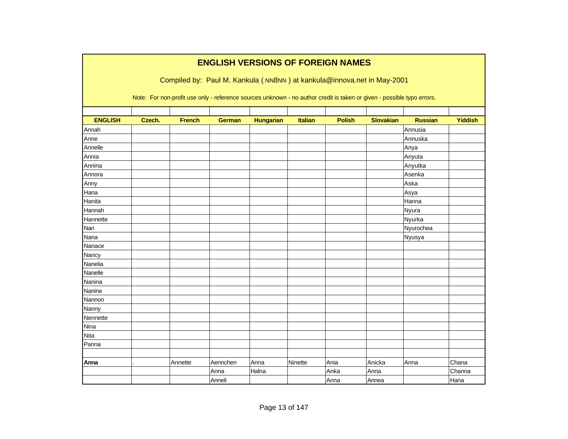|                |        |               |               |                  |                | <b>ENGLISH VERSIONS OF FOREIGN NAMES</b>                                                                               |                  |                |                |
|----------------|--------|---------------|---------------|------------------|----------------|------------------------------------------------------------------------------------------------------------------------|------------------|----------------|----------------|
|                |        |               |               |                  |                | Compiled by: Paul M. Kankula (NN8NN) at kankula@innova.net in May-2001                                                 |                  |                |                |
|                |        |               |               |                  |                | Note: For non-profit use only - reference sources unknown - no author credit is taken or given - possible typo errors. |                  |                |                |
| <b>ENGLISH</b> | Czech. | <b>French</b> | <b>German</b> | <b>Hungarian</b> | <b>Italian</b> | <b>Polish</b>                                                                                                          | <b>Slovakian</b> | <b>Russian</b> | <b>Yiddish</b> |
| Annah          |        |               |               |                  |                |                                                                                                                        |                  | Annusia        |                |
| Anne           |        |               |               |                  |                |                                                                                                                        |                  | Annuska        |                |
| Annelle        |        |               |               |                  |                |                                                                                                                        |                  | Anya           |                |
| Annia          |        |               |               |                  |                |                                                                                                                        |                  | Anyuta         |                |
| Annina         |        |               |               |                  |                |                                                                                                                        |                  | Anyutka        |                |
| Annora         |        |               |               |                  |                |                                                                                                                        |                  | Asenka         |                |
| Anny           |        |               |               |                  |                |                                                                                                                        |                  | Aska           |                |
| Hana           |        |               |               |                  |                |                                                                                                                        |                  | Asya           |                |
| Hanita         |        |               |               |                  |                |                                                                                                                        |                  | Hanna          |                |
| Hannah         |        |               |               |                  |                |                                                                                                                        |                  | Nyura          |                |
| Hannette       |        |               |               |                  |                |                                                                                                                        |                  | Nyurka         |                |
| Nan            |        |               |               |                  |                |                                                                                                                        |                  | Nyurochea      |                |
| Nana           |        |               |               |                  |                |                                                                                                                        |                  | Nyusya         |                |
| Nanace         |        |               |               |                  |                |                                                                                                                        |                  |                |                |
| Nancy          |        |               |               |                  |                |                                                                                                                        |                  |                |                |
| Nanelia        |        |               |               |                  |                |                                                                                                                        |                  |                |                |
| Nanelle        |        |               |               |                  |                |                                                                                                                        |                  |                |                |
| Nanina         |        |               |               |                  |                |                                                                                                                        |                  |                |                |
| Nanine         |        |               |               |                  |                |                                                                                                                        |                  |                |                |
| Nannon         |        |               |               |                  |                |                                                                                                                        |                  |                |                |
| Nanny          |        |               |               |                  |                |                                                                                                                        |                  |                |                |
| Nennette       |        |               |               |                  |                |                                                                                                                        |                  |                |                |
| Nina           |        |               |               |                  |                |                                                                                                                        |                  |                |                |
| <b>Nita</b>    |        |               |               |                  |                |                                                                                                                        |                  |                |                |
| Panna          |        |               |               |                  |                |                                                                                                                        |                  |                |                |
|                |        |               |               |                  |                |                                                                                                                        |                  |                |                |
| Anna           |        | Annette       | Aennchen      | Anna             | Ninette        | Ania                                                                                                                   | Anicka           | Anna           | Chana          |
|                |        |               | Anna          | Halna            |                | Anka                                                                                                                   | Anna             |                | Channa         |
|                |        |               | Anneli        |                  |                | Anna                                                                                                                   | Annea            |                | Hana           |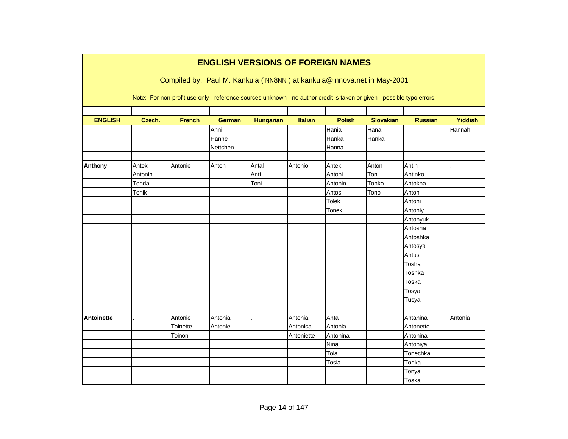|                   |                                                                                                                        | Compiled by: Paul M. Kankula (NN8NN) at kankula@innova.net in May-2001 | <b>ENGLISH VERSIONS OF FOREIGN NAMES</b> |                  |                |               |                  |                |                |  |  |  |  |
|-------------------|------------------------------------------------------------------------------------------------------------------------|------------------------------------------------------------------------|------------------------------------------|------------------|----------------|---------------|------------------|----------------|----------------|--|--|--|--|
|                   | Note: For non-profit use only - reference sources unknown - no author credit is taken or given - possible typo errors. |                                                                        |                                          |                  |                |               |                  |                |                |  |  |  |  |
| <b>ENGLISH</b>    | Czech.                                                                                                                 | <b>French</b>                                                          | <b>German</b>                            | <b>Hungarian</b> | <b>Italian</b> | <b>Polish</b> | <b>Slovakian</b> | <b>Russian</b> | <b>Yiddish</b> |  |  |  |  |
|                   |                                                                                                                        |                                                                        | Anni                                     |                  |                | Hania         | Hana             |                | Hannah         |  |  |  |  |
|                   |                                                                                                                        |                                                                        | Hanne                                    |                  |                | Hanka         | Hanka            |                |                |  |  |  |  |
|                   |                                                                                                                        |                                                                        | Nettchen                                 |                  |                | Hanna         |                  |                |                |  |  |  |  |
| <b>Anthony</b>    | Antek                                                                                                                  | Antonie                                                                | Anton                                    | Antal            | Antonio        | Antek         | Anton            | Antin          |                |  |  |  |  |
|                   | Antonin                                                                                                                |                                                                        |                                          | Anti             |                | Antoni        | Toni             | Antinko        |                |  |  |  |  |
|                   | Tonda                                                                                                                  |                                                                        |                                          | Toni             |                | Antonin       | Tonko            | Antokha        |                |  |  |  |  |
|                   | Tonik                                                                                                                  |                                                                        |                                          |                  |                | Antos         | Tono             | Anton          |                |  |  |  |  |
|                   |                                                                                                                        |                                                                        |                                          |                  |                | <b>Tolek</b>  |                  | Antoni         |                |  |  |  |  |
|                   |                                                                                                                        |                                                                        |                                          |                  |                | Tonek         |                  | Antoniy        |                |  |  |  |  |
|                   |                                                                                                                        |                                                                        |                                          |                  |                |               |                  | Antonyuk       |                |  |  |  |  |
|                   |                                                                                                                        |                                                                        |                                          |                  |                |               |                  | Antosha        |                |  |  |  |  |
|                   |                                                                                                                        |                                                                        |                                          |                  |                |               |                  | Antoshka       |                |  |  |  |  |
|                   |                                                                                                                        |                                                                        |                                          |                  |                |               |                  | Antosya        |                |  |  |  |  |
|                   |                                                                                                                        |                                                                        |                                          |                  |                |               |                  | Antus          |                |  |  |  |  |
|                   |                                                                                                                        |                                                                        |                                          |                  |                |               |                  | Tosha          |                |  |  |  |  |
|                   |                                                                                                                        |                                                                        |                                          |                  |                |               |                  | Toshka         |                |  |  |  |  |
|                   |                                                                                                                        |                                                                        |                                          |                  |                |               |                  | Toska          |                |  |  |  |  |
|                   |                                                                                                                        |                                                                        |                                          |                  |                |               |                  | Tosya          |                |  |  |  |  |
|                   |                                                                                                                        |                                                                        |                                          |                  |                |               |                  | Tusya          |                |  |  |  |  |
|                   |                                                                                                                        |                                                                        |                                          |                  |                |               |                  |                |                |  |  |  |  |
| <b>Antoinette</b> |                                                                                                                        | Antonie                                                                | Antonia                                  |                  | Antonia        | Anta          |                  | Antanina       | Antonia        |  |  |  |  |
|                   |                                                                                                                        | Toinette                                                               | Antonie                                  |                  | Antonica       | Antonia       |                  | Antonette      |                |  |  |  |  |
|                   |                                                                                                                        | Toinon                                                                 |                                          |                  | Antoniette     | Antonina      |                  | Antonina       |                |  |  |  |  |
|                   |                                                                                                                        |                                                                        |                                          |                  |                | Nina          |                  | Antoniya       |                |  |  |  |  |
|                   |                                                                                                                        |                                                                        |                                          |                  |                | Tola          |                  | Tonechka       |                |  |  |  |  |
|                   |                                                                                                                        |                                                                        |                                          |                  |                | Tosia         |                  | Tonka          |                |  |  |  |  |
|                   |                                                                                                                        |                                                                        |                                          |                  |                |               |                  | Tonya          |                |  |  |  |  |
|                   |                                                                                                                        |                                                                        |                                          |                  |                |               |                  | Toska          |                |  |  |  |  |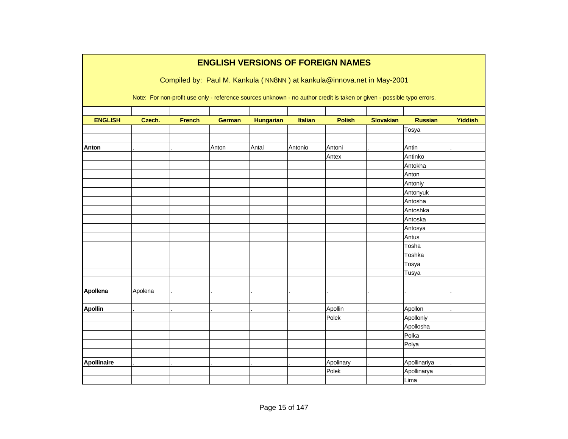|                | <b>ENGLISH VERSIONS OF FOREIGN NAMES</b> |               |               |                  |                |                                                                                                                        |                  |                |                |  |  |  |
|----------------|------------------------------------------|---------------|---------------|------------------|----------------|------------------------------------------------------------------------------------------------------------------------|------------------|----------------|----------------|--|--|--|
|                |                                          |               |               |                  |                | Compiled by: Paul M. Kankula (NN8NN) at kankula@innova.net in May-2001                                                 |                  |                |                |  |  |  |
|                |                                          |               |               |                  |                |                                                                                                                        |                  |                |                |  |  |  |
|                |                                          |               |               |                  |                | Note: For non-profit use only - reference sources unknown - no author credit is taken or given - possible typo errors. |                  |                |                |  |  |  |
|                |                                          |               |               |                  |                |                                                                                                                        |                  |                |                |  |  |  |
| <b>ENGLISH</b> | Czech.                                   | <b>French</b> | <b>German</b> | <b>Hungarian</b> | <b>Italian</b> | <b>Polish</b>                                                                                                          | <b>Slovakian</b> | <b>Russian</b> | <b>Yiddish</b> |  |  |  |
|                |                                          |               |               |                  |                |                                                                                                                        |                  | Tosya          |                |  |  |  |
|                |                                          |               |               |                  |                |                                                                                                                        |                  |                |                |  |  |  |
| Anton          |                                          |               | Anton         | Antal            | Antonio        | Antoni                                                                                                                 |                  | Antin          |                |  |  |  |
|                |                                          |               |               |                  |                | Antex                                                                                                                  |                  | Antinko        |                |  |  |  |
|                |                                          |               |               |                  |                |                                                                                                                        |                  | Antokha        |                |  |  |  |
|                |                                          |               |               |                  |                |                                                                                                                        |                  | Anton          |                |  |  |  |
|                |                                          |               |               |                  |                |                                                                                                                        |                  | Antoniy        |                |  |  |  |
|                |                                          |               |               |                  |                |                                                                                                                        |                  | Antonyuk       |                |  |  |  |
|                |                                          |               |               |                  |                |                                                                                                                        |                  | Antosha        |                |  |  |  |
|                |                                          |               |               |                  |                |                                                                                                                        |                  | Antoshka       |                |  |  |  |
|                |                                          |               |               |                  |                |                                                                                                                        |                  | Antoska        |                |  |  |  |
|                |                                          |               |               |                  |                |                                                                                                                        |                  | Antosya        |                |  |  |  |
|                |                                          |               |               |                  |                |                                                                                                                        |                  | Antus          |                |  |  |  |
|                |                                          |               |               |                  |                |                                                                                                                        |                  | Tosha          |                |  |  |  |
|                |                                          |               |               |                  |                |                                                                                                                        |                  | Toshka         |                |  |  |  |
|                |                                          |               |               |                  |                |                                                                                                                        |                  | Tosya          |                |  |  |  |
|                |                                          |               |               |                  |                |                                                                                                                        |                  | Tusya          |                |  |  |  |
|                |                                          |               |               |                  |                |                                                                                                                        |                  |                |                |  |  |  |
| Apollena       | Apolena                                  |               |               |                  |                |                                                                                                                        |                  |                |                |  |  |  |
|                |                                          |               |               |                  |                |                                                                                                                        |                  |                |                |  |  |  |
| <b>Apollin</b> |                                          |               |               |                  |                | Apollin                                                                                                                |                  | Apollon        |                |  |  |  |
|                |                                          |               |               |                  |                | Polek                                                                                                                  |                  | Apolloniy      |                |  |  |  |
|                |                                          |               |               |                  |                |                                                                                                                        |                  | Apollosha      |                |  |  |  |
|                |                                          |               |               |                  |                |                                                                                                                        |                  | Polka          |                |  |  |  |
|                |                                          |               |               |                  |                |                                                                                                                        |                  | Polya          |                |  |  |  |
|                |                                          |               |               |                  |                |                                                                                                                        |                  |                |                |  |  |  |
| Apollinaire    |                                          |               |               |                  |                | Apolinary                                                                                                              |                  | Apollinariya   |                |  |  |  |
|                |                                          |               |               |                  |                | Polek                                                                                                                  |                  | Apollinarya    |                |  |  |  |
|                |                                          |               |               |                  |                |                                                                                                                        |                  | Lima           |                |  |  |  |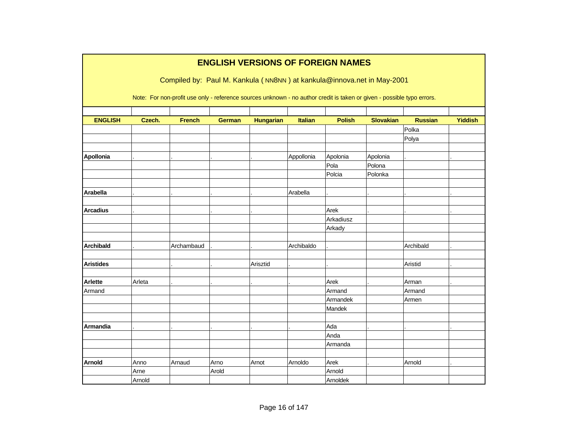|                  |        |                                                                                                                        |               | <b>ENGLISH VERSIONS OF FOREIGN NAMES</b> |                |               |                  |                |                |
|------------------|--------|------------------------------------------------------------------------------------------------------------------------|---------------|------------------------------------------|----------------|---------------|------------------|----------------|----------------|
|                  |        | Compiled by: Paul M. Kankula (NN8NN) at kankula@innova.net in May-2001                                                 |               |                                          |                |               |                  |                |                |
|                  |        |                                                                                                                        |               |                                          |                |               |                  |                |                |
|                  |        | Note: For non-profit use only - reference sources unknown - no author credit is taken or given - possible typo errors. |               |                                          |                |               |                  |                |                |
|                  |        |                                                                                                                        |               |                                          |                |               |                  |                |                |
| <b>ENGLISH</b>   | Czech. | <b>French</b>                                                                                                          | <b>German</b> | <b>Hungarian</b>                         | <b>Italian</b> | <b>Polish</b> | <b>Slovakian</b> | <b>Russian</b> | <b>Yiddish</b> |
|                  |        |                                                                                                                        |               |                                          |                |               |                  | Polka          |                |
|                  |        |                                                                                                                        |               |                                          |                |               |                  | Polya          |                |
|                  |        |                                                                                                                        |               |                                          |                |               |                  |                |                |
| Apollonia        |        |                                                                                                                        |               |                                          | Appollonia     | Apolonia      | Apolonia         |                |                |
|                  |        |                                                                                                                        |               |                                          |                | Pola          | Polona           |                |                |
|                  |        |                                                                                                                        |               |                                          |                | Polcia        | Polonka          |                |                |
|                  |        |                                                                                                                        |               |                                          |                |               |                  |                |                |
| <b>Arabella</b>  |        |                                                                                                                        |               |                                          | Arabella       |               |                  |                |                |
| <b>Arcadius</b>  |        |                                                                                                                        |               |                                          |                | Arek          |                  |                |                |
|                  |        |                                                                                                                        |               |                                          |                | Arkadiusz     |                  |                |                |
|                  |        |                                                                                                                        |               |                                          |                | Arkady        |                  |                |                |
|                  |        |                                                                                                                        |               |                                          |                |               |                  |                |                |
| <b>Archibald</b> |        | Archambaud                                                                                                             |               |                                          | Archibaldo     |               |                  | Archibald      |                |
|                  |        |                                                                                                                        |               |                                          |                |               |                  |                |                |
| <b>Aristides</b> |        |                                                                                                                        |               | Arisztid                                 |                |               |                  | Aristid        |                |
|                  |        |                                                                                                                        |               |                                          |                |               |                  |                |                |
| Arlette          | Arleta |                                                                                                                        |               |                                          |                | Arek          |                  | Arman          |                |
| Armand           |        |                                                                                                                        |               |                                          |                | Armand        |                  | Armand         |                |
|                  |        |                                                                                                                        |               |                                          |                | Armandek      |                  | Armen          |                |
|                  |        |                                                                                                                        |               |                                          |                | Mandek        |                  |                |                |
|                  |        |                                                                                                                        |               |                                          |                |               |                  |                |                |
| Armandia         |        |                                                                                                                        |               |                                          |                | Ada           |                  |                |                |
|                  |        |                                                                                                                        |               |                                          |                | Anda          |                  |                |                |
|                  |        |                                                                                                                        |               |                                          |                | Armanda       |                  |                |                |
| <b>Arnold</b>    | Anno   | Arnaud                                                                                                                 | Arno          | Arnot                                    | Arnoldo        | Arek          |                  | Arnold         |                |
|                  | Arne   |                                                                                                                        | Arold         |                                          |                | Arnold        |                  |                |                |
|                  | Arnold |                                                                                                                        |               |                                          |                | Arnoldek      |                  |                |                |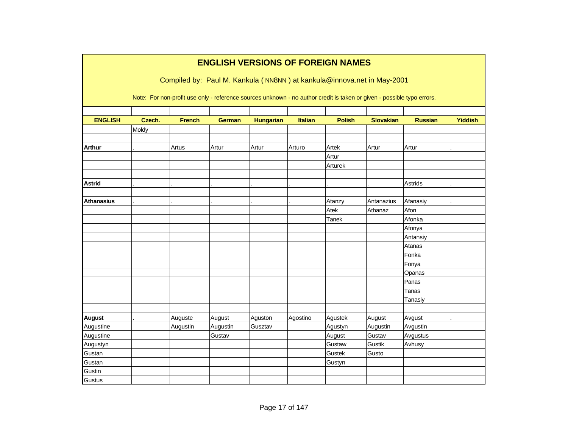|                   | <b>ENGLISH VERSIONS OF FOREIGN NAMES</b> |               |                                                                                                                        |                  |          |               |                  |                |                |  |  |  |
|-------------------|------------------------------------------|---------------|------------------------------------------------------------------------------------------------------------------------|------------------|----------|---------------|------------------|----------------|----------------|--|--|--|
|                   |                                          |               | Compiled by: Paul M. Kankula (NN8NN) at kankula@innova.net in May-2001                                                 |                  |          |               |                  |                |                |  |  |  |
|                   |                                          |               | Note: For non-profit use only - reference sources unknown - no author credit is taken or given - possible typo errors. |                  |          |               |                  |                |                |  |  |  |
|                   |                                          |               |                                                                                                                        |                  |          |               |                  |                |                |  |  |  |
| <b>ENGLISH</b>    | Czech.                                   | <b>French</b> | <b>German</b>                                                                                                          | <b>Hungarian</b> | Italian  | <b>Polish</b> | <b>Slovakian</b> | <b>Russian</b> | <b>Yiddish</b> |  |  |  |
|                   | Moldy                                    |               |                                                                                                                        |                  |          |               |                  |                |                |  |  |  |
| <b>Arthur</b>     |                                          |               |                                                                                                                        |                  |          | Artek         |                  | Artur          |                |  |  |  |
|                   |                                          | Artus         | Artur                                                                                                                  | Artur            | Arturo   | Artur         | Artur            |                |                |  |  |  |
|                   |                                          |               |                                                                                                                        |                  |          | Arturek       |                  |                |                |  |  |  |
|                   |                                          |               |                                                                                                                        |                  |          |               |                  |                |                |  |  |  |
| <b>Astrid</b>     |                                          |               |                                                                                                                        |                  |          |               |                  | Astrids        |                |  |  |  |
|                   |                                          |               |                                                                                                                        |                  |          |               |                  |                |                |  |  |  |
| <b>Athanasius</b> |                                          |               |                                                                                                                        |                  |          | Atanzy        | Antanazius       | Afanasiy       |                |  |  |  |
|                   |                                          |               |                                                                                                                        |                  |          | Atek          | Athanaz          | Afon           |                |  |  |  |
|                   |                                          |               |                                                                                                                        |                  |          | Tanek         |                  | Afonka         |                |  |  |  |
|                   |                                          |               |                                                                                                                        |                  |          |               |                  | Afonya         |                |  |  |  |
|                   |                                          |               |                                                                                                                        |                  |          |               |                  | Antansiy       |                |  |  |  |
|                   |                                          |               |                                                                                                                        |                  |          |               |                  | Atanas         |                |  |  |  |
|                   |                                          |               |                                                                                                                        |                  |          |               |                  | Fonka          |                |  |  |  |
|                   |                                          |               |                                                                                                                        |                  |          |               |                  | Fonya          |                |  |  |  |
|                   |                                          |               |                                                                                                                        |                  |          |               |                  | Opanas         |                |  |  |  |
|                   |                                          |               |                                                                                                                        |                  |          |               |                  | Panas          |                |  |  |  |
|                   |                                          |               |                                                                                                                        |                  |          |               |                  | Tanas          |                |  |  |  |
|                   |                                          |               |                                                                                                                        |                  |          |               |                  | Tanasiy        |                |  |  |  |
|                   |                                          |               |                                                                                                                        |                  |          |               |                  |                |                |  |  |  |
| <b>August</b>     |                                          | Auguste       | August                                                                                                                 | Aguston          | Agostino | Agustek       | August           | Avgust         |                |  |  |  |
| Augustine         |                                          | Augustin      | Augustin                                                                                                               | Gusztav          |          | Agustyn       | Augustin         | Avgustin       |                |  |  |  |
| Augustine         |                                          |               | Gustav                                                                                                                 |                  |          | August        | Gustav           | Avgustus       |                |  |  |  |
| Augustyn          |                                          |               |                                                                                                                        |                  |          | Gustaw        | Gustik           | Avhusy         |                |  |  |  |
| Gustan            |                                          |               |                                                                                                                        |                  |          | Gustek        | Gusto            |                |                |  |  |  |
| Gustan            |                                          |               |                                                                                                                        |                  |          | Gustyn        |                  |                |                |  |  |  |
| Gustin            |                                          |               |                                                                                                                        |                  |          |               |                  |                |                |  |  |  |
| Gustus            |                                          |               |                                                                                                                        |                  |          |               |                  |                |                |  |  |  |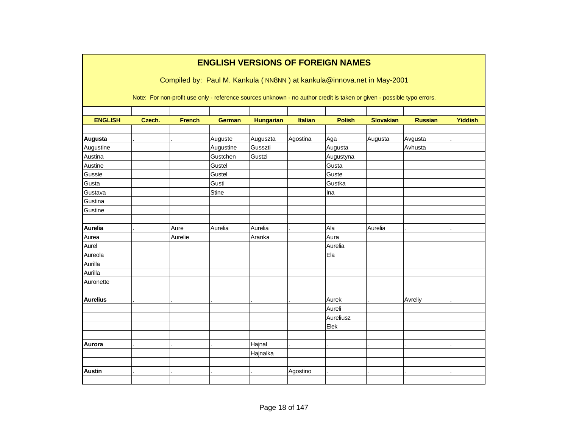|                 | <b>ENGLISH VERSIONS OF FOREIGN NAMES</b><br>Compiled by: Paul M. Kankula (NN8NN) at kankula@innova.net in May-2001 |               |                                                                                                                        |                  |                |               |                  |                |                |  |  |  |  |
|-----------------|--------------------------------------------------------------------------------------------------------------------|---------------|------------------------------------------------------------------------------------------------------------------------|------------------|----------------|---------------|------------------|----------------|----------------|--|--|--|--|
|                 |                                                                                                                    |               | Note: For non-profit use only - reference sources unknown - no author credit is taken or given - possible typo errors. |                  |                |               |                  |                |                |  |  |  |  |
| <b>ENGLISH</b>  | Czech.                                                                                                             | <b>French</b> | <b>German</b>                                                                                                          | <b>Hungarian</b> | <b>Italian</b> | <b>Polish</b> | <b>Slovakian</b> | <b>Russian</b> | <b>Yiddish</b> |  |  |  |  |
|                 |                                                                                                                    |               |                                                                                                                        |                  |                |               |                  |                |                |  |  |  |  |
| Augusta         |                                                                                                                    |               | Auguste                                                                                                                | Auguszta         | Agostina       | Aga           | Augusta          | Avgusta        |                |  |  |  |  |
| Augustine       |                                                                                                                    |               | Augustine                                                                                                              | Gusszti          |                | Augusta       |                  | Avhusta        |                |  |  |  |  |
| Austina         |                                                                                                                    |               | Gustchen                                                                                                               | Gustzi           |                | Augustyna     |                  |                |                |  |  |  |  |
| Austine         |                                                                                                                    |               | Gustel                                                                                                                 |                  |                | Gusta         |                  |                |                |  |  |  |  |
| Gussie          |                                                                                                                    |               | Gustel                                                                                                                 |                  |                | Guste         |                  |                |                |  |  |  |  |
| Gusta           |                                                                                                                    |               | Gusti                                                                                                                  |                  |                | Gustka        |                  |                |                |  |  |  |  |
| Gustava         |                                                                                                                    |               | Stine                                                                                                                  |                  |                | Ina           |                  |                |                |  |  |  |  |
| Gustina         |                                                                                                                    |               |                                                                                                                        |                  |                |               |                  |                |                |  |  |  |  |
| Gustine         |                                                                                                                    |               |                                                                                                                        |                  |                |               |                  |                |                |  |  |  |  |
| Aurelia         |                                                                                                                    | Aure          | Aurelia                                                                                                                | Aurelia          |                | Ala           | Aurelia          |                |                |  |  |  |  |
| Aurea           |                                                                                                                    | Aurelie       |                                                                                                                        | Aranka           |                | Aura          |                  |                |                |  |  |  |  |
| Aurel           |                                                                                                                    |               |                                                                                                                        |                  |                | Aurelia       |                  |                |                |  |  |  |  |
| Aureola         |                                                                                                                    |               |                                                                                                                        |                  |                | Ela           |                  |                |                |  |  |  |  |
| Aurilla         |                                                                                                                    |               |                                                                                                                        |                  |                |               |                  |                |                |  |  |  |  |
| Aurilla         |                                                                                                                    |               |                                                                                                                        |                  |                |               |                  |                |                |  |  |  |  |
| Auronette       |                                                                                                                    |               |                                                                                                                        |                  |                |               |                  |                |                |  |  |  |  |
|                 |                                                                                                                    |               |                                                                                                                        |                  |                |               |                  |                |                |  |  |  |  |
| <b>Aurelius</b> |                                                                                                                    |               |                                                                                                                        |                  |                | Aurek         |                  | Avreliy        |                |  |  |  |  |
|                 |                                                                                                                    |               |                                                                                                                        |                  |                | Aureli        |                  |                |                |  |  |  |  |
|                 |                                                                                                                    |               |                                                                                                                        |                  |                | Aureliusz     |                  |                |                |  |  |  |  |
|                 |                                                                                                                    |               |                                                                                                                        |                  |                | Elek          |                  |                |                |  |  |  |  |
|                 |                                                                                                                    |               |                                                                                                                        |                  |                |               |                  |                |                |  |  |  |  |
| Aurora          |                                                                                                                    |               |                                                                                                                        | Hajnal           |                |               |                  |                |                |  |  |  |  |
|                 |                                                                                                                    |               |                                                                                                                        | Hajnalka         |                |               |                  |                |                |  |  |  |  |
|                 |                                                                                                                    |               |                                                                                                                        |                  |                |               |                  |                |                |  |  |  |  |
| <b>Austin</b>   |                                                                                                                    |               |                                                                                                                        |                  | Agostino       |               |                  |                |                |  |  |  |  |
|                 |                                                                                                                    |               |                                                                                                                        |                  |                |               |                  |                |                |  |  |  |  |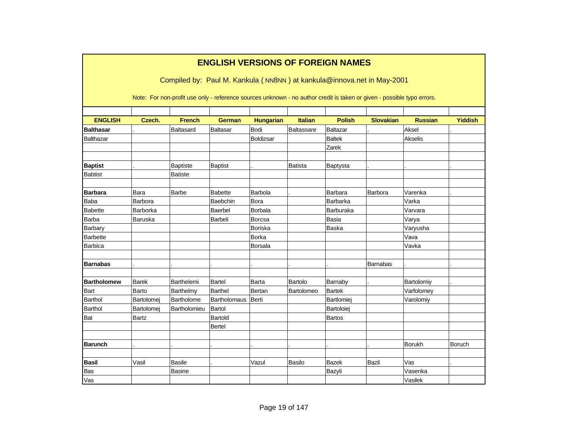|                    | <b>ENGLISH VERSIONS OF FOREIGN NAMES</b><br>Compiled by: Paul M. Kankula (NN8NN) at kankula@innova.net in May-2001 |                                                                                                                        |                     |                  |                |                 |                  |                |                |  |  |  |  |
|--------------------|--------------------------------------------------------------------------------------------------------------------|------------------------------------------------------------------------------------------------------------------------|---------------------|------------------|----------------|-----------------|------------------|----------------|----------------|--|--|--|--|
|                    |                                                                                                                    | Note: For non-profit use only - reference sources unknown - no author credit is taken or given - possible typo errors. |                     |                  |                |                 |                  |                |                |  |  |  |  |
| <b>ENGLISH</b>     | Czech.                                                                                                             | <b>French</b>                                                                                                          | <b>German</b>       | <b>Hungarian</b> | <b>Italian</b> | <b>Polish</b>   | <b>Slovakian</b> | <b>Russian</b> | <b>Yiddish</b> |  |  |  |  |
| <b>Balthasar</b>   |                                                                                                                    | Baltasard                                                                                                              | <b>Baltasar</b>     | Bodi             | Baltassare     | <b>Baltazar</b> |                  | Aksel          |                |  |  |  |  |
| Balthazar          |                                                                                                                    |                                                                                                                        |                     | Boldizsar        |                | <b>Baltek</b>   |                  | Akselis        |                |  |  |  |  |
|                    |                                                                                                                    |                                                                                                                        |                     |                  |                | Zarek           |                  |                |                |  |  |  |  |
| <b>Baptist</b>     |                                                                                                                    | <b>Baptiste</b>                                                                                                        | <b>Baptist</b>      |                  | <b>Batista</b> | Baptysta        |                  |                |                |  |  |  |  |
| <b>Babtist</b>     |                                                                                                                    | <b>Batiste</b>                                                                                                         |                     |                  |                |                 |                  |                |                |  |  |  |  |
| <b>Barbara</b>     | Bara                                                                                                               | <b>Barbe</b>                                                                                                           | <b>Babette</b>      | Barbola          |                | <b>Barbara</b>  | Barbora          | Varenka        |                |  |  |  |  |
| <b>Baba</b>        | Barbora                                                                                                            |                                                                                                                        | Baebchin            | Bora             |                | Barbarka        |                  | Varka          |                |  |  |  |  |
| <b>Babette</b>     | Barborka                                                                                                           |                                                                                                                        | Baerbel             | Borbala          |                | Barburaka       |                  | Varvara        |                |  |  |  |  |
| Barba              | Baruska                                                                                                            |                                                                                                                        | Barbeli             | Borcsa           |                | <b>Basia</b>    |                  | Varya          |                |  |  |  |  |
| Barbary            |                                                                                                                    |                                                                                                                        |                     | <b>Boriska</b>   |                | Baska           |                  | Varyusha       |                |  |  |  |  |
| Barbette           |                                                                                                                    |                                                                                                                        |                     | Borka            |                |                 |                  | Vava           |                |  |  |  |  |
| <b>Barbica</b>     |                                                                                                                    |                                                                                                                        |                     | <b>Borsala</b>   |                |                 |                  | Vavka          |                |  |  |  |  |
| <b>Barnabas</b>    |                                                                                                                    |                                                                                                                        |                     |                  |                |                 | <b>Barnabas</b>  |                |                |  |  |  |  |
| <b>Bartholomew</b> | <b>Barek</b>                                                                                                       | Barthelemi                                                                                                             | <b>Bartel</b>       | Barta            | Bartolo        | Barnaby         |                  | Bartolomiy     |                |  |  |  |  |
| Bart               | Barto                                                                                                              | Barthelmy                                                                                                              | <b>Barthel</b>      | Bertan           | Bartolomeo     | <b>Bartek</b>   |                  | Varfolomey     |                |  |  |  |  |
| <b>Barthol</b>     | Bartolomej                                                                                                         | Bartholome                                                                                                             | <b>Bartholomaus</b> | Berti            |                | Bartlomiej      |                  | Varolomiy      |                |  |  |  |  |
| <b>Barthol</b>     | Bartolomej                                                                                                         | Bartholomieu                                                                                                           | Bartol              |                  |                | Bartoloiej      |                  |                |                |  |  |  |  |
| Bat                | <b>Bartz</b>                                                                                                       |                                                                                                                        | Bartold             |                  |                | <b>Bartos</b>   |                  |                |                |  |  |  |  |
|                    |                                                                                                                    |                                                                                                                        | Bertel              |                  |                |                 |                  |                |                |  |  |  |  |
| <b>Barunch</b>     |                                                                                                                    |                                                                                                                        |                     |                  |                |                 |                  | <b>Borukh</b>  | Boruch         |  |  |  |  |
| <b>Basil</b>       | Vasil                                                                                                              | <b>Basile</b>                                                                                                          |                     | Vazul            | Basilo         | <b>Bazek</b>    | Bazil            | Vas            |                |  |  |  |  |
| Bas                |                                                                                                                    | <b>Basine</b>                                                                                                          |                     |                  |                | Bazyli          |                  | Vasenka        |                |  |  |  |  |
| Vas                |                                                                                                                    |                                                                                                                        |                     |                  |                |                 |                  | Vasilek        |                |  |  |  |  |

## **ENGLISH VERSIONS OF FOREIGN NAMES**

Г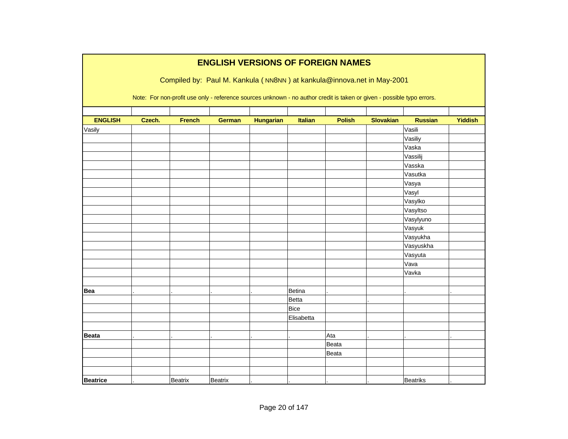|                 | <b>ENGLISH VERSIONS OF FOREIGN NAMES</b> |                |                |                  |                |                                                                                                                        |                  |                |                |  |  |  |
|-----------------|------------------------------------------|----------------|----------------|------------------|----------------|------------------------------------------------------------------------------------------------------------------------|------------------|----------------|----------------|--|--|--|
|                 |                                          |                |                |                  |                | Compiled by: Paul M. Kankula (NN8NN) at kankula@innova.net in May-2001                                                 |                  |                |                |  |  |  |
|                 |                                          |                |                |                  |                |                                                                                                                        |                  |                |                |  |  |  |
|                 |                                          |                |                |                  |                | Note: For non-profit use only - reference sources unknown - no author credit is taken or given - possible typo errors. |                  |                |                |  |  |  |
|                 |                                          |                |                |                  |                |                                                                                                                        |                  |                |                |  |  |  |
| <b>ENGLISH</b>  |                                          | <b>French</b>  |                |                  | <b>Italian</b> | <b>Polish</b>                                                                                                          | <b>Slovakian</b> | <b>Russian</b> | <b>Yiddish</b> |  |  |  |
|                 | Czech.                                   |                | <b>German</b>  | <b>Hungarian</b> |                |                                                                                                                        |                  |                |                |  |  |  |
| Vasily          |                                          |                |                |                  |                |                                                                                                                        |                  | Vasili         |                |  |  |  |
|                 |                                          |                |                |                  |                |                                                                                                                        |                  | Vasiliy        |                |  |  |  |
|                 |                                          |                |                |                  |                |                                                                                                                        |                  | Vaska          |                |  |  |  |
|                 |                                          |                |                |                  |                |                                                                                                                        |                  | Vassilij       |                |  |  |  |
|                 |                                          |                |                |                  |                |                                                                                                                        |                  | Vasska         |                |  |  |  |
|                 |                                          |                |                |                  |                |                                                                                                                        |                  | Vasutka        |                |  |  |  |
|                 |                                          |                |                |                  |                |                                                                                                                        |                  | Vasya          |                |  |  |  |
|                 |                                          |                |                |                  |                |                                                                                                                        |                  | Vasyl          |                |  |  |  |
|                 |                                          |                |                |                  |                |                                                                                                                        |                  | Vasylko        |                |  |  |  |
|                 |                                          |                |                |                  |                |                                                                                                                        |                  | Vasyltso       |                |  |  |  |
|                 |                                          |                |                |                  |                |                                                                                                                        |                  | Vasylyuno      |                |  |  |  |
|                 |                                          |                |                |                  |                |                                                                                                                        |                  | Vasyuk         |                |  |  |  |
|                 |                                          |                |                |                  |                |                                                                                                                        |                  | Vasyukha       |                |  |  |  |
|                 |                                          |                |                |                  |                |                                                                                                                        |                  | Vasyuskha      |                |  |  |  |
|                 |                                          |                |                |                  |                |                                                                                                                        |                  | Vasyuta        |                |  |  |  |
|                 |                                          |                |                |                  |                |                                                                                                                        |                  | Vava           |                |  |  |  |
|                 |                                          |                |                |                  |                |                                                                                                                        |                  | Vavka          |                |  |  |  |
|                 |                                          |                |                |                  |                |                                                                                                                        |                  |                |                |  |  |  |
| <b>Bea</b>      |                                          |                |                |                  | Betina         |                                                                                                                        |                  |                |                |  |  |  |
|                 |                                          |                |                |                  | Betta          |                                                                                                                        |                  |                |                |  |  |  |
|                 |                                          |                |                |                  | Bice           |                                                                                                                        |                  |                |                |  |  |  |
|                 |                                          |                |                |                  | Elisabetta     |                                                                                                                        |                  |                |                |  |  |  |
|                 |                                          |                |                |                  |                |                                                                                                                        |                  |                |                |  |  |  |
| <b>Beata</b>    |                                          |                |                |                  |                | Ata                                                                                                                    |                  |                |                |  |  |  |
|                 |                                          |                |                |                  |                | Beata                                                                                                                  |                  |                |                |  |  |  |
|                 |                                          |                |                |                  |                | Beata                                                                                                                  |                  |                |                |  |  |  |
|                 |                                          |                |                |                  |                |                                                                                                                        |                  |                |                |  |  |  |
|                 |                                          |                |                |                  |                |                                                                                                                        |                  |                |                |  |  |  |
| <b>Beatrice</b> |                                          | <b>Beatrix</b> | <b>Beatrix</b> |                  |                |                                                                                                                        |                  | Beatriks       |                |  |  |  |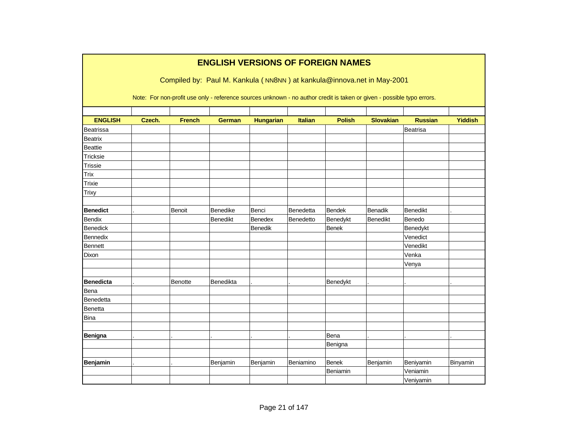|                  |        |                | <b>ENGLISH VERSIONS OF FOREIGN NAMES</b> |                  |                |               |                                                                                                                        |                 |                |
|------------------|--------|----------------|------------------------------------------|------------------|----------------|---------------|------------------------------------------------------------------------------------------------------------------------|-----------------|----------------|
|                  |        |                |                                          |                  |                |               | Compiled by: Paul M. Kankula (NN8NN) at kankula@innova.net in May-2001                                                 |                 |                |
|                  |        |                |                                          |                  |                |               | Note: For non-profit use only - reference sources unknown - no author credit is taken or given - possible typo errors. |                 |                |
| <b>ENGLISH</b>   | Czech. | <b>French</b>  | <b>German</b>                            | <b>Hungarian</b> | <b>Italian</b> | <b>Polish</b> | <b>Slovakian</b>                                                                                                       | <b>Russian</b>  | <b>Yiddish</b> |
| Beatrissa        |        |                |                                          |                  |                |               |                                                                                                                        | Beatrisa        |                |
| <b>Beatrix</b>   |        |                |                                          |                  |                |               |                                                                                                                        |                 |                |
| <b>Beattie</b>   |        |                |                                          |                  |                |               |                                                                                                                        |                 |                |
| Tricksie         |        |                |                                          |                  |                |               |                                                                                                                        |                 |                |
| Trissie          |        |                |                                          |                  |                |               |                                                                                                                        |                 |                |
| Trix             |        |                |                                          |                  |                |               |                                                                                                                        |                 |                |
| Trixie           |        |                |                                          |                  |                |               |                                                                                                                        |                 |                |
| Trixy            |        |                |                                          |                  |                |               |                                                                                                                        |                 |                |
| <b>Benedict</b>  |        | Benoit         | Benedike                                 | Benci            | Benedetta      | <b>Bendek</b> | <b>Benadik</b>                                                                                                         | <b>Benedikt</b> |                |
| Bendix           |        |                | Benedikt                                 | Benedex          | Benedetto      | Benedykt      | Benedikt                                                                                                               | Benedo          |                |
| Benedick         |        |                |                                          | <b>Benedik</b>   |                | <b>Benek</b>  |                                                                                                                        | Benedykt        |                |
| Bennedix         |        |                |                                          |                  |                |               |                                                                                                                        | Venedict        |                |
| <b>Bennett</b>   |        |                |                                          |                  |                |               |                                                                                                                        | Venedikt        |                |
| Dixon            |        |                |                                          |                  |                |               |                                                                                                                        | Venka           |                |
|                  |        |                |                                          |                  |                |               |                                                                                                                        | Venya           |                |
| <b>Benedicta</b> |        | <b>Benotte</b> | Benedikta                                |                  |                | Benedykt      |                                                                                                                        |                 |                |
| Bena             |        |                |                                          |                  |                |               |                                                                                                                        |                 |                |
| Benedetta        |        |                |                                          |                  |                |               |                                                                                                                        |                 |                |
| Benetta          |        |                |                                          |                  |                |               |                                                                                                                        |                 |                |
| <b>Bina</b>      |        |                |                                          |                  |                |               |                                                                                                                        |                 |                |
|                  |        |                |                                          |                  |                |               |                                                                                                                        |                 |                |
| Benigna          |        |                |                                          |                  |                | Bena          |                                                                                                                        |                 |                |
|                  |        |                |                                          |                  |                | Benigna       |                                                                                                                        |                 |                |
|                  |        |                |                                          |                  |                |               |                                                                                                                        |                 |                |
| Benjamin         |        |                | Benjamin                                 | Benjamin         | Beniamino      | <b>Benek</b>  | Benjamin                                                                                                               | Beniyamin       | Binyamin       |
|                  |        |                |                                          |                  |                | Beniamin      |                                                                                                                        | Veniamin        |                |
|                  |        |                |                                          |                  |                |               |                                                                                                                        | Veniyamin       |                |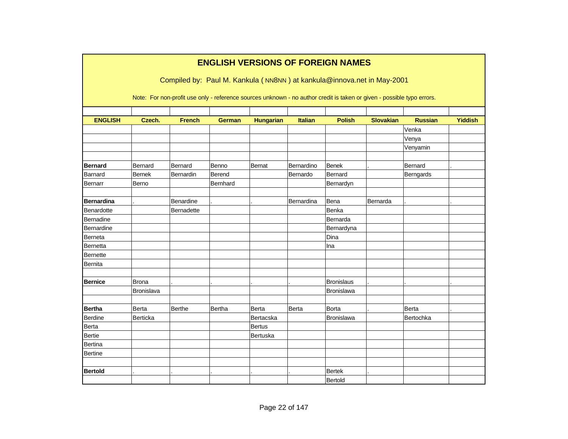|                   |                   | Compiled by: Paul M. Kankula (NN8NN) at kankula@innova.net in May-2001                                                 | <b>ENGLISH VERSIONS OF FOREIGN NAMES</b> |                  |                |                   |                  |                |                |
|-------------------|-------------------|------------------------------------------------------------------------------------------------------------------------|------------------------------------------|------------------|----------------|-------------------|------------------|----------------|----------------|
|                   |                   | Note: For non-profit use only - reference sources unknown - no author credit is taken or given - possible typo errors. |                                          |                  |                |                   |                  |                |                |
| <b>ENGLISH</b>    | Czech.            | <b>French</b>                                                                                                          | <b>German</b>                            | <b>Hungarian</b> | <b>Italian</b> | <b>Polish</b>     | <b>Slovakian</b> | <b>Russian</b> | <b>Yiddish</b> |
|                   |                   |                                                                                                                        |                                          |                  |                |                   |                  | Venka          |                |
|                   |                   |                                                                                                                        |                                          |                  |                |                   |                  | Venya          |                |
|                   |                   |                                                                                                                        |                                          |                  |                |                   |                  | Venyamin       |                |
| <b>Bernard</b>    | Bernard           | Bernard                                                                                                                | Benno                                    | Bernat           | Bernardino     | <b>Benek</b>      |                  | Bernard        |                |
| Barnard           | <b>Bernek</b>     | Bernardin                                                                                                              | Berend                                   |                  | Bernardo       | Bernard           |                  | Berngards      |                |
| Bernarr           | Berno             |                                                                                                                        | Bernhard                                 |                  |                | Bernardyn         |                  |                |                |
| <b>Bernardina</b> |                   | Benardine                                                                                                              |                                          |                  | Bernardina     | Bena              | Bernarda         |                |                |
| Benardotte        |                   | Bernadette                                                                                                             |                                          |                  |                | Benka             |                  |                |                |
| Bernadine         |                   |                                                                                                                        |                                          |                  |                | Bernarda          |                  |                |                |
| Bernardine        |                   |                                                                                                                        |                                          |                  |                | Bernardyna        |                  |                |                |
| Berneta           |                   |                                                                                                                        |                                          |                  |                | Dina              |                  |                |                |
| Bernetta          |                   |                                                                                                                        |                                          |                  |                | Ina               |                  |                |                |
| Bernette          |                   |                                                                                                                        |                                          |                  |                |                   |                  |                |                |
| Bernita           |                   |                                                                                                                        |                                          |                  |                |                   |                  |                |                |
| <b>Bernice</b>    | <b>Brona</b>      |                                                                                                                        |                                          |                  |                | <b>Bronislaus</b> |                  |                |                |
|                   | <b>Bronislava</b> |                                                                                                                        |                                          |                  |                | Bronislawa        |                  |                |                |
| <b>Bertha</b>     | Berta             | Berthe                                                                                                                 | Bertha                                   | Berta            | Berta          | <b>Borta</b>      |                  | Berta          |                |
| Berdine           | Berticka          |                                                                                                                        |                                          | Bertacska        |                | Bronislawa        |                  | Bertochka      |                |
| Berta             |                   |                                                                                                                        |                                          | <b>Bertus</b>    |                |                   |                  |                |                |
| <b>Bertie</b>     |                   |                                                                                                                        |                                          | Bertuska         |                |                   |                  |                |                |
| Bertina           |                   |                                                                                                                        |                                          |                  |                |                   |                  |                |                |
| <b>Bertine</b>    |                   |                                                                                                                        |                                          |                  |                |                   |                  |                |                |
|                   |                   |                                                                                                                        |                                          |                  |                |                   |                  |                |                |
| <b>Bertold</b>    |                   |                                                                                                                        |                                          |                  |                | <b>Bertek</b>     |                  |                |                |
|                   |                   |                                                                                                                        |                                          |                  |                | Bertold           |                  |                |                |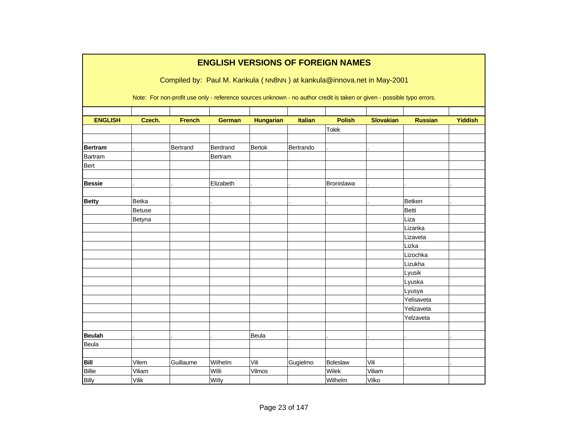| <b>ENGLISH VERSIONS OF FOREIGN NAMES</b> |               |               |               |                  |           |                                                                                                                        |                  |                |                |  |  |  |
|------------------------------------------|---------------|---------------|---------------|------------------|-----------|------------------------------------------------------------------------------------------------------------------------|------------------|----------------|----------------|--|--|--|
|                                          |               |               |               |                  |           | Compiled by: Paul M. Kankula (NN8NN) at kankula@innova.net in May-2001                                                 |                  |                |                |  |  |  |
|                                          |               |               |               |                  |           | Note: For non-profit use only - reference sources unknown - no author credit is taken or given - possible typo errors. |                  |                |                |  |  |  |
| <b>ENGLISH</b>                           | Czech.        | <b>French</b> |               |                  | Italian   | <b>Polish</b>                                                                                                          | <b>Slovakian</b> | <b>Russian</b> | <b>Yiddish</b> |  |  |  |
|                                          |               |               | <b>German</b> | <b>Hungarian</b> |           |                                                                                                                        |                  |                |                |  |  |  |
|                                          |               |               |               |                  |           | <b>Tolek</b>                                                                                                           |                  |                |                |  |  |  |
| <b>Bertram</b>                           |               | Bertrand      | Berdrand      | <b>Bertok</b>    | Bertrando |                                                                                                                        |                  |                |                |  |  |  |
| Bartram                                  |               |               | Bertram       |                  |           |                                                                                                                        |                  |                |                |  |  |  |
| Bert                                     |               |               |               |                  |           |                                                                                                                        |                  |                |                |  |  |  |
|                                          |               |               |               |                  |           |                                                                                                                        |                  |                |                |  |  |  |
| <b>Bessie</b>                            |               |               | Elizabeth     |                  |           | <b>Bronislawa</b>                                                                                                      |                  |                |                |  |  |  |
|                                          |               |               |               |                  |           |                                                                                                                        |                  |                |                |  |  |  |
| <b>Betty</b>                             | <b>Betka</b>  |               |               |                  |           |                                                                                                                        |                  | Betken         |                |  |  |  |
|                                          | <b>Betuse</b> |               |               |                  |           |                                                                                                                        |                  | <b>Betti</b>   |                |  |  |  |
|                                          | Betyna        |               |               |                  |           |                                                                                                                        |                  | Liza           |                |  |  |  |
|                                          |               |               |               |                  |           |                                                                                                                        |                  | Lizanka        |                |  |  |  |
|                                          |               |               |               |                  |           |                                                                                                                        |                  | Lizaveta       |                |  |  |  |
|                                          |               |               |               |                  |           |                                                                                                                        |                  | Lizka          |                |  |  |  |
|                                          |               |               |               |                  |           |                                                                                                                        |                  | Lizochka       |                |  |  |  |
|                                          |               |               |               |                  |           |                                                                                                                        |                  | Lizukha        |                |  |  |  |
|                                          |               |               |               |                  |           |                                                                                                                        |                  | Lyusik         |                |  |  |  |
|                                          |               |               |               |                  |           |                                                                                                                        |                  | Lyuska         |                |  |  |  |
|                                          |               |               |               |                  |           |                                                                                                                        |                  | Lyusya         |                |  |  |  |
|                                          |               |               |               |                  |           |                                                                                                                        |                  | Yelisaveta     |                |  |  |  |
|                                          |               |               |               |                  |           |                                                                                                                        |                  | Yelizaveta     |                |  |  |  |
|                                          |               |               |               |                  |           |                                                                                                                        |                  | Yelzaveta      |                |  |  |  |
|                                          |               |               |               |                  |           |                                                                                                                        |                  |                |                |  |  |  |
| <b>Beulah</b>                            |               |               |               | Beula            |           |                                                                                                                        |                  |                |                |  |  |  |
| Beula                                    |               |               |               |                  |           |                                                                                                                        |                  |                |                |  |  |  |
|                                          |               |               |               |                  |           |                                                                                                                        |                  |                |                |  |  |  |
| <b>Bill</b>                              | Vilem         | Guillaume     | Wilhelm       | Vili             | Gugielmo  | Boleslaw                                                                                                               | Vili             |                |                |  |  |  |
| <b>Billie</b>                            | Viliam        |               | Willi         | Vilmos           |           | Wilek                                                                                                                  | Viliam           |                |                |  |  |  |
| <b>Billy</b>                             | <b>Vilik</b>  |               | Willy         |                  |           | Wilhelm                                                                                                                | Vilko            |                |                |  |  |  |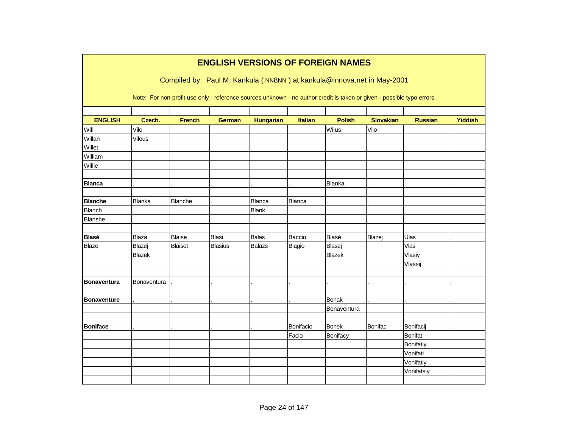|                    |             |                |                |                  |                | <b>ENGLISH VERSIONS OF FOREIGN NAMES</b>                                                                               |                  |                |                |
|--------------------|-------------|----------------|----------------|------------------|----------------|------------------------------------------------------------------------------------------------------------------------|------------------|----------------|----------------|
|                    |             |                |                |                  |                | Compiled by: Paul M. Kankula (NN8NN) at kankula@innova.net in May-2001                                                 |                  |                |                |
|                    |             |                |                |                  |                | Note: For non-profit use only - reference sources unknown - no author credit is taken or given - possible typo errors. |                  |                |                |
|                    |             |                |                |                  |                |                                                                                                                        |                  |                |                |
| <b>ENGLISH</b>     | Czech.      | <b>French</b>  | <b>German</b>  | <b>Hungarian</b> | <b>Italian</b> | <b>Polish</b>                                                                                                          | <b>Slovakian</b> | <b>Russian</b> | <b>Yiddish</b> |
| Will               | Vilo        |                |                |                  |                | Wilus                                                                                                                  | Vilo             |                |                |
| Willan             | Vilous      |                |                |                  |                |                                                                                                                        |                  |                |                |
| Willet             |             |                |                |                  |                |                                                                                                                        |                  |                |                |
| William            |             |                |                |                  |                |                                                                                                                        |                  |                |                |
| Willie             |             |                |                |                  |                |                                                                                                                        |                  |                |                |
| <b>Blanca</b>      |             |                |                |                  |                | Blanka                                                                                                                 |                  |                |                |
|                    |             |                |                |                  |                |                                                                                                                        |                  |                |                |
| <b>Blanche</b>     | Blanka      | Blanche        |                | <b>Blanca</b>    | Bianca         |                                                                                                                        |                  |                |                |
| <b>Blanch</b>      |             |                |                | <b>Blank</b>     |                |                                                                                                                        |                  |                |                |
| Blanshe            |             |                |                |                  |                |                                                                                                                        |                  |                |                |
| <b>Blasé</b>       | Blaza       | <b>Blaise</b>  | <b>Blasi</b>   | <b>Balas</b>     | Baccio         | Blasé                                                                                                                  | Blazej           | Ulas           |                |
| <b>Blaze</b>       | Blazej      | <b>Blaisot</b> | <b>Blasius</b> | <b>Balazs</b>    | Biagio         | <b>Blasei</b>                                                                                                          |                  | Vlas           |                |
|                    | Blazek      |                |                |                  |                | <b>Blazek</b>                                                                                                          |                  | Vlasiy         |                |
|                    |             |                |                |                  |                |                                                                                                                        |                  | Vlassij        |                |
|                    |             |                |                |                  |                |                                                                                                                        |                  |                |                |
| <b>Bonaventura</b> | Bonaventura |                |                |                  |                |                                                                                                                        |                  |                |                |
|                    |             |                |                |                  |                |                                                                                                                        |                  |                |                |
| <b>Bonaventure</b> |             |                |                |                  |                | <b>Bonak</b>                                                                                                           |                  |                |                |
|                    |             |                |                |                  |                | Bonaventura                                                                                                            |                  |                |                |
|                    |             |                |                |                  |                |                                                                                                                        |                  |                |                |
| <b>Boniface</b>    |             |                |                |                  | Bonifacio      | <b>Bonek</b>                                                                                                           | <b>Bonifac</b>   | Bonifacij      |                |
|                    |             |                |                |                  | Facio          | Bonifacy                                                                                                               |                  | Bonifat        |                |
|                    |             |                |                |                  |                |                                                                                                                        |                  | Bonifatiy      |                |
|                    |             |                |                |                  |                |                                                                                                                        |                  | Vonifati       |                |
|                    |             |                |                |                  |                |                                                                                                                        |                  | Vonifatiy      |                |
|                    |             |                |                |                  |                |                                                                                                                        |                  | Vonifatsiy     |                |
|                    |             |                |                |                  |                |                                                                                                                        |                  |                |                |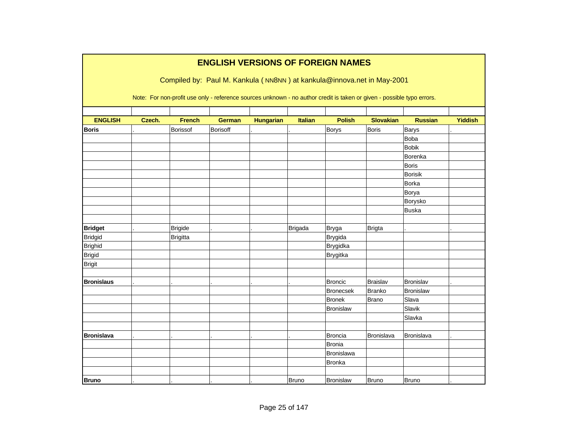|                   |        |                 | <b>ENGLISH VERSIONS OF FOREIGN NAMES</b>                                                                               |                  |                |                  |                   |                   |                |
|-------------------|--------|-----------------|------------------------------------------------------------------------------------------------------------------------|------------------|----------------|------------------|-------------------|-------------------|----------------|
|                   |        |                 | Compiled by: Paul M. Kankula (NN8NN) at kankula@innova.net in May-2001                                                 |                  |                |                  |                   |                   |                |
|                   |        |                 | Note: For non-profit use only - reference sources unknown - no author credit is taken or given - possible typo errors. |                  |                |                  |                   |                   |                |
|                   |        |                 |                                                                                                                        |                  |                |                  |                   |                   |                |
| <b>ENGLISH</b>    | Czech. | <b>French</b>   | <b>German</b>                                                                                                          | <b>Hungarian</b> | <b>Italian</b> | <b>Polish</b>    | <b>Slovakian</b>  | <b>Russian</b>    | <b>Yiddish</b> |
| <b>Boris</b>      |        | Borissof        | Borisoff                                                                                                               |                  |                | Borys            | <b>Boris</b>      | Barys<br>Boba     |                |
|                   |        |                 |                                                                                                                        |                  |                |                  |                   | <b>Bobik</b>      |                |
|                   |        |                 |                                                                                                                        |                  |                |                  |                   | Borenka           |                |
|                   |        |                 |                                                                                                                        |                  |                |                  |                   | <b>Boris</b>      |                |
|                   |        |                 |                                                                                                                        |                  |                |                  |                   | <b>Borisik</b>    |                |
|                   |        |                 |                                                                                                                        |                  |                |                  |                   | <b>Borka</b>      |                |
|                   |        |                 |                                                                                                                        |                  |                |                  |                   | Borya             |                |
|                   |        |                 |                                                                                                                        |                  |                |                  |                   | Borysko           |                |
|                   |        |                 |                                                                                                                        |                  |                |                  |                   | <b>Buska</b>      |                |
|                   |        |                 |                                                                                                                        |                  |                |                  |                   |                   |                |
| <b>Bridget</b>    |        | <b>Brigide</b>  |                                                                                                                        |                  | <b>Brigada</b> | <b>Bryga</b>     | <b>Brigta</b>     |                   |                |
| <b>Bridgid</b>    |        | <b>Brigitta</b> |                                                                                                                        |                  |                | Brygida          |                   |                   |                |
| <b>Brighid</b>    |        |                 |                                                                                                                        |                  |                | Brygidka         |                   |                   |                |
| <b>Brigid</b>     |        |                 |                                                                                                                        |                  |                | <b>Brygitka</b>  |                   |                   |                |
| <b>Brigit</b>     |        |                 |                                                                                                                        |                  |                |                  |                   |                   |                |
|                   |        |                 |                                                                                                                        |                  |                |                  |                   |                   |                |
| <b>Bronislaus</b> |        |                 |                                                                                                                        |                  |                | <b>Broncic</b>   | Braislav          | <b>Bronislav</b>  |                |
|                   |        |                 |                                                                                                                        |                  |                | Bronecsek        | Branko            | <b>Bronislaw</b>  |                |
|                   |        |                 |                                                                                                                        |                  |                | <b>Bronek</b>    | Brano             | Slava             |                |
|                   |        |                 |                                                                                                                        |                  |                | <b>Bronislaw</b> |                   | Slavik            |                |
|                   |        |                 |                                                                                                                        |                  |                |                  |                   | Slavka            |                |
|                   |        |                 |                                                                                                                        |                  |                |                  |                   |                   |                |
| <b>Bronislava</b> |        |                 |                                                                                                                        |                  |                | <b>Broncia</b>   | <b>Bronislava</b> | <b>Bronislava</b> |                |
|                   |        |                 |                                                                                                                        |                  |                | <b>Bronia</b>    |                   |                   |                |
|                   |        |                 |                                                                                                                        |                  |                | Bronislawa       |                   |                   |                |
|                   |        |                 |                                                                                                                        |                  |                | <b>Bronka</b>    |                   |                   |                |
|                   |        |                 |                                                                                                                        |                  |                |                  |                   |                   |                |
| <b>Bruno</b>      |        |                 |                                                                                                                        |                  | Bruno          | <b>Bronislaw</b> | Bruno             | <b>Bruno</b>      |                |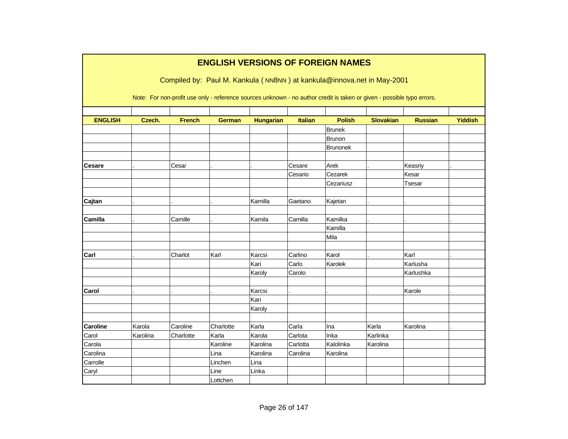|                 |          |               | <b>ENGLISH VERSIONS OF FOREIGN NAMES</b> |                  |                |                  |                                                                                                                        |                |                |
|-----------------|----------|---------------|------------------------------------------|------------------|----------------|------------------|------------------------------------------------------------------------------------------------------------------------|----------------|----------------|
|                 |          |               |                                          |                  |                |                  | Compiled by: Paul M. Kankula (NN8NN) at kankula@innova.net in May-2001                                                 |                |                |
|                 |          |               |                                          |                  |                |                  |                                                                                                                        |                |                |
|                 |          |               |                                          |                  |                |                  | Note: For non-profit use only - reference sources unknown - no author credit is taken or given - possible typo errors. |                |                |
|                 |          |               |                                          |                  |                |                  |                                                                                                                        |                |                |
| <b>ENGLISH</b>  | Czech.   | <b>French</b> | <b>German</b>                            | <b>Hungarian</b> | <b>Italian</b> | <b>Polish</b>    | <b>Slovakian</b>                                                                                                       | <b>Russian</b> | <b>Yiddish</b> |
|                 |          |               |                                          |                  |                | Brunek<br>Brunon |                                                                                                                        |                |                |
|                 |          |               |                                          |                  |                | <b>Brunonek</b>  |                                                                                                                        |                |                |
|                 |          |               |                                          |                  |                |                  |                                                                                                                        |                |                |
| <b>Cesare</b>   |          | Cesar         |                                          |                  | Cesare         | Arek             |                                                                                                                        | Keasriy        |                |
|                 |          |               |                                          |                  | Cesario        | Cezarek          |                                                                                                                        | Kesar          |                |
|                 |          |               |                                          |                  |                | Cezariusz        |                                                                                                                        | Tsesar         |                |
|                 |          |               |                                          |                  |                |                  |                                                                                                                        |                |                |
| Cajtan          |          |               |                                          | Kamilla          | Gaetano        | Kajetan          |                                                                                                                        |                |                |
|                 |          |               |                                          |                  |                |                  |                                                                                                                        |                |                |
| Camilla         |          | Camille       |                                          | Kamila           | Camilla        | Kamilka          |                                                                                                                        |                |                |
|                 |          |               |                                          |                  |                | Kamilla          |                                                                                                                        |                |                |
|                 |          |               |                                          |                  |                | Mila             |                                                                                                                        |                |                |
| Carl            |          | Charlot       | Karl                                     | Karcsi           | Carlino        | Karol            |                                                                                                                        | Karl           |                |
|                 |          |               |                                          | Kari             | Carlo          | Karolek          |                                                                                                                        | Karlusha       |                |
|                 |          |               |                                          | Karoly           | Carolo         |                  |                                                                                                                        | Karlushka      |                |
|                 |          |               |                                          |                  |                |                  |                                                                                                                        |                |                |
| Carol           |          |               |                                          | Karcsi           |                |                  |                                                                                                                        | Karole         |                |
|                 |          |               |                                          | Kari             |                |                  |                                                                                                                        |                |                |
|                 |          |               |                                          | Karoly           |                |                  |                                                                                                                        |                |                |
| <b>Caroline</b> | Karola   | Caroline      | Charlotte                                | Karla            | Carla          | Ina              | Karla                                                                                                                  | Karolina       |                |
| Carol           | Karolina | Charlotte     | Karla                                    | Karola           | Carlota        | Inka             | Karlinka                                                                                                               |                |                |
| Carola          |          |               | Karoline                                 | Karolina         | Carlotta       | Kalolinka        | Karolina                                                                                                               |                |                |
| Carolina        |          |               | Lina                                     | Karolina         | Carolina       | Karolina         |                                                                                                                        |                |                |
| Carrolle        |          |               | Linchen                                  | Lina             |                |                  |                                                                                                                        |                |                |
| Caryl           |          |               | Line                                     | Linka            |                |                  |                                                                                                                        |                |                |
|                 |          |               | Lottchen                                 |                  |                |                  |                                                                                                                        |                |                |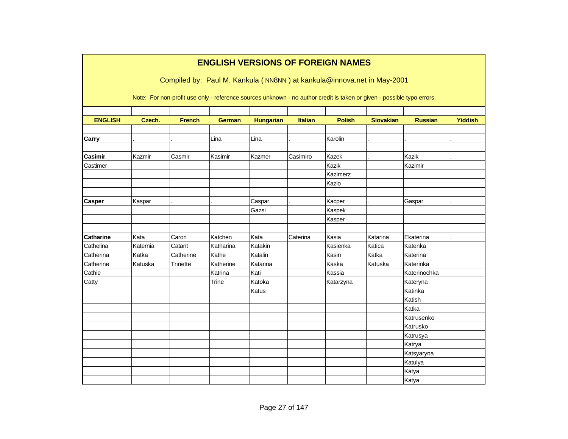|                  | <b>ENGLISH VERSIONS OF FOREIGN NAMES</b><br>Compiled by: Paul M. Kankula (NN8NN) at kankula@innova.net in May-2001<br>Note: For non-profit use only - reference sources unknown - no author credit is taken or given - possible typo errors. |               |               |                  |                |               |                  |                |                |  |  |  |  |
|------------------|----------------------------------------------------------------------------------------------------------------------------------------------------------------------------------------------------------------------------------------------|---------------|---------------|------------------|----------------|---------------|------------------|----------------|----------------|--|--|--|--|
|                  |                                                                                                                                                                                                                                              |               |               |                  |                |               | <b>Slovakian</b> |                |                |  |  |  |  |
| <b>ENGLISH</b>   | Czech.                                                                                                                                                                                                                                       | <b>French</b> | <b>German</b> | <b>Hungarian</b> | <b>Italian</b> | <b>Polish</b> |                  | <b>Russian</b> | <b>Yiddish</b> |  |  |  |  |
| Carry            |                                                                                                                                                                                                                                              |               | Lina          | Lina             |                | Karolin       |                  |                |                |  |  |  |  |
| Casimir          | Kazmir                                                                                                                                                                                                                                       | Casmir        | Kasimir       | Kazmer           | Casimiro       | Kazek         |                  | Kazik          |                |  |  |  |  |
| Castimer         |                                                                                                                                                                                                                                              |               |               |                  |                | Kazik         |                  | Kazimir        |                |  |  |  |  |
|                  |                                                                                                                                                                                                                                              |               |               |                  |                | Kazimerz      |                  |                |                |  |  |  |  |
|                  |                                                                                                                                                                                                                                              |               |               |                  |                | Kazio         |                  |                |                |  |  |  |  |
|                  |                                                                                                                                                                                                                                              |               |               |                  |                |               |                  |                |                |  |  |  |  |
| <b>Casper</b>    | Kaspar                                                                                                                                                                                                                                       |               |               | Caspar           |                | Kacper        |                  | Gaspar         |                |  |  |  |  |
|                  |                                                                                                                                                                                                                                              |               |               | Gazsi            |                | Kaspek        |                  |                |                |  |  |  |  |
|                  |                                                                                                                                                                                                                                              |               |               |                  |                | Kasper        |                  |                |                |  |  |  |  |
|                  |                                                                                                                                                                                                                                              |               |               |                  |                |               |                  |                |                |  |  |  |  |
| <b>Catharine</b> | Kata                                                                                                                                                                                                                                         | Caron         | Katchen       | Kata             | Caterina       | Kasia         | Katarina         | Ekaterina      |                |  |  |  |  |
| Cathelina        | Katernia                                                                                                                                                                                                                                     | Catant        | Katharina     | Katakin          |                | Kasienka      | Katica           | Katenka        |                |  |  |  |  |
| Catherina        | Katka                                                                                                                                                                                                                                        | Catherine     | Kathe         | Katalin          |                | Kasin         | Katka            | Katerina       |                |  |  |  |  |
| Catherine        | Katuska                                                                                                                                                                                                                                      | Trinette      | Katherine     | Katarina         |                | Kaska         | Katuska          | Katerinka      |                |  |  |  |  |
| Cathie           |                                                                                                                                                                                                                                              |               | Katrina       | Kati             |                | Kassia        |                  | Katerinochka   |                |  |  |  |  |
| Catty            |                                                                                                                                                                                                                                              |               | Trine         | Katoka           |                | Katarzyna     |                  | Kateryna       |                |  |  |  |  |
|                  |                                                                                                                                                                                                                                              |               |               | Katus            |                |               |                  | Katinka        |                |  |  |  |  |
|                  |                                                                                                                                                                                                                                              |               |               |                  |                |               |                  | Katish         |                |  |  |  |  |
|                  |                                                                                                                                                                                                                                              |               |               |                  |                |               |                  | Katka          |                |  |  |  |  |
|                  |                                                                                                                                                                                                                                              |               |               |                  |                |               |                  | Katrusenko     |                |  |  |  |  |
|                  |                                                                                                                                                                                                                                              |               |               |                  |                |               |                  | Katrusko       |                |  |  |  |  |
|                  |                                                                                                                                                                                                                                              |               |               |                  |                |               |                  | Katrusya       |                |  |  |  |  |
|                  |                                                                                                                                                                                                                                              |               |               |                  |                |               |                  | Katrya         |                |  |  |  |  |
|                  |                                                                                                                                                                                                                                              |               |               |                  |                |               |                  | Katsyaryna     |                |  |  |  |  |
|                  |                                                                                                                                                                                                                                              |               |               |                  |                |               |                  | Katulya        |                |  |  |  |  |
|                  |                                                                                                                                                                                                                                              |               |               |                  |                |               |                  | Katya          |                |  |  |  |  |
|                  |                                                                                                                                                                                                                                              |               |               |                  |                |               |                  | Katya          |                |  |  |  |  |

٦

Г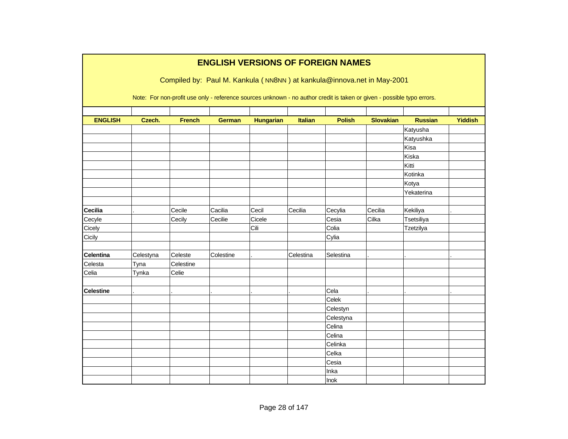|                  |           |                                                                                                                        |               |                  |                | <b>ENGLISH VERSIONS OF FOREIGN NAMES</b> |                  |                |                |
|------------------|-----------|------------------------------------------------------------------------------------------------------------------------|---------------|------------------|----------------|------------------------------------------|------------------|----------------|----------------|
|                  |           | Compiled by: Paul M. Kankula (NN8NN) at kankula@innova.net in May-2001                                                 |               |                  |                |                                          |                  |                |                |
|                  |           | Note: For non-profit use only - reference sources unknown - no author credit is taken or given - possible typo errors. |               |                  |                |                                          |                  |                |                |
| <b>ENGLISH</b>   | Czech.    | <b>French</b>                                                                                                          | <b>German</b> | <b>Hungarian</b> | <b>Italian</b> | <b>Polish</b>                            | <b>Slovakian</b> | <b>Russian</b> | <b>Yiddish</b> |
|                  |           |                                                                                                                        |               |                  |                |                                          |                  | Katyusha       |                |
|                  |           |                                                                                                                        |               |                  |                |                                          |                  | Katyushka      |                |
|                  |           |                                                                                                                        |               |                  |                |                                          |                  | Kisa           |                |
|                  |           |                                                                                                                        |               |                  |                |                                          |                  | Kiska          |                |
|                  |           |                                                                                                                        |               |                  |                |                                          |                  | Kitti          |                |
|                  |           |                                                                                                                        |               |                  |                |                                          |                  | Kotinka        |                |
|                  |           |                                                                                                                        |               |                  |                |                                          |                  | Kotya          |                |
|                  |           |                                                                                                                        |               |                  |                |                                          |                  | Yekaterina     |                |
|                  |           |                                                                                                                        |               |                  |                |                                          |                  |                |                |
| <b>Cecilia</b>   |           | Cecile                                                                                                                 | Cacilia       | Cecil            | Cecilia        | Cecylia                                  | Cecilia          | Kekiliya       |                |
| Cecyle           |           | Cecily                                                                                                                 | Cecilie       | Cicele           |                | Cesia                                    | Cilka            | Tsetsiliya     |                |
| Cicely           |           |                                                                                                                        |               | Cili             |                | Colia                                    |                  | Tzetzilya      |                |
| Cicily           |           |                                                                                                                        |               |                  |                | Cylia                                    |                  |                |                |
|                  |           |                                                                                                                        |               |                  |                |                                          |                  |                |                |
| <b>Celentina</b> | Celestyna | Celeste                                                                                                                | Colestine     |                  | Celestina      | Selestina                                |                  |                |                |
| Celesta          | Tyna      | Celestine                                                                                                              |               |                  |                |                                          |                  |                |                |
| Celia            | Tynka     | Celie                                                                                                                  |               |                  |                |                                          |                  |                |                |
|                  |           |                                                                                                                        |               |                  |                |                                          |                  |                |                |
| <b>Celestine</b> |           |                                                                                                                        |               |                  |                | Cela                                     |                  |                |                |
|                  |           |                                                                                                                        |               |                  |                | Celek                                    |                  |                |                |
|                  |           |                                                                                                                        |               |                  |                | Celestyn                                 |                  |                |                |
|                  |           |                                                                                                                        |               |                  |                | Celestyna                                |                  |                |                |
|                  |           |                                                                                                                        |               |                  |                | Celina                                   |                  |                |                |
|                  |           |                                                                                                                        |               |                  |                | Celina                                   |                  |                |                |
|                  |           |                                                                                                                        |               |                  |                | Celinka                                  |                  |                |                |
|                  |           |                                                                                                                        |               |                  |                | Celka                                    |                  |                |                |
|                  |           |                                                                                                                        |               |                  |                | Cesia                                    |                  |                |                |
|                  |           |                                                                                                                        |               |                  |                | Inka                                     |                  |                |                |
|                  |           |                                                                                                                        |               |                  |                | Inok                                     |                  |                |                |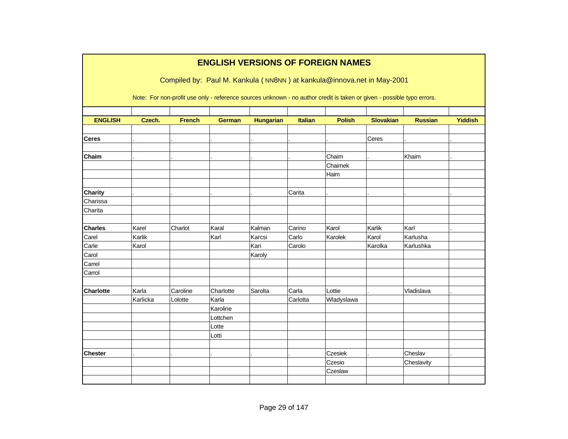|                  |          |               |               |                  |                | <b>ENGLISH VERSIONS OF FOREIGN NAMES</b>                                                                               |                  |                |                |
|------------------|----------|---------------|---------------|------------------|----------------|------------------------------------------------------------------------------------------------------------------------|------------------|----------------|----------------|
|                  |          |               |               |                  |                |                                                                                                                        |                  |                |                |
|                  |          |               |               |                  |                | Compiled by: Paul M. Kankula (NN8NN) at kankula@innova.net in May-2001                                                 |                  |                |                |
|                  |          |               |               |                  |                |                                                                                                                        |                  |                |                |
|                  |          |               |               |                  |                | Note: For non-profit use only - reference sources unknown - no author credit is taken or given - possible typo errors. |                  |                |                |
|                  |          |               |               |                  |                |                                                                                                                        |                  |                |                |
| <b>ENGLISH</b>   | Czech.   | <b>French</b> | <b>German</b> | <b>Hungarian</b> | <b>Italian</b> | <b>Polish</b>                                                                                                          | <b>Slovakian</b> | <b>Russian</b> | <b>Yiddish</b> |
|                  |          |               |               |                  |                |                                                                                                                        |                  |                |                |
| <b>Ceres</b>     |          |               |               |                  |                |                                                                                                                        | Ceres            |                |                |
| Chaim            |          |               |               |                  |                | Chaim                                                                                                                  |                  | Khaim          |                |
|                  |          |               |               |                  |                | Chaimek                                                                                                                |                  |                |                |
|                  |          |               |               |                  |                | Haim                                                                                                                   |                  |                |                |
|                  |          |               |               |                  |                |                                                                                                                        |                  |                |                |
| <b>Charity</b>   |          |               |               |                  | Carita         |                                                                                                                        |                  |                |                |
| Charissa         |          |               |               |                  |                |                                                                                                                        |                  |                |                |
| Charita          |          |               |               |                  |                |                                                                                                                        |                  |                |                |
|                  |          |               |               |                  |                |                                                                                                                        |                  |                |                |
| <b>Charles</b>   | Karel    | Charlot       | Karal         | Kalman           | Carino         | Karol                                                                                                                  | Karlik           | Karl           |                |
| Carel            | Karlik   |               | Karl          | Karcsi           | Carlo          | Karolek                                                                                                                | Karol            | Karlusha       |                |
| Carle            | Karol    |               |               | Kari             | Carolo         |                                                                                                                        | Karolka          | Karlushka      |                |
| Carol            |          |               |               | Karoly           |                |                                                                                                                        |                  |                |                |
| Carrel           |          |               |               |                  |                |                                                                                                                        |                  |                |                |
| Carrol           |          |               |               |                  |                |                                                                                                                        |                  |                |                |
|                  |          |               |               |                  |                |                                                                                                                        |                  |                |                |
| <b>Charlotte</b> | Karla    | Caroline      | Charlotte     | Sarolta          | Carla          | Lottie                                                                                                                 |                  | Vladislava     |                |
|                  | Karlicka | Lolotte       | Karla         |                  | Carlotta       | Wladyslawa                                                                                                             |                  |                |                |
|                  |          |               | Karoline      |                  |                |                                                                                                                        |                  |                |                |
|                  |          |               | Lottchen      |                  |                |                                                                                                                        |                  |                |                |
|                  |          |               | Lotte         |                  |                |                                                                                                                        |                  |                |                |
|                  |          |               | Lotti         |                  |                |                                                                                                                        |                  |                |                |
| <b>Chester</b>   |          |               |               |                  |                | Czesiek                                                                                                                |                  | Cheslav        |                |
|                  |          |               |               |                  |                | Czesio                                                                                                                 |                  | Cheslavity     |                |
|                  |          |               |               |                  |                | Czeslaw                                                                                                                |                  |                |                |
|                  |          |               |               |                  |                |                                                                                                                        |                  |                |                |
|                  |          |               |               |                  |                |                                                                                                                        |                  |                |                |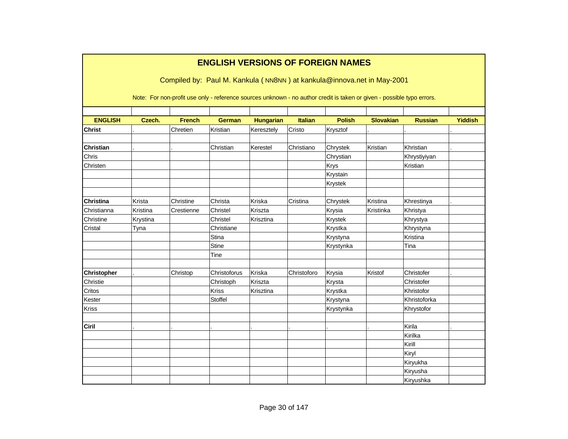|                    |          |               | <b>ENGLISH VERSIONS OF FOREIGN NAMES</b><br>Compiled by: Paul M. Kankula (NN8NN) at kankula@innova.net in May-2001     |                  |                |               |                  |                |                |
|--------------------|----------|---------------|------------------------------------------------------------------------------------------------------------------------|------------------|----------------|---------------|------------------|----------------|----------------|
|                    |          |               | Note: For non-profit use only - reference sources unknown - no author credit is taken or given - possible typo errors. |                  |                |               |                  |                |                |
| <b>ENGLISH</b>     | Czech.   | <b>French</b> | <b>German</b>                                                                                                          | <b>Hungarian</b> | <b>Italian</b> | <b>Polish</b> | <b>Slovakian</b> | <b>Russian</b> | <b>Yiddish</b> |
|                    |          |               |                                                                                                                        |                  |                |               |                  |                |                |
| <b>Christ</b>      |          | Chretien      | Kristian                                                                                                               | Keresztely       | Cristo         | Krysztof      |                  |                |                |
| <b>Christian</b>   |          |               | Christian                                                                                                              | Kerestel         | Christiano     | Chrystek      | Kristian         | Khristian      |                |
| Chris              |          |               |                                                                                                                        |                  |                | Chrystian     |                  | Khrystiyiyan   |                |
| Christen           |          |               |                                                                                                                        |                  |                | <b>Krys</b>   |                  | Kristian       |                |
|                    |          |               |                                                                                                                        |                  |                | Krystain      |                  |                |                |
|                    |          |               |                                                                                                                        |                  |                | Krystek       |                  |                |                |
|                    |          |               |                                                                                                                        |                  |                |               |                  |                |                |
| <b>Christina</b>   | Krista   | Christine     | Christa                                                                                                                | Kriska           | Cristina       | Chrystek      | Kristina         | Khrestinya     |                |
| Christianna        | Kristina | Crestienne    | Christel                                                                                                               | Kriszta          |                | Krysia        | Kristinka        | Khristya       |                |
| Christine          | Krystina |               | Christel                                                                                                               | Krisztina        |                | Krystek       |                  | Khrystya       |                |
| Cristal            | Tyna     |               | Christiane                                                                                                             |                  |                | Krystka       |                  | Khrystyna      |                |
|                    |          |               | Stina                                                                                                                  |                  |                | Krystyna      |                  | Kristina       |                |
|                    |          |               | <b>Stine</b>                                                                                                           |                  |                | Krystynka     |                  | Tina           |                |
|                    |          |               | Tine                                                                                                                   |                  |                |               |                  |                |                |
|                    |          |               |                                                                                                                        |                  |                |               |                  |                |                |
| <b>Christopher</b> |          | Christop      | Christoforus                                                                                                           | Kriska           | Christoforo    | Krysia        | Kristof          | Christofer     |                |
| Christie           |          |               | Christoph                                                                                                              | Kriszta          |                | Krysta        |                  | Christofer     |                |
| Critos             |          |               | Kriss                                                                                                                  | Krisztina        |                | Krystka       |                  | Khristofor     |                |
| Kester             |          |               | Stoffel                                                                                                                |                  |                | Krystyna      |                  | Khristoforka   |                |
| <b>Kriss</b>       |          |               |                                                                                                                        |                  |                | Krystynka     |                  | Khrystofor     |                |
|                    |          |               |                                                                                                                        |                  |                |               |                  |                |                |
| Ciril              |          |               |                                                                                                                        |                  |                |               |                  | Kirila         |                |
|                    |          |               |                                                                                                                        |                  |                |               |                  | Kirilka        |                |
|                    |          |               |                                                                                                                        |                  |                |               |                  | Kirill         |                |
|                    |          |               |                                                                                                                        |                  |                |               |                  | Kiryl          |                |
|                    |          |               |                                                                                                                        |                  |                |               |                  | Kiryukha       |                |
|                    |          |               |                                                                                                                        |                  |                |               |                  | Kiryusha       |                |
|                    |          |               |                                                                                                                        |                  |                |               |                  | Kiryushka      |                |

Г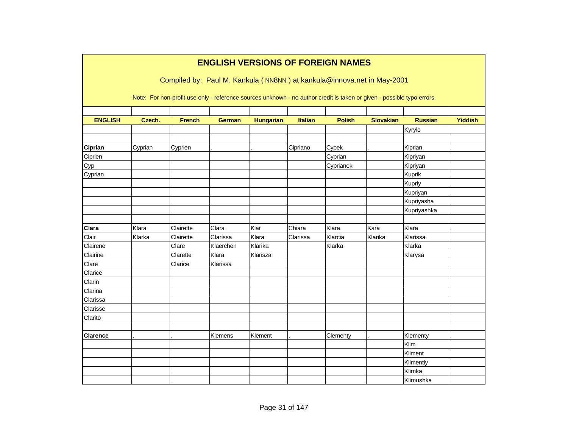|                 |         |                                                                                                                        | <b>ENGLISH VERSIONS OF FOREIGN NAMES</b> |                  |                |               |                  |                |                |
|-----------------|---------|------------------------------------------------------------------------------------------------------------------------|------------------------------------------|------------------|----------------|---------------|------------------|----------------|----------------|
|                 |         | Compiled by: Paul M. Kankula (NN8NN) at kankula@innova.net in May-2001                                                 |                                          |                  |                |               |                  |                |                |
|                 |         | Note: For non-profit use only - reference sources unknown - no author credit is taken or given - possible typo errors. |                                          |                  |                |               |                  |                |                |
| <b>ENGLISH</b>  | Czech.  | <b>French</b>                                                                                                          | <b>German</b>                            | <b>Hungarian</b> | <b>Italian</b> | <b>Polish</b> | <b>Slovakian</b> | <b>Russian</b> | <b>Yiddish</b> |
|                 |         |                                                                                                                        |                                          |                  |                |               |                  | Kyrylo         |                |
|                 |         |                                                                                                                        |                                          |                  |                |               |                  |                |                |
| Ciprian         | Cyprian | Cyprien                                                                                                                |                                          |                  | Cipriano       | Cypek         |                  | Kiprian        |                |
| Ciprien         |         |                                                                                                                        |                                          |                  |                | Cyprian       |                  | Kipriyan       |                |
| Cyp             |         |                                                                                                                        |                                          |                  |                | Cyprianek     |                  | Kipriyan       |                |
| Cyprian         |         |                                                                                                                        |                                          |                  |                |               |                  | Kuprik         |                |
|                 |         |                                                                                                                        |                                          |                  |                |               |                  | Kupriy         |                |
|                 |         |                                                                                                                        |                                          |                  |                |               |                  | Kupriyan       |                |
|                 |         |                                                                                                                        |                                          |                  |                |               |                  | Kupriyasha     |                |
|                 |         |                                                                                                                        |                                          |                  |                |               |                  | Kupriyashka    |                |
|                 |         |                                                                                                                        |                                          |                  |                |               |                  |                |                |
| Clara           | Klara   | Clairette                                                                                                              | Clara                                    | Klar             | Chiara         | Klara         | Kara             | Klara          |                |
| Clair           | Klarka  | Clairette                                                                                                              | Clarissa                                 | Klara            | Clarissa       | Klarcia       | Klarika          | Klarissa       |                |
| Clairene        |         | Clare                                                                                                                  | Klaerchen                                | Klarika          |                | Klarka        |                  | Klarka         |                |
| Clairine        |         | Clarette                                                                                                               | Klara                                    | Klarisza         |                |               |                  | Klarysa        |                |
| Clare           |         | Clarice                                                                                                                | Klarissa                                 |                  |                |               |                  |                |                |
| Clarice         |         |                                                                                                                        |                                          |                  |                |               |                  |                |                |
| Clarin          |         |                                                                                                                        |                                          |                  |                |               |                  |                |                |
| Clarina         |         |                                                                                                                        |                                          |                  |                |               |                  |                |                |
| Clarissa        |         |                                                                                                                        |                                          |                  |                |               |                  |                |                |
| Clarisse        |         |                                                                                                                        |                                          |                  |                |               |                  |                |                |
| Clarito         |         |                                                                                                                        |                                          |                  |                |               |                  |                |                |
|                 |         |                                                                                                                        |                                          |                  |                |               |                  |                |                |
| <b>Clarence</b> |         |                                                                                                                        | Klemens                                  | Klement          |                | Clementy      |                  | Klementy       |                |
|                 |         |                                                                                                                        |                                          |                  |                |               |                  | Klim           |                |
|                 |         |                                                                                                                        |                                          |                  |                |               |                  | Kliment        |                |
|                 |         |                                                                                                                        |                                          |                  |                |               |                  | Klimentiy      |                |
|                 |         |                                                                                                                        |                                          |                  |                |               |                  | Klimka         |                |
|                 |         |                                                                                                                        |                                          |                  |                |               |                  | Klimushka      |                |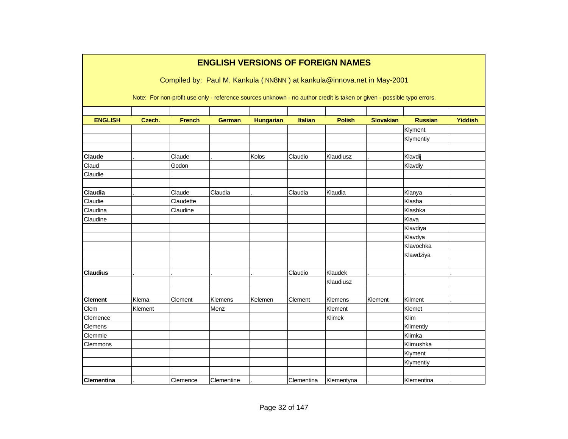|                   |         |               | <b>ENGLISH VERSIONS OF FOREIGN NAMES</b>                                                                               |                  |                |               |                  |                |                |
|-------------------|---------|---------------|------------------------------------------------------------------------------------------------------------------------|------------------|----------------|---------------|------------------|----------------|----------------|
|                   |         |               |                                                                                                                        |                  |                |               |                  |                |                |
|                   |         |               | Compiled by: Paul M. Kankula (NN8NN) at kankula@innova.net in May-2001                                                 |                  |                |               |                  |                |                |
|                   |         |               | Note: For non-profit use only - reference sources unknown - no author credit is taken or given - possible typo errors. |                  |                |               |                  |                |                |
|                   |         |               |                                                                                                                        |                  |                |               |                  |                |                |
| <b>ENGLISH</b>    | Czech.  | <b>French</b> | <b>German</b>                                                                                                          | <b>Hungarian</b> | <b>Italian</b> | <b>Polish</b> | <b>Slovakian</b> | <b>Russian</b> | <b>Yiddish</b> |
|                   |         |               |                                                                                                                        |                  |                |               |                  | Klyment        |                |
|                   |         |               |                                                                                                                        |                  |                |               |                  | Klymentiy      |                |
| Claude            |         | Claude        |                                                                                                                        | Kolos            | Claudio        | Klaudiusz     |                  | Klavdij        |                |
| Claud             |         | Godon         |                                                                                                                        |                  |                |               |                  | Klavdiy        |                |
| Claudie           |         |               |                                                                                                                        |                  |                |               |                  |                |                |
| Claudia           |         | Claude        | Claudia                                                                                                                |                  | Claudia        | Klaudia       |                  | Klanya         |                |
| Claudie           |         | Claudette     |                                                                                                                        |                  |                |               |                  | Klasha         |                |
| Claudina          |         | Claudine      |                                                                                                                        |                  |                |               |                  | Klashka        |                |
| Claudine          |         |               |                                                                                                                        |                  |                |               |                  | Klava          |                |
|                   |         |               |                                                                                                                        |                  |                |               |                  | Klavdiya       |                |
|                   |         |               |                                                                                                                        |                  |                |               |                  | Klavdya        |                |
|                   |         |               |                                                                                                                        |                  |                |               |                  | Klavochka      |                |
|                   |         |               |                                                                                                                        |                  |                |               |                  | Klawdziya      |                |
| <b>Claudius</b>   |         |               |                                                                                                                        |                  | Claudio        | Klaudek       |                  |                |                |
|                   |         |               |                                                                                                                        |                  |                | Klaudiusz     |                  |                |                |
|                   |         |               |                                                                                                                        |                  |                |               |                  |                |                |
| <b>Clement</b>    | Klema   | Clement       | Klemens                                                                                                                | Kelemen          | Clement        | Klemens       | Klement          | Kilment        |                |
| Clem              | Klement |               | Menz                                                                                                                   |                  |                | Klement       |                  | Klemet         |                |
| Clemence          |         |               |                                                                                                                        |                  |                | Klimek        |                  | Klim           |                |
| Clemens           |         |               |                                                                                                                        |                  |                |               |                  | Klimentiy      |                |
| Clemmie           |         |               |                                                                                                                        |                  |                |               |                  | Klimka         |                |
| Clemmons          |         |               |                                                                                                                        |                  |                |               |                  | Klimushka      |                |
|                   |         |               |                                                                                                                        |                  |                |               |                  | Klyment        |                |
|                   |         |               |                                                                                                                        |                  |                |               |                  | Klymentiy      |                |
|                   |         |               |                                                                                                                        |                  |                |               |                  |                |                |
| <b>Clementina</b> |         | Clemence      | Clementine                                                                                                             |                  | Clementina     | Klementyna    |                  | Klementina     |                |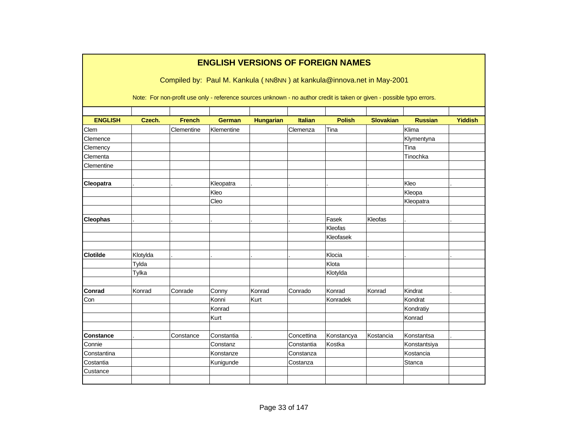|                  |          |               |               |                  |                | <b>ENGLISH VERSIONS OF FOREIGN NAMES</b><br>Compiled by: Paul M. Kankula (NN8NN) at kankula@innova.net in May-2001     |                  |                |                |
|------------------|----------|---------------|---------------|------------------|----------------|------------------------------------------------------------------------------------------------------------------------|------------------|----------------|----------------|
|                  |          |               |               |                  |                | Note: For non-profit use only - reference sources unknown - no author credit is taken or given - possible typo errors. |                  |                |                |
| <b>ENGLISH</b>   | Czech.   | <b>French</b> | <b>German</b> | <b>Hungarian</b> | <b>Italian</b> | <b>Polish</b>                                                                                                          | <b>Slovakian</b> | <b>Russian</b> | <b>Yiddish</b> |
| Clem             |          | Clementine    | Klementine    |                  | Clemenza       | Tina                                                                                                                   |                  | Klima          |                |
| Clemence         |          |               |               |                  |                |                                                                                                                        |                  | Klymentyna     |                |
| Clemency         |          |               |               |                  |                |                                                                                                                        |                  | Tina           |                |
| Clementa         |          |               |               |                  |                |                                                                                                                        |                  | Tinochka       |                |
| Clementine       |          |               |               |                  |                |                                                                                                                        |                  |                |                |
|                  |          |               |               |                  |                |                                                                                                                        |                  |                |                |
| Cleopatra        |          |               | Kleopatra     |                  |                |                                                                                                                        |                  | Kleo           |                |
|                  |          |               | Kleo          |                  |                |                                                                                                                        |                  | Kleopa         |                |
|                  |          |               | Cleo          |                  |                |                                                                                                                        |                  | Kleopatra      |                |
| <b>Cleophas</b>  |          |               |               |                  |                | Fasek                                                                                                                  | Kleofas          |                |                |
|                  |          |               |               |                  |                | Kleofas                                                                                                                |                  |                |                |
|                  |          |               |               |                  |                | Kleofasek                                                                                                              |                  |                |                |
|                  |          |               |               |                  |                |                                                                                                                        |                  |                |                |
| <b>Clotilde</b>  | Klotylda |               |               |                  |                | Klocia                                                                                                                 |                  |                |                |
|                  | Tylda    |               |               |                  |                | Klota                                                                                                                  |                  |                |                |
|                  | Tylka    |               |               |                  |                | Klotylda                                                                                                               |                  |                |                |
|                  |          |               |               |                  |                |                                                                                                                        |                  |                |                |
| <b>Conrad</b>    | Konrad   | Conrade       | Conny         | Konrad           | Conrado        | Konrad                                                                                                                 | Konrad           | Kindrat        |                |
| Con              |          |               | Konni         | Kurt             |                | Konradek                                                                                                               |                  | Kondrat        |                |
|                  |          |               | Konrad        |                  |                |                                                                                                                        |                  | Kondratiy      |                |
|                  |          |               | Kurt          |                  |                |                                                                                                                        |                  | Konrad         |                |
|                  |          |               |               |                  |                |                                                                                                                        |                  |                |                |
| <b>Constance</b> |          | Constance     | Constantia    |                  | Concettina     | Konstancya                                                                                                             | Kostancia        | Konstantsa     |                |
| Connie           |          |               | Constanz      |                  | Constantia     | Kostka                                                                                                                 |                  | Konstantsiya   |                |
| Constantina      |          |               | Konstanze     |                  | Constanza      |                                                                                                                        |                  | Kostancia      |                |
| Costantia        |          |               | Kunigunde     |                  | Costanza       |                                                                                                                        |                  | Stanca         |                |
| Custance         |          |               |               |                  |                |                                                                                                                        |                  |                |                |
|                  |          |               |               |                  |                |                                                                                                                        |                  |                |                |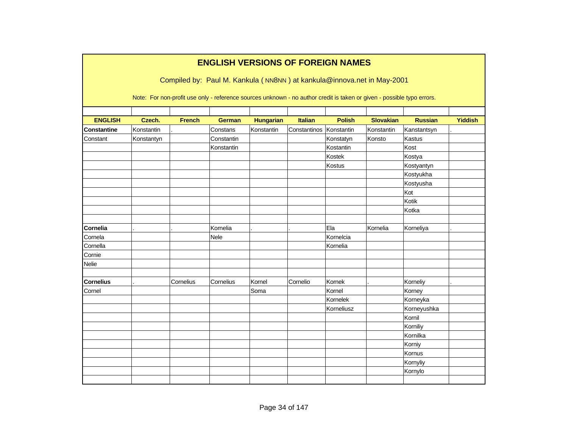|                    |            |               | <b>ENGLISH VERSIONS OF FOREIGN NAMES</b>                                                                               |                  |                |               |                  |                |                |
|--------------------|------------|---------------|------------------------------------------------------------------------------------------------------------------------|------------------|----------------|---------------|------------------|----------------|----------------|
|                    |            |               | Compiled by: Paul M. Kankula (NN8NN) at kankula@innova.net in May-2001                                                 |                  |                |               |                  |                |                |
|                    |            |               | Note: For non-profit use only - reference sources unknown - no author credit is taken or given - possible typo errors. |                  |                |               |                  |                |                |
|                    |            |               |                                                                                                                        |                  |                |               |                  |                |                |
| <b>ENGLISH</b>     | Czech.     | <b>French</b> | <b>German</b>                                                                                                          | <b>Hungarian</b> | <b>Italian</b> | <b>Polish</b> | <b>Slovakian</b> | <b>Russian</b> | <b>Yiddish</b> |
| <b>Constantine</b> | Konstantin |               | Constans                                                                                                               | Konstantin       | Constantinos   | Konstantin    | Konstantin       | Kanstantsyn    |                |
| Constant           | Konstantyn |               | Constantin                                                                                                             |                  |                | Konstatyn     | Konsto           | Kastus         |                |
|                    |            |               | Konstantin                                                                                                             |                  |                | Kostantin     |                  | Kost           |                |
|                    |            |               |                                                                                                                        |                  |                | Kostek        |                  | Kostya         |                |
|                    |            |               |                                                                                                                        |                  |                | Kostus        |                  | Kostyantyn     |                |
|                    |            |               |                                                                                                                        |                  |                |               |                  | Kostyukha      |                |
|                    |            |               |                                                                                                                        |                  |                |               |                  | Kostyusha      |                |
|                    |            |               |                                                                                                                        |                  |                |               |                  | Kot            |                |
|                    |            |               |                                                                                                                        |                  |                |               |                  | Kotik          |                |
|                    |            |               |                                                                                                                        |                  |                |               |                  | Kotka          |                |
| Cornelia           |            |               | Kornelia                                                                                                               |                  |                | Ela           | Kornelia         | Korneliya      |                |
| Cornela            |            |               |                                                                                                                        |                  |                | Kornelcia     |                  |                |                |
|                    |            |               | Nele                                                                                                                   |                  |                |               |                  |                |                |
| Cornella           |            |               |                                                                                                                        |                  |                | Kornelia      |                  |                |                |
| Cornie             |            |               |                                                                                                                        |                  |                |               |                  |                |                |
| Nelie              |            |               |                                                                                                                        |                  |                |               |                  |                |                |
| <b>Cornelius</b>   |            | Cornelius     | Cornelius                                                                                                              | Kornel           | Cornelio       | Kornek        |                  | Korneliy       |                |
| Cornel             |            |               |                                                                                                                        | Soma             |                | Kornel        |                  | Korney         |                |
|                    |            |               |                                                                                                                        |                  |                | Kornelek      |                  | Korneyka       |                |
|                    |            |               |                                                                                                                        |                  |                | Korneliusz    |                  | Korneyushka    |                |
|                    |            |               |                                                                                                                        |                  |                |               |                  | Kornil         |                |
|                    |            |               |                                                                                                                        |                  |                |               |                  | Korniliy       |                |
|                    |            |               |                                                                                                                        |                  |                |               |                  | Kornilka       |                |
|                    |            |               |                                                                                                                        |                  |                |               |                  | Korniy         |                |
|                    |            |               |                                                                                                                        |                  |                |               |                  | Kornus         |                |
|                    |            |               |                                                                                                                        |                  |                |               |                  | Kornyliy       |                |
|                    |            |               |                                                                                                                        |                  |                |               |                  | Kornylo        |                |
|                    |            |               |                                                                                                                        |                  |                |               |                  |                |                |
|                    |            |               |                                                                                                                        |                  |                |               |                  |                |                |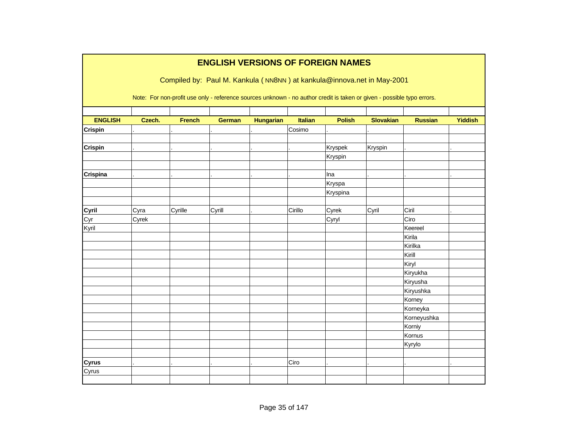|                | <b>ENGLISH VERSIONS OF FOREIGN NAMES</b> |                                                                                                                        |               |                  |                |               |                  |                |                |  |  |  |  |
|----------------|------------------------------------------|------------------------------------------------------------------------------------------------------------------------|---------------|------------------|----------------|---------------|------------------|----------------|----------------|--|--|--|--|
|                |                                          | Compiled by: Paul M. Kankula (NN8NN) at kankula@innova.net in May-2001                                                 |               |                  |                |               |                  |                |                |  |  |  |  |
|                |                                          | Note: For non-profit use only - reference sources unknown - no author credit is taken or given - possible typo errors. |               |                  |                |               |                  |                |                |  |  |  |  |
| <b>ENGLISH</b> | Czech.                                   | <b>French</b>                                                                                                          | <b>German</b> | <b>Hungarian</b> | <b>Italian</b> | <b>Polish</b> | <b>Slovakian</b> | <b>Russian</b> | <b>Yiddish</b> |  |  |  |  |
| <b>Crispin</b> |                                          |                                                                                                                        |               |                  | Cosimo         |               |                  |                |                |  |  |  |  |
|                |                                          |                                                                                                                        |               |                  |                |               |                  |                |                |  |  |  |  |
| <b>Crispin</b> |                                          |                                                                                                                        |               |                  |                | Kryspek       | Kryspin          |                |                |  |  |  |  |
|                |                                          |                                                                                                                        |               |                  |                | Kryspin       |                  |                |                |  |  |  |  |
| Crispina       |                                          |                                                                                                                        |               |                  |                | Ina           |                  |                |                |  |  |  |  |
|                |                                          |                                                                                                                        |               |                  |                | Kryspa        |                  |                |                |  |  |  |  |
|                |                                          |                                                                                                                        |               |                  |                | Kryspina      |                  |                |                |  |  |  |  |
|                |                                          |                                                                                                                        |               |                  |                |               |                  |                |                |  |  |  |  |
| Cyril          | Cyra                                     | Cyrille                                                                                                                | Cyrill        |                  | Cirillo        | Cyrek         | Cyril            | Ciril          |                |  |  |  |  |
| Cyr            | Cyrek                                    |                                                                                                                        |               |                  |                | Cyryl         |                  | Ciro           |                |  |  |  |  |
| Kyril          |                                          |                                                                                                                        |               |                  |                |               |                  | Keereel        |                |  |  |  |  |
|                |                                          |                                                                                                                        |               |                  |                |               |                  | Kirila         |                |  |  |  |  |
|                |                                          |                                                                                                                        |               |                  |                |               |                  | Kirilka        |                |  |  |  |  |
|                |                                          |                                                                                                                        |               |                  |                |               |                  | Kirill         |                |  |  |  |  |
|                |                                          |                                                                                                                        |               |                  |                |               |                  | Kiryl          |                |  |  |  |  |
|                |                                          |                                                                                                                        |               |                  |                |               |                  | Kiryukha       |                |  |  |  |  |
|                |                                          |                                                                                                                        |               |                  |                |               |                  | Kiryusha       |                |  |  |  |  |
|                |                                          |                                                                                                                        |               |                  |                |               |                  | Kiryushka      |                |  |  |  |  |
|                |                                          |                                                                                                                        |               |                  |                |               |                  | Korney         |                |  |  |  |  |
|                |                                          |                                                                                                                        |               |                  |                |               |                  | Korneyka       |                |  |  |  |  |
|                |                                          |                                                                                                                        |               |                  |                |               |                  | Korneyushka    |                |  |  |  |  |
|                |                                          |                                                                                                                        |               |                  |                |               |                  | Korniy         |                |  |  |  |  |
|                |                                          |                                                                                                                        |               |                  |                |               |                  | Kornus         |                |  |  |  |  |
|                |                                          |                                                                                                                        |               |                  |                |               |                  | Kyrylo         |                |  |  |  |  |
|                |                                          |                                                                                                                        |               |                  |                |               |                  |                |                |  |  |  |  |
| <b>Cyrus</b>   |                                          |                                                                                                                        |               |                  | Ciro           |               |                  |                |                |  |  |  |  |
| Cyrus          |                                          |                                                                                                                        |               |                  |                |               |                  |                |                |  |  |  |  |
|                |                                          |                                                                                                                        |               |                  |                |               |                  |                |                |  |  |  |  |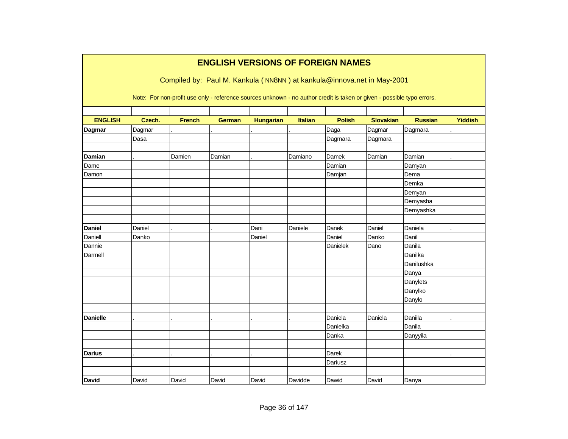|                 |        |               | <b>ENGLISH VERSIONS OF FOREIGN NAMES</b> |                  |                |               |                                                                                                                        |                |                |
|-----------------|--------|---------------|------------------------------------------|------------------|----------------|---------------|------------------------------------------------------------------------------------------------------------------------|----------------|----------------|
|                 |        |               |                                          |                  |                |               | Compiled by: Paul M. Kankula (NN8NN) at kankula@innova.net in May-2001                                                 |                |                |
|                 |        |               |                                          |                  |                |               | Note: For non-profit use only - reference sources unknown - no author credit is taken or given - possible typo errors. |                |                |
| <b>ENGLISH</b>  | Czech. | <b>French</b> | <b>German</b>                            | <b>Hungarian</b> | <b>Italian</b> | <b>Polish</b> | <b>Slovakian</b>                                                                                                       | <b>Russian</b> | <b>Yiddish</b> |
| <b>Dagmar</b>   | Dagmar |               |                                          |                  |                | Daga          | Dagmar                                                                                                                 | Dagmara        |                |
|                 | Dasa   |               |                                          |                  |                | Dagmara       | Dagmara                                                                                                                |                |                |
|                 |        |               |                                          |                  |                |               |                                                                                                                        |                |                |
| Damian          |        | Damien        | Damian                                   |                  | Damiano        | Damek         | Damian                                                                                                                 | Damian         |                |
| Dame            |        |               |                                          |                  |                | Damian        |                                                                                                                        | Damyan         |                |
| Damon           |        |               |                                          |                  |                | Damjan        |                                                                                                                        | Dema           |                |
|                 |        |               |                                          |                  |                |               |                                                                                                                        | Demka          |                |
|                 |        |               |                                          |                  |                |               |                                                                                                                        | Demyan         |                |
|                 |        |               |                                          |                  |                |               |                                                                                                                        | Demyasha       |                |
|                 |        |               |                                          |                  |                |               |                                                                                                                        | Demyashka      |                |
|                 |        |               |                                          |                  |                |               |                                                                                                                        |                |                |
| <b>Daniel</b>   | Daniel |               |                                          | Dani             | Daniele        | Danek         | Daniel                                                                                                                 | Daniela        |                |
| Daniell         | Danko  |               |                                          | Daniel           |                | Daniel        | Danko                                                                                                                  | Danil          |                |
| Dannie          |        |               |                                          |                  |                | Danielek      | Dano                                                                                                                   | Danila         |                |
| Darmell         |        |               |                                          |                  |                |               |                                                                                                                        | Danilka        |                |
|                 |        |               |                                          |                  |                |               |                                                                                                                        | Danilushka     |                |
|                 |        |               |                                          |                  |                |               |                                                                                                                        | Danya          |                |
|                 |        |               |                                          |                  |                |               |                                                                                                                        | Danylets       |                |
|                 |        |               |                                          |                  |                |               |                                                                                                                        | Danylko        |                |
|                 |        |               |                                          |                  |                |               |                                                                                                                        | Danylo         |                |
|                 |        |               |                                          |                  |                |               |                                                                                                                        |                |                |
| <b>Danielle</b> |        |               |                                          |                  |                | Daniela       | Daniela                                                                                                                | Daniila        |                |
|                 |        |               |                                          |                  |                | Danielka      |                                                                                                                        | Danila         |                |
|                 |        |               |                                          |                  |                | Danka         |                                                                                                                        | Danyyila       |                |
|                 |        |               |                                          |                  |                |               |                                                                                                                        |                |                |
| <b>Darius</b>   |        |               |                                          |                  |                | Darek         |                                                                                                                        |                |                |
|                 |        |               |                                          |                  |                | Dariusz       |                                                                                                                        |                |                |
|                 |        |               |                                          |                  |                |               |                                                                                                                        |                |                |
| <b>David</b>    | David  | David         | David                                    | David            | Davidde        | Dawid         | David                                                                                                                  | Danya          |                |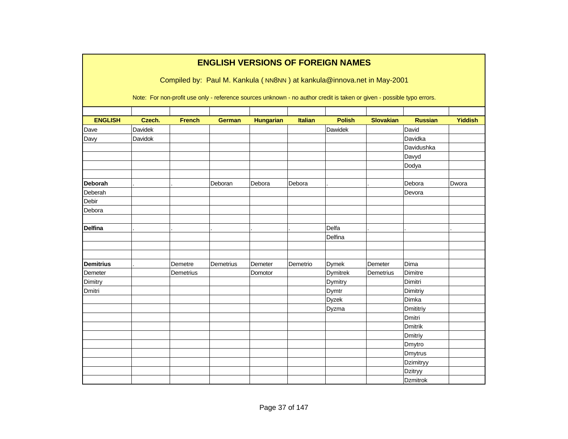|                  |         |               | <b>ENGLISH VERSIONS OF FOREIGN NAMES</b>                                                                               |                  |          |                 |                  |                 |                |
|------------------|---------|---------------|------------------------------------------------------------------------------------------------------------------------|------------------|----------|-----------------|------------------|-----------------|----------------|
|                  |         |               | Compiled by: Paul M. Kankula (NN8NN) at kankula@innova.net in May-2001                                                 |                  |          |                 |                  |                 |                |
|                  |         |               | Note: For non-profit use only - reference sources unknown - no author credit is taken or given - possible typo errors. |                  |          |                 |                  |                 |                |
| <b>ENGLISH</b>   | Czech.  | <b>French</b> | <b>German</b>                                                                                                          | <b>Hungarian</b> | Italian  | <b>Polish</b>   | <b>Slovakian</b> | <b>Russian</b>  | <b>Yiddish</b> |
| Dave             | Davidek |               |                                                                                                                        |                  |          | Dawidek         |                  | David           |                |
| Davy             | Davidok |               |                                                                                                                        |                  |          |                 |                  | Davidka         |                |
|                  |         |               |                                                                                                                        |                  |          |                 |                  | Davidushka      |                |
|                  |         |               |                                                                                                                        |                  |          |                 |                  | Davyd           |                |
|                  |         |               |                                                                                                                        |                  |          |                 |                  | Dodya           |                |
|                  |         |               |                                                                                                                        |                  |          |                 |                  |                 |                |
| <b>Deborah</b>   |         |               | Deboran                                                                                                                | Debora           | Debora   |                 |                  | Debora          | Dwora          |
| Deberah          |         |               |                                                                                                                        |                  |          |                 |                  | Devora          |                |
| <b>Debir</b>     |         |               |                                                                                                                        |                  |          |                 |                  |                 |                |
| Debora           |         |               |                                                                                                                        |                  |          |                 |                  |                 |                |
|                  |         |               |                                                                                                                        |                  |          |                 |                  |                 |                |
| <b>Delfina</b>   |         |               |                                                                                                                        |                  |          | Delfa           |                  |                 |                |
|                  |         |               |                                                                                                                        |                  |          | Delfina         |                  |                 |                |
|                  |         |               |                                                                                                                        |                  |          |                 |                  |                 |                |
|                  |         |               |                                                                                                                        |                  |          |                 |                  |                 |                |
| <b>Demitrius</b> |         | Demetre       | Demetrius                                                                                                              | Demeter          | Demetrio | <b>Dymek</b>    | Demeter          | Dima            |                |
| Demeter          |         | Demetrius     |                                                                                                                        | Domotor          |          | <b>Dymitrek</b> | Demetrius        | Dimitre         |                |
| Dimitry          |         |               |                                                                                                                        |                  |          | Dymitry         |                  | Dimitri         |                |
| Dmitri           |         |               |                                                                                                                        |                  |          | Dymtr           |                  | Dimitriy        |                |
|                  |         |               |                                                                                                                        |                  |          | <b>Dyzek</b>    |                  | Dimka           |                |
|                  |         |               |                                                                                                                        |                  |          | Dyzma           |                  | Dmititriy       |                |
|                  |         |               |                                                                                                                        |                  |          |                 |                  | <b>Dmitri</b>   |                |
|                  |         |               |                                                                                                                        |                  |          |                 |                  | Dmitrik         |                |
|                  |         |               |                                                                                                                        |                  |          |                 |                  | Dmitriy         |                |
|                  |         |               |                                                                                                                        |                  |          |                 |                  | Dmytro          |                |
|                  |         |               |                                                                                                                        |                  |          |                 |                  | Dmytrus         |                |
|                  |         |               |                                                                                                                        |                  |          |                 |                  | Dzimitryy       |                |
|                  |         |               |                                                                                                                        |                  |          |                 |                  | Dzitryy         |                |
|                  |         |               |                                                                                                                        |                  |          |                 |                  | <b>Dzmitrok</b> |                |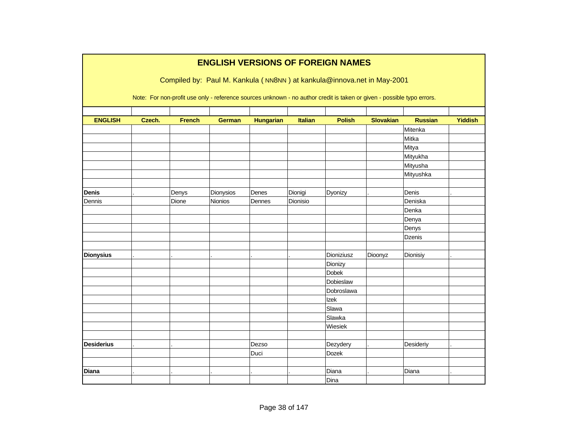|                   |        |               |               |                  |                | <b>ENGLISH VERSIONS OF FOREIGN NAMES</b>                                                                               |                  |                |                |
|-------------------|--------|---------------|---------------|------------------|----------------|------------------------------------------------------------------------------------------------------------------------|------------------|----------------|----------------|
|                   |        |               |               |                  |                | Compiled by: Paul M. Kankula (NN8NN) at kankula@innova.net in May-2001                                                 |                  |                |                |
|                   |        |               |               |                  |                |                                                                                                                        |                  |                |                |
|                   |        |               |               |                  |                | Note: For non-profit use only - reference sources unknown - no author credit is taken or given - possible typo errors. |                  |                |                |
|                   |        |               |               |                  |                |                                                                                                                        |                  |                |                |
| <b>ENGLISH</b>    | Czech. | <b>French</b> | <b>German</b> | <b>Hungarian</b> | <b>Italian</b> | <b>Polish</b>                                                                                                          | <b>Slovakian</b> | <b>Russian</b> | <b>Yiddish</b> |
|                   |        |               |               |                  |                |                                                                                                                        |                  | Mitenka        |                |
|                   |        |               |               |                  |                |                                                                                                                        |                  | Mitka          |                |
|                   |        |               |               |                  |                |                                                                                                                        |                  | Mitya          |                |
|                   |        |               |               |                  |                |                                                                                                                        |                  | Mityukha       |                |
|                   |        |               |               |                  |                |                                                                                                                        |                  | Mityusha       |                |
|                   |        |               |               |                  |                |                                                                                                                        |                  | Mityushka      |                |
|                   |        |               |               |                  |                |                                                                                                                        |                  |                |                |
| <b>Denis</b>      |        | Denys         | Dionysios     | Denes            | Dionigi        | Dyonizy                                                                                                                |                  | Denis          |                |
| Dennis            |        | Dione         | Nionios       | Dennes           | Dionisio       |                                                                                                                        |                  | Deniska        |                |
|                   |        |               |               |                  |                |                                                                                                                        |                  | Denka          |                |
|                   |        |               |               |                  |                |                                                                                                                        |                  | Denya          |                |
|                   |        |               |               |                  |                |                                                                                                                        |                  | Denys          |                |
|                   |        |               |               |                  |                |                                                                                                                        |                  | <b>Dzenis</b>  |                |
|                   |        |               |               |                  |                |                                                                                                                        |                  |                |                |
| <b>Dionysius</b>  |        |               |               |                  |                | Dioniziusz                                                                                                             | Dioonyz          | Dionisiy       |                |
|                   |        |               |               |                  |                | Dionizy                                                                                                                |                  |                |                |
|                   |        |               |               |                  |                | <b>Dobek</b>                                                                                                           |                  |                |                |
|                   |        |               |               |                  |                | Dobieslaw                                                                                                              |                  |                |                |
|                   |        |               |               |                  |                | Dobroslawa                                                                                                             |                  |                |                |
|                   |        |               |               |                  |                | Izek                                                                                                                   |                  |                |                |
|                   |        |               |               |                  |                | Slawa                                                                                                                  |                  |                |                |
|                   |        |               |               |                  |                | Slawka                                                                                                                 |                  |                |                |
|                   |        |               |               |                  |                | Wiesiek                                                                                                                |                  |                |                |
|                   |        |               |               |                  |                |                                                                                                                        |                  |                |                |
| <b>Desiderius</b> |        |               |               | Dezso            |                | Dezydery                                                                                                               |                  | Desideriy      |                |
|                   |        |               |               | Duci             |                | Dozek                                                                                                                  |                  |                |                |
|                   |        |               |               |                  |                |                                                                                                                        |                  |                |                |
| <b>Diana</b>      |        |               |               |                  |                | Diana                                                                                                                  |                  | Diana          |                |
|                   |        |               |               |                  |                | Dina                                                                                                                   |                  |                |                |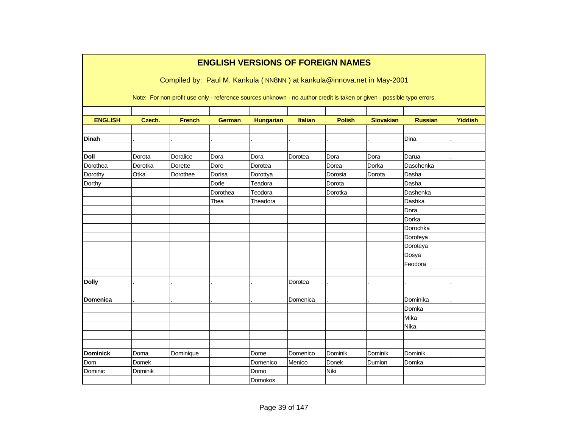|                 |         |                | <b>ENGLISH VERSIONS OF FOREIGN NAMES</b> |                  |                |               | Compiled by: Paul M. Kankula (NN8NN) at kankula@innova.net in May-2001<br>Note: For non-profit use only - reference sources unknown - no author credit is taken or given - possible typo errors. |                |                |
|-----------------|---------|----------------|------------------------------------------|------------------|----------------|---------------|--------------------------------------------------------------------------------------------------------------------------------------------------------------------------------------------------|----------------|----------------|
|                 |         |                |                                          |                  |                |               |                                                                                                                                                                                                  |                |                |
| <b>ENGLISH</b>  | Czech.  | <b>French</b>  | <b>German</b>                            | <b>Hungarian</b> | <b>Italian</b> | <b>Polish</b> | <b>Slovakian</b>                                                                                                                                                                                 | <b>Russian</b> | <b>Yiddish</b> |
| <b>Dinah</b>    |         |                |                                          |                  |                |               |                                                                                                                                                                                                  | Dina           |                |
| <b>Doll</b>     | Dorota  | Doralice       | Dora                                     | Dora             | Dorotea        | Dora          | Dora                                                                                                                                                                                             | Darua          |                |
| Dorothea        | Dorotka | <b>Dorette</b> | Dore                                     | Dorotea          |                | Dorea         | Dorka                                                                                                                                                                                            | Daschenka      |                |
| Dorothy         | Otka    | Dorothee       | Dorisa                                   | Dorottya         |                | Dorosia       | Dorota                                                                                                                                                                                           | Dasha          |                |
| Dorthy          |         |                | Dorle                                    | Teadora          |                | Dorota        |                                                                                                                                                                                                  | Dasha          |                |
|                 |         |                | Dorothea                                 | Teodora          |                | Dorotka       |                                                                                                                                                                                                  | Dashenka       |                |
|                 |         |                | Thea                                     | Theadora         |                |               |                                                                                                                                                                                                  | Dashka         |                |
|                 |         |                |                                          |                  |                |               |                                                                                                                                                                                                  | Dora           |                |
|                 |         |                |                                          |                  |                |               |                                                                                                                                                                                                  | Dorka          |                |
|                 |         |                |                                          |                  |                |               |                                                                                                                                                                                                  | Dorochka       |                |
|                 |         |                |                                          |                  |                |               |                                                                                                                                                                                                  | Dorofeya       |                |
|                 |         |                |                                          |                  |                |               |                                                                                                                                                                                                  | Doroteya       |                |
|                 |         |                |                                          |                  |                |               |                                                                                                                                                                                                  | Dosya          |                |
|                 |         |                |                                          |                  |                |               |                                                                                                                                                                                                  | Feodora        |                |
| <b>Dolly</b>    |         |                |                                          |                  | Dorotea        |               |                                                                                                                                                                                                  |                |                |
| <b>Domenica</b> |         |                |                                          |                  | Domenica       |               |                                                                                                                                                                                                  | Dominika       |                |
|                 |         |                |                                          |                  |                |               |                                                                                                                                                                                                  | Domka          |                |
|                 |         |                |                                          |                  |                |               |                                                                                                                                                                                                  | Mika           |                |
|                 |         |                |                                          |                  |                |               |                                                                                                                                                                                                  | Nika           |                |
|                 |         |                |                                          |                  |                |               |                                                                                                                                                                                                  |                |                |
| <b>Dominick</b> | Doma    | Dominique      |                                          | Dome             | Domenico       | Dominik       | Dominik                                                                                                                                                                                          | Dominik        |                |
| Dom             | Domek   |                |                                          | Domenico         | Menico         | Donek         | Dumion                                                                                                                                                                                           | Domka          |                |
| Dominic         | Dominik |                |                                          | Domo             |                | Niki          |                                                                                                                                                                                                  |                |                |
|                 |         |                |                                          | Domokos          |                |               |                                                                                                                                                                                                  |                |                |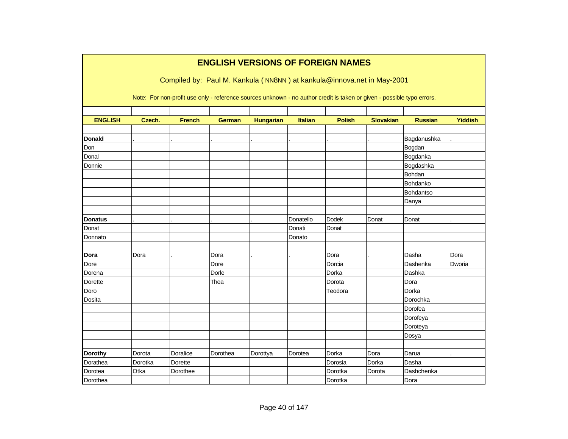|                |         |               |               |                  |                | <b>ENGLISH VERSIONS OF FOREIGN NAMES</b>                                                                               |                  |                |                |
|----------------|---------|---------------|---------------|------------------|----------------|------------------------------------------------------------------------------------------------------------------------|------------------|----------------|----------------|
|                |         |               |               |                  |                | Compiled by: Paul M. Kankula (NN8NN) at kankula@innova.net in May-2001                                                 |                  |                |                |
|                |         |               |               |                  |                | Note: For non-profit use only - reference sources unknown - no author credit is taken or given - possible typo errors. |                  |                |                |
| <b>ENGLISH</b> | Czech.  | <b>French</b> | <b>German</b> | <b>Hungarian</b> | <b>Italian</b> | <b>Polish</b>                                                                                                          | <b>Slovakian</b> | <b>Russian</b> | <b>Yiddish</b> |
|                |         |               |               |                  |                |                                                                                                                        |                  |                |                |
| <b>Donald</b>  |         |               |               |                  |                |                                                                                                                        |                  | Bagdanushka    |                |
| Don            |         |               |               |                  |                |                                                                                                                        |                  | Bogdan         |                |
| Donal          |         |               |               |                  |                |                                                                                                                        |                  | Bogdanka       |                |
| Donnie         |         |               |               |                  |                |                                                                                                                        |                  | Bogdashka      |                |
|                |         |               |               |                  |                |                                                                                                                        |                  | Bohdan         |                |
|                |         |               |               |                  |                |                                                                                                                        |                  | Bohdanko       |                |
|                |         |               |               |                  |                |                                                                                                                        |                  | Bohdantso      |                |
|                |         |               |               |                  |                |                                                                                                                        |                  | Danya          |                |
|                |         |               |               |                  |                |                                                                                                                        |                  |                |                |
| <b>Donatus</b> |         |               |               |                  | Donatello      | <b>Dodek</b>                                                                                                           | Donat            | Donat          |                |
| Donat          |         |               |               |                  | Donati         | Donat                                                                                                                  |                  |                |                |
| Donnato        |         |               |               |                  | Donato         |                                                                                                                        |                  |                |                |
|                |         |               |               |                  |                |                                                                                                                        |                  |                |                |
| Dora           | Dora    |               | Dora          |                  |                | Dora                                                                                                                   |                  | Dasha          | Dora           |
| Dore           |         |               | Dore          |                  |                | Dorcia                                                                                                                 |                  | Dashenka       | Dworia         |
| Dorena         |         |               | Dorle         |                  |                | Dorka                                                                                                                  |                  | Dashka         |                |
| Dorette        |         |               | Thea          |                  |                | Dorota                                                                                                                 |                  | Dora           |                |
| Doro           |         |               |               |                  |                | Teodora                                                                                                                |                  | Dorka          |                |
| Dosita         |         |               |               |                  |                |                                                                                                                        |                  | Dorochka       |                |
|                |         |               |               |                  |                |                                                                                                                        |                  | Dorofea        |                |
|                |         |               |               |                  |                |                                                                                                                        |                  | Dorofeya       |                |
|                |         |               |               |                  |                |                                                                                                                        |                  | Doroteya       |                |
|                |         |               |               |                  |                |                                                                                                                        |                  | Dosya          |                |
|                |         |               |               |                  |                |                                                                                                                        |                  |                |                |
| Dorothy        | Dorota  | Doralice      | Dorothea      | Dorottya         | Dorotea        | Dorka                                                                                                                  | Dora             | Darua          |                |
| Dorathea       | Dorotka | Dorette       |               |                  |                | Dorosia                                                                                                                | Dorka            | Dasha          |                |
| Dorotea        | Otka    | Dorothee      |               |                  |                | Dorotka                                                                                                                | Dorota           | Dashchenka     |                |
| Dorothea       |         |               |               |                  |                | Dorotka                                                                                                                |                  | Dora           |                |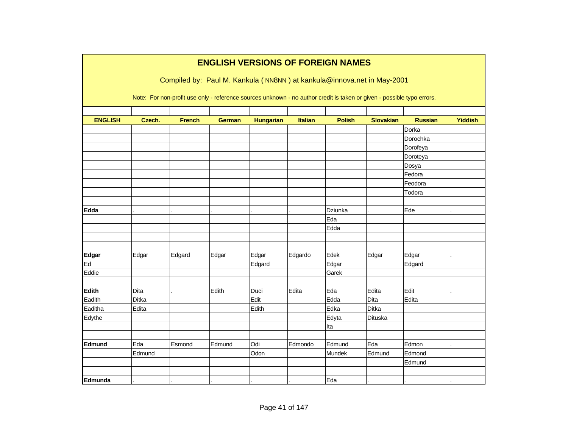|                |        |               |               |                  |                | <b>ENGLISH VERSIONS OF FOREIGN NAMES</b>                                                                               |                  |                |                |
|----------------|--------|---------------|---------------|------------------|----------------|------------------------------------------------------------------------------------------------------------------------|------------------|----------------|----------------|
|                |        |               |               |                  |                | Compiled by: Paul M. Kankula (NN8NN) at kankula@innova.net in May-2001                                                 |                  |                |                |
|                |        |               |               |                  |                |                                                                                                                        |                  |                |                |
|                |        |               |               |                  |                | Note: For non-profit use only - reference sources unknown - no author credit is taken or given - possible typo errors. |                  |                |                |
|                |        |               |               |                  |                |                                                                                                                        |                  |                |                |
| <b>ENGLISH</b> | Czech. | <b>French</b> | <b>German</b> | <b>Hungarian</b> | <b>Italian</b> | <b>Polish</b>                                                                                                          | <b>Slovakian</b> | <b>Russian</b> | <b>Yiddish</b> |
|                |        |               |               |                  |                |                                                                                                                        |                  | Dorka          |                |
|                |        |               |               |                  |                |                                                                                                                        |                  | Dorochka       |                |
|                |        |               |               |                  |                |                                                                                                                        |                  | Dorofeya       |                |
|                |        |               |               |                  |                |                                                                                                                        |                  | Doroteya       |                |
|                |        |               |               |                  |                |                                                                                                                        |                  | Dosya          |                |
|                |        |               |               |                  |                |                                                                                                                        |                  | Fedora         |                |
|                |        |               |               |                  |                |                                                                                                                        |                  | Feodora        |                |
|                |        |               |               |                  |                |                                                                                                                        |                  | Todora         |                |
|                |        |               |               |                  |                |                                                                                                                        |                  |                |                |
| Edda           |        |               |               |                  |                | Dziunka                                                                                                                |                  | Ede            |                |
|                |        |               |               |                  |                | Eda                                                                                                                    |                  |                |                |
|                |        |               |               |                  |                | Edda                                                                                                                   |                  |                |                |
|                |        |               |               |                  |                |                                                                                                                        |                  |                |                |
|                |        |               |               |                  |                |                                                                                                                        |                  |                |                |
| Edgar          | Edgar  | Edgard        | Edgar         | Edgar            | Edgardo        | Edek                                                                                                                   | Edgar            | Edgar          |                |
| Ed             |        |               |               | Edgard           |                | Edgar                                                                                                                  |                  | Edgard         |                |
| Eddie          |        |               |               |                  |                | Garek                                                                                                                  |                  |                |                |
|                |        |               |               |                  |                |                                                                                                                        |                  |                |                |
| Edith          | Dita   |               | Edith         | Duci             | Edita          | Eda                                                                                                                    | Edita            | Edit           |                |
| Eadith         | Ditka  |               |               | Edit             |                | Edda                                                                                                                   | Dita             | Edita          |                |
| Eaditha        | Edita  |               |               | Edith            |                | Edka                                                                                                                   | Ditka            |                |                |
| Edythe         |        |               |               |                  |                | Edyta                                                                                                                  | <b>Dituska</b>   |                |                |
|                |        |               |               |                  |                | Ita                                                                                                                    |                  |                |                |
|                |        |               |               |                  |                |                                                                                                                        |                  |                |                |
| Edmund         | Eda    | Esmond        | Edmund        | Odi              | Edmondo        | Edmund                                                                                                                 | Eda              | Edmon          |                |
|                | Edmund |               |               | Odon             |                | Mundek                                                                                                                 | Edmund           | Edmond         |                |
|                |        |               |               |                  |                |                                                                                                                        |                  | Edmund         |                |
|                |        |               |               |                  |                |                                                                                                                        |                  |                |                |
| Edmunda        |        |               |               |                  |                | Eda                                                                                                                    |                  |                |                |

Page 41 of 147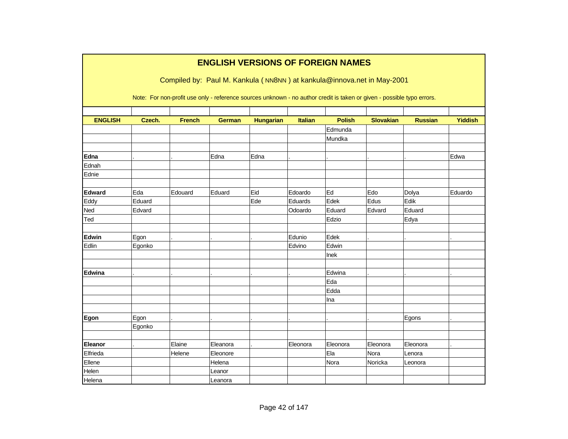|                |        |                                                                                                                        | <b>ENGLISH VERSIONS OF FOREIGN NAMES</b> |                  |                |               |                  |                |         |
|----------------|--------|------------------------------------------------------------------------------------------------------------------------|------------------------------------------|------------------|----------------|---------------|------------------|----------------|---------|
|                |        | Compiled by: Paul M. Kankula (NN8NN) at kankula@innova.net in May-2001                                                 |                                          |                  |                |               |                  |                |         |
|                |        | Note: For non-profit use only - reference sources unknown - no author credit is taken or given - possible typo errors. |                                          |                  |                |               |                  |                |         |
| <b>ENGLISH</b> | Czech. | <b>French</b>                                                                                                          | <b>German</b>                            | <b>Hungarian</b> | <b>Italian</b> | <b>Polish</b> | <b>Slovakian</b> | <b>Russian</b> | Yiddish |
|                |        |                                                                                                                        |                                          |                  |                | Edmunda       |                  |                |         |
|                |        |                                                                                                                        |                                          |                  |                | Mundka        |                  |                |         |
| Edna           |        |                                                                                                                        | Edna                                     | Edna             |                |               |                  |                | Edwa    |
| Ednah          |        |                                                                                                                        |                                          |                  |                |               |                  |                |         |
| Ednie          |        |                                                                                                                        |                                          |                  |                |               |                  |                |         |
| <b>Edward</b>  | Eda    | Edouard                                                                                                                | Eduard                                   | Eid              | Edoardo        | Ed            | Edo              | Dolya          | Eduardo |
| Eddy           | Eduard |                                                                                                                        |                                          | Ede              | Eduards        | Edek          | Edus             | Edik           |         |
| Ned            | Edvard |                                                                                                                        |                                          |                  | Odoardo        | Eduard        | Edvard           | Eduard         |         |
| Ted            |        |                                                                                                                        |                                          |                  |                | Edzio         |                  | Edya           |         |
| Edwin          | Egon   |                                                                                                                        |                                          |                  | Edunio         | Edek          |                  |                |         |
| Edlin          | Egonko |                                                                                                                        |                                          |                  | Edvino         | Edwin         |                  |                |         |
|                |        |                                                                                                                        |                                          |                  |                | Inek          |                  |                |         |
|                |        |                                                                                                                        |                                          |                  |                |               |                  |                |         |
| Edwina         |        |                                                                                                                        |                                          |                  |                | Edwina        |                  |                |         |
|                |        |                                                                                                                        |                                          |                  |                | Eda           |                  |                |         |
|                |        |                                                                                                                        |                                          |                  |                | Edda          |                  |                |         |
|                |        |                                                                                                                        |                                          |                  |                | Ina           |                  |                |         |
|                |        |                                                                                                                        |                                          |                  |                |               |                  |                |         |
| Egon           | Egon   |                                                                                                                        |                                          |                  |                |               |                  | Egons          |         |
|                | Egonko |                                                                                                                        |                                          |                  |                |               |                  |                |         |
|                |        |                                                                                                                        |                                          |                  |                |               |                  |                |         |
| Eleanor        |        | Elaine                                                                                                                 | Eleanora                                 |                  | Eleonora       | Eleonora      | Eleonora         | Eleonora       |         |
| Elfrieda       |        | Helene                                                                                                                 | Eleonore                                 |                  |                | Ela           | Nora             | Lenora         |         |
| Ellene         |        |                                                                                                                        | Helena                                   |                  |                | Nora          | Noricka          | Leonora        |         |
| Helen          |        |                                                                                                                        | Leanor                                   |                  |                |               |                  |                |         |
| Helena         |        |                                                                                                                        | Leanora                                  |                  |                |               |                  |                |         |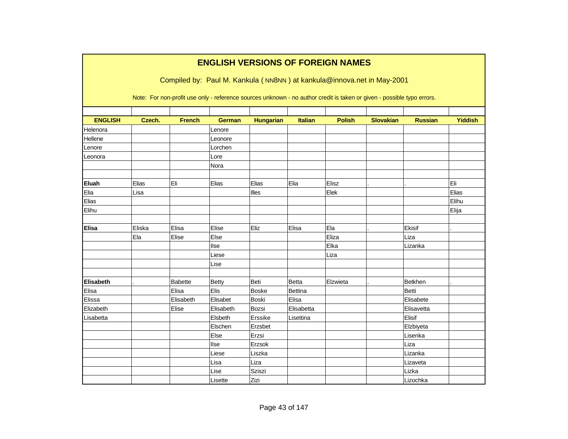|                |        |                |               |                  |                | <b>ENGLISH VERSIONS OF FOREIGN NAMES</b><br>Compiled by: Paul M. Kankula (NN8NN) at kankula@innova.net in May-2001     |                  |                |                |
|----------------|--------|----------------|---------------|------------------|----------------|------------------------------------------------------------------------------------------------------------------------|------------------|----------------|----------------|
|                |        |                |               |                  |                | Note: For non-profit use only - reference sources unknown - no author credit is taken or given - possible typo errors. |                  |                |                |
| <b>ENGLISH</b> | Czech. | <b>French</b>  | <b>German</b> | <b>Hungarian</b> | <b>Italian</b> | <b>Polish</b>                                                                                                          | <b>Slovakian</b> | <b>Russian</b> | <b>Yiddish</b> |
| Helenora       |        |                | Lenore        |                  |                |                                                                                                                        |                  |                |                |
| Hellene        |        |                | Leonore       |                  |                |                                                                                                                        |                  |                |                |
| Lenore         |        |                | Lorchen       |                  |                |                                                                                                                        |                  |                |                |
| Leonora        |        |                | Lore          |                  |                |                                                                                                                        |                  |                |                |
|                |        |                | Nora          |                  |                |                                                                                                                        |                  |                |                |
|                |        |                |               |                  |                |                                                                                                                        |                  |                |                |
| Eluah          | Elias  | Eli            | Elias         | Elias            | Elia           | Elisz                                                                                                                  |                  |                | Eli            |
| Elia           | Lisa   |                |               | Illes            |                | Elek                                                                                                                   |                  |                | Elias          |
| Elias          |        |                |               |                  |                |                                                                                                                        |                  |                | Elihu          |
| Elihu          |        |                |               |                  |                |                                                                                                                        |                  |                | Elija          |
|                |        |                |               |                  |                |                                                                                                                        |                  |                |                |
| <b>Elisa</b>   | Eliska | Elisa          | Elise         | Eliz             | Elisa          | Ela                                                                                                                    |                  | Ekisif         |                |
|                | Ela    | Elise          | Else          |                  |                | Eliza                                                                                                                  |                  | Liza           |                |
|                |        |                | llse          |                  |                | Elka                                                                                                                   |                  | Lizanka        |                |
|                |        |                | Liese         |                  |                | Liza                                                                                                                   |                  |                |                |
|                |        |                | Lise          |                  |                |                                                                                                                        |                  |                |                |
|                |        |                |               |                  |                |                                                                                                                        |                  |                |                |
| Elisabeth      |        | <b>Babette</b> | <b>Betty</b>  | Beti             | <b>Betta</b>   | Elzwieta                                                                                                               |                  | Betkhen        |                |
| Elisa          |        | Elisa          | Elis          | <b>Boske</b>     | Bettina        |                                                                                                                        |                  | <b>Betti</b>   |                |
| Elissa         |        | Elisabeth      | Elisabet      | <b>Boski</b>     | Elisa          |                                                                                                                        |                  | Elisabete      |                |
| Elizabeth      |        | Elise          | Elisabeth     | Bozsi            | Elisabetta     |                                                                                                                        |                  | Elisavetta     |                |
| Lisabetta      |        |                | Elsbeth       | Erssike          | Lisettina      |                                                                                                                        |                  | Elisif         |                |
|                |        |                | Elschen       | Erzsbet          |                |                                                                                                                        |                  | Elzbiyeta      |                |
|                |        |                | Else          | Erzsi            |                |                                                                                                                        |                  | Lisenka        |                |
|                |        |                | llse          | Erzsok           |                |                                                                                                                        |                  | Liza           |                |
|                |        |                | Liese         | Liszka           |                |                                                                                                                        |                  | Lizanka        |                |
|                |        |                | Lisa          | Liza             |                |                                                                                                                        |                  | Lizaveta       |                |
|                |        |                | Lise          | Sziszi           |                |                                                                                                                        |                  | Lizka          |                |
|                |        |                | Lisette       | Zizi             |                |                                                                                                                        |                  | Lizochka       |                |

## **ENGLISH VERSIONS OF FOREIGN NAMES**

Г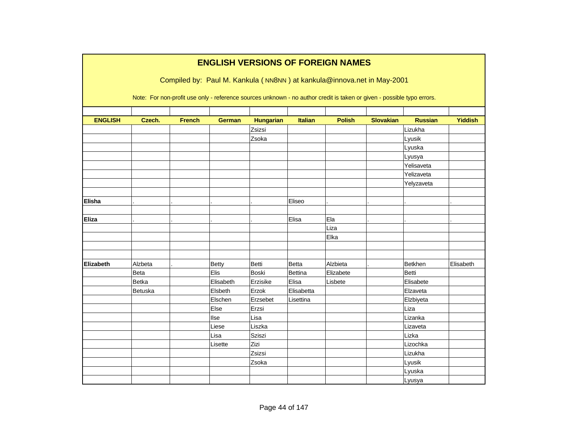|                |         |               |               |                  |                | <b>ENGLISH VERSIONS OF FOREIGN NAMES</b>                                                                               |                  |                |                |
|----------------|---------|---------------|---------------|------------------|----------------|------------------------------------------------------------------------------------------------------------------------|------------------|----------------|----------------|
|                |         |               |               |                  |                | Compiled by: Paul M. Kankula (NN8NN) at kankula@innova.net in May-2001                                                 |                  |                |                |
|                |         |               |               |                  |                |                                                                                                                        |                  |                |                |
|                |         |               |               |                  |                | Note: For non-profit use only - reference sources unknown - no author credit is taken or given - possible typo errors. |                  |                |                |
|                |         |               |               |                  |                |                                                                                                                        |                  |                |                |
| <b>ENGLISH</b> | Czech.  | <b>French</b> | <b>German</b> | <b>Hungarian</b> | <b>Italian</b> | <b>Polish</b>                                                                                                          | <b>Slovakian</b> | <b>Russian</b> | <b>Yiddish</b> |
|                |         |               |               | Zsizsi           |                |                                                                                                                        |                  | Lizukha        |                |
|                |         |               |               | Zsoka            |                |                                                                                                                        |                  | Lyusik         |                |
|                |         |               |               |                  |                |                                                                                                                        |                  | Lyuska         |                |
|                |         |               |               |                  |                |                                                                                                                        |                  | Lyusya         |                |
|                |         |               |               |                  |                |                                                                                                                        |                  | Yelisaveta     |                |
|                |         |               |               |                  |                |                                                                                                                        |                  | Yelizaveta     |                |
|                |         |               |               |                  |                |                                                                                                                        |                  | Yelyzaveta     |                |
|                |         |               |               |                  |                |                                                                                                                        |                  |                |                |
| Elisha         |         |               |               |                  | Eliseo         |                                                                                                                        |                  |                |                |
|                |         |               |               |                  |                |                                                                                                                        |                  |                |                |
| <b>Eliza</b>   |         |               |               |                  | Elisa          | Ela                                                                                                                    |                  |                |                |
|                |         |               |               |                  |                | Liza                                                                                                                   |                  |                |                |
|                |         |               |               |                  |                | Elka                                                                                                                   |                  |                |                |
|                |         |               |               |                  |                |                                                                                                                        |                  |                |                |
|                |         |               |               |                  |                |                                                                                                                        |                  |                |                |
| Elizabeth      | Alzbeta |               | <b>Betty</b>  | Betti            | Betta          | Alzbieta                                                                                                               |                  | Betkhen        | Elisabeth      |
|                | Beta    |               | Elis          | Boski            | <b>Bettina</b> | Elizabete                                                                                                              |                  | <b>Betti</b>   |                |
|                | Betka   |               | Elisabeth     | Erzisike         | Elisa          | Lisbete                                                                                                                |                  | Elisabete      |                |
|                | Betuska |               | Elsbeth       | Erzok            | Elisabetta     |                                                                                                                        |                  | Elzaveta       |                |
|                |         |               | Elschen       | Erzsebet         | Lisettina      |                                                                                                                        |                  | Elzbiyeta      |                |
|                |         |               | Else          | Erzsi            |                |                                                                                                                        |                  | Liza           |                |
|                |         |               | Ilse          | Lisa             |                |                                                                                                                        |                  | Lizanka        |                |
|                |         |               | Liese         | Liszka           |                |                                                                                                                        |                  | Lizaveta       |                |
|                |         |               | Lisa          | Sziszi           |                |                                                                                                                        |                  | Lizka          |                |
|                |         |               | Lisette       | Zizi             |                |                                                                                                                        |                  | Lizochka       |                |
|                |         |               |               | Zsizsi           |                |                                                                                                                        |                  | Lizukha        |                |
|                |         |               |               | Zsoka            |                |                                                                                                                        |                  | Lyusik         |                |
|                |         |               |               |                  |                |                                                                                                                        |                  | Lyuska         |                |
|                |         |               |               |                  |                |                                                                                                                        |                  | Lyusya         |                |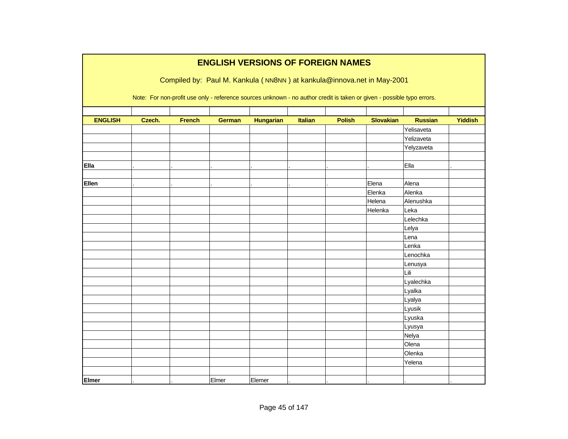|                |        |               |               |                  |                | <b>ENGLISH VERSIONS OF FOREIGN NAMES</b>                                                                               |                  |                |                |
|----------------|--------|---------------|---------------|------------------|----------------|------------------------------------------------------------------------------------------------------------------------|------------------|----------------|----------------|
|                |        |               |               |                  |                | Compiled by: Paul M. Kankula (NN8NN) at kankula@innova.net in May-2001                                                 |                  |                |                |
|                |        |               |               |                  |                |                                                                                                                        |                  |                |                |
|                |        |               |               |                  |                | Note: For non-profit use only - reference sources unknown - no author credit is taken or given - possible typo errors. |                  |                |                |
|                |        |               |               |                  |                |                                                                                                                        |                  |                |                |
| <b>ENGLISH</b> | Czech. | <b>French</b> | <b>German</b> | <b>Hungarian</b> | <b>Italian</b> | <b>Polish</b>                                                                                                          | <b>Slovakian</b> | <b>Russian</b> | <b>Yiddish</b> |
|                |        |               |               |                  |                |                                                                                                                        |                  | Yelisaveta     |                |
|                |        |               |               |                  |                |                                                                                                                        |                  | Yelizaveta     |                |
|                |        |               |               |                  |                |                                                                                                                        |                  | Yelyzaveta     |                |
|                |        |               |               |                  |                |                                                                                                                        |                  |                |                |
| Ella           |        |               |               |                  |                |                                                                                                                        |                  | Ella           |                |
|                |        |               |               |                  |                |                                                                                                                        |                  |                |                |
| Ellen          |        |               |               |                  |                |                                                                                                                        | Elena            | Alena          |                |
|                |        |               |               |                  |                |                                                                                                                        | Elenka           | Alenka         |                |
|                |        |               |               |                  |                |                                                                                                                        | Helena           | Alenushka      |                |
|                |        |               |               |                  |                |                                                                                                                        | Helenka          | Leka           |                |
|                |        |               |               |                  |                |                                                                                                                        |                  | Lelechka       |                |
|                |        |               |               |                  |                |                                                                                                                        |                  | Lelya          |                |
|                |        |               |               |                  |                |                                                                                                                        |                  | Lena           |                |
|                |        |               |               |                  |                |                                                                                                                        |                  | Lenka          |                |
|                |        |               |               |                  |                |                                                                                                                        |                  | Lenochka       |                |
|                |        |               |               |                  |                |                                                                                                                        |                  | Lenusya        |                |
|                |        |               |               |                  |                |                                                                                                                        |                  | Lili           |                |
|                |        |               |               |                  |                |                                                                                                                        |                  | Lyalechka      |                |
|                |        |               |               |                  |                |                                                                                                                        |                  | Lyalka         |                |
|                |        |               |               |                  |                |                                                                                                                        |                  | Lyalya         |                |
|                |        |               |               |                  |                |                                                                                                                        |                  | Lyusik         |                |
|                |        |               |               |                  |                |                                                                                                                        |                  | Lyuska         |                |
|                |        |               |               |                  |                |                                                                                                                        |                  | Lyusya         |                |
|                |        |               |               |                  |                |                                                                                                                        |                  | Nelya          |                |
|                |        |               |               |                  |                |                                                                                                                        |                  | Olena          |                |
|                |        |               |               |                  |                |                                                                                                                        |                  | Olenka         |                |
|                |        |               |               |                  |                |                                                                                                                        |                  | Yelena         |                |
|                |        |               |               |                  |                |                                                                                                                        |                  |                |                |
| <b>Elmer</b>   |        |               | Elmer         | Elemer           |                |                                                                                                                        |                  |                |                |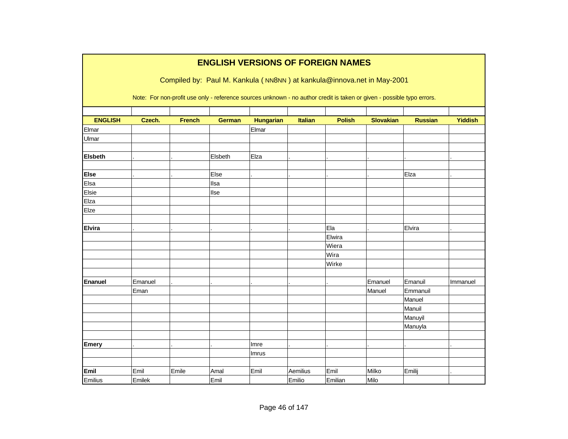|                |         |               |               |                  |                | <b>ENGLISH VERSIONS OF FOREIGN NAMES</b>                                                                               |                  |                |                |
|----------------|---------|---------------|---------------|------------------|----------------|------------------------------------------------------------------------------------------------------------------------|------------------|----------------|----------------|
|                |         |               |               |                  |                | Compiled by: Paul M. Kankula (NN8NN) at kankula@innova.net in May-2001                                                 |                  |                |                |
|                |         |               |               |                  |                |                                                                                                                        |                  |                |                |
|                |         |               |               |                  |                | Note: For non-profit use only - reference sources unknown - no author credit is taken or given - possible typo errors. |                  |                |                |
|                |         |               |               |                  |                |                                                                                                                        |                  |                |                |
| <b>ENGLISH</b> | Czech.  | <b>French</b> | <b>German</b> | <b>Hungarian</b> | <b>Italian</b> | <b>Polish</b>                                                                                                          | <b>Slovakian</b> | <b>Russian</b> | <b>Yiddish</b> |
| Elmar          |         |               |               | Elmar            |                |                                                                                                                        |                  |                |                |
| Ulmar          |         |               |               |                  |                |                                                                                                                        |                  |                |                |
| <b>Elsbeth</b> |         |               | Elsbeth       | Elza             |                |                                                                                                                        |                  |                |                |
| <b>Else</b>    |         |               | Else          |                  |                |                                                                                                                        |                  | Elza           |                |
| Elsa           |         |               | Ilsa          |                  |                |                                                                                                                        |                  |                |                |
| Elsie          |         |               | llse          |                  |                |                                                                                                                        |                  |                |                |
| Elza           |         |               |               |                  |                |                                                                                                                        |                  |                |                |
| Elze           |         |               |               |                  |                |                                                                                                                        |                  |                |                |
|                |         |               |               |                  |                |                                                                                                                        |                  |                |                |
| <b>Elvira</b>  |         |               |               |                  |                | Ela                                                                                                                    |                  | Elvira         |                |
|                |         |               |               |                  |                | Elwira                                                                                                                 |                  |                |                |
|                |         |               |               |                  |                | Wiera                                                                                                                  |                  |                |                |
|                |         |               |               |                  |                | Wira                                                                                                                   |                  |                |                |
|                |         |               |               |                  |                | Wirke                                                                                                                  |                  |                |                |
|                |         |               |               |                  |                |                                                                                                                        |                  |                |                |
| Enanuel        | Emanuel |               |               |                  |                |                                                                                                                        | Emanuel          | Emanuil        | Immanuel       |
|                | Eman    |               |               |                  |                |                                                                                                                        | Manuel           | Emmanuil       |                |
|                |         |               |               |                  |                |                                                                                                                        |                  | Manuel         |                |
|                |         |               |               |                  |                |                                                                                                                        |                  | Manuil         |                |
|                |         |               |               |                  |                |                                                                                                                        |                  | Manuyil        |                |
|                |         |               |               |                  |                |                                                                                                                        |                  | Manuyla        |                |
|                |         |               |               |                  |                |                                                                                                                        |                  |                |                |
| <b>Emery</b>   |         |               |               | Imre             |                |                                                                                                                        |                  |                |                |
|                |         |               |               | Imrus            |                |                                                                                                                        |                  |                |                |
|                |         |               |               |                  |                |                                                                                                                        |                  |                |                |
| Emil           | Emil    | Emile         | Amal          | Emil             | Aemilius       | Emil                                                                                                                   | Milko            | Emilij         |                |
| Emilius        | Emilek  |               | Emil          |                  | Emilio         | Emilian                                                                                                                | Milo             |                |                |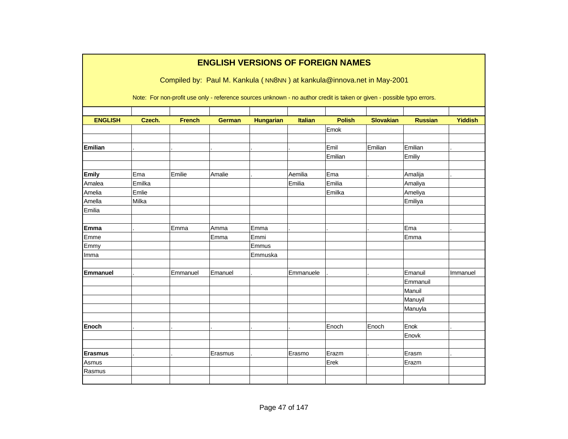|                 |        |                                                                                                                        | <b>ENGLISH VERSIONS OF FOREIGN NAMES</b> |                  |                |               |                  |                |                |
|-----------------|--------|------------------------------------------------------------------------------------------------------------------------|------------------------------------------|------------------|----------------|---------------|------------------|----------------|----------------|
|                 |        | Compiled by: Paul M. Kankula (NN8NN) at kankula@innova.net in May-2001                                                 |                                          |                  |                |               |                  |                |                |
|                 |        | Note: For non-profit use only - reference sources unknown - no author credit is taken or given - possible typo errors. |                                          |                  |                |               |                  |                |                |
| <b>ENGLISH</b>  | Czech. | <b>French</b>                                                                                                          | <b>German</b>                            | <b>Hungarian</b> | <b>Italian</b> | <b>Polish</b> | <b>Slovakian</b> | <b>Russian</b> | <b>Yiddish</b> |
|                 |        |                                                                                                                        |                                          |                  |                | Emok          |                  |                |                |
|                 |        |                                                                                                                        |                                          |                  |                |               |                  |                |                |
| Emilian         |        |                                                                                                                        |                                          |                  |                | Emil          | Emilian          | Emilian        |                |
|                 |        |                                                                                                                        |                                          |                  |                | Emilian       |                  | Emiliy         |                |
|                 |        |                                                                                                                        |                                          |                  |                |               |                  |                |                |
| <b>Emily</b>    | Ema    | Emilie                                                                                                                 | Amalie                                   |                  | Aemilia        | Ema           |                  | Amalija        |                |
| Amalea          | Emilka |                                                                                                                        |                                          |                  | Emilia         | Emilia        |                  | Amaliya        |                |
| Amelia          | Emlie  |                                                                                                                        |                                          |                  |                | Emilka        |                  | Ameliya        |                |
| Amella          | Milka  |                                                                                                                        |                                          |                  |                |               |                  | Emiliya        |                |
| Emilia          |        |                                                                                                                        |                                          |                  |                |               |                  |                |                |
| <b>Emma</b>     |        | Emma                                                                                                                   | Amma                                     | Emma             |                |               |                  | Ema            |                |
| Emme            |        |                                                                                                                        | Emma                                     | Emmi             |                |               |                  | Emma           |                |
| Emmy            |        |                                                                                                                        |                                          | Emmus            |                |               |                  |                |                |
| Imma            |        |                                                                                                                        |                                          | Emmuska          |                |               |                  |                |                |
|                 |        |                                                                                                                        |                                          |                  |                |               |                  |                |                |
| <b>Emmanuel</b> |        | Emmanuel                                                                                                               | Emanuel                                  |                  | Emmanuele      |               |                  | Emanuil        | Immanuel       |
|                 |        |                                                                                                                        |                                          |                  |                |               |                  | Emmanuil       |                |
|                 |        |                                                                                                                        |                                          |                  |                |               |                  | Manuil         |                |
|                 |        |                                                                                                                        |                                          |                  |                |               |                  | Manuyil        |                |
|                 |        |                                                                                                                        |                                          |                  |                |               |                  | Manuyla        |                |
|                 |        |                                                                                                                        |                                          |                  |                |               |                  |                |                |
| <b>Enoch</b>    |        |                                                                                                                        |                                          |                  |                | Enoch         | Enoch            | Enok           |                |
|                 |        |                                                                                                                        |                                          |                  |                |               |                  | Enovk          |                |
|                 |        |                                                                                                                        |                                          |                  |                |               |                  |                |                |
| <b>Erasmus</b>  |        |                                                                                                                        | Erasmus                                  |                  | Erasmo         | Erazm         |                  | Erasm          |                |
| Asmus           |        |                                                                                                                        |                                          |                  |                | Erek          |                  | Erazm          |                |
| Rasmus          |        |                                                                                                                        |                                          |                  |                |               |                  |                |                |
|                 |        |                                                                                                                        |                                          |                  |                |               |                  |                |                |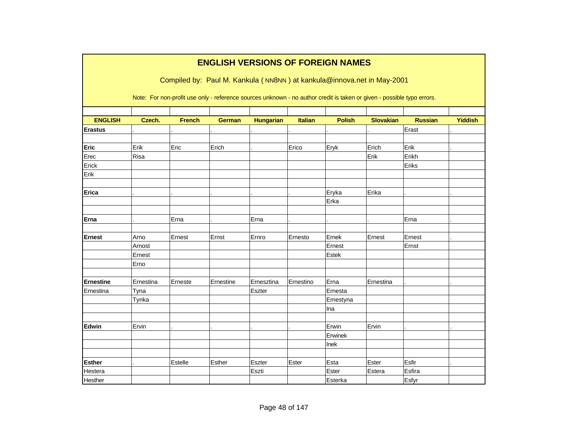|                  |                |               |               |                  |                | <b>ENGLISH VERSIONS OF FOREIGN NAMES</b><br>Compiled by: Paul M. Kankula (NN8NN) at kankula@innova.net in May-2001     |                  |                |                |
|------------------|----------------|---------------|---------------|------------------|----------------|------------------------------------------------------------------------------------------------------------------------|------------------|----------------|----------------|
|                  |                |               |               |                  |                | Note: For non-profit use only - reference sources unknown - no author credit is taken or given - possible typo errors. |                  |                |                |
| <b>ENGLISH</b>   | Czech.         | <b>French</b> | <b>German</b> | <b>Hungarian</b> | <b>Italian</b> | <b>Polish</b>                                                                                                          | <b>Slovakian</b> | <b>Russian</b> | <b>Yiddish</b> |
| <b>Erastus</b>   |                |               |               |                  |                |                                                                                                                        |                  | Erast          |                |
|                  |                |               |               |                  |                |                                                                                                                        |                  |                |                |
| Eric             | Erik           | Eric          | Erich         |                  | Erico          | Eryk                                                                                                                   | Erich            | Erik           |                |
| Erec             | Risa           |               |               |                  |                |                                                                                                                        | Erik             | Erikh          |                |
| Erick            |                |               |               |                  |                |                                                                                                                        |                  | Eriks          |                |
| Erik             |                |               |               |                  |                |                                                                                                                        |                  |                |                |
| Erica            |                |               |               |                  |                | Eryka                                                                                                                  | Erika            |                |                |
|                  |                |               |               |                  |                | Erka                                                                                                                   |                  |                |                |
| Erna             |                | Erna          |               | Erna             |                |                                                                                                                        |                  | Erna           |                |
|                  |                |               |               |                  |                |                                                                                                                        |                  |                |                |
| <b>Ernest</b>    | Arno           | Ernest        | Ernst         | Ernro            | Ernesto        | Ernek                                                                                                                  | Ernest           | Ernest         |                |
|                  | Arnost         |               |               |                  |                | Ernest                                                                                                                 |                  | Ernst          |                |
|                  | Ernest<br>Erno |               |               |                  |                | Estek                                                                                                                  |                  |                |                |
|                  |                |               |               |                  |                |                                                                                                                        |                  |                |                |
| <b>Ernestine</b> | Ernestina      | Erneste       | Ernestine     | Ernesztina       | Ernestino      | Erna                                                                                                                   | Ernestina        |                |                |
| Ernestina        | Tyna           |               |               | Eszter           |                | Ernesta                                                                                                                |                  |                |                |
|                  | Tynka          |               |               |                  |                | Ernestyna                                                                                                              |                  |                |                |
|                  |                |               |               |                  |                | Ina                                                                                                                    |                  |                |                |
|                  |                |               |               |                  |                |                                                                                                                        |                  |                |                |
| Edwin            | Ervin          |               |               |                  |                | Erwin                                                                                                                  | Ervin            |                |                |
|                  |                |               |               |                  |                | Erwinek                                                                                                                |                  |                |                |
|                  |                |               |               |                  |                | Inek                                                                                                                   |                  |                |                |
|                  |                |               |               |                  |                |                                                                                                                        |                  |                |                |
| <b>Esther</b>    |                | Estelle       | Esther        | Eszter           | Ester          | Esta                                                                                                                   | Ester            | Esfir          |                |
| Hestera          |                |               |               | Eszti            |                | Ester                                                                                                                  | Estera           | Esfira         |                |
| Hesther          |                |               |               |                  |                | Esterka                                                                                                                |                  | Esfyr          |                |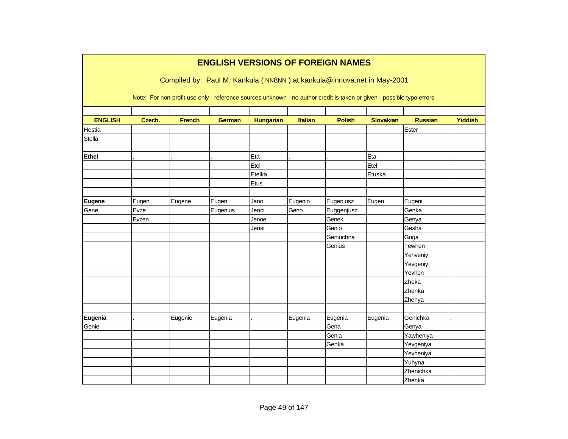|                |        |               |               |                  |                | <b>ENGLISH VERSIONS OF FOREIGN NAMES</b>                                                                               |                  |                |                |
|----------------|--------|---------------|---------------|------------------|----------------|------------------------------------------------------------------------------------------------------------------------|------------------|----------------|----------------|
|                |        |               |               |                  |                | Compiled by: Paul M. Kankula (NN8NN) at kankula@innova.net in May-2001                                                 |                  |                |                |
|                |        |               |               |                  |                | Note: For non-profit use only - reference sources unknown - no author credit is taken or given - possible typo errors. |                  |                |                |
| <b>ENGLISH</b> | Czech. | <b>French</b> | <b>German</b> | <b>Hungarian</b> | <b>Italian</b> | <b>Polish</b>                                                                                                          | <b>Slovakian</b> | <b>Russian</b> | <b>Yiddish</b> |
| Hestia         |        |               |               |                  |                |                                                                                                                        |                  | Ester          |                |
| <b>Stella</b>  |        |               |               |                  |                |                                                                                                                        |                  |                |                |
| <b>Ethel</b>   |        |               |               | Eta              |                |                                                                                                                        | Eta              |                |                |
|                |        |               |               | Etel             |                |                                                                                                                        | Etel             |                |                |
|                |        |               |               | Etelka           |                |                                                                                                                        | Etuska           |                |                |
|                |        |               |               | Etus             |                |                                                                                                                        |                  |                |                |
|                |        |               |               |                  |                |                                                                                                                        |                  |                |                |
| Eugene         | Eugen  | Eugene        | Eugen         | Jano             | Eugenio        | Eugeniusz                                                                                                              | Eugen            | Eugeni         |                |
| Gene           | Evze   |               | Eugenius      | Jenci            | Geno           | Euggenjusz                                                                                                             |                  | Genka          |                |
|                | Evzen  |               |               | Jenoe            |                | Genek                                                                                                                  |                  | Genya          |                |
|                |        |               |               | Jensi            |                | Genio                                                                                                                  |                  | Gesha          |                |
|                |        |               |               |                  |                | Geniuchna                                                                                                              |                  | Goga           |                |
|                |        |               |               |                  |                | Genius                                                                                                                 |                  | Tewhen         |                |
|                |        |               |               |                  |                |                                                                                                                        |                  | Yehveniy       |                |
|                |        |               |               |                  |                |                                                                                                                        |                  | Yevgeniy       |                |
|                |        |               |               |                  |                |                                                                                                                        |                  | Yevhen         |                |
|                |        |               |               |                  |                |                                                                                                                        |                  | Zheka          |                |
|                |        |               |               |                  |                |                                                                                                                        |                  | Zhenka         |                |
|                |        |               |               |                  |                |                                                                                                                        |                  | Zhenya         |                |
|                |        |               |               |                  |                |                                                                                                                        |                  |                |                |
| Eugenia        |        | Eugenie       | Eugenia       |                  | Eugenia        | Eugenia                                                                                                                | Eugenia          | Genichka       |                |
| Genie          |        |               |               |                  |                | Gena                                                                                                                   |                  | Genya          |                |
|                |        |               |               |                  |                | Genia                                                                                                                  |                  | Yawheniya      |                |
|                |        |               |               |                  |                | Genka                                                                                                                  |                  | Yevgeniya      |                |
|                |        |               |               |                  |                |                                                                                                                        |                  | Yevheniya      |                |
|                |        |               |               |                  |                |                                                                                                                        |                  | Yuhyna         |                |
|                |        |               |               |                  |                |                                                                                                                        |                  | Zhenichka      |                |
|                |        |               |               |                  |                |                                                                                                                        |                  | Zhenka         |                |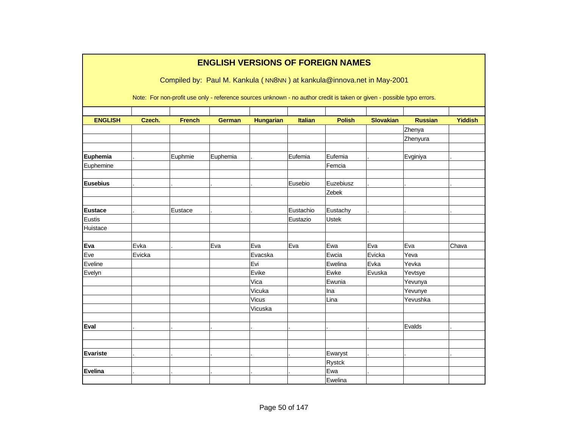|                 |        |               | <b>ENGLISH VERSIONS OF FOREIGN NAMES</b>                                                                               |                  |                |               |                  |                |                |
|-----------------|--------|---------------|------------------------------------------------------------------------------------------------------------------------|------------------|----------------|---------------|------------------|----------------|----------------|
|                 |        |               | Compiled by: Paul M. Kankula (NN8NN) at kankula@innova.net in May-2001                                                 |                  |                |               |                  |                |                |
|                 |        |               | Note: For non-profit use only - reference sources unknown - no author credit is taken or given - possible typo errors. |                  |                |               |                  |                |                |
| <b>ENGLISH</b>  | Czech. | <b>French</b> | <b>German</b>                                                                                                          | <b>Hungarian</b> | <b>Italian</b> | <b>Polish</b> | <b>Slovakian</b> | <b>Russian</b> | <b>Yiddish</b> |
|                 |        |               |                                                                                                                        |                  |                |               |                  | Zhenya         |                |
|                 |        |               |                                                                                                                        |                  |                |               |                  | Zhenyura       |                |
|                 |        |               |                                                                                                                        |                  |                |               |                  |                |                |
| Euphemia        |        | Euphmie       | Euphemia                                                                                                               |                  | Eufemia        | Eufemia       |                  | Evginiya       |                |
| Euphemine       |        |               |                                                                                                                        |                  |                | Femcia        |                  |                |                |
|                 |        |               |                                                                                                                        |                  |                |               |                  |                |                |
| <b>Eusebius</b> |        |               |                                                                                                                        |                  | Eusebio        | Euzebiusz     |                  |                |                |
|                 |        |               |                                                                                                                        |                  |                | Zebek         |                  |                |                |
|                 |        |               |                                                                                                                        |                  |                |               |                  |                |                |
| <b>Eustace</b>  |        | Eustace       |                                                                                                                        |                  | Eustachio      | Eustachy      |                  |                |                |
| Eustis          |        |               |                                                                                                                        |                  | Eustazio       | Ustek         |                  |                |                |
| Huistace        |        |               |                                                                                                                        |                  |                |               |                  |                |                |
| Eva             | Evka   |               | Eva                                                                                                                    | Eva              | Eva            | Ewa           | Eva              | Eva            | Chava          |
| Eve             | Evicka |               |                                                                                                                        | Evacska          |                | Ewcia         | Evicka           | Yeva           |                |
| Eveline         |        |               |                                                                                                                        | Evi              |                | Ewelina       | Evka             | Yevka          |                |
| Evelyn          |        |               |                                                                                                                        | Evike            |                | Ewke          | Evuska           | Yevtsye        |                |
|                 |        |               |                                                                                                                        | Vica             |                | Ewunia        |                  | Yevunya        |                |
|                 |        |               |                                                                                                                        | Vicuka           |                | Ina           |                  | Yevunye        |                |
|                 |        |               |                                                                                                                        | Vicus            |                | Lina          |                  | Yevushka       |                |
|                 |        |               |                                                                                                                        | Vicuska          |                |               |                  |                |                |
|                 |        |               |                                                                                                                        |                  |                |               |                  |                |                |
| Eval            |        |               |                                                                                                                        |                  |                |               |                  | Evalds         |                |
|                 |        |               |                                                                                                                        |                  |                |               |                  |                |                |
|                 |        |               |                                                                                                                        |                  |                |               |                  |                |                |
| <b>Evariste</b> |        |               |                                                                                                                        |                  |                | Ewaryst       |                  |                |                |
|                 |        |               |                                                                                                                        |                  |                | Rystck        |                  |                |                |
| <b>Evelina</b>  |        |               |                                                                                                                        |                  |                | Ewa           |                  |                |                |
|                 |        |               |                                                                                                                        |                  |                | Ewelina       |                  |                |                |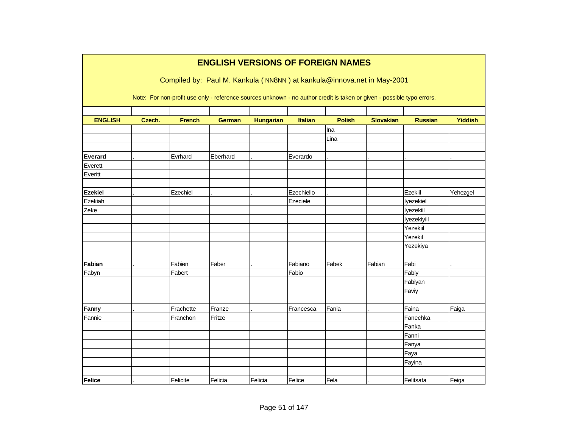|                |        |               | <b>ENGLISH VERSIONS OF FOREIGN NAMES</b>                                                                               |                  |                |               |                  |                |                |
|----------------|--------|---------------|------------------------------------------------------------------------------------------------------------------------|------------------|----------------|---------------|------------------|----------------|----------------|
|                |        |               | Compiled by: Paul M. Kankula (NN8NN) at kankula@innova.net in May-2001                                                 |                  |                |               |                  |                |                |
|                |        |               |                                                                                                                        |                  |                |               |                  |                |                |
|                |        |               | Note: For non-profit use only - reference sources unknown - no author credit is taken or given - possible typo errors. |                  |                |               |                  |                |                |
|                |        |               |                                                                                                                        |                  |                |               |                  |                |                |
| <b>ENGLISH</b> | Czech. | <b>French</b> | <b>German</b>                                                                                                          | <b>Hungarian</b> | <b>Italian</b> | <b>Polish</b> | <b>Slovakian</b> | <b>Russian</b> | <b>Yiddish</b> |
|                |        |               |                                                                                                                        |                  |                | Ina           |                  |                |                |
|                |        |               |                                                                                                                        |                  |                | Lina          |                  |                |                |
|                |        |               |                                                                                                                        |                  |                |               |                  |                |                |
| <b>Everard</b> |        | Evrhard       | Eberhard                                                                                                               |                  | Everardo       |               |                  |                |                |
| Everett        |        |               |                                                                                                                        |                  |                |               |                  |                |                |
| Everitt        |        |               |                                                                                                                        |                  |                |               |                  |                |                |
|                |        |               |                                                                                                                        |                  |                |               |                  |                |                |
| <b>Ezekiel</b> |        | Ezechiel      |                                                                                                                        |                  | Ezechiello     |               |                  | Ezekiil        | Yehezgel       |
| Ezekiah        |        |               |                                                                                                                        |                  | Ezeciele       |               |                  | Iyezekiel      |                |
| Zeke           |        |               |                                                                                                                        |                  |                |               |                  | lyezekiil      |                |
|                |        |               |                                                                                                                        |                  |                |               |                  | lyezekiyiil    |                |
|                |        |               |                                                                                                                        |                  |                |               |                  | Yezekiil       |                |
|                |        |               |                                                                                                                        |                  |                |               |                  | Yezekil        |                |
|                |        |               |                                                                                                                        |                  |                |               |                  | Yezekiya       |                |
|                |        |               |                                                                                                                        |                  |                |               |                  |                |                |
| Fabian         |        | Fabien        | Faber                                                                                                                  |                  | Fabiano        | Fabek         | Fabian           | Fabi           |                |
| Fabyn          |        | Fabert        |                                                                                                                        |                  | Fabio          |               |                  | Fabiy          |                |
|                |        |               |                                                                                                                        |                  |                |               |                  | Fabiyan        |                |
|                |        |               |                                                                                                                        |                  |                |               |                  | Faviy          |                |
|                |        |               |                                                                                                                        |                  |                |               |                  |                |                |
| Fanny          |        | Frachette     | Franze                                                                                                                 |                  | Francesca      | Fania         |                  | Faina          | Faiga          |
| Fannie         |        | Franchon      | Fritze                                                                                                                 |                  |                |               |                  | Fanechka       |                |
|                |        |               |                                                                                                                        |                  |                |               |                  | Fanka          |                |
|                |        |               |                                                                                                                        |                  |                |               |                  | Fanni          |                |
|                |        |               |                                                                                                                        |                  |                |               |                  | Fanya          |                |
|                |        |               |                                                                                                                        |                  |                |               |                  | Faya           |                |
|                |        |               |                                                                                                                        |                  |                |               |                  | Fayina         |                |
|                |        |               |                                                                                                                        |                  |                |               |                  |                |                |
| Felice         |        | Felicite      | Felicia                                                                                                                | Felicia          | Felice         | Fela          |                  | Felitsata      | Feiga          |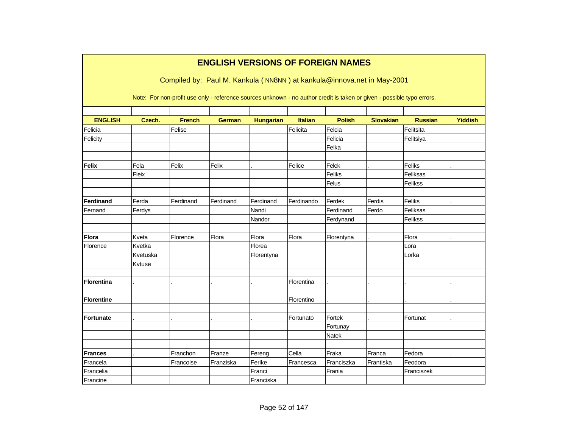|                   |          |                                                                                                                                                                                                  | <b>ENGLISH VERSIONS OF FOREIGN NAMES</b> |                  |                |               |                  |                |                |
|-------------------|----------|--------------------------------------------------------------------------------------------------------------------------------------------------------------------------------------------------|------------------------------------------|------------------|----------------|---------------|------------------|----------------|----------------|
|                   |          | Compiled by: Paul M. Kankula (NN8NN) at kankula@innova.net in May-2001<br>Note: For non-profit use only - reference sources unknown - no author credit is taken or given - possible typo errors. |                                          |                  |                |               |                  |                |                |
| <b>ENGLISH</b>    | Czech.   | <b>French</b>                                                                                                                                                                                    | <b>German</b>                            | <b>Hungarian</b> | <b>Italian</b> | <b>Polish</b> | <b>Slovakian</b> | <b>Russian</b> | <b>Yiddish</b> |
| Felicia           |          | Felise                                                                                                                                                                                           |                                          |                  | Felicita       | Felcia        |                  | Felitsita      |                |
| Felicity          |          |                                                                                                                                                                                                  |                                          |                  |                | Felicia       |                  | Felitsiya      |                |
|                   |          |                                                                                                                                                                                                  |                                          |                  |                | Felka         |                  |                |                |
|                   |          |                                                                                                                                                                                                  |                                          |                  |                |               |                  |                |                |
| Felix             | Fela     | Felix                                                                                                                                                                                            | Felix                                    |                  | Felice         | Felek         |                  | Feliks         |                |
|                   | Fleix    |                                                                                                                                                                                                  |                                          |                  |                | Feliks        |                  | Feliksas       |                |
|                   |          |                                                                                                                                                                                                  |                                          |                  |                | Felus         |                  | Felikss        |                |
|                   |          |                                                                                                                                                                                                  |                                          |                  |                |               |                  |                |                |
| <b>Ferdinand</b>  | Ferda    | Ferdinand                                                                                                                                                                                        | Ferdinand                                | Ferdinand        | Ferdinando     | Ferdek        | Ferdis           | Feliks         |                |
| Fernand           | Ferdys   |                                                                                                                                                                                                  |                                          | Nandi            |                | Ferdinand     | Ferdo            | Feliksas       |                |
|                   |          |                                                                                                                                                                                                  |                                          | Nandor           |                | Ferdynand     |                  | Felikss        |                |
|                   |          |                                                                                                                                                                                                  |                                          |                  |                |               |                  |                |                |
| <b>Flora</b>      | Kveta    | Florence                                                                                                                                                                                         | Flora                                    | Flora            | Flora          | Florentyna    |                  | Flora          |                |
| Florence          | Kvetka   |                                                                                                                                                                                                  |                                          | Florea           |                |               |                  | Lora           |                |
|                   | Kvetuska |                                                                                                                                                                                                  |                                          | Florentyna       |                |               |                  | Lorka          |                |
|                   | Kvtuse   |                                                                                                                                                                                                  |                                          |                  |                |               |                  |                |                |
|                   |          |                                                                                                                                                                                                  |                                          |                  |                |               |                  |                |                |
| <b>Florentina</b> |          |                                                                                                                                                                                                  |                                          |                  | Florentina     |               |                  |                |                |
|                   |          |                                                                                                                                                                                                  |                                          |                  |                |               |                  |                |                |
| <b>Florentine</b> |          |                                                                                                                                                                                                  |                                          |                  | Florentino     |               |                  |                |                |
|                   |          |                                                                                                                                                                                                  |                                          |                  |                |               |                  |                |                |
| Fortunate         |          |                                                                                                                                                                                                  |                                          |                  | Fortunato      | Fortek        |                  | Fortunat       |                |
|                   |          |                                                                                                                                                                                                  |                                          |                  |                | Fortunay      |                  |                |                |
|                   |          |                                                                                                                                                                                                  |                                          |                  |                | <b>Natek</b>  |                  |                |                |
| <b>Frances</b>    |          | Franchon                                                                                                                                                                                         | Franze                                   | Fereng           | Cella          | Fraka         | Franca           | Fedora         |                |
| Francela          |          | Francoise                                                                                                                                                                                        | Franziska                                | Ferike           | Francesca      | Franciszka    | Frantiska        | Feodora        |                |
| Francelia         |          |                                                                                                                                                                                                  |                                          | Franci           |                | Frania        |                  | Franciszek     |                |
|                   |          |                                                                                                                                                                                                  |                                          |                  |                |               |                  |                |                |
| Francine          |          |                                                                                                                                                                                                  |                                          | Franciska        |                |               |                  |                |                |

٦

**The State**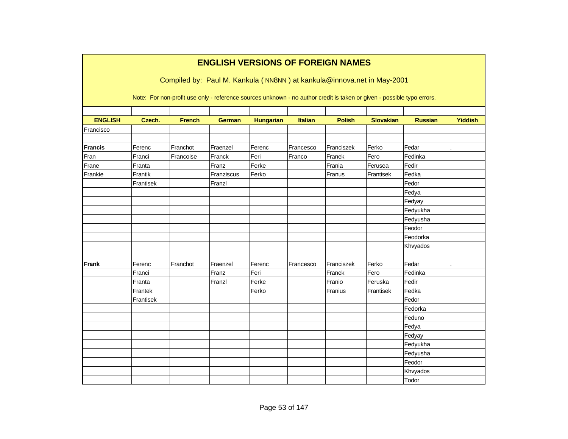|                | <b>ENGLISH VERSIONS OF FOREIGN NAMES</b><br>Compiled by: Paul M. Kankula (NN8NN) at kankula@innova.net in May-2001 |               |               |                                                                                                                        |                |               |                  |                |                |  |  |  |  |
|----------------|--------------------------------------------------------------------------------------------------------------------|---------------|---------------|------------------------------------------------------------------------------------------------------------------------|----------------|---------------|------------------|----------------|----------------|--|--|--|--|
|                |                                                                                                                    |               |               | Note: For non-profit use only - reference sources unknown - no author credit is taken or given - possible typo errors. |                |               |                  |                |                |  |  |  |  |
|                |                                                                                                                    |               |               |                                                                                                                        |                |               |                  |                |                |  |  |  |  |
| <b>ENGLISH</b> | Czech.                                                                                                             | <b>French</b> | <b>German</b> | <b>Hungarian</b>                                                                                                       | <b>Italian</b> | <b>Polish</b> | <b>Slovakian</b> | <b>Russian</b> | <b>Yiddish</b> |  |  |  |  |
| Francisco      |                                                                                                                    |               |               |                                                                                                                        |                |               |                  |                |                |  |  |  |  |
|                |                                                                                                                    |               |               |                                                                                                                        |                |               |                  |                |                |  |  |  |  |
| <b>Francis</b> | Ferenc                                                                                                             | Franchot      | Fraenzel      | Ferenc                                                                                                                 | Francesco      | Franciszek    | Ferko            | Fedar          |                |  |  |  |  |
| Fran           | Franci                                                                                                             | Francoise     | Franck        | Feri                                                                                                                   | Franco         | Franek        | Fero             | Fedinka        |                |  |  |  |  |
| Frane          | Franta                                                                                                             |               | Franz         | Ferke                                                                                                                  |                | Frania        | Ferusea          | Fedir          |                |  |  |  |  |
| Frankie        | Frantik                                                                                                            |               | Franziscus    | Ferko                                                                                                                  |                | Franus        | Frantisek        | Fedka          |                |  |  |  |  |
|                | Frantisek                                                                                                          |               | Franzl        |                                                                                                                        |                |               |                  | Fedor          |                |  |  |  |  |
|                |                                                                                                                    |               |               |                                                                                                                        |                |               |                  | Fedya          |                |  |  |  |  |
|                |                                                                                                                    |               |               |                                                                                                                        |                |               |                  | Fedyay         |                |  |  |  |  |
|                |                                                                                                                    |               |               |                                                                                                                        |                |               |                  | Fedyukha       |                |  |  |  |  |
|                |                                                                                                                    |               |               |                                                                                                                        |                |               |                  | Fedyusha       |                |  |  |  |  |
|                |                                                                                                                    |               |               |                                                                                                                        |                |               |                  | Feodor         |                |  |  |  |  |
|                |                                                                                                                    |               |               |                                                                                                                        |                |               |                  | Feodorka       |                |  |  |  |  |
|                |                                                                                                                    |               |               |                                                                                                                        |                |               |                  | Khvyados       |                |  |  |  |  |
|                |                                                                                                                    |               |               |                                                                                                                        |                |               |                  |                |                |  |  |  |  |
| <b>Frank</b>   | Ferenc                                                                                                             | Franchot      | Fraenzel      | Ferenc                                                                                                                 | Francesco      | Franciszek    | Ferko            | Fedar          |                |  |  |  |  |
|                | Franci                                                                                                             |               | Franz         | Feri                                                                                                                   |                | Franek        | Fero             | Fedinka        |                |  |  |  |  |
|                | Franta                                                                                                             |               | Franzl        | Ferke                                                                                                                  |                | Franio        | Feruska          | Fedir          |                |  |  |  |  |
|                | Frantek                                                                                                            |               |               | Ferko                                                                                                                  |                | Franius       | Frantisek        | Fedka          |                |  |  |  |  |
|                | Frantisek                                                                                                          |               |               |                                                                                                                        |                |               |                  | Fedor          |                |  |  |  |  |
|                |                                                                                                                    |               |               |                                                                                                                        |                |               |                  | Fedorka        |                |  |  |  |  |
|                |                                                                                                                    |               |               |                                                                                                                        |                |               |                  | Feduno         |                |  |  |  |  |
|                |                                                                                                                    |               |               |                                                                                                                        |                |               |                  | Fedya          |                |  |  |  |  |
|                |                                                                                                                    |               |               |                                                                                                                        |                |               |                  | Fedyay         |                |  |  |  |  |
|                |                                                                                                                    |               |               |                                                                                                                        |                |               |                  | Fedyukha       |                |  |  |  |  |
|                |                                                                                                                    |               |               |                                                                                                                        |                |               |                  | Fedyusha       |                |  |  |  |  |
|                |                                                                                                                    |               |               |                                                                                                                        |                |               |                  | Feodor         |                |  |  |  |  |
|                |                                                                                                                    |               |               |                                                                                                                        |                |               |                  | Khvyados       |                |  |  |  |  |
|                |                                                                                                                    |               |               |                                                                                                                        |                |               |                  | Todor          |                |  |  |  |  |
|                |                                                                                                                    |               |               |                                                                                                                        |                |               |                  |                |                |  |  |  |  |

Г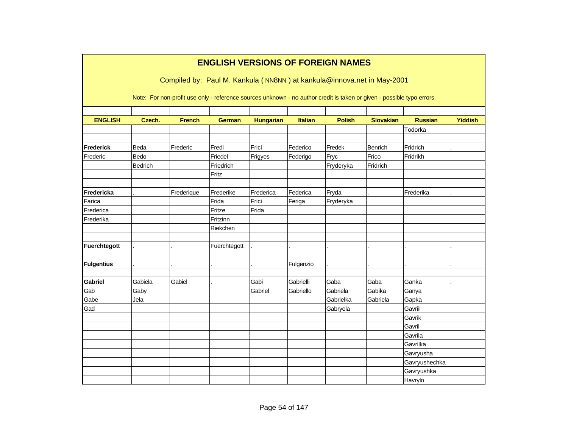|                   | <b>ENGLISH VERSIONS OF FOREIGN NAMES</b>                                                                                                                                                         |               |               |                  |                |               |                  |                |                |  |  |  |  |
|-------------------|--------------------------------------------------------------------------------------------------------------------------------------------------------------------------------------------------|---------------|---------------|------------------|----------------|---------------|------------------|----------------|----------------|--|--|--|--|
|                   | Compiled by: Paul M. Kankula (NN8NN) at kankula@innova.net in May-2001<br>Note: For non-profit use only - reference sources unknown - no author credit is taken or given - possible typo errors. |               |               |                  |                |               |                  |                |                |  |  |  |  |
|                   |                                                                                                                                                                                                  |               |               |                  |                |               |                  |                |                |  |  |  |  |
|                   |                                                                                                                                                                                                  |               |               |                  |                |               |                  |                |                |  |  |  |  |
| <b>ENGLISH</b>    | Czech.                                                                                                                                                                                           | <b>French</b> | <b>German</b> | <b>Hungarian</b> | <b>Italian</b> | <b>Polish</b> | <b>Slovakian</b> | <b>Russian</b> | <b>Yiddish</b> |  |  |  |  |
|                   |                                                                                                                                                                                                  |               |               |                  |                |               |                  | Todorka        |                |  |  |  |  |
| <b>Frederick</b>  | Beda                                                                                                                                                                                             | Frederic      | Fredi         | Frici            | Federico       | Fredek        | <b>Benrich</b>   | Fridrich       |                |  |  |  |  |
| Frederic          | Bedo                                                                                                                                                                                             |               | Friedel       | Frigyes          | Federigo       | Fryc          | Frico            | Fridrikh       |                |  |  |  |  |
|                   | Bedrich                                                                                                                                                                                          |               | Friedrich     |                  |                | Fryderyka     | Fridrich         |                |                |  |  |  |  |
|                   |                                                                                                                                                                                                  |               | Fritz         |                  |                |               |                  |                |                |  |  |  |  |
|                   |                                                                                                                                                                                                  |               |               |                  |                |               |                  |                |                |  |  |  |  |
| <b>Fredericka</b> |                                                                                                                                                                                                  | Frederique    | Frederike     | Frederica        | Federica       | Fryda         |                  | Frederika      |                |  |  |  |  |
| Farica            |                                                                                                                                                                                                  |               | Frida         | Frici            | Feriga         | Fryderyka     |                  |                |                |  |  |  |  |
| Frederica         |                                                                                                                                                                                                  |               | Fritze        | Frida            |                |               |                  |                |                |  |  |  |  |
| Frederika         |                                                                                                                                                                                                  |               | Fritzinn      |                  |                |               |                  |                |                |  |  |  |  |
|                   |                                                                                                                                                                                                  |               | Riekchen      |                  |                |               |                  |                |                |  |  |  |  |
|                   |                                                                                                                                                                                                  |               |               |                  |                |               |                  |                |                |  |  |  |  |
| Fuerchtegott      |                                                                                                                                                                                                  |               | Fuerchtegott  |                  |                |               |                  |                |                |  |  |  |  |
| <b>Fulgentius</b> |                                                                                                                                                                                                  |               |               |                  | Fulgenzio      |               |                  |                |                |  |  |  |  |
|                   |                                                                                                                                                                                                  |               |               |                  |                |               |                  |                |                |  |  |  |  |
| <b>Gabriel</b>    | Gabiela                                                                                                                                                                                          | Gabiel        |               | Gabi             | Gabrielli      | Gaba          | Gaba             | Ganka          |                |  |  |  |  |
| Gab               | Gaby                                                                                                                                                                                             |               |               | Gabriel          | Gabriello      | Gabriela      | Gabika           | Ganya          |                |  |  |  |  |
| Gabe              | Jela                                                                                                                                                                                             |               |               |                  |                | Gabrielka     | Gabriela         | Gapka          |                |  |  |  |  |
| Gad               |                                                                                                                                                                                                  |               |               |                  |                | Gabryela      |                  | Gavriil        |                |  |  |  |  |
|                   |                                                                                                                                                                                                  |               |               |                  |                |               |                  | Gavrik         |                |  |  |  |  |
|                   |                                                                                                                                                                                                  |               |               |                  |                |               |                  | Gavril         |                |  |  |  |  |
|                   |                                                                                                                                                                                                  |               |               |                  |                |               |                  | Gavrila        |                |  |  |  |  |
|                   |                                                                                                                                                                                                  |               |               |                  |                |               |                  | Gavrilka       |                |  |  |  |  |
|                   |                                                                                                                                                                                                  |               |               |                  |                |               |                  | Gavryusha      |                |  |  |  |  |
|                   |                                                                                                                                                                                                  |               |               |                  |                |               |                  | Gavryushechka  |                |  |  |  |  |
|                   |                                                                                                                                                                                                  |               |               |                  |                |               |                  | Gavryushka     |                |  |  |  |  |
|                   |                                                                                                                                                                                                  |               |               |                  |                |               |                  | Havrylo        |                |  |  |  |  |

٦

Г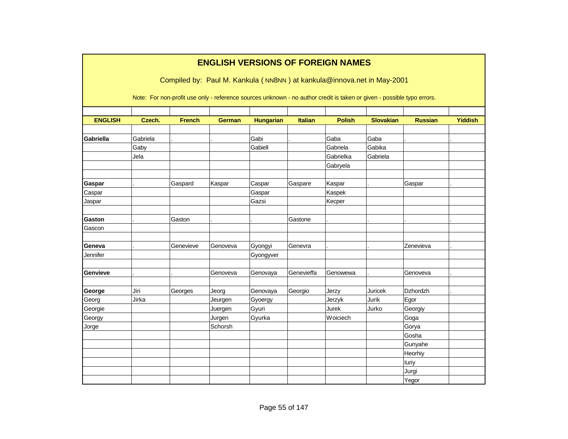|                 |                                                                                                                                                                                                  |               |                   | <b>ENGLISH VERSIONS OF FOREIGN NAMES</b> |                |               |                  |                |                |  |  |  |  |
|-----------------|--------------------------------------------------------------------------------------------------------------------------------------------------------------------------------------------------|---------------|-------------------|------------------------------------------|----------------|---------------|------------------|----------------|----------------|--|--|--|--|
|                 | Compiled by: Paul M. Kankula (NN8NN) at kankula@innova.net in May-2001<br>Note: For non-profit use only - reference sources unknown - no author credit is taken or given - possible typo errors. |               |                   |                                          |                |               |                  |                |                |  |  |  |  |
| <b>ENGLISH</b>  | Czech.                                                                                                                                                                                           | <b>French</b> | <b>German</b>     | <b>Hungarian</b>                         | <b>Italian</b> | <b>Polish</b> | <b>Slovakian</b> | <b>Russian</b> | <b>Yiddish</b> |  |  |  |  |
| Gabriella       | Gabriela                                                                                                                                                                                         |               |                   | Gabi                                     |                | Gaba          | Gaba             |                |                |  |  |  |  |
|                 | Gaby                                                                                                                                                                                             |               |                   | Gabiell                                  |                | Gabriela      | Gabika           |                |                |  |  |  |  |
|                 | Jela                                                                                                                                                                                             |               |                   |                                          |                | Gabrielka     | Gabriela         |                |                |  |  |  |  |
|                 |                                                                                                                                                                                                  |               |                   |                                          |                | Gabryela      |                  |                |                |  |  |  |  |
| Gaspar          |                                                                                                                                                                                                  | Gaspard       | Kaspar            | Caspar                                   | Gaspare        | Kaspar        |                  | Gaspar         |                |  |  |  |  |
| Caspar          |                                                                                                                                                                                                  |               |                   | Gaspar                                   |                | Kaspek        |                  |                |                |  |  |  |  |
| Jaspar          |                                                                                                                                                                                                  |               |                   | Gazsi                                    |                | Kecper        |                  |                |                |  |  |  |  |
| <b>Gaston</b>   |                                                                                                                                                                                                  | Gaston        |                   |                                          | Gastone        |               |                  |                |                |  |  |  |  |
|                 |                                                                                                                                                                                                  |               |                   |                                          |                |               |                  |                |                |  |  |  |  |
| Gascon          |                                                                                                                                                                                                  |               |                   |                                          |                |               |                  |                |                |  |  |  |  |
| Geneva          |                                                                                                                                                                                                  | Genevieve     | Genoveva          | Gyongyi                                  | Genevra        |               |                  | Zenevieva      |                |  |  |  |  |
| Jennifer        |                                                                                                                                                                                                  |               |                   | Gyongyver                                |                |               |                  |                |                |  |  |  |  |
| Genvieve        |                                                                                                                                                                                                  |               | Genoveva          | Genovaya                                 | Genevieffa     | Genowewa      |                  | Genoveva       |                |  |  |  |  |
|                 | Jiri                                                                                                                                                                                             |               |                   |                                          |                | Jerzy         | Juricek          | Dzhordzh       |                |  |  |  |  |
| George<br>Georg | Jirka                                                                                                                                                                                            | Georges       | Jeorg<br>Jeurgen  | Genovaya<br>Gyoergy                      | Georgio        | Jerzyk        | Jurik            | Egor           |                |  |  |  |  |
| Georgie         |                                                                                                                                                                                                  |               | Juergen           | Gyuri                                    |                | Jurek         | Jurko            | Georgiy        |                |  |  |  |  |
| Georgy          |                                                                                                                                                                                                  |               |                   |                                          |                | Woiciech      |                  |                |                |  |  |  |  |
| Jorge           |                                                                                                                                                                                                  |               | Jurgen<br>Schorsh | Gyurka                                   |                |               |                  | Goga<br>Gorya  |                |  |  |  |  |
|                 |                                                                                                                                                                                                  |               |                   |                                          |                |               |                  | Gosha          |                |  |  |  |  |
|                 |                                                                                                                                                                                                  |               |                   |                                          |                |               |                  | Gunyahe        |                |  |  |  |  |
|                 |                                                                                                                                                                                                  |               |                   |                                          |                |               |                  | Heorhiy        |                |  |  |  |  |
|                 |                                                                                                                                                                                                  |               |                   |                                          |                |               |                  | luriy          |                |  |  |  |  |
|                 |                                                                                                                                                                                                  |               |                   |                                          |                |               |                  | Jurgi          |                |  |  |  |  |
|                 |                                                                                                                                                                                                  |               |                   |                                          |                |               |                  | Yegor          |                |  |  |  |  |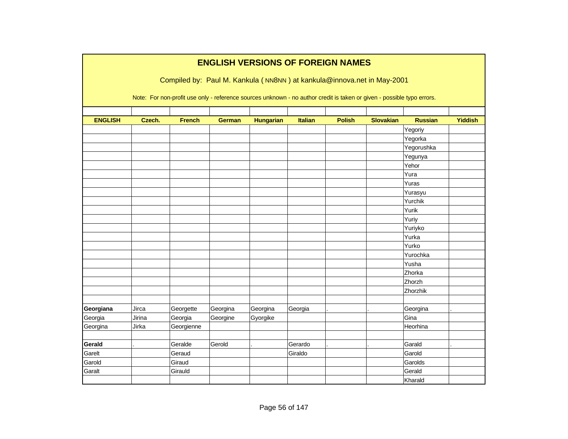|                | <b>ENGLISH VERSIONS OF FOREIGN NAMES</b> |               |               |                  |                |                                                                                                                        |                  |                |                |  |  |  |
|----------------|------------------------------------------|---------------|---------------|------------------|----------------|------------------------------------------------------------------------------------------------------------------------|------------------|----------------|----------------|--|--|--|
|                |                                          |               |               |                  |                | Compiled by: Paul M. Kankula (NN8NN) at kankula@innova.net in May-2001                                                 |                  |                |                |  |  |  |
|                |                                          |               |               |                  |                |                                                                                                                        |                  |                |                |  |  |  |
|                |                                          |               |               |                  |                | Note: For non-profit use only - reference sources unknown - no author credit is taken or given - possible typo errors. |                  |                |                |  |  |  |
|                |                                          |               |               |                  |                |                                                                                                                        |                  |                |                |  |  |  |
| <b>ENGLISH</b> | Czech.                                   | <b>French</b> | <b>German</b> | <b>Hungarian</b> | <b>Italian</b> | <b>Polish</b>                                                                                                          | <b>Slovakian</b> | <b>Russian</b> | <b>Yiddish</b> |  |  |  |
|                |                                          |               |               |                  |                |                                                                                                                        |                  | Yegoriy        |                |  |  |  |
|                |                                          |               |               |                  |                |                                                                                                                        |                  | Yegorka        |                |  |  |  |
|                |                                          |               |               |                  |                |                                                                                                                        |                  | Yegorushka     |                |  |  |  |
|                |                                          |               |               |                  |                |                                                                                                                        |                  | Yegunya        |                |  |  |  |
|                |                                          |               |               |                  |                |                                                                                                                        |                  | Yehor          |                |  |  |  |
|                |                                          |               |               |                  |                |                                                                                                                        |                  | Yura           |                |  |  |  |
|                |                                          |               |               |                  |                |                                                                                                                        |                  | Yuras          |                |  |  |  |
|                |                                          |               |               |                  |                |                                                                                                                        |                  | Yurasyu        |                |  |  |  |
|                |                                          |               |               |                  |                |                                                                                                                        |                  | Yurchik        |                |  |  |  |
|                |                                          |               |               |                  |                |                                                                                                                        |                  | Yurik          |                |  |  |  |
|                |                                          |               |               |                  |                |                                                                                                                        |                  | Yuriy          |                |  |  |  |
|                |                                          |               |               |                  |                |                                                                                                                        |                  | Yuriyko        |                |  |  |  |
|                |                                          |               |               |                  |                |                                                                                                                        |                  | Yurka          |                |  |  |  |
|                |                                          |               |               |                  |                |                                                                                                                        |                  | Yurko          |                |  |  |  |
|                |                                          |               |               |                  |                |                                                                                                                        |                  | Yurochka       |                |  |  |  |
|                |                                          |               |               |                  |                |                                                                                                                        |                  | Yusha          |                |  |  |  |
|                |                                          |               |               |                  |                |                                                                                                                        |                  | Zhorka         |                |  |  |  |
|                |                                          |               |               |                  |                |                                                                                                                        |                  | Zhorzh         |                |  |  |  |
|                |                                          |               |               |                  |                |                                                                                                                        |                  | Zhorzhik       |                |  |  |  |
|                |                                          |               |               |                  |                |                                                                                                                        |                  |                |                |  |  |  |
| Georgiana      | Jirca                                    | Georgette     | Georgina      | Georgina         | Georgia        |                                                                                                                        |                  | Georgina       |                |  |  |  |
| Georgia        | Jirina                                   | Georgia       | Georgine      | Gyorgike         |                |                                                                                                                        |                  | Gina           |                |  |  |  |
| Georgina       | Jirka                                    | Georgienne    |               |                  |                |                                                                                                                        |                  | Heorhina       |                |  |  |  |
|                |                                          |               |               |                  |                |                                                                                                                        |                  |                |                |  |  |  |
| Gerald         |                                          | Geralde       | Gerold        |                  | Gerardo        |                                                                                                                        |                  | Garald         |                |  |  |  |
| Garelt         |                                          | Geraud        |               |                  | Giraldo        |                                                                                                                        |                  | Garold         |                |  |  |  |
| Garold         |                                          | Giraud        |               |                  |                |                                                                                                                        |                  | Garolds        |                |  |  |  |
| Garalt         |                                          | Girauld       |               |                  |                |                                                                                                                        |                  | Gerald         |                |  |  |  |
|                |                                          |               |               |                  |                |                                                                                                                        |                  | Kharald        |                |  |  |  |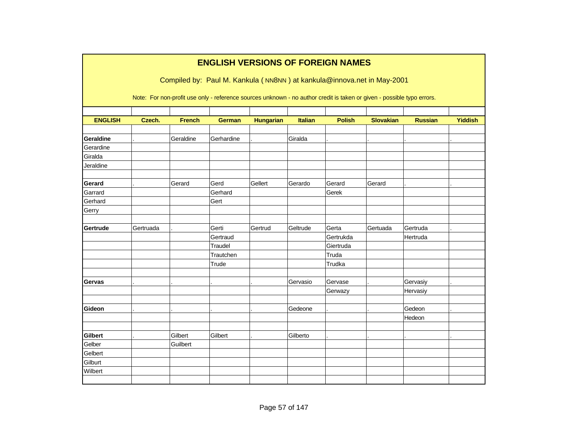|                | <b>ENGLISH VERSIONS OF FOREIGN NAMES</b>                               |               |               |                  |                |                                                                                                                        |                  |                |                |  |  |  |  |
|----------------|------------------------------------------------------------------------|---------------|---------------|------------------|----------------|------------------------------------------------------------------------------------------------------------------------|------------------|----------------|----------------|--|--|--|--|
|                | Compiled by: Paul M. Kankula (NN8NN) at kankula@innova.net in May-2001 |               |               |                  |                |                                                                                                                        |                  |                |                |  |  |  |  |
|                |                                                                        |               |               |                  |                | Note: For non-profit use only - reference sources unknown - no author credit is taken or given - possible typo errors. |                  |                |                |  |  |  |  |
| <b>ENGLISH</b> | Czech.                                                                 | <b>French</b> | <b>German</b> | <b>Hungarian</b> | <b>Italian</b> | <b>Polish</b>                                                                                                          | <b>Slovakian</b> | <b>Russian</b> | <b>Yiddish</b> |  |  |  |  |
|                |                                                                        |               |               |                  |                |                                                                                                                        |                  |                |                |  |  |  |  |
| Geraldine      |                                                                        | Geraldine     | Gerhardine    |                  | Giralda        |                                                                                                                        |                  |                |                |  |  |  |  |
| Gerardine      |                                                                        |               |               |                  |                |                                                                                                                        |                  |                |                |  |  |  |  |
| Giralda        |                                                                        |               |               |                  |                |                                                                                                                        |                  |                |                |  |  |  |  |
| Jeraldine      |                                                                        |               |               |                  |                |                                                                                                                        |                  |                |                |  |  |  |  |
| Gerard         |                                                                        | Gerard        | Gerd          | Gellert          | Gerardo        | Gerard                                                                                                                 | Gerard           |                |                |  |  |  |  |
| Garrard        |                                                                        |               | Gerhard       |                  |                | Gerek                                                                                                                  |                  |                |                |  |  |  |  |
| Gerhard        |                                                                        |               | Gert          |                  |                |                                                                                                                        |                  |                |                |  |  |  |  |
| Gerry          |                                                                        |               |               |                  |                |                                                                                                                        |                  |                |                |  |  |  |  |
|                |                                                                        |               |               |                  |                |                                                                                                                        |                  |                |                |  |  |  |  |
| Gertrude       | Gertruada                                                              |               | Gerti         | Gertrud          | Geltrude       | Gerta                                                                                                                  | Gertuada         | Gertruda       |                |  |  |  |  |
|                |                                                                        |               | Gertraud      |                  |                | Gertrukda                                                                                                              |                  | Hertruda       |                |  |  |  |  |
|                |                                                                        |               | Traudel       |                  |                | Giertruda                                                                                                              |                  |                |                |  |  |  |  |
|                |                                                                        |               | Trautchen     |                  |                | Truda                                                                                                                  |                  |                |                |  |  |  |  |
|                |                                                                        |               | Trude         |                  |                | Trudka                                                                                                                 |                  |                |                |  |  |  |  |
|                |                                                                        |               |               |                  |                |                                                                                                                        |                  |                |                |  |  |  |  |
| <b>Gervas</b>  |                                                                        |               |               |                  | Gervasio       | Gervase                                                                                                                |                  | Gervasiy       |                |  |  |  |  |
|                |                                                                        |               |               |                  |                | Gerwazy                                                                                                                |                  | Hervasiy       |                |  |  |  |  |
| Gideon         |                                                                        |               |               |                  | Gedeone        |                                                                                                                        |                  | Gedeon         |                |  |  |  |  |
|                |                                                                        |               |               |                  |                |                                                                                                                        |                  | Hedeon         |                |  |  |  |  |
|                |                                                                        |               |               |                  |                |                                                                                                                        |                  |                |                |  |  |  |  |
| <b>Gilbert</b> |                                                                        | Gilbert       | Gilbert       |                  | Gilberto       |                                                                                                                        |                  |                |                |  |  |  |  |
| Gelber         |                                                                        | Guilbert      |               |                  |                |                                                                                                                        |                  |                |                |  |  |  |  |
| Gelbert        |                                                                        |               |               |                  |                |                                                                                                                        |                  |                |                |  |  |  |  |
| Gilburt        |                                                                        |               |               |                  |                |                                                                                                                        |                  |                |                |  |  |  |  |
| Wilbert        |                                                                        |               |               |                  |                |                                                                                                                        |                  |                |                |  |  |  |  |
|                |                                                                        |               |               |                  |                |                                                                                                                        |                  |                |                |  |  |  |  |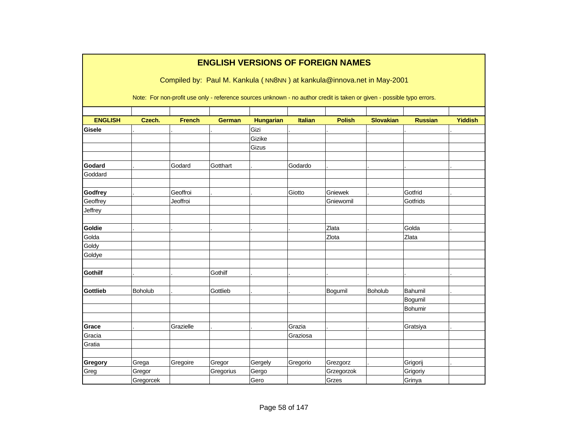|                                    |                              |                      |                     |                          |                    | <b>ENGLISH VERSIONS OF FOREIGN NAMES</b><br>Compiled by: Paul M. Kankula (NN8NN) at kankula@innova.net in May-2001     |                  |                                |                |
|------------------------------------|------------------------------|----------------------|---------------------|--------------------------|--------------------|------------------------------------------------------------------------------------------------------------------------|------------------|--------------------------------|----------------|
|                                    |                              |                      |                     |                          |                    | Note: For non-profit use only - reference sources unknown - no author credit is taken or given - possible typo errors. |                  |                                |                |
| <b>ENGLISH</b>                     | Czech.                       | <b>French</b>        | <b>German</b>       | <b>Hungarian</b>         | <b>Italian</b>     | <b>Polish</b>                                                                                                          | <b>Slovakian</b> | <b>Russian</b>                 | <b>Yiddish</b> |
| <b>Gisele</b>                      |                              |                      |                     | Gizi<br>Gizike<br>Gizus  |                    |                                                                                                                        |                  |                                |                |
| Godard<br>Goddard                  |                              | Godard               | Gotthart            |                          | Godardo            |                                                                                                                        |                  |                                |                |
| Godfrey<br>Geoffrey                |                              | Geoffroi<br>Jeoffroi |                     |                          | Giotto             | Gniewek<br>Gniewomil                                                                                                   |                  | Gotfrid<br>Gotfrids            |                |
| Jeffrey                            |                              |                      |                     |                          |                    |                                                                                                                        |                  |                                |                |
| Goldie<br>Golda<br>Goldy<br>Goldye |                              |                      |                     |                          |                    | Zlata<br>Zlota                                                                                                         |                  | Golda<br>Zlata                 |                |
| <b>Gothilf</b>                     |                              |                      | Gothilf             |                          |                    |                                                                                                                        |                  |                                |                |
| <b>Gottlieb</b>                    | Boholub                      |                      | Gottlieb            |                          |                    | Bogumil                                                                                                                | Boholub          | Bahumil<br>Bogumil<br>Bohumir  |                |
| Grace<br>Gracia                    |                              | Grazielle            |                     |                          | Grazia<br>Graziosa |                                                                                                                        |                  | Gratsiya                       |                |
| Gratia                             |                              |                      |                     |                          |                    |                                                                                                                        |                  |                                |                |
| Gregory<br>Greg                    | Grega<br>Gregor<br>Gregorcek | Gregoire             | Gregor<br>Gregorius | Gergely<br>Gergo<br>Gero | Gregorio           | Grezgorz<br>Grzegorzok<br>Grzes                                                                                        |                  | Grigorij<br>Grigoriy<br>Grinya |                |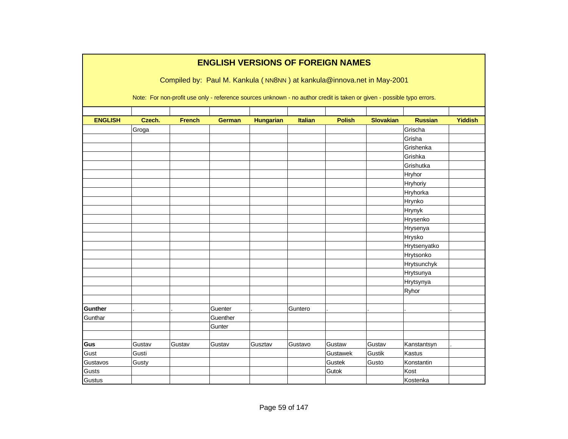|                |        |               |               |                  |                | <b>ENGLISH VERSIONS OF FOREIGN NAMES</b>                                                                               |                  |                |                |
|----------------|--------|---------------|---------------|------------------|----------------|------------------------------------------------------------------------------------------------------------------------|------------------|----------------|----------------|
|                |        |               |               |                  |                | Compiled by: Paul M. Kankula (NN8NN) at kankula@innova.net in May-2001                                                 |                  |                |                |
|                |        |               |               |                  |                |                                                                                                                        |                  |                |                |
|                |        |               |               |                  |                | Note: For non-profit use only - reference sources unknown - no author credit is taken or given - possible typo errors. |                  |                |                |
|                |        |               |               |                  |                |                                                                                                                        |                  |                |                |
| <b>ENGLISH</b> | Czech. | <b>French</b> | <b>German</b> | <b>Hungarian</b> | <b>Italian</b> | <b>Polish</b>                                                                                                          | <b>Slovakian</b> | <b>Russian</b> | <b>Yiddish</b> |
|                | Groga  |               |               |                  |                |                                                                                                                        |                  | Grischa        |                |
|                |        |               |               |                  |                |                                                                                                                        |                  | Grisha         |                |
|                |        |               |               |                  |                |                                                                                                                        |                  | Grishenka      |                |
|                |        |               |               |                  |                |                                                                                                                        |                  | Grishka        |                |
|                |        |               |               |                  |                |                                                                                                                        |                  | Grishutka      |                |
|                |        |               |               |                  |                |                                                                                                                        |                  | Hryhor         |                |
|                |        |               |               |                  |                |                                                                                                                        |                  | Hryhoriy       |                |
|                |        |               |               |                  |                |                                                                                                                        |                  | Hryhorka       |                |
|                |        |               |               |                  |                |                                                                                                                        |                  | Hrynko         |                |
|                |        |               |               |                  |                |                                                                                                                        |                  | Hrynyk         |                |
|                |        |               |               |                  |                |                                                                                                                        |                  | Hrysenko       |                |
|                |        |               |               |                  |                |                                                                                                                        |                  | Hrysenya       |                |
|                |        |               |               |                  |                |                                                                                                                        |                  | Hrysko         |                |
|                |        |               |               |                  |                |                                                                                                                        |                  | Hrytsenyatko   |                |
|                |        |               |               |                  |                |                                                                                                                        |                  | Hrytsonko      |                |
|                |        |               |               |                  |                |                                                                                                                        |                  | Hrytsunchyk    |                |
|                |        |               |               |                  |                |                                                                                                                        |                  | Hrytsunya      |                |
|                |        |               |               |                  |                |                                                                                                                        |                  | Hrytsynya      |                |
|                |        |               |               |                  |                |                                                                                                                        |                  | Ryhor          |                |
|                |        |               |               |                  |                |                                                                                                                        |                  |                |                |
| Gunther        |        |               | Guenter       |                  | Guntero        |                                                                                                                        |                  |                |                |
| Gunthar        |        |               | Guenther      |                  |                |                                                                                                                        |                  |                |                |
|                |        |               | Gunter        |                  |                |                                                                                                                        |                  |                |                |
|                |        |               |               |                  |                |                                                                                                                        |                  |                |                |
| Gus            | Gustav | Gustav        | Gustav        | Gusztav          | Gustavo        | Gustaw                                                                                                                 | Gustav           | Kanstantsyn    |                |
| Gust           | Gusti  |               |               |                  |                | Gustawek                                                                                                               | Gustik           | Kastus         |                |
| Gustavos       | Gusty  |               |               |                  |                | Gustek                                                                                                                 | Gusto            | Konstantin     |                |
| Gusts          |        |               |               |                  |                | Gutok                                                                                                                  |                  | Kost           |                |
| <b>Gustus</b>  |        |               |               |                  |                |                                                                                                                        |                  | Kostenka       |                |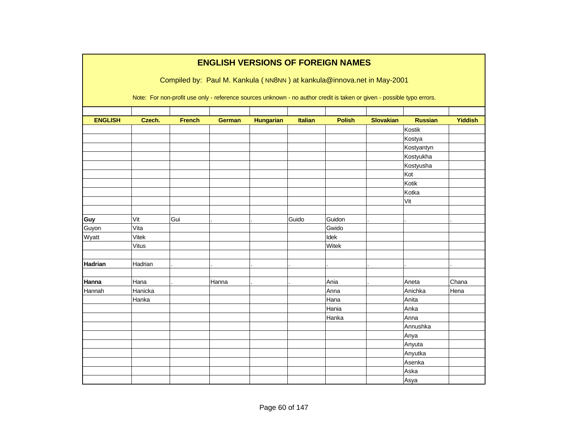|                |              |               |               |                  |         | <b>ENGLISH VERSIONS OF FOREIGN NAMES</b>                                                                               |                  |                |                |
|----------------|--------------|---------------|---------------|------------------|---------|------------------------------------------------------------------------------------------------------------------------|------------------|----------------|----------------|
|                |              |               |               |                  |         | Compiled by: Paul M. Kankula (NN8NN) at kankula@innova.net in May-2001                                                 |                  |                |                |
|                |              |               |               |                  |         |                                                                                                                        |                  |                |                |
|                |              |               |               |                  |         | Note: For non-profit use only - reference sources unknown - no author credit is taken or given - possible typo errors. |                  |                |                |
|                |              |               |               |                  |         |                                                                                                                        |                  |                |                |
| <b>ENGLISH</b> | Czech.       | <b>French</b> | <b>German</b> | <b>Hungarian</b> | Italian | <b>Polish</b>                                                                                                          | <b>Slovakian</b> | <b>Russian</b> | <b>Yiddish</b> |
|                |              |               |               |                  |         |                                                                                                                        |                  | Kostik         |                |
|                |              |               |               |                  |         |                                                                                                                        |                  | Kostya         |                |
|                |              |               |               |                  |         |                                                                                                                        |                  | Kostyantyn     |                |
|                |              |               |               |                  |         |                                                                                                                        |                  | Kostyukha      |                |
|                |              |               |               |                  |         |                                                                                                                        |                  | Kostyusha      |                |
|                |              |               |               |                  |         |                                                                                                                        |                  | Kot            |                |
|                |              |               |               |                  |         |                                                                                                                        |                  | Kotik          |                |
|                |              |               |               |                  |         |                                                                                                                        |                  | Kotka          |                |
|                |              |               |               |                  |         |                                                                                                                        |                  | Vit            |                |
|                |              |               |               |                  |         |                                                                                                                        |                  |                |                |
| Guy            | Vit          | Gui           |               |                  | Guido   | Guidon                                                                                                                 |                  |                |                |
| Guyon          | Vita         |               |               |                  |         | Gwido                                                                                                                  |                  |                |                |
| Wyatt          | Vitek        |               |               |                  |         | Idek                                                                                                                   |                  |                |                |
|                | <b>Vitus</b> |               |               |                  |         | Witek                                                                                                                  |                  |                |                |
|                |              |               |               |                  |         |                                                                                                                        |                  |                |                |
| <b>Hadrian</b> | Hadrian      |               |               |                  |         |                                                                                                                        |                  |                |                |
|                |              |               |               |                  |         |                                                                                                                        |                  |                |                |
| Hanna          | Hana         |               | Hanna         |                  |         | Ania                                                                                                                   |                  | Aneta          | Chana          |
| Hannah         | Hanicka      |               |               |                  |         | Anna                                                                                                                   |                  | Anichka        | Hena           |
|                | Hanka        |               |               |                  |         | Hana                                                                                                                   |                  | Anita          |                |
|                |              |               |               |                  |         | Hania                                                                                                                  |                  | Anka           |                |
|                |              |               |               |                  |         | Hanka                                                                                                                  |                  | Anna           |                |
|                |              |               |               |                  |         |                                                                                                                        |                  | Annushka       |                |
|                |              |               |               |                  |         |                                                                                                                        |                  | Anya           |                |
|                |              |               |               |                  |         |                                                                                                                        |                  | Anyuta         |                |
|                |              |               |               |                  |         |                                                                                                                        |                  | Anyutka        |                |
|                |              |               |               |                  |         |                                                                                                                        |                  | Asenka         |                |
|                |              |               |               |                  |         |                                                                                                                        |                  | Aska           |                |
|                |              |               |               |                  |         |                                                                                                                        |                  | Asya           |                |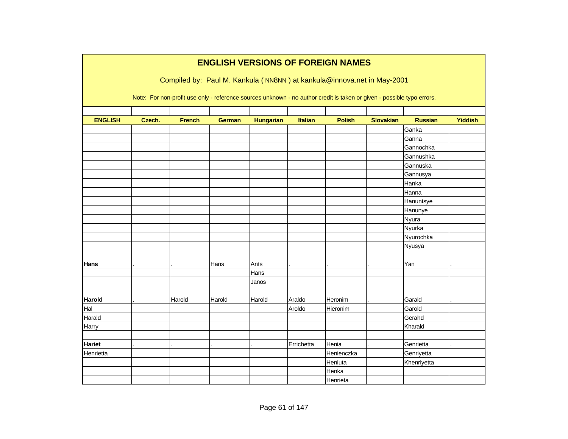|                | <b>ENGLISH VERSIONS OF FOREIGN NAMES</b> |               |               |                  |                |                                                                                                                        |                  |                |                |  |  |  |
|----------------|------------------------------------------|---------------|---------------|------------------|----------------|------------------------------------------------------------------------------------------------------------------------|------------------|----------------|----------------|--|--|--|
|                |                                          |               |               |                  |                | Compiled by: Paul M. Kankula (NN8NN) at kankula@innova.net in May-2001                                                 |                  |                |                |  |  |  |
|                |                                          |               |               |                  |                |                                                                                                                        |                  |                |                |  |  |  |
|                |                                          |               |               |                  |                | Note: For non-profit use only - reference sources unknown - no author credit is taken or given - possible typo errors. |                  |                |                |  |  |  |
|                |                                          |               |               |                  |                |                                                                                                                        |                  |                |                |  |  |  |
| <b>ENGLISH</b> | Czech.                                   | <b>French</b> | <b>German</b> | <b>Hungarian</b> | <b>Italian</b> | <b>Polish</b>                                                                                                          | <b>Slovakian</b> | <b>Russian</b> | <b>Yiddish</b> |  |  |  |
|                |                                          |               |               |                  |                |                                                                                                                        |                  | Ganka          |                |  |  |  |
|                |                                          |               |               |                  |                |                                                                                                                        |                  | Ganna          |                |  |  |  |
|                |                                          |               |               |                  |                |                                                                                                                        |                  | Gannochka      |                |  |  |  |
|                |                                          |               |               |                  |                |                                                                                                                        |                  | Gannushka      |                |  |  |  |
|                |                                          |               |               |                  |                |                                                                                                                        |                  | Gannuska       |                |  |  |  |
|                |                                          |               |               |                  |                |                                                                                                                        |                  | Gannusya       |                |  |  |  |
|                |                                          |               |               |                  |                |                                                                                                                        |                  | Hanka          |                |  |  |  |
|                |                                          |               |               |                  |                |                                                                                                                        |                  | Hanna          |                |  |  |  |
|                |                                          |               |               |                  |                |                                                                                                                        |                  | Hanuntsye      |                |  |  |  |
|                |                                          |               |               |                  |                |                                                                                                                        |                  | Hanunye        |                |  |  |  |
|                |                                          |               |               |                  |                |                                                                                                                        |                  | Nyura          |                |  |  |  |
|                |                                          |               |               |                  |                |                                                                                                                        |                  | Nyurka         |                |  |  |  |
|                |                                          |               |               |                  |                |                                                                                                                        |                  | Nyurochka      |                |  |  |  |
|                |                                          |               |               |                  |                |                                                                                                                        |                  | Nyusya         |                |  |  |  |
|                |                                          |               |               |                  |                |                                                                                                                        |                  |                |                |  |  |  |
| Hans           |                                          |               | Hans          | Ants             |                |                                                                                                                        |                  | Yan            |                |  |  |  |
|                |                                          |               |               | Hans             |                |                                                                                                                        |                  |                |                |  |  |  |
|                |                                          |               |               | Janos            |                |                                                                                                                        |                  |                |                |  |  |  |
|                |                                          |               |               |                  |                |                                                                                                                        |                  |                |                |  |  |  |
| <b>Harold</b>  |                                          | Harold        | Harold        | Harold           | Araldo         | Heronim                                                                                                                |                  | Garald         |                |  |  |  |
| Hal            |                                          |               |               |                  | Aroldo         | Hieronim                                                                                                               |                  | Garold         |                |  |  |  |
| Harald         |                                          |               |               |                  |                |                                                                                                                        |                  | Gerahd         |                |  |  |  |
| Harry          |                                          |               |               |                  |                |                                                                                                                        |                  | Kharald        |                |  |  |  |
|                |                                          |               |               |                  |                |                                                                                                                        |                  |                |                |  |  |  |
| Hariet         |                                          |               |               |                  | Errichetta     | Henia                                                                                                                  |                  | Genrietta      |                |  |  |  |
| Henrietta      |                                          |               |               |                  |                | Henienczka                                                                                                             |                  | Genriyetta     |                |  |  |  |
|                |                                          |               |               |                  |                | Heniuta                                                                                                                |                  | Khenriyetta    |                |  |  |  |
|                |                                          |               |               |                  |                | Henka                                                                                                                  |                  |                |                |  |  |  |
|                |                                          |               |               |                  |                | Henrieta                                                                                                               |                  |                |                |  |  |  |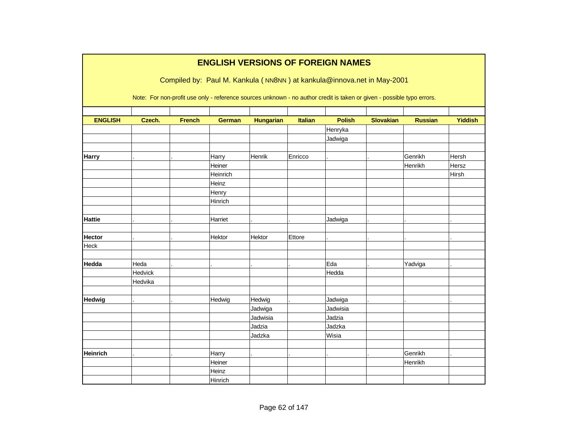|                 |         |               |               |                  |                | <b>ENGLISH VERSIONS OF FOREIGN NAMES</b>                                                                               |                  |                |                |
|-----------------|---------|---------------|---------------|------------------|----------------|------------------------------------------------------------------------------------------------------------------------|------------------|----------------|----------------|
|                 |         |               |               |                  |                | Compiled by: Paul M. Kankula (NN8NN) at kankula@innova.net in May-2001                                                 |                  |                |                |
|                 |         |               |               |                  |                | Note: For non-profit use only - reference sources unknown - no author credit is taken or given - possible typo errors. |                  |                |                |
|                 |         |               |               |                  |                |                                                                                                                        |                  |                |                |
| <b>ENGLISH</b>  | Czech.  | <b>French</b> | <b>German</b> | <b>Hungarian</b> | <b>Italian</b> | <b>Polish</b>                                                                                                          | <b>Slovakian</b> | <b>Russian</b> | <b>Yiddish</b> |
|                 |         |               |               |                  |                | Henryka                                                                                                                |                  |                |                |
|                 |         |               |               |                  |                | Jadwiga                                                                                                                |                  |                |                |
| <b>Harry</b>    |         |               | Harry         | Henrik           | Enricco        |                                                                                                                        |                  | Genrikh        | Hersh          |
|                 |         |               | Heiner        |                  |                |                                                                                                                        |                  | Henrikh        | Hersz          |
|                 |         |               | Heinrich      |                  |                |                                                                                                                        |                  |                | Hirsh          |
|                 |         |               | Heinz         |                  |                |                                                                                                                        |                  |                |                |
|                 |         |               | Henry         |                  |                |                                                                                                                        |                  |                |                |
|                 |         |               | Hinrich       |                  |                |                                                                                                                        |                  |                |                |
|                 |         |               |               |                  |                |                                                                                                                        |                  |                |                |
| <b>Hattie</b>   |         |               | Harriet       |                  |                | Jadwiga                                                                                                                |                  |                |                |
| <b>Hector</b>   |         |               | Hektor        | Hektor           | Ettore         |                                                                                                                        |                  |                |                |
| Heck            |         |               |               |                  |                |                                                                                                                        |                  |                |                |
|                 |         |               |               |                  |                |                                                                                                                        |                  |                |                |
| Hedda           | Heda    |               |               |                  |                | Eda                                                                                                                    |                  | Yadviga        |                |
|                 | Hedvick |               |               |                  |                | Hedda                                                                                                                  |                  |                |                |
|                 | Hedvika |               |               |                  |                |                                                                                                                        |                  |                |                |
| Hedwig          |         |               | Hedwig        | Hedwig           |                | Jadwiga                                                                                                                |                  |                |                |
|                 |         |               |               | Jadwiga          |                | Jadwisia                                                                                                               |                  |                |                |
|                 |         |               |               | Jadwisia         |                | Jadzia                                                                                                                 |                  |                |                |
|                 |         |               |               | Jadzia           |                | Jadzka                                                                                                                 |                  |                |                |
|                 |         |               |               | Jadzka           |                | Wisia                                                                                                                  |                  |                |                |
|                 |         |               |               |                  |                |                                                                                                                        |                  |                |                |
| <b>Heinrich</b> |         |               | Harry         |                  |                |                                                                                                                        |                  | Genrikh        |                |
|                 |         |               | Heiner        |                  |                |                                                                                                                        |                  | Henrikh        |                |
|                 |         |               | Heinz         |                  |                |                                                                                                                        |                  |                |                |
|                 |         |               | Hinrich       |                  |                |                                                                                                                        |                  |                |                |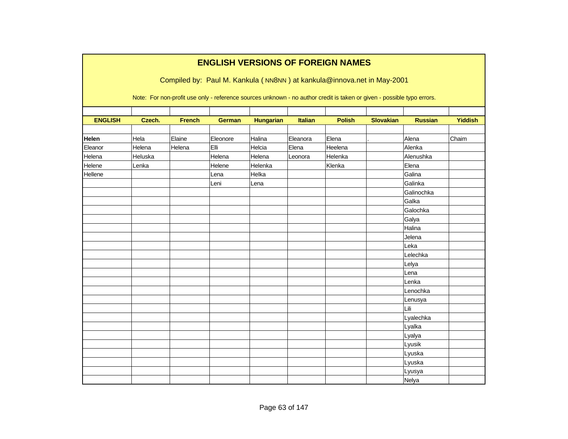|                | <b>ENGLISH VERSIONS OF FOREIGN NAMES</b><br>Compiled by: Paul M. Kankula (NN8NN) at kankula@innova.net in May-2001     |               |               |                  |                |               |                  |                |                |  |  |  |  |
|----------------|------------------------------------------------------------------------------------------------------------------------|---------------|---------------|------------------|----------------|---------------|------------------|----------------|----------------|--|--|--|--|
|                | Note: For non-profit use only - reference sources unknown - no author credit is taken or given - possible typo errors. |               |               |                  |                |               |                  |                |                |  |  |  |  |
| <b>ENGLISH</b> | Czech.                                                                                                                 | <b>French</b> | <b>German</b> | <b>Hungarian</b> | <b>Italian</b> | <b>Polish</b> | <b>Slovakian</b> | <b>Russian</b> | <b>Yiddish</b> |  |  |  |  |
| Helen          | Hela                                                                                                                   | Elaine        | Eleonore      | Halina           | Eleanora       | Elena         |                  | Alena          | Chaim          |  |  |  |  |
| Eleanor        | Helena                                                                                                                 | Helena        | Elli          | Helcia           | Elena          | Heelena       |                  | Alenka         |                |  |  |  |  |
| Helena         | Heluska                                                                                                                |               | Helena        | Helena           | Leonora        | Helenka       |                  | Alenushka      |                |  |  |  |  |
| Helene         | Lenka                                                                                                                  |               | Helene        | Helenka          |                | Klenka        |                  | Elena          |                |  |  |  |  |
| Hellene        |                                                                                                                        |               | Lena          | Helka            |                |               |                  | Galina         |                |  |  |  |  |
|                |                                                                                                                        |               | Leni          | Lena             |                |               |                  | Galinka        |                |  |  |  |  |
|                |                                                                                                                        |               |               |                  |                |               |                  | Galinochka     |                |  |  |  |  |
|                |                                                                                                                        |               |               |                  |                |               |                  | Galka          |                |  |  |  |  |
|                |                                                                                                                        |               |               |                  |                |               |                  | Galochka       |                |  |  |  |  |
|                |                                                                                                                        |               |               |                  |                |               |                  | Galya          |                |  |  |  |  |
|                |                                                                                                                        |               |               |                  |                |               |                  | Halina         |                |  |  |  |  |
|                |                                                                                                                        |               |               |                  |                |               |                  | Jelena         |                |  |  |  |  |
|                |                                                                                                                        |               |               |                  |                |               |                  | Leka           |                |  |  |  |  |
|                |                                                                                                                        |               |               |                  |                |               |                  | Lelechka       |                |  |  |  |  |
|                |                                                                                                                        |               |               |                  |                |               |                  | Lelya          |                |  |  |  |  |
|                |                                                                                                                        |               |               |                  |                |               |                  | Lena           |                |  |  |  |  |
|                |                                                                                                                        |               |               |                  |                |               |                  | Lenka          |                |  |  |  |  |
|                |                                                                                                                        |               |               |                  |                |               |                  | Lenochka       |                |  |  |  |  |
|                |                                                                                                                        |               |               |                  |                |               |                  | Lenusya        |                |  |  |  |  |
|                |                                                                                                                        |               |               |                  |                |               |                  | Lili           |                |  |  |  |  |
|                |                                                                                                                        |               |               |                  |                |               |                  | Lyalechka      |                |  |  |  |  |
|                |                                                                                                                        |               |               |                  |                |               |                  | Lyalka         |                |  |  |  |  |
|                |                                                                                                                        |               |               |                  |                |               |                  | Lyalya         |                |  |  |  |  |
|                |                                                                                                                        |               |               |                  |                |               |                  | Lyusik         |                |  |  |  |  |
|                |                                                                                                                        |               |               |                  |                |               |                  | Lyuska         |                |  |  |  |  |
|                |                                                                                                                        |               |               |                  |                |               |                  | Lyuska         |                |  |  |  |  |
|                |                                                                                                                        |               |               |                  |                |               |                  | Lyusya         |                |  |  |  |  |
|                |                                                                                                                        |               |               |                  |                |               |                  | Nelya          |                |  |  |  |  |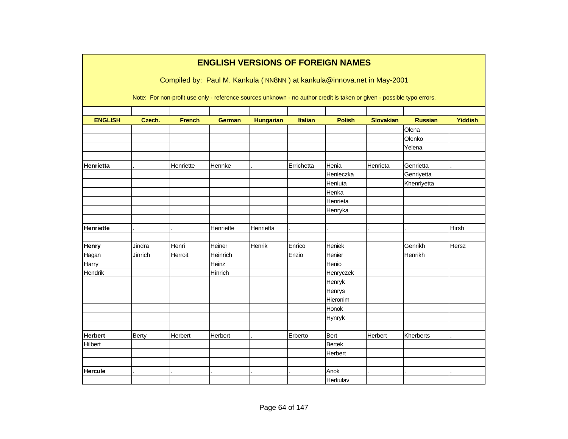|                  |         |               |               |                  |                | <b>ENGLISH VERSIONS OF FOREIGN NAMES</b>                                                                               |                  |                |                |
|------------------|---------|---------------|---------------|------------------|----------------|------------------------------------------------------------------------------------------------------------------------|------------------|----------------|----------------|
|                  |         |               |               |                  |                | Compiled by: Paul M. Kankula (NN8NN) at kankula@innova.net in May-2001                                                 |                  |                |                |
|                  |         |               |               |                  |                |                                                                                                                        |                  |                |                |
|                  |         |               |               |                  |                | Note: For non-profit use only - reference sources unknown - no author credit is taken or given - possible typo errors. |                  |                |                |
|                  |         |               |               |                  |                |                                                                                                                        |                  |                |                |
| <b>ENGLISH</b>   | Czech.  | <b>French</b> | <b>German</b> | <b>Hungarian</b> | <b>Italian</b> | <b>Polish</b>                                                                                                          | <b>Slovakian</b> | <b>Russian</b> | <b>Yiddish</b> |
|                  |         |               |               |                  |                |                                                                                                                        |                  | Olena          |                |
|                  |         |               |               |                  |                |                                                                                                                        |                  | Olenko         |                |
|                  |         |               |               |                  |                |                                                                                                                        |                  | Yelena         |                |
|                  |         |               |               |                  |                |                                                                                                                        |                  |                |                |
| Henrietta        |         | Henriette     | Hennke        |                  | Errichetta     | Henia                                                                                                                  | Henrieta         | Genrietta      |                |
|                  |         |               |               |                  |                | Henieczka                                                                                                              |                  | Genriyetta     |                |
|                  |         |               |               |                  |                | Heniuta                                                                                                                |                  | Khenriyetta    |                |
|                  |         |               |               |                  |                | Henka                                                                                                                  |                  |                |                |
|                  |         |               |               |                  |                | Henrieta                                                                                                               |                  |                |                |
|                  |         |               |               |                  |                | Henryka                                                                                                                |                  |                |                |
|                  |         |               |               |                  |                |                                                                                                                        |                  |                |                |
| <b>Henriette</b> |         |               | Henriette     | Henrietta        |                |                                                                                                                        |                  |                | Hirsh          |
|                  |         |               |               |                  |                |                                                                                                                        |                  |                |                |
| <b>Henry</b>     | Jindra  | Henri         | Heiner        | Henrik           | Enrico         | Heniek                                                                                                                 |                  | Genrikh        | Hersz          |
| Hagan            | Jinrich | Herroit       | Heinrich      |                  | Enzio          | Henier                                                                                                                 |                  | Henrikh        |                |
| Harry            |         |               | Heinz         |                  |                | Henio                                                                                                                  |                  |                |                |
| Hendrik          |         |               | Hinrich       |                  |                | Henryczek                                                                                                              |                  |                |                |
|                  |         |               |               |                  |                | Henryk                                                                                                                 |                  |                |                |
|                  |         |               |               |                  |                | Henrys                                                                                                                 |                  |                |                |
|                  |         |               |               |                  |                | Hieronim                                                                                                               |                  |                |                |
|                  |         |               |               |                  |                | Honok                                                                                                                  |                  |                |                |
|                  |         |               |               |                  |                | <b>Hynryk</b>                                                                                                          |                  |                |                |
|                  |         |               |               |                  |                |                                                                                                                        |                  |                |                |
| <b>Herbert</b>   | Berty   | Herbert       | Herbert       |                  | Erberto        | Bert                                                                                                                   | Herbert          | Kherberts      |                |
| Hilbert          |         |               |               |                  |                | <b>Bertek</b>                                                                                                          |                  |                |                |
|                  |         |               |               |                  |                | Herbert                                                                                                                |                  |                |                |
|                  |         |               |               |                  |                |                                                                                                                        |                  |                |                |
| <b>Hercule</b>   |         |               |               |                  |                | Anok                                                                                                                   |                  |                |                |
|                  |         |               |               |                  |                | Herkulav                                                                                                               |                  |                |                |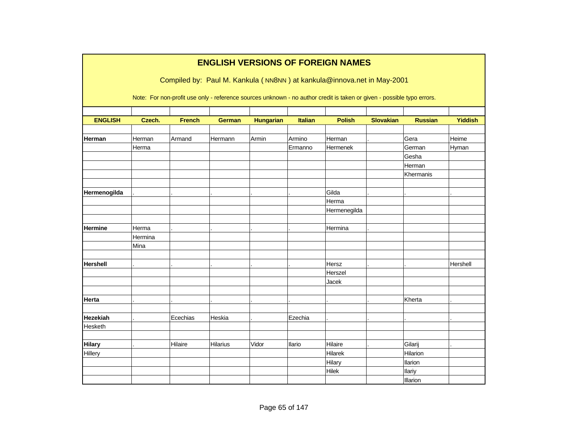| <b>ENGLISH VERSIONS OF FOREIGN NAMES</b> |                                                                                                                        |               |               |                  |                |               |                  |                |                |  |  |  |  |  |
|------------------------------------------|------------------------------------------------------------------------------------------------------------------------|---------------|---------------|------------------|----------------|---------------|------------------|----------------|----------------|--|--|--|--|--|
|                                          | Compiled by: Paul M. Kankula (NN8NN) at kankula@innova.net in May-2001                                                 |               |               |                  |                |               |                  |                |                |  |  |  |  |  |
|                                          | Note: For non-profit use only - reference sources unknown - no author credit is taken or given - possible typo errors. |               |               |                  |                |               |                  |                |                |  |  |  |  |  |
|                                          |                                                                                                                        |               |               |                  |                |               |                  |                |                |  |  |  |  |  |
| <b>ENGLISH</b>                           | Czech.                                                                                                                 | <b>French</b> | <b>German</b> | <b>Hungarian</b> | <b>Italian</b> | <b>Polish</b> | <b>Slovakian</b> | <b>Russian</b> | <b>Yiddish</b> |  |  |  |  |  |
|                                          |                                                                                                                        |               |               |                  |                |               |                  |                |                |  |  |  |  |  |
| Herman                                   | Herman                                                                                                                 | Armand        | Hermann       | Armin            | Armino         | Herman        |                  | Gera           | Heime          |  |  |  |  |  |
|                                          | Herma                                                                                                                  |               |               |                  | Ermanno        | Hermenek      |                  | German         | Hyman          |  |  |  |  |  |
|                                          |                                                                                                                        |               |               |                  |                |               |                  | Gesha          |                |  |  |  |  |  |
|                                          |                                                                                                                        |               |               |                  |                |               |                  | Herman         |                |  |  |  |  |  |
|                                          |                                                                                                                        |               |               |                  |                |               |                  | Khermanis      |                |  |  |  |  |  |
|                                          |                                                                                                                        |               |               |                  |                |               |                  |                |                |  |  |  |  |  |
| Hermenogilda                             |                                                                                                                        |               |               |                  |                | Gilda         |                  |                |                |  |  |  |  |  |
|                                          |                                                                                                                        |               |               |                  |                | Herma         |                  |                |                |  |  |  |  |  |
|                                          |                                                                                                                        |               |               |                  |                | Hermenegilda  |                  |                |                |  |  |  |  |  |
|                                          |                                                                                                                        |               |               |                  |                |               |                  |                |                |  |  |  |  |  |
| <b>Hermine</b>                           | Herma                                                                                                                  |               |               |                  |                | Hermina       |                  |                |                |  |  |  |  |  |
|                                          | Hermina                                                                                                                |               |               |                  |                |               |                  |                |                |  |  |  |  |  |
|                                          | Mina                                                                                                                   |               |               |                  |                |               |                  |                |                |  |  |  |  |  |
|                                          |                                                                                                                        |               |               |                  |                |               |                  |                |                |  |  |  |  |  |
| <b>Hershell</b>                          |                                                                                                                        |               |               |                  |                | Hersz         |                  |                | Hershell       |  |  |  |  |  |
|                                          |                                                                                                                        |               |               |                  |                | Herszel       |                  |                |                |  |  |  |  |  |
|                                          |                                                                                                                        |               |               |                  |                | Jacek         |                  |                |                |  |  |  |  |  |
|                                          |                                                                                                                        |               |               |                  |                |               |                  |                |                |  |  |  |  |  |
| Herta                                    |                                                                                                                        |               |               |                  |                |               |                  | Kherta         |                |  |  |  |  |  |
|                                          |                                                                                                                        |               |               |                  |                |               |                  |                |                |  |  |  |  |  |
| Hezekiah                                 |                                                                                                                        | Ecechias      | Heskia        |                  | Ezechia        |               |                  |                |                |  |  |  |  |  |
| Hesketh                                  |                                                                                                                        |               |               |                  |                |               |                  |                |                |  |  |  |  |  |
|                                          |                                                                                                                        |               |               |                  |                |               |                  |                |                |  |  |  |  |  |
| <b>Hilary</b>                            |                                                                                                                        | Hilaire       | Hilarius      | Vidor            | Ilario         | Hilaire       |                  | Gilarij        |                |  |  |  |  |  |
| Hillery                                  |                                                                                                                        |               |               |                  |                | Hilarek       |                  | Hilarion       |                |  |  |  |  |  |
|                                          |                                                                                                                        |               |               |                  |                | Hilary        |                  | Ilarion        |                |  |  |  |  |  |
|                                          |                                                                                                                        |               |               |                  |                | Hilek         |                  | llariy         |                |  |  |  |  |  |
|                                          |                                                                                                                        |               |               |                  |                |               |                  | Illarion       |                |  |  |  |  |  |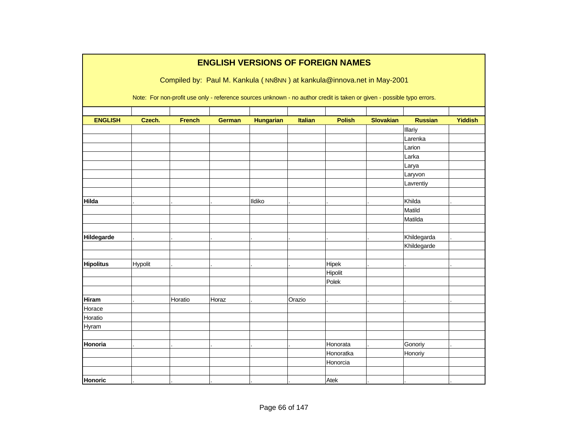|                  |         |               |               |                  |                | <b>ENGLISH VERSIONS OF FOREIGN NAMES</b>                                                                               |                  |                  |                |
|------------------|---------|---------------|---------------|------------------|----------------|------------------------------------------------------------------------------------------------------------------------|------------------|------------------|----------------|
|                  |         |               |               |                  |                | Compiled by: Paul M. Kankula (NN8NN) at kankula@innova.net in May-2001                                                 |                  |                  |                |
|                  |         |               |               |                  |                | Note: For non-profit use only - reference sources unknown - no author credit is taken or given - possible typo errors. |                  |                  |                |
|                  |         |               |               |                  |                |                                                                                                                        |                  |                  |                |
| <b>ENGLISH</b>   | Czech.  | <b>French</b> | <b>German</b> | <b>Hungarian</b> | <b>Italian</b> | <b>Polish</b>                                                                                                          | <b>Slovakian</b> | <b>Russian</b>   | <b>Yiddish</b> |
|                  |         |               |               |                  |                |                                                                                                                        |                  | Illariy          |                |
|                  |         |               |               |                  |                |                                                                                                                        |                  | Larenka          |                |
|                  |         |               |               |                  |                |                                                                                                                        |                  | Larion           |                |
|                  |         |               |               |                  |                |                                                                                                                        |                  | Larka            |                |
|                  |         |               |               |                  |                |                                                                                                                        |                  | Larya<br>Laryvon |                |
|                  |         |               |               |                  |                |                                                                                                                        |                  | Lavrentiy        |                |
|                  |         |               |               |                  |                |                                                                                                                        |                  |                  |                |
| Hilda            |         |               |               | Ildiko           |                |                                                                                                                        |                  | Khilda           |                |
|                  |         |               |               |                  |                |                                                                                                                        |                  | Matild           |                |
|                  |         |               |               |                  |                |                                                                                                                        |                  | Matilda          |                |
|                  |         |               |               |                  |                |                                                                                                                        |                  |                  |                |
| Hildegarde       |         |               |               |                  |                |                                                                                                                        |                  | Khildegarda      |                |
|                  |         |               |               |                  |                |                                                                                                                        |                  | Khildegarde      |                |
|                  |         |               |               |                  |                |                                                                                                                        |                  |                  |                |
| <b>Hipolitus</b> | Hypolit |               |               |                  |                | Hipek                                                                                                                  |                  |                  |                |
|                  |         |               |               |                  |                | Hipolit                                                                                                                |                  |                  |                |
|                  |         |               |               |                  |                | Polek                                                                                                                  |                  |                  |                |
|                  |         |               |               |                  |                |                                                                                                                        |                  |                  |                |
| <b>Hiram</b>     |         | Horatio       | Horaz         |                  | Orazio         |                                                                                                                        |                  |                  |                |
| Horace           |         |               |               |                  |                |                                                                                                                        |                  |                  |                |
| Horatio          |         |               |               |                  |                |                                                                                                                        |                  |                  |                |
| Hyram            |         |               |               |                  |                |                                                                                                                        |                  |                  |                |
|                  |         |               |               |                  |                |                                                                                                                        |                  |                  |                |
| Honoria          |         |               |               |                  |                | Honorata                                                                                                               |                  | Gonoriy          |                |
|                  |         |               |               |                  |                | Honoratka                                                                                                              |                  | Honoriy          |                |
|                  |         |               |               |                  |                | Honorcia                                                                                                               |                  |                  |                |
|                  |         |               |               |                  |                |                                                                                                                        |                  |                  |                |
| <b>Honoric</b>   |         |               |               |                  |                | Atek                                                                                                                   |                  |                  |                |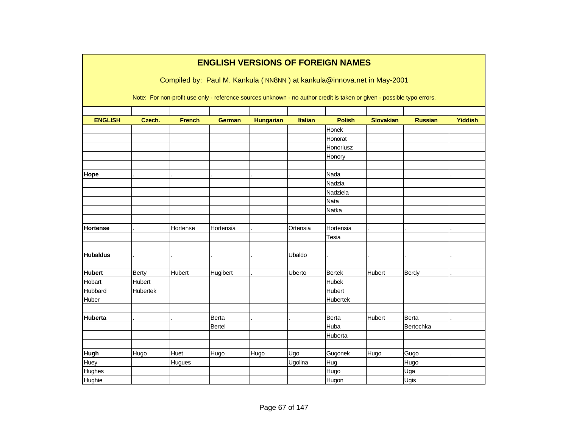|                 |               |               |               |                  |                | <b>ENGLISH VERSIONS OF FOREIGN NAMES</b>                                                                               |                  |                |                |
|-----------------|---------------|---------------|---------------|------------------|----------------|------------------------------------------------------------------------------------------------------------------------|------------------|----------------|----------------|
|                 |               |               |               |                  |                | Compiled by: Paul M. Kankula (NN8NN) at kankula@innova.net in May-2001                                                 |                  |                |                |
|                 |               |               |               |                  |                | Note: For non-profit use only - reference sources unknown - no author credit is taken or given - possible typo errors. |                  |                |                |
| <b>ENGLISH</b>  | Czech.        | <b>French</b> | <b>German</b> | <b>Hungarian</b> | <b>Italian</b> | <b>Polish</b>                                                                                                          | <b>Slovakian</b> | <b>Russian</b> | <b>Yiddish</b> |
|                 |               |               |               |                  |                | Honek                                                                                                                  |                  |                |                |
|                 |               |               |               |                  |                | Honorat                                                                                                                |                  |                |                |
|                 |               |               |               |                  |                | Honoriusz                                                                                                              |                  |                |                |
|                 |               |               |               |                  |                | Honory                                                                                                                 |                  |                |                |
| Hope            |               |               |               |                  |                | Nada                                                                                                                   |                  |                |                |
|                 |               |               |               |                  |                | Nadzia                                                                                                                 |                  |                |                |
|                 |               |               |               |                  |                | Nadzieia                                                                                                               |                  |                |                |
|                 |               |               |               |                  |                | Nata                                                                                                                   |                  |                |                |
|                 |               |               |               |                  |                | Natka                                                                                                                  |                  |                |                |
| <b>Hortense</b> |               | Hortense      | Hortensia     |                  | Ortensia       | Hortensia                                                                                                              |                  |                |                |
|                 |               |               |               |                  |                | Tesia                                                                                                                  |                  |                |                |
| <b>Hubaldus</b> |               |               |               |                  | Ubaldo         |                                                                                                                        |                  |                |                |
|                 |               |               |               |                  |                |                                                                                                                        |                  |                |                |
| <b>Hubert</b>   | <b>Berty</b>  | <b>Hubert</b> | Hugibert      |                  | Uberto         | <b>Bertek</b>                                                                                                          | Hubert           | Berdy          |                |
| Hobart          | <b>Hubert</b> |               |               |                  |                | Hubek                                                                                                                  |                  |                |                |
| Hubbard         | Hubertek      |               |               |                  |                | Hubert                                                                                                                 |                  |                |                |
| Huber           |               |               |               |                  |                | Hubertek                                                                                                               |                  |                |                |
| <b>Huberta</b>  |               |               | Berta         |                  |                | Berta                                                                                                                  | Hubert           | Berta          |                |
|                 |               |               | Bertel        |                  |                | Huba                                                                                                                   |                  | Bertochka      |                |
|                 |               |               |               |                  |                | Huberta                                                                                                                |                  |                |                |
| <b>Hugh</b>     | Hugo          | Huet          | Hugo          | Hugo             | Ugo            | Gugonek                                                                                                                | Hugo             | Gugo           |                |
| Huey            |               | Hugues        |               |                  | Ugolina        | Hug                                                                                                                    |                  | Hugo           |                |
| Hughes          |               |               |               |                  |                | Hugo                                                                                                                   |                  | Uga            |                |
| Hughie          |               |               |               |                  |                | Hugon                                                                                                                  |                  | Ugis           |                |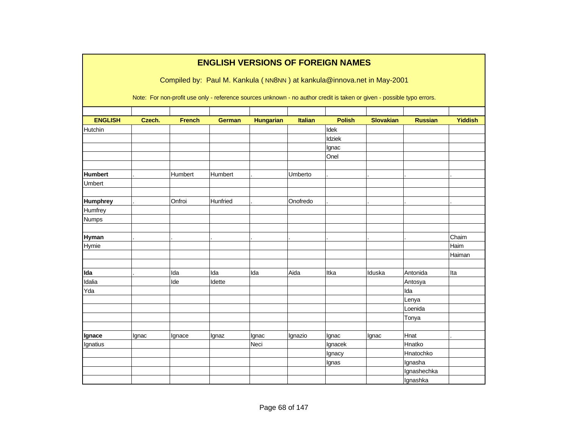|                 |        |               |               |                  |                | <b>ENGLISH VERSIONS OF FOREIGN NAMES</b>                                                                               |                  |                        |                |
|-----------------|--------|---------------|---------------|------------------|----------------|------------------------------------------------------------------------------------------------------------------------|------------------|------------------------|----------------|
|                 |        |               |               |                  |                | Compiled by: Paul M. Kankula (NN8NN) at kankula@innova.net in May-2001                                                 |                  |                        |                |
|                 |        |               |               |                  |                |                                                                                                                        |                  |                        |                |
|                 |        |               |               |                  |                | Note: For non-profit use only - reference sources unknown - no author credit is taken or given - possible typo errors. |                  |                        |                |
| <b>ENGLISH</b>  | Czech. | <b>French</b> | <b>German</b> | <b>Hungarian</b> | <b>Italian</b> | <b>Polish</b>                                                                                                          | <b>Slovakian</b> | <b>Russian</b>         | <b>Yiddish</b> |
| Hutchin         |        |               |               |                  |                | Idek                                                                                                                   |                  |                        |                |
|                 |        |               |               |                  |                | Idziek                                                                                                                 |                  |                        |                |
|                 |        |               |               |                  |                | Ignac                                                                                                                  |                  |                        |                |
|                 |        |               |               |                  |                | Onel                                                                                                                   |                  |                        |                |
|                 |        |               |               |                  |                |                                                                                                                        |                  |                        |                |
| <b>Humbert</b>  |        | Humbert       | Humbert       |                  | Umberto        |                                                                                                                        |                  |                        |                |
| <b>Umbert</b>   |        |               |               |                  |                |                                                                                                                        |                  |                        |                |
| <b>Humphrey</b> |        | Onfroi        | Hunfried      |                  | Onofredo       |                                                                                                                        |                  |                        |                |
| Humfrey         |        |               |               |                  |                |                                                                                                                        |                  |                        |                |
| <b>Numps</b>    |        |               |               |                  |                |                                                                                                                        |                  |                        |                |
|                 |        |               |               |                  |                |                                                                                                                        |                  |                        |                |
| <b>Hyman</b>    |        |               |               |                  |                |                                                                                                                        |                  |                        | Chaim          |
| Hymie           |        |               |               |                  |                |                                                                                                                        |                  |                        | Haim           |
|                 |        |               |               |                  |                |                                                                                                                        |                  |                        | Haiman         |
| Ida             |        | Ida           | Ida           | Ida              | Aida           | Itka                                                                                                                   | Iduska           | Antonida               | Ita            |
| Idalia          |        | Ide           | Idette        |                  |                |                                                                                                                        |                  | Antosya                |                |
| Yda             |        |               |               |                  |                |                                                                                                                        |                  | Ida                    |                |
|                 |        |               |               |                  |                |                                                                                                                        |                  | Lenya                  |                |
|                 |        |               |               |                  |                |                                                                                                                        |                  | Loenida                |                |
|                 |        |               |               |                  |                |                                                                                                                        |                  | Tonya                  |                |
|                 |        |               |               |                  |                |                                                                                                                        |                  |                        |                |
| Ignace          | Ignac  | Ignace        | Ignaz         | Ignac            | Ignazio        | Ignac                                                                                                                  | Ignac            | Hnat                   |                |
| Ignatius        |        |               |               | Neci             |                | Ignacek                                                                                                                |                  | Hnatko                 |                |
|                 |        |               |               |                  |                | Ignacy                                                                                                                 |                  | Hnatochko              |                |
|                 |        |               |               |                  |                | Ignas                                                                                                                  |                  | Ignasha<br>Ignashechka |                |
|                 |        |               |               |                  |                |                                                                                                                        |                  |                        |                |
|                 |        |               |               |                  |                |                                                                                                                        |                  | Ignashka               |                |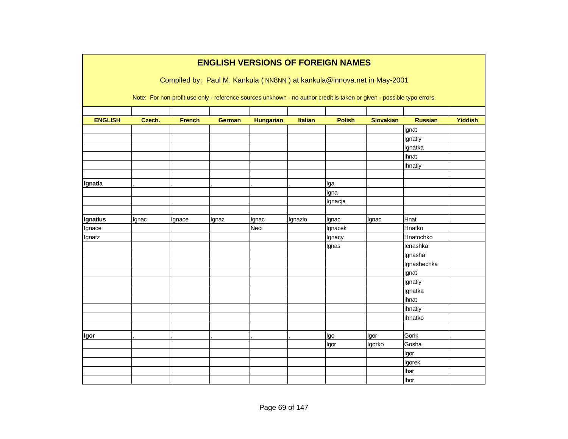|                | <b>ENGLISH VERSIONS OF FOREIGN NAMES</b>                               |               |               |                  |                |                                                                                                                        |                  |                |                |  |  |  |  |
|----------------|------------------------------------------------------------------------|---------------|---------------|------------------|----------------|------------------------------------------------------------------------------------------------------------------------|------------------|----------------|----------------|--|--|--|--|
|                | Compiled by: Paul M. Kankula (NN8NN) at kankula@innova.net in May-2001 |               |               |                  |                |                                                                                                                        |                  |                |                |  |  |  |  |
|                |                                                                        |               |               |                  |                | Note: For non-profit use only - reference sources unknown - no author credit is taken or given - possible typo errors. |                  |                |                |  |  |  |  |
|                |                                                                        |               |               |                  |                |                                                                                                                        |                  |                |                |  |  |  |  |
| <b>ENGLISH</b> | Czech.                                                                 | <b>French</b> | <b>German</b> | <b>Hungarian</b> | <b>Italian</b> | <b>Polish</b>                                                                                                          | <b>Slovakian</b> | <b>Russian</b> | <b>Yiddish</b> |  |  |  |  |
|                |                                                                        |               |               |                  |                |                                                                                                                        |                  | Ignat          |                |  |  |  |  |
|                |                                                                        |               |               |                  |                |                                                                                                                        |                  | Ignatiy        |                |  |  |  |  |
|                |                                                                        |               |               |                  |                |                                                                                                                        |                  | Ignatka        |                |  |  |  |  |
|                |                                                                        |               |               |                  |                |                                                                                                                        |                  | <b>Ihnat</b>   |                |  |  |  |  |
|                |                                                                        |               |               |                  |                |                                                                                                                        |                  | <b>Ihnatiy</b> |                |  |  |  |  |
|                |                                                                        |               |               |                  |                |                                                                                                                        |                  |                |                |  |  |  |  |
| Ignatia        |                                                                        |               |               |                  |                | Iga                                                                                                                    |                  |                |                |  |  |  |  |
|                |                                                                        |               |               |                  |                | Igna                                                                                                                   |                  |                |                |  |  |  |  |
|                |                                                                        |               |               |                  |                | Ignacja                                                                                                                |                  |                |                |  |  |  |  |
| Ignatius       | Ignac                                                                  | Ignace        | Ignaz         | Ignac            | Ignazio        | Ignac                                                                                                                  | Ignac            | Hnat           |                |  |  |  |  |
| Ignace         |                                                                        |               |               | Neci             |                | Ignacek                                                                                                                |                  | Hnatko         |                |  |  |  |  |
| Ignatz         |                                                                        |               |               |                  |                | Ignacy                                                                                                                 |                  | Hnatochko      |                |  |  |  |  |
|                |                                                                        |               |               |                  |                | Ignas                                                                                                                  |                  | Icnashka       |                |  |  |  |  |
|                |                                                                        |               |               |                  |                |                                                                                                                        |                  | Ignasha        |                |  |  |  |  |
|                |                                                                        |               |               |                  |                |                                                                                                                        |                  | Ignashechka    |                |  |  |  |  |
|                |                                                                        |               |               |                  |                |                                                                                                                        |                  | Ignat          |                |  |  |  |  |
|                |                                                                        |               |               |                  |                |                                                                                                                        |                  | Ignatiy        |                |  |  |  |  |
|                |                                                                        |               |               |                  |                |                                                                                                                        |                  | Ignatka        |                |  |  |  |  |
|                |                                                                        |               |               |                  |                |                                                                                                                        |                  | Ihnat          |                |  |  |  |  |
|                |                                                                        |               |               |                  |                |                                                                                                                        |                  | Ihnatiy        |                |  |  |  |  |
|                |                                                                        |               |               |                  |                |                                                                                                                        |                  | Ihnatko        |                |  |  |  |  |
|                |                                                                        |               |               |                  |                |                                                                                                                        |                  |                |                |  |  |  |  |
| Igor           |                                                                        |               |               |                  |                | Igo                                                                                                                    | Igor             | Gorik          |                |  |  |  |  |
|                |                                                                        |               |               |                  |                | Igor                                                                                                                   | Igorko           | Gosha          |                |  |  |  |  |
|                |                                                                        |               |               |                  |                |                                                                                                                        |                  | Igor           |                |  |  |  |  |
|                |                                                                        |               |               |                  |                |                                                                                                                        |                  | Igorek         |                |  |  |  |  |
|                |                                                                        |               |               |                  |                |                                                                                                                        |                  | <b>Ihar</b>    |                |  |  |  |  |
|                |                                                                        |               |               |                  |                |                                                                                                                        |                  | <b>Ihor</b>    |                |  |  |  |  |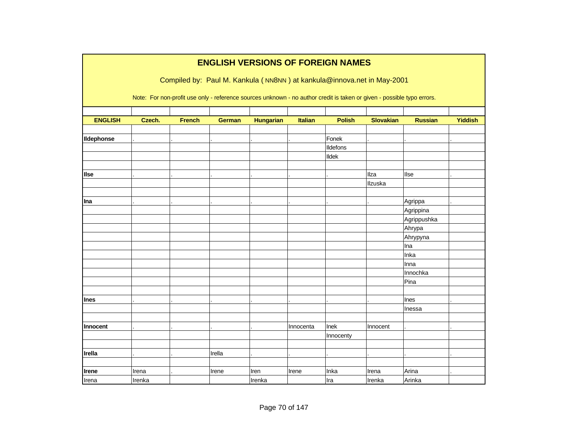|                 | <b>ENGLISH VERSIONS OF FOREIGN NAMES</b>                               |               |               |                  |                |                                                                                                                        |                  |                |                |  |  |  |  |
|-----------------|------------------------------------------------------------------------|---------------|---------------|------------------|----------------|------------------------------------------------------------------------------------------------------------------------|------------------|----------------|----------------|--|--|--|--|
|                 | Compiled by: Paul M. Kankula (NN8NN) at kankula@innova.net in May-2001 |               |               |                  |                |                                                                                                                        |                  |                |                |  |  |  |  |
|                 |                                                                        |               |               |                  |                |                                                                                                                        |                  |                |                |  |  |  |  |
|                 |                                                                        |               |               |                  |                | Note: For non-profit use only - reference sources unknown - no author credit is taken or given - possible typo errors. |                  |                |                |  |  |  |  |
|                 |                                                                        |               |               |                  |                |                                                                                                                        |                  |                |                |  |  |  |  |
| <b>ENGLISH</b>  | Czech.                                                                 | <b>French</b> | <b>German</b> | <b>Hungarian</b> | <b>Italian</b> | <b>Polish</b>                                                                                                          | <b>Slovakian</b> | <b>Russian</b> | <b>Yiddish</b> |  |  |  |  |
| Ildephonse      |                                                                        |               |               |                  |                | Fonek                                                                                                                  |                  |                |                |  |  |  |  |
|                 |                                                                        |               |               |                  |                | Ildefons                                                                                                               |                  |                |                |  |  |  |  |
|                 |                                                                        |               |               |                  |                | <b>Ildek</b>                                                                                                           |                  |                |                |  |  |  |  |
|                 |                                                                        |               |               |                  |                |                                                                                                                        |                  |                |                |  |  |  |  |
| <b>Ilse</b>     |                                                                        |               |               |                  |                |                                                                                                                        | <b>Ilza</b>      | llse           |                |  |  |  |  |
|                 |                                                                        |               |               |                  |                |                                                                                                                        | Ilzuska          |                |                |  |  |  |  |
|                 |                                                                        |               |               |                  |                |                                                                                                                        |                  |                |                |  |  |  |  |
| Ina             |                                                                        |               |               |                  |                |                                                                                                                        |                  | Agrippa        |                |  |  |  |  |
|                 |                                                                        |               |               |                  |                |                                                                                                                        |                  | Agrippina      |                |  |  |  |  |
|                 |                                                                        |               |               |                  |                |                                                                                                                        |                  | Agrippushka    |                |  |  |  |  |
|                 |                                                                        |               |               |                  |                |                                                                                                                        |                  | Ahrypa         |                |  |  |  |  |
|                 |                                                                        |               |               |                  |                |                                                                                                                        |                  | Ahrypyna       |                |  |  |  |  |
|                 |                                                                        |               |               |                  |                |                                                                                                                        |                  | Ina            |                |  |  |  |  |
|                 |                                                                        |               |               |                  |                |                                                                                                                        |                  | Inka           |                |  |  |  |  |
|                 |                                                                        |               |               |                  |                |                                                                                                                        |                  | Inna           |                |  |  |  |  |
|                 |                                                                        |               |               |                  |                |                                                                                                                        |                  | Innochka       |                |  |  |  |  |
|                 |                                                                        |               |               |                  |                |                                                                                                                        |                  | Pina           |                |  |  |  |  |
|                 |                                                                        |               |               |                  |                |                                                                                                                        |                  |                |                |  |  |  |  |
| Ines            |                                                                        |               |               |                  |                |                                                                                                                        |                  | <b>Ines</b>    |                |  |  |  |  |
|                 |                                                                        |               |               |                  |                |                                                                                                                        |                  | Inessa         |                |  |  |  |  |
|                 |                                                                        |               |               |                  |                |                                                                                                                        |                  |                |                |  |  |  |  |
| <b>Innocent</b> |                                                                        |               |               |                  | Innocenta      | Inek                                                                                                                   | Innocent         |                |                |  |  |  |  |
|                 |                                                                        |               |               |                  |                | Innocenty                                                                                                              |                  |                |                |  |  |  |  |
|                 |                                                                        |               |               |                  |                |                                                                                                                        |                  |                |                |  |  |  |  |
| Irella          |                                                                        |               | Irella        |                  |                |                                                                                                                        |                  |                |                |  |  |  |  |
|                 |                                                                        |               |               |                  |                |                                                                                                                        |                  |                |                |  |  |  |  |
| <b>Irene</b>    | Irena                                                                  |               | Irene         | Iren             | Irene          | Inka                                                                                                                   | Irena            | Arina          |                |  |  |  |  |
| Irena           | Irenka                                                                 |               |               | Irenka           |                | Ira                                                                                                                    | Irenka           | Arinka         |                |  |  |  |  |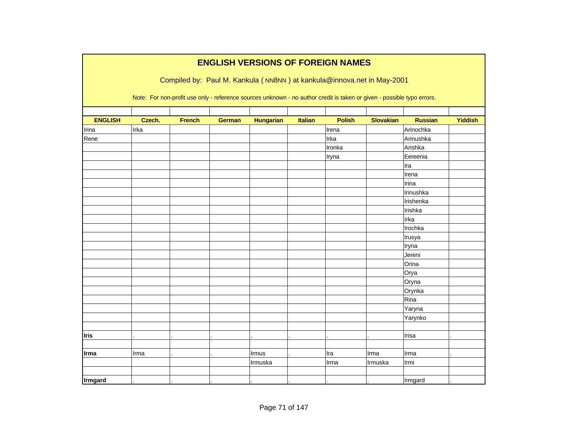|                |                                                                                                                        |               |               |                  |                | <b>ENGLISH VERSIONS OF FOREIGN NAMES</b>                               |                  |                |                |  |  |  |  |
|----------------|------------------------------------------------------------------------------------------------------------------------|---------------|---------------|------------------|----------------|------------------------------------------------------------------------|------------------|----------------|----------------|--|--|--|--|
|                |                                                                                                                        |               |               |                  |                | Compiled by: Paul M. Kankula (NN8NN) at kankula@innova.net in May-2001 |                  |                |                |  |  |  |  |
|                | Note: For non-profit use only - reference sources unknown - no author credit is taken or given - possible typo errors. |               |               |                  |                |                                                                        |                  |                |                |  |  |  |  |
| <b>ENGLISH</b> | Czech.                                                                                                                 | <b>French</b> |               |                  | <b>Italian</b> | <b>Polish</b>                                                          | <b>Slovakian</b> | <b>Russian</b> | <b>Yiddish</b> |  |  |  |  |
|                | Irka                                                                                                                   |               | <b>German</b> | <b>Hungarian</b> |                | Irena                                                                  |                  | Arinochka      |                |  |  |  |  |
| Irina<br>Rene  |                                                                                                                        |               |               |                  |                | Irka                                                                   |                  | Arinushka      |                |  |  |  |  |
|                |                                                                                                                        |               |               |                  |                | Ironka                                                                 |                  | Arishka        |                |  |  |  |  |
|                |                                                                                                                        |               |               |                  |                |                                                                        |                  |                |                |  |  |  |  |
|                |                                                                                                                        |               |               |                  |                | Iryna                                                                  |                  | Eereenia       |                |  |  |  |  |
|                |                                                                                                                        |               |               |                  |                |                                                                        |                  | Ira            |                |  |  |  |  |
|                |                                                                                                                        |               |               |                  |                |                                                                        |                  | Irena          |                |  |  |  |  |
|                |                                                                                                                        |               |               |                  |                |                                                                        |                  | Irina          |                |  |  |  |  |
|                |                                                                                                                        |               |               |                  |                |                                                                        |                  | Irinushka      |                |  |  |  |  |
|                |                                                                                                                        |               |               |                  |                |                                                                        |                  | Irishenka      |                |  |  |  |  |
|                |                                                                                                                        |               |               |                  |                |                                                                        |                  | Irishka        |                |  |  |  |  |
|                |                                                                                                                        |               |               |                  |                |                                                                        |                  | Irka           |                |  |  |  |  |
|                |                                                                                                                        |               |               |                  |                |                                                                        |                  | Irochka        |                |  |  |  |  |
|                |                                                                                                                        |               |               |                  |                |                                                                        |                  | Irusya         |                |  |  |  |  |
|                |                                                                                                                        |               |               |                  |                |                                                                        |                  | Iryna          |                |  |  |  |  |
|                |                                                                                                                        |               |               |                  |                |                                                                        |                  | Jereni         |                |  |  |  |  |
|                |                                                                                                                        |               |               |                  |                |                                                                        |                  | Orina          |                |  |  |  |  |
|                |                                                                                                                        |               |               |                  |                |                                                                        |                  | Orya           |                |  |  |  |  |
|                |                                                                                                                        |               |               |                  |                |                                                                        |                  | Oryna          |                |  |  |  |  |
|                |                                                                                                                        |               |               |                  |                |                                                                        |                  | Orynka         |                |  |  |  |  |
|                |                                                                                                                        |               |               |                  |                |                                                                        |                  | Rina           |                |  |  |  |  |
|                |                                                                                                                        |               |               |                  |                |                                                                        |                  | Yaryna         |                |  |  |  |  |
|                |                                                                                                                        |               |               |                  |                |                                                                        |                  | Yarynko        |                |  |  |  |  |
|                |                                                                                                                        |               |               |                  |                |                                                                        |                  |                |                |  |  |  |  |
| <b>Iris</b>    |                                                                                                                        |               |               |                  |                |                                                                        |                  | Irisa          |                |  |  |  |  |
|                |                                                                                                                        |               |               |                  |                |                                                                        |                  |                |                |  |  |  |  |
| <b>Irma</b>    | Irma                                                                                                                   |               |               | Irmus            |                | Ira                                                                    | Irma             | Irma           |                |  |  |  |  |
|                |                                                                                                                        |               |               | Irmuska          |                | Irma                                                                   | Irmuska          | Irmi           |                |  |  |  |  |
|                |                                                                                                                        |               |               |                  |                |                                                                        |                  |                |                |  |  |  |  |
| Irmgard        |                                                                                                                        |               |               |                  |                |                                                                        |                  | Irmgard        |                |  |  |  |  |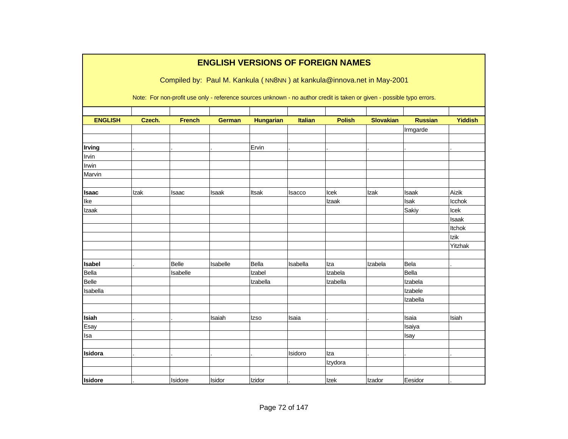|                |        |               | <b>ENGLISH VERSIONS OF FOREIGN NAMES</b> |                  |                |               |                                                                                                                        |                |                |
|----------------|--------|---------------|------------------------------------------|------------------|----------------|---------------|------------------------------------------------------------------------------------------------------------------------|----------------|----------------|
|                |        |               |                                          |                  |                |               | Compiled by: Paul M. Kankula (NN8NN) at kankula@innova.net in May-2001                                                 |                |                |
|                |        |               |                                          |                  |                |               | Note: For non-profit use only - reference sources unknown - no author credit is taken or given - possible typo errors. |                |                |
| <b>ENGLISH</b> | Czech. | <b>French</b> |                                          |                  | <b>Italian</b> | <b>Polish</b> | <b>Slovakian</b>                                                                                                       | <b>Russian</b> | <b>Yiddish</b> |
|                |        |               | <b>German</b>                            | <b>Hungarian</b> |                |               |                                                                                                                        | Irmgarde       |                |
|                |        |               |                                          |                  |                |               |                                                                                                                        |                |                |
| Irving         |        |               |                                          | Ervin            |                |               |                                                                                                                        |                |                |
| Irvin          |        |               |                                          |                  |                |               |                                                                                                                        |                |                |
| Irwin          |        |               |                                          |                  |                |               |                                                                                                                        |                |                |
| Marvin         |        |               |                                          |                  |                |               |                                                                                                                        |                |                |
|                |        |               |                                          |                  |                |               |                                                                                                                        |                |                |
| <b>Isaac</b>   | Izak   | Isaac         | Isaak                                    | Itsak            | Isacco         | Icek          | Izak                                                                                                                   | Isaak          | Aizik          |
| Ike            |        |               |                                          |                  |                | Izaak         |                                                                                                                        | Isak           | Icchok         |
| Izaak          |        |               |                                          |                  |                |               |                                                                                                                        | Sakiy          | Icek           |
|                |        |               |                                          |                  |                |               |                                                                                                                        |                | Isaak          |
|                |        |               |                                          |                  |                |               |                                                                                                                        |                | Itchok         |
|                |        |               |                                          |                  |                |               |                                                                                                                        |                | Izik           |
|                |        |               |                                          |                  |                |               |                                                                                                                        |                | Yitzhak        |
|                |        |               |                                          |                  |                |               |                                                                                                                        |                |                |
| <b>Isabel</b>  |        | <b>Belle</b>  | Isabelle                                 | Bella            | Isabella       | Iza           | Izabela                                                                                                                | Bela           |                |
| Bella          |        | Isabelle      |                                          | Izabel           |                | Izabela       |                                                                                                                        | Bella          |                |
| Belle          |        |               |                                          | Izabella         |                | Izabella      |                                                                                                                        | Izabela        |                |
| Isabella       |        |               |                                          |                  |                |               |                                                                                                                        | Izabele        |                |
|                |        |               |                                          |                  |                |               |                                                                                                                        | Izabella       |                |
|                |        |               |                                          |                  |                |               |                                                                                                                        |                |                |
| Isiah          |        |               | Isaiah                                   | Izso             | Isaia          |               |                                                                                                                        | Isaia          | Isiah          |
| Esay           |        |               |                                          |                  |                |               |                                                                                                                        | Isaiya         |                |
| lsa            |        |               |                                          |                  |                |               |                                                                                                                        | Isay           |                |
|                |        |               |                                          |                  |                |               |                                                                                                                        |                |                |
| Isidora        |        |               |                                          |                  | Isidoro        | Iza           |                                                                                                                        |                |                |
|                |        |               |                                          |                  |                | Izydora       |                                                                                                                        |                |                |
|                |        |               |                                          |                  |                |               |                                                                                                                        |                |                |
| <b>Isidore</b> |        | Isidore       | Isidor                                   | Izidor           |                | <b>Izek</b>   | Izador                                                                                                                 | Eesidor        |                |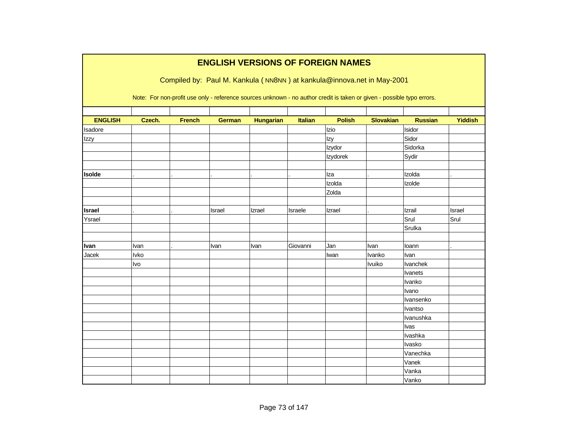|                |             |               |               |                  |          | <b>ENGLISH VERSIONS OF FOREIGN NAMES</b>                                                                               |                  |                |                |
|----------------|-------------|---------------|---------------|------------------|----------|------------------------------------------------------------------------------------------------------------------------|------------------|----------------|----------------|
|                |             |               |               |                  |          | Compiled by: Paul M. Kankula (NN8NN) at kankula@innova.net in May-2001                                                 |                  |                |                |
|                |             |               |               |                  |          | Note: For non-profit use only - reference sources unknown - no author credit is taken or given - possible typo errors. |                  |                |                |
| <b>ENGLISH</b> | Czech.      | <b>French</b> | <b>German</b> | <b>Hungarian</b> | Italian  | <b>Polish</b>                                                                                                          | <b>Slovakian</b> | <b>Russian</b> | <b>Yiddish</b> |
| Isadore        |             |               |               |                  |          | Izio                                                                                                                   |                  | Isidor         |                |
| Izzy           |             |               |               |                  |          | Izy                                                                                                                    |                  | Sidor          |                |
|                |             |               |               |                  |          | Izydor                                                                                                                 |                  | Sidorka        |                |
|                |             |               |               |                  |          | Izydorek                                                                                                               |                  | Sydir          |                |
| <b>Isolde</b>  |             |               |               |                  |          | Iza                                                                                                                    |                  | Izolda         |                |
|                |             |               |               |                  |          | Izolda                                                                                                                 |                  | Izolde         |                |
|                |             |               |               |                  |          | Zolda                                                                                                                  |                  |                |                |
| <b>Israel</b>  |             |               | Israel        | Izrael           | Israele  | Izrael                                                                                                                 |                  | Izrail         | Israel         |
| Ysrael         |             |               |               |                  |          |                                                                                                                        |                  | Srul           | Srul           |
|                |             |               |               |                  |          |                                                                                                                        |                  | Srulka         |                |
| Ivan           | Ivan        |               | Ivan          | Ivan             | Giovanni | Jan                                                                                                                    | Ivan             | loann          |                |
| Jacek          | <b>Ivko</b> |               |               |                  |          | Iwan                                                                                                                   | Ivanko           | Ivan           |                |
|                | Ivo         |               |               |                  |          |                                                                                                                        | Ivuiko           | Ivanchek       |                |
|                |             |               |               |                  |          |                                                                                                                        |                  | Ivanets        |                |
|                |             |               |               |                  |          |                                                                                                                        |                  | Ivanko         |                |
|                |             |               |               |                  |          |                                                                                                                        |                  | Ivano          |                |
|                |             |               |               |                  |          |                                                                                                                        |                  | Ivansenko      |                |
|                |             |               |               |                  |          |                                                                                                                        |                  | Ivantso        |                |
|                |             |               |               |                  |          |                                                                                                                        |                  | Ivanushka      |                |
|                |             |               |               |                  |          |                                                                                                                        |                  | Ivas           |                |
|                |             |               |               |                  |          |                                                                                                                        |                  | Ivashka        |                |
|                |             |               |               |                  |          |                                                                                                                        |                  | Ivasko         |                |
|                |             |               |               |                  |          |                                                                                                                        |                  | Vanechka       |                |
|                |             |               |               |                  |          |                                                                                                                        |                  | Vanek          |                |
|                |             |               |               |                  |          |                                                                                                                        |                  | Vanka          |                |
|                |             |               |               |                  |          |                                                                                                                        |                  | Vanko          |                |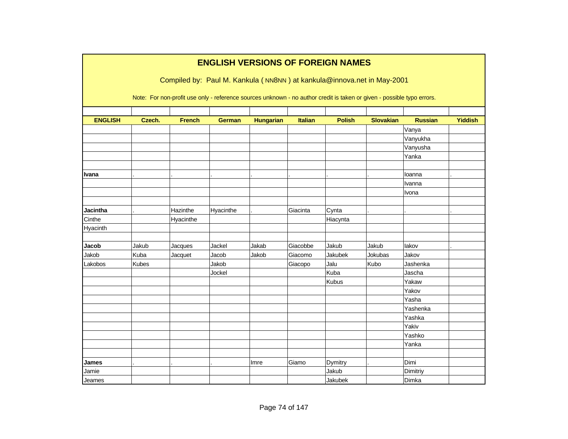|                 |        |               |               |                  |                | <b>ENGLISH VERSIONS OF FOREIGN NAMES</b>                                                                               |                  |                |                |
|-----------------|--------|---------------|---------------|------------------|----------------|------------------------------------------------------------------------------------------------------------------------|------------------|----------------|----------------|
|                 |        |               |               |                  |                | Compiled by: Paul M. Kankula (NN8NN) at kankula@innova.net in May-2001                                                 |                  |                |                |
|                 |        |               |               |                  |                | Note: For non-profit use only - reference sources unknown - no author credit is taken or given - possible typo errors. |                  |                |                |
| <b>ENGLISH</b>  | Czech. | <b>French</b> | <b>German</b> | <b>Hungarian</b> | <b>Italian</b> | <b>Polish</b>                                                                                                          | <b>Slovakian</b> | <b>Russian</b> | <b>Yiddish</b> |
|                 |        |               |               |                  |                |                                                                                                                        |                  | Vanya          |                |
|                 |        |               |               |                  |                |                                                                                                                        |                  | Vanyukha       |                |
|                 |        |               |               |                  |                |                                                                                                                        |                  | Vanyusha       |                |
|                 |        |               |               |                  |                |                                                                                                                        |                  | Yanka          |                |
|                 |        |               |               |                  |                |                                                                                                                        |                  |                |                |
| <b>Ivana</b>    |        |               |               |                  |                |                                                                                                                        |                  | loanna         |                |
|                 |        |               |               |                  |                |                                                                                                                        |                  | Ivanna         |                |
|                 |        |               |               |                  |                |                                                                                                                        |                  | Ivona          |                |
|                 |        |               |               |                  |                |                                                                                                                        |                  |                |                |
| <b>Jacintha</b> |        | Hazinthe      | Hyacinthe     |                  | Giacinta       | Cynta                                                                                                                  |                  |                |                |
| Cinthe          |        | Hyacinthe     |               |                  |                | Hiacynta                                                                                                               |                  |                |                |
| Hyacinth        |        |               |               |                  |                |                                                                                                                        |                  |                |                |
|                 |        |               |               |                  |                |                                                                                                                        |                  |                |                |
| Jacob           | Jakub  | Jacques       | Jackel        | Jakab            | Giacobbe       | Jakub                                                                                                                  | Jakub            | lakov          |                |
| Jakob           | Kuba   | Jacquet       | Jacob         | Jakob            | Giacomo        | Jakubek                                                                                                                | Jokubas          | Jakov          |                |
| Lakobos         | Kubes  |               | Jakob         |                  | Giacopo        | Jalu                                                                                                                   | Kubo             | Jashenka       |                |
|                 |        |               | Jockel        |                  |                | Kuba                                                                                                                   |                  | Jascha         |                |
|                 |        |               |               |                  |                | Kubus                                                                                                                  |                  | Yakaw          |                |
|                 |        |               |               |                  |                |                                                                                                                        |                  | Yakov          |                |
|                 |        |               |               |                  |                |                                                                                                                        |                  | Yasha          |                |
|                 |        |               |               |                  |                |                                                                                                                        |                  | Yashenka       |                |
|                 |        |               |               |                  |                |                                                                                                                        |                  | Yashka         |                |
|                 |        |               |               |                  |                |                                                                                                                        |                  | Yakiv          |                |
|                 |        |               |               |                  |                |                                                                                                                        |                  | Yashko         |                |
|                 |        |               |               |                  |                |                                                                                                                        |                  | Yanka          |                |
|                 |        |               |               |                  |                |                                                                                                                        |                  |                |                |
| James           |        |               |               | Imre             | Giamo          | Dymitry                                                                                                                |                  | Dimi           |                |
| Jamie           |        |               |               |                  |                | Jakub                                                                                                                  |                  | Dimitriy       |                |
| Jeames          |        |               |               |                  |                | Jakubek                                                                                                                |                  | Dimka          |                |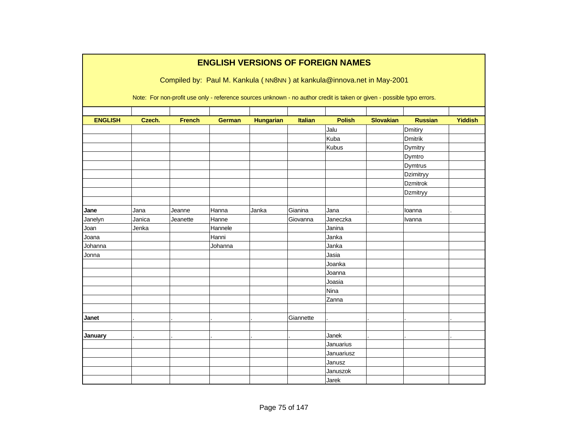|                |        |               |               |                  |                | <b>ENGLISH VERSIONS OF FOREIGN NAMES</b>                                                                               |                  |                 |                |
|----------------|--------|---------------|---------------|------------------|----------------|------------------------------------------------------------------------------------------------------------------------|------------------|-----------------|----------------|
|                |        |               |               |                  |                | Compiled by: Paul M. Kankula (NN8NN) at kankula@innova.net in May-2001                                                 |                  |                 |                |
|                |        |               |               |                  |                | Note: For non-profit use only - reference sources unknown - no author credit is taken or given - possible typo errors. |                  |                 |                |
|                |        |               |               |                  |                |                                                                                                                        |                  |                 |                |
| <b>ENGLISH</b> | Czech. | <b>French</b> | <b>German</b> | <b>Hungarian</b> | <b>Italian</b> | <b>Polish</b>                                                                                                          | <b>Slovakian</b> | <b>Russian</b>  | <b>Yiddish</b> |
|                |        |               |               |                  |                | Jalu                                                                                                                   |                  | Dmitiry         |                |
|                |        |               |               |                  |                | Kuba                                                                                                                   |                  | <b>Dmitrik</b>  |                |
|                |        |               |               |                  |                | Kubus                                                                                                                  |                  | Dymitry         |                |
|                |        |               |               |                  |                |                                                                                                                        |                  | Dymtro          |                |
|                |        |               |               |                  |                |                                                                                                                        |                  | Dymtrus         |                |
|                |        |               |               |                  |                |                                                                                                                        |                  | Dzimitryy       |                |
|                |        |               |               |                  |                |                                                                                                                        |                  | <b>Dzmitrok</b> |                |
|                |        |               |               |                  |                |                                                                                                                        |                  | Dzmitryy        |                |
|                |        |               |               |                  |                |                                                                                                                        |                  |                 |                |
| Jane           | Jana   | Jeanne        | Hanna         | Janka            | Gianina        | Jana                                                                                                                   |                  | loanna          |                |
| Janelyn        | Janica | Jeanette      | Hanne         |                  | Giovanna       | Janeczka                                                                                                               |                  | Ivanna          |                |
| Joan           | Jenka  |               | Hannele       |                  |                | Janina                                                                                                                 |                  |                 |                |
| Joana          |        |               | Hanni         |                  |                | Janka                                                                                                                  |                  |                 |                |
| Johanna        |        |               | Johanna       |                  |                | Janka                                                                                                                  |                  |                 |                |
| Jonna          |        |               |               |                  |                | Jasia                                                                                                                  |                  |                 |                |
|                |        |               |               |                  |                | Joanka                                                                                                                 |                  |                 |                |
|                |        |               |               |                  |                | Joanna                                                                                                                 |                  |                 |                |
|                |        |               |               |                  |                | Joasia                                                                                                                 |                  |                 |                |
|                |        |               |               |                  |                | Nina                                                                                                                   |                  |                 |                |
|                |        |               |               |                  |                | Zanna                                                                                                                  |                  |                 |                |
|                |        |               |               |                  |                |                                                                                                                        |                  |                 |                |
| Janet          |        |               |               |                  | Giannette      |                                                                                                                        |                  |                 |                |
|                |        |               |               |                  |                |                                                                                                                        |                  |                 |                |
| January        |        |               |               |                  |                | Janek                                                                                                                  |                  |                 |                |
|                |        |               |               |                  |                | Januarius                                                                                                              |                  |                 |                |
|                |        |               |               |                  |                | Januariusz                                                                                                             |                  |                 |                |
|                |        |               |               |                  |                | Janusz                                                                                                                 |                  |                 |                |
|                |        |               |               |                  |                | Januszok                                                                                                               |                  |                 |                |
|                |        |               |               |                  |                | Jarek                                                                                                                  |                  |                 |                |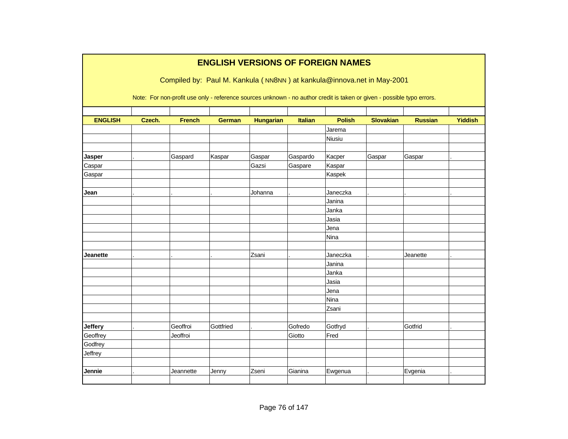|                | <b>ENGLISH VERSIONS OF FOREIGN NAMES</b> |               |               |                  |                |                                                                                                                        |                  |                |                |  |  |  |  |
|----------------|------------------------------------------|---------------|---------------|------------------|----------------|------------------------------------------------------------------------------------------------------------------------|------------------|----------------|----------------|--|--|--|--|
|                |                                          |               |               |                  |                |                                                                                                                        |                  |                |                |  |  |  |  |
|                |                                          |               |               |                  |                | Compiled by: Paul M. Kankula (NN8NN) at kankula@innova.net in May-2001                                                 |                  |                |                |  |  |  |  |
|                |                                          |               |               |                  |                | Note: For non-profit use only - reference sources unknown - no author credit is taken or given - possible typo errors. |                  |                |                |  |  |  |  |
|                |                                          |               |               |                  |                |                                                                                                                        |                  |                |                |  |  |  |  |
| <b>ENGLISH</b> | Czech.                                   | <b>French</b> | <b>German</b> | <b>Hungarian</b> | <b>Italian</b> | <b>Polish</b>                                                                                                          | <b>Slovakian</b> | <b>Russian</b> | <b>Yiddish</b> |  |  |  |  |
|                |                                          |               |               |                  |                | Jarema                                                                                                                 |                  |                |                |  |  |  |  |
|                |                                          |               |               |                  |                | Niusiu                                                                                                                 |                  |                |                |  |  |  |  |
|                |                                          |               |               |                  |                |                                                                                                                        |                  |                |                |  |  |  |  |
| Jasper         |                                          | Gaspard       | Kaspar        | Gaspar           | Gaspardo       | Kacper                                                                                                                 | Gaspar           | Gaspar         |                |  |  |  |  |
| Caspar         |                                          |               |               | Gazsi            | Gaspare        | Kaspar                                                                                                                 |                  |                |                |  |  |  |  |
| Gaspar         |                                          |               |               |                  |                | Kaspek                                                                                                                 |                  |                |                |  |  |  |  |
|                |                                          |               |               |                  |                |                                                                                                                        |                  |                |                |  |  |  |  |
| Jean           |                                          |               |               | Johanna          |                | Janeczka                                                                                                               |                  |                |                |  |  |  |  |
|                |                                          |               |               |                  |                | Janina                                                                                                                 |                  |                |                |  |  |  |  |
|                |                                          |               |               |                  |                | Janka                                                                                                                  |                  |                |                |  |  |  |  |
|                |                                          |               |               |                  |                | Jasia                                                                                                                  |                  |                |                |  |  |  |  |
|                |                                          |               |               |                  |                | Jena                                                                                                                   |                  |                |                |  |  |  |  |
|                |                                          |               |               |                  |                | Nina                                                                                                                   |                  |                |                |  |  |  |  |
|                |                                          |               |               |                  |                |                                                                                                                        |                  |                |                |  |  |  |  |
| Jeanette       |                                          |               |               | Zsani            |                | Janeczka                                                                                                               |                  | Jeanette       |                |  |  |  |  |
|                |                                          |               |               |                  |                | Janina                                                                                                                 |                  |                |                |  |  |  |  |
|                |                                          |               |               |                  |                | Janka                                                                                                                  |                  |                |                |  |  |  |  |
|                |                                          |               |               |                  |                | Jasia                                                                                                                  |                  |                |                |  |  |  |  |
|                |                                          |               |               |                  |                | Jena                                                                                                                   |                  |                |                |  |  |  |  |
|                |                                          |               |               |                  |                | Nina                                                                                                                   |                  |                |                |  |  |  |  |
|                |                                          |               |               |                  |                | Zsani                                                                                                                  |                  |                |                |  |  |  |  |
|                |                                          |               |               |                  |                |                                                                                                                        |                  |                |                |  |  |  |  |
| Jeffery        |                                          | Geoffroi      | Gottfried     |                  | Gofredo        | Gotfryd                                                                                                                |                  | Gotfrid        |                |  |  |  |  |
| Geoffrey       |                                          | Jeoffroi      |               |                  | Giotto         | Fred                                                                                                                   |                  |                |                |  |  |  |  |
| Godfrey        |                                          |               |               |                  |                |                                                                                                                        |                  |                |                |  |  |  |  |
| Jeffrey        |                                          |               |               |                  |                |                                                                                                                        |                  |                |                |  |  |  |  |
|                |                                          |               |               |                  |                |                                                                                                                        |                  |                |                |  |  |  |  |
| Jennie         |                                          | Jeannette     | Jenny         | Zseni            | Gianina        | Ewgenua                                                                                                                |                  | Evgenia        |                |  |  |  |  |
|                |                                          |               |               |                  |                |                                                                                                                        |                  |                |                |  |  |  |  |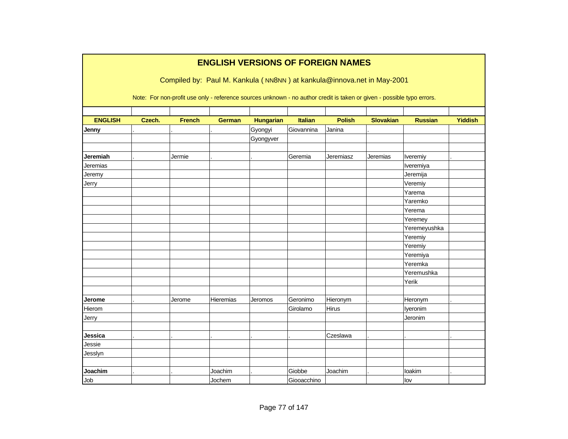|                |        |               |               | <b>ENGLISH VERSIONS OF FOREIGN NAMES</b> |                |               |                                                                                                                        |                |                |
|----------------|--------|---------------|---------------|------------------------------------------|----------------|---------------|------------------------------------------------------------------------------------------------------------------------|----------------|----------------|
|                |        |               |               |                                          |                |               |                                                                                                                        |                |                |
|                |        |               |               |                                          |                |               | Compiled by: Paul M. Kankula (NN8NN) at kankula@innova.net in May-2001                                                 |                |                |
|                |        |               |               |                                          |                |               |                                                                                                                        |                |                |
|                |        |               |               |                                          |                |               | Note: For non-profit use only - reference sources unknown - no author credit is taken or given - possible typo errors. |                |                |
|                |        |               |               |                                          |                |               |                                                                                                                        |                |                |
| <b>ENGLISH</b> | Czech. | <b>French</b> | <b>German</b> | <b>Hungarian</b>                         | <b>Italian</b> | <b>Polish</b> | <b>Slovakian</b>                                                                                                       | <b>Russian</b> | <b>Yiddish</b> |
| Jenny          |        |               |               | Gyongyi                                  | Giovannina     | Janina        |                                                                                                                        |                |                |
|                |        |               |               | Gyongyver                                |                |               |                                                                                                                        |                |                |
|                |        |               |               |                                          |                |               |                                                                                                                        |                |                |
| Jeremiah       |        | Jermie        |               |                                          | Geremia        | Jeremiasz     | Jeremias                                                                                                               | Iveremiy       |                |
| Jeremias       |        |               |               |                                          |                |               |                                                                                                                        | Iveremiya      |                |
| Jeremy         |        |               |               |                                          |                |               |                                                                                                                        | Jeremija       |                |
| Jerry          |        |               |               |                                          |                |               |                                                                                                                        | Veremiy        |                |
|                |        |               |               |                                          |                |               |                                                                                                                        | Yarema         |                |
|                |        |               |               |                                          |                |               |                                                                                                                        | Yaremko        |                |
|                |        |               |               |                                          |                |               |                                                                                                                        | Yerema         |                |
|                |        |               |               |                                          |                |               |                                                                                                                        | Yeremey        |                |
|                |        |               |               |                                          |                |               |                                                                                                                        | Yeremeyushka   |                |
|                |        |               |               |                                          |                |               |                                                                                                                        | Yeremiy        |                |
|                |        |               |               |                                          |                |               |                                                                                                                        | Yeremiy        |                |
|                |        |               |               |                                          |                |               |                                                                                                                        | Yeremiya       |                |
|                |        |               |               |                                          |                |               |                                                                                                                        | Yeremka        |                |
|                |        |               |               |                                          |                |               |                                                                                                                        | Yeremushka     |                |
|                |        |               |               |                                          |                |               |                                                                                                                        | Yerik          |                |
|                |        |               |               |                                          |                |               |                                                                                                                        |                |                |
| Jerome         |        | Jerome        | Hieremias     | Jeromos                                  | Geronimo       | Hieronym      |                                                                                                                        | Heronym        |                |
| Hierom         |        |               |               |                                          | Girolamo       | Hirus         |                                                                                                                        | lyeronim       |                |
| Jerry          |        |               |               |                                          |                |               |                                                                                                                        | Jeronim        |                |
|                |        |               |               |                                          |                |               |                                                                                                                        |                |                |
| Jessica        |        |               |               |                                          |                | Czeslawa      |                                                                                                                        |                |                |
| Jessie         |        |               |               |                                          |                |               |                                                                                                                        |                |                |
| Jesslyn        |        |               |               |                                          |                |               |                                                                                                                        |                |                |
|                |        |               |               |                                          |                |               |                                                                                                                        |                |                |
| Joachim        |        |               | Joachim       |                                          | Giobbe         | Joachim       |                                                                                                                        | loakim         |                |
| Job            |        |               | Jochem        |                                          | Giooacchino    |               |                                                                                                                        | lov            |                |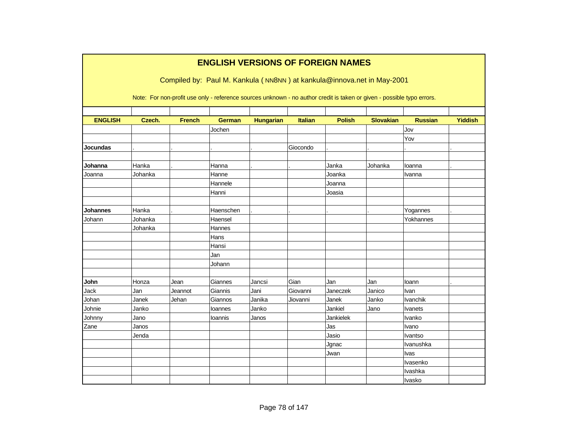|                | <b>ENGLISH VERSIONS OF FOREIGN NAMES</b><br>Compiled by: Paul M. Kankula (NN8NN) at kankula@innova.net in May-2001 |               |                                                                                                                        |                  |          |               |                  |                 |                |  |  |  |  |
|----------------|--------------------------------------------------------------------------------------------------------------------|---------------|------------------------------------------------------------------------------------------------------------------------|------------------|----------|---------------|------------------|-----------------|----------------|--|--|--|--|
|                |                                                                                                                    |               | Note: For non-profit use only - reference sources unknown - no author credit is taken or given - possible typo errors. |                  |          |               |                  |                 |                |  |  |  |  |
| <b>ENGLISH</b> | Czech.                                                                                                             | <b>French</b> | <b>German</b>                                                                                                          | <b>Hungarian</b> | Italian  | <b>Polish</b> | <b>Slovakian</b> | <b>Russian</b>  | <b>Yiddish</b> |  |  |  |  |
|                |                                                                                                                    |               | Jochen                                                                                                                 |                  |          |               |                  | Jov             |                |  |  |  |  |
|                |                                                                                                                    |               |                                                                                                                        |                  |          |               |                  | Yov             |                |  |  |  |  |
| Jocundas       |                                                                                                                    |               |                                                                                                                        |                  | Giocondo |               |                  |                 |                |  |  |  |  |
| Johanna        | Hanka                                                                                                              |               | Hanna                                                                                                                  |                  |          | Janka         | Johanka          | loanna          |                |  |  |  |  |
| Joanna         | Johanka                                                                                                            |               | Hanne                                                                                                                  |                  |          | Joanka        |                  | Ivanna          |                |  |  |  |  |
|                |                                                                                                                    |               | Hannele                                                                                                                |                  |          | Joanna        |                  |                 |                |  |  |  |  |
|                |                                                                                                                    |               | Hanni                                                                                                                  |                  |          | Joasia        |                  |                 |                |  |  |  |  |
|                |                                                                                                                    |               |                                                                                                                        |                  |          |               |                  |                 |                |  |  |  |  |
| Johannes       | Hanka                                                                                                              |               | Haenschen                                                                                                              |                  |          |               |                  | Yogannes        |                |  |  |  |  |
| Johann         | Johanka                                                                                                            |               | Haensel                                                                                                                |                  |          |               |                  | Yokhannes       |                |  |  |  |  |
|                | Johanka                                                                                                            |               | Hannes                                                                                                                 |                  |          |               |                  |                 |                |  |  |  |  |
|                |                                                                                                                    |               | Hans                                                                                                                   |                  |          |               |                  |                 |                |  |  |  |  |
|                |                                                                                                                    |               | Hansi                                                                                                                  |                  |          |               |                  |                 |                |  |  |  |  |
|                |                                                                                                                    |               | Jan                                                                                                                    |                  |          |               |                  |                 |                |  |  |  |  |
|                |                                                                                                                    |               | Johann                                                                                                                 |                  |          |               |                  |                 |                |  |  |  |  |
|                |                                                                                                                    |               |                                                                                                                        |                  |          |               |                  |                 |                |  |  |  |  |
| John           | Honza                                                                                                              | Jean          | Giannes                                                                                                                | Jancsi           | Gian     | Jan           | Jan              | loann           |                |  |  |  |  |
| Jack           | Jan                                                                                                                | Jeannot       | Giannis                                                                                                                | Jani             | Giovanni | Janeczek      | Janico           | Ivan            |                |  |  |  |  |
| Johan          | Janek                                                                                                              | Jehan         | Giannos                                                                                                                | Janika           | Jiovanni | Janek         | Janko            | <b>Ivanchik</b> |                |  |  |  |  |
| Johnie         | Janko                                                                                                              |               | loannes                                                                                                                | Janko            |          | Jankiel       | Jano             | <b>Ivanets</b>  |                |  |  |  |  |
| Johnny         | Jano                                                                                                               |               | Ioannis                                                                                                                | Janos            |          | Jankielek     |                  | Ivanko          |                |  |  |  |  |
| Zane           | Janos                                                                                                              |               |                                                                                                                        |                  |          | Jas           |                  | Ivano           |                |  |  |  |  |
|                | Jenda                                                                                                              |               |                                                                                                                        |                  |          | Jasio         |                  | Ivantso         |                |  |  |  |  |
|                |                                                                                                                    |               |                                                                                                                        |                  |          | Jgnac         |                  | Ivanushka       |                |  |  |  |  |
|                |                                                                                                                    |               |                                                                                                                        |                  |          | Jwan          |                  | Ivas            |                |  |  |  |  |
|                |                                                                                                                    |               |                                                                                                                        |                  |          |               |                  | Ivasenko        |                |  |  |  |  |
|                |                                                                                                                    |               |                                                                                                                        |                  |          |               |                  | Ivashka         |                |  |  |  |  |
|                |                                                                                                                    |               |                                                                                                                        |                  |          |               |                  | Ivasko          |                |  |  |  |  |

Г

٦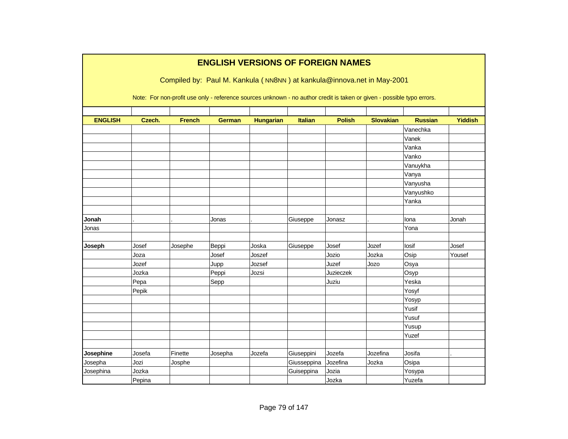|                |        |               | <b>ENGLISH VERSIONS OF FOREIGN NAMES</b>                                                                               |                  |             |                  |                  |                |                |
|----------------|--------|---------------|------------------------------------------------------------------------------------------------------------------------|------------------|-------------|------------------|------------------|----------------|----------------|
|                |        |               | Compiled by: Paul M. Kankula (NN8NN) at kankula@innova.net in May-2001                                                 |                  |             |                  |                  |                |                |
|                |        |               |                                                                                                                        |                  |             |                  |                  |                |                |
|                |        |               | Note: For non-profit use only - reference sources unknown - no author credit is taken or given - possible typo errors. |                  |             |                  |                  |                |                |
|                |        |               |                                                                                                                        |                  |             |                  |                  |                |                |
| <b>ENGLISH</b> | Czech. | <b>French</b> | <b>German</b>                                                                                                          | <b>Hungarian</b> | Italian     | <b>Polish</b>    | <b>Slovakian</b> | <b>Russian</b> | <b>Yiddish</b> |
|                |        |               |                                                                                                                        |                  |             |                  |                  | Vanechka       |                |
|                |        |               |                                                                                                                        |                  |             |                  |                  | Vanek          |                |
|                |        |               |                                                                                                                        |                  |             |                  |                  | Vanka          |                |
|                |        |               |                                                                                                                        |                  |             |                  |                  | Vanko          |                |
|                |        |               |                                                                                                                        |                  |             |                  |                  | Vanuykha       |                |
|                |        |               |                                                                                                                        |                  |             |                  |                  | Vanya          |                |
|                |        |               |                                                                                                                        |                  |             |                  |                  | Vanyusha       |                |
|                |        |               |                                                                                                                        |                  |             |                  |                  | Vanyushko      |                |
|                |        |               |                                                                                                                        |                  |             |                  |                  | Yanka          |                |
| Jonah          |        |               | Jonas                                                                                                                  |                  | Giuseppe    | Jonasz           |                  | lona           | Jonah          |
| Jonas          |        |               |                                                                                                                        |                  |             |                  |                  | Yona           |                |
|                |        |               |                                                                                                                        |                  |             |                  |                  |                |                |
| Joseph         | Josef  | Josephe       | Beppi                                                                                                                  | Joska            | Giuseppe    | Josef            | Jozef            | losif          | Josef          |
|                | Joza   |               | Josef                                                                                                                  | Joszef           |             | Jozio            | Jozka            | Osip           | Yousef         |
|                | Jozef  |               | Jupp                                                                                                                   | Jozsef           |             | Juzef            | Jozo             | Osya           |                |
|                | Jozka  |               | Peppi                                                                                                                  | Jozsi            |             | <b>Juzieczek</b> |                  | Osyp           |                |
|                | Pepa   |               | Sepp                                                                                                                   |                  |             | Juziu            |                  | Yeska          |                |
|                | Pepik  |               |                                                                                                                        |                  |             |                  |                  | Yosyf          |                |
|                |        |               |                                                                                                                        |                  |             |                  |                  | Yosyp          |                |
|                |        |               |                                                                                                                        |                  |             |                  |                  | Yusif          |                |
|                |        |               |                                                                                                                        |                  |             |                  |                  | Yusuf          |                |
|                |        |               |                                                                                                                        |                  |             |                  |                  | Yusup          |                |
|                |        |               |                                                                                                                        |                  |             |                  |                  | Yuzef          |                |
| Josephine      | Josefa | Finette       | Josepha                                                                                                                | Jozefa           | Giuseppini  | Jozefa           | Jozefina         | Josifa         |                |
| Josepha        | Jozi   | Josphe        |                                                                                                                        |                  | Giusseppina | Jozefina         | Jozka            | Osipa          |                |
| Josephina      | Jozka  |               |                                                                                                                        |                  | Guiseppina  | Jozia            |                  | Yosypa         |                |
|                | Pepina |               |                                                                                                                        |                  |             | Jozka            |                  | Yuzefa         |                |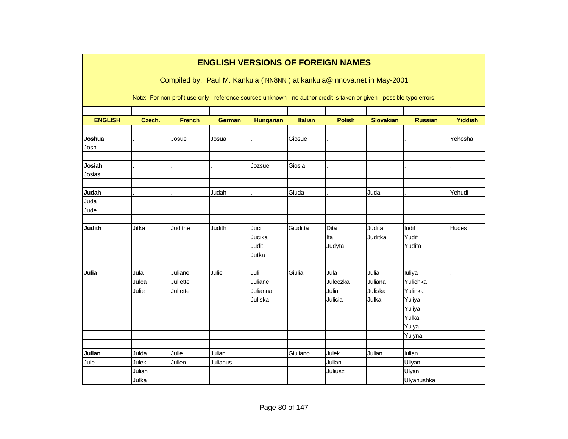|                | <b>ENGLISH VERSIONS OF FOREIGN NAMES</b> |               |               |                  |          |                                                                                                                        |                  |                |                |  |  |  |  |
|----------------|------------------------------------------|---------------|---------------|------------------|----------|------------------------------------------------------------------------------------------------------------------------|------------------|----------------|----------------|--|--|--|--|
|                |                                          |               |               |                  |          | Compiled by: Paul M. Kankula (NN8NN) at kankula@innova.net in May-2001                                                 |                  |                |                |  |  |  |  |
|                |                                          |               |               |                  |          |                                                                                                                        |                  |                |                |  |  |  |  |
|                |                                          |               |               |                  |          | Note: For non-profit use only - reference sources unknown - no author credit is taken or given - possible typo errors. |                  |                |                |  |  |  |  |
|                |                                          |               |               |                  |          |                                                                                                                        |                  |                |                |  |  |  |  |
| <b>ENGLISH</b> | Czech.                                   | <b>French</b> | <b>German</b> | <b>Hungarian</b> | Italian  | <b>Polish</b>                                                                                                          | <b>Slovakian</b> | <b>Russian</b> | <b>Yiddish</b> |  |  |  |  |
| Joshua         |                                          | Josue         | Josua         |                  | Giosue   |                                                                                                                        |                  |                | Yehosha        |  |  |  |  |
| Josh           |                                          |               |               |                  |          |                                                                                                                        |                  |                |                |  |  |  |  |
|                |                                          |               |               |                  |          |                                                                                                                        |                  |                |                |  |  |  |  |
| Josiah         |                                          |               |               | Jozsue           | Giosia   |                                                                                                                        |                  |                |                |  |  |  |  |
| Josias         |                                          |               |               |                  |          |                                                                                                                        |                  |                |                |  |  |  |  |
|                |                                          |               |               |                  |          |                                                                                                                        |                  |                |                |  |  |  |  |
| Judah          |                                          |               | Judah         |                  | Giuda    |                                                                                                                        | Juda             |                | Yehudi         |  |  |  |  |
| Juda           |                                          |               |               |                  |          |                                                                                                                        |                  |                |                |  |  |  |  |
| Jude           |                                          |               |               |                  |          |                                                                                                                        |                  |                |                |  |  |  |  |
|                |                                          |               |               |                  |          |                                                                                                                        |                  |                |                |  |  |  |  |
| <b>Judith</b>  | Jitka                                    | Judithe       | Judith        | Juci             | Giuditta | Dita                                                                                                                   | Judita           | ludif          | Hudes          |  |  |  |  |
|                |                                          |               |               | Jucika           |          | Ita                                                                                                                    | Juditka          | Yudif          |                |  |  |  |  |
|                |                                          |               |               | Judit            |          | Judyta                                                                                                                 |                  | Yudita         |                |  |  |  |  |
|                |                                          |               |               | Jutka            |          |                                                                                                                        |                  |                |                |  |  |  |  |
| Julia          | Jula                                     | Juliane       | Julie         | Juli             | Giulia   | Jula                                                                                                                   | Julia            | luliya         |                |  |  |  |  |
|                | Julca                                    | Juliette      |               | Juliane          |          | Juleczka                                                                                                               | Juliana          | Yulichka       |                |  |  |  |  |
|                | Julie                                    | Juliette      |               | Julianna         |          | Julia                                                                                                                  | Juliska          | Yulinka        |                |  |  |  |  |
|                |                                          |               |               | Juliska          |          | Julicia                                                                                                                | Julka            | Yuliya         |                |  |  |  |  |
|                |                                          |               |               |                  |          |                                                                                                                        |                  | Yuliya         |                |  |  |  |  |
|                |                                          |               |               |                  |          |                                                                                                                        |                  | Yulka          |                |  |  |  |  |
|                |                                          |               |               |                  |          |                                                                                                                        |                  | Yulya          |                |  |  |  |  |
|                |                                          |               |               |                  |          |                                                                                                                        |                  | Yulyna         |                |  |  |  |  |
|                |                                          |               |               |                  |          |                                                                                                                        |                  |                |                |  |  |  |  |
| Julian         | Julda                                    | Julie         | Julian        |                  | Giuliano | Julek                                                                                                                  | Julian           | lulian         |                |  |  |  |  |
| Jule           | Julek                                    | Julien        | Julianus      |                  |          | Julian                                                                                                                 |                  | Uliyan         |                |  |  |  |  |
|                | Julian                                   |               |               |                  |          | Juliusz                                                                                                                |                  | Ulyan          |                |  |  |  |  |
|                | Julka                                    |               |               |                  |          |                                                                                                                        |                  | Ulyanushka     |                |  |  |  |  |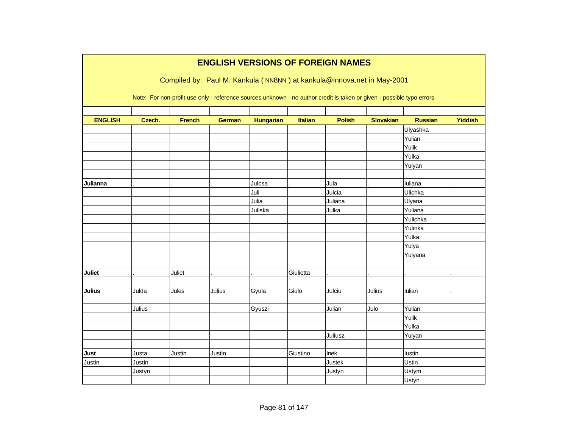|                |        |               |               |                  |           | <b>ENGLISH VERSIONS OF FOREIGN NAMES</b>                                                                               |                  |              |                |
|----------------|--------|---------------|---------------|------------------|-----------|------------------------------------------------------------------------------------------------------------------------|------------------|--------------|----------------|
|                |        |               |               |                  |           | Compiled by: Paul M. Kankula (NN8NN) at kankula@innova.net in May-2001                                                 |                  |              |                |
|                |        |               |               |                  |           |                                                                                                                        |                  |              |                |
|                |        |               |               |                  |           | Note: For non-profit use only - reference sources unknown - no author credit is taken or given - possible typo errors. |                  |              |                |
|                |        |               |               |                  |           |                                                                                                                        |                  |              |                |
| <b>ENGLISH</b> | Czech. | <b>French</b> | <b>German</b> | <b>Hungarian</b> | Italian   | <b>Polish</b>                                                                                                          | <b>Slovakian</b> | Russian      | <b>Yiddish</b> |
|                |        |               |               |                  |           |                                                                                                                        |                  | Ulyashka     |                |
|                |        |               |               |                  |           |                                                                                                                        |                  | Yulian       |                |
|                |        |               |               |                  |           |                                                                                                                        |                  | Yulik        |                |
|                |        |               |               |                  |           |                                                                                                                        |                  | Yulka        |                |
|                |        |               |               |                  |           |                                                                                                                        |                  | Yulyan       |                |
|                |        |               |               |                  |           |                                                                                                                        |                  |              |                |
| Julianna       |        |               |               | Julcsa           |           | Jula                                                                                                                   |                  | Iuliana      |                |
|                |        |               |               | Juli             |           | Julcia                                                                                                                 |                  | Ulichka      |                |
|                |        |               |               | Julia            |           | Juliana                                                                                                                |                  | Ulyana       |                |
|                |        |               |               | Juliska          |           | Julka                                                                                                                  |                  | Yuliana      |                |
|                |        |               |               |                  |           |                                                                                                                        |                  | Yulichka     |                |
|                |        |               |               |                  |           |                                                                                                                        |                  | Yulinka      |                |
|                |        |               |               |                  |           |                                                                                                                        |                  | Yulka        |                |
|                |        |               |               |                  |           |                                                                                                                        |                  | Yulya        |                |
|                |        |               |               |                  |           |                                                                                                                        |                  | Yulyana      |                |
|                |        |               |               |                  |           |                                                                                                                        |                  |              |                |
| <b>Juliet</b>  |        | Juliet        |               |                  | Giulietta |                                                                                                                        |                  |              |                |
|                |        |               |               |                  |           |                                                                                                                        |                  |              |                |
| <b>Julius</b>  | Julda  | Jules         | Julius        | Gyula            | Giulo     | Julciu                                                                                                                 | Julius           | Iulian       |                |
|                |        |               |               |                  |           |                                                                                                                        |                  |              |                |
|                | Julius |               |               | Gyuszi           |           | Julian                                                                                                                 | Julo             | Yulian       |                |
|                |        |               |               |                  |           |                                                                                                                        |                  | Yulik        |                |
|                |        |               |               |                  |           |                                                                                                                        |                  | Yulka        |                |
|                |        |               |               |                  |           | Juliusz                                                                                                                |                  | Yulyan       |                |
|                |        |               |               |                  |           |                                                                                                                        |                  |              |                |
| Just           | Justa  | Justin        | Justin        |                  | Giustino  | Inek                                                                                                                   |                  | lustin       |                |
| Justin         | Justin |               |               |                  |           | Justek                                                                                                                 |                  | Ustin        |                |
|                | Justyn |               |               |                  |           | Justyn                                                                                                                 |                  | Ustym        |                |
|                |        |               |               |                  |           |                                                                                                                        |                  | <b>Ustyn</b> |                |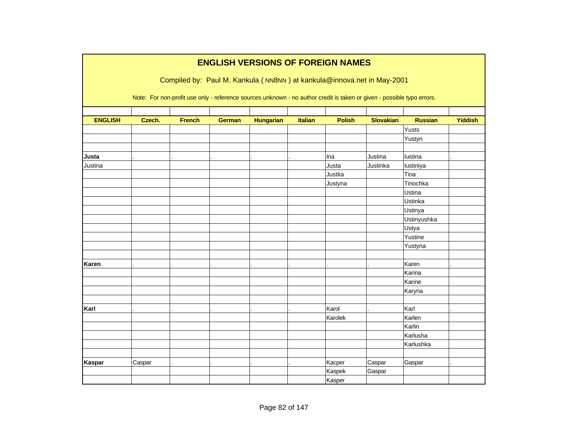|                |        |               |               | <b>ENGLISH VERSIONS OF FOREIGN NAMES</b>                                                                               |                |               |                  |                |                |
|----------------|--------|---------------|---------------|------------------------------------------------------------------------------------------------------------------------|----------------|---------------|------------------|----------------|----------------|
|                |        |               |               | Compiled by: Paul M. Kankula (NN8NN) at kankula@innova.net in May-2001                                                 |                |               |                  |                |                |
|                |        |               |               |                                                                                                                        |                |               |                  |                |                |
|                |        |               |               | Note: For non-profit use only - reference sources unknown - no author credit is taken or given - possible typo errors. |                |               |                  |                |                |
|                |        |               |               |                                                                                                                        |                |               |                  |                |                |
| <b>ENGLISH</b> | Czech. | <b>French</b> | <b>German</b> | <b>Hungarian</b>                                                                                                       | <b>Italian</b> | <b>Polish</b> | <b>Slovakian</b> | <b>Russian</b> | <b>Yiddish</b> |
|                |        |               |               |                                                                                                                        |                |               |                  | Yusts          |                |
|                |        |               |               |                                                                                                                        |                |               |                  | Yustyn         |                |
|                |        |               |               |                                                                                                                        |                |               |                  |                |                |
| Justa          |        |               |               |                                                                                                                        |                | Ina           | Justina          | lustina        |                |
| Justina        |        |               |               |                                                                                                                        |                | Justa         | Justinka         | lustiniya      |                |
|                |        |               |               |                                                                                                                        |                | Justka        |                  | Tina           |                |
|                |        |               |               |                                                                                                                        |                | Justyna       |                  | Tinochka       |                |
|                |        |               |               |                                                                                                                        |                |               |                  | Ustina         |                |
|                |        |               |               |                                                                                                                        |                |               |                  | Ustinka        |                |
|                |        |               |               |                                                                                                                        |                |               |                  | Ustinya        |                |
|                |        |               |               |                                                                                                                        |                |               |                  | Ustinyushka    |                |
|                |        |               |               |                                                                                                                        |                |               |                  | Ustya          |                |
|                |        |               |               |                                                                                                                        |                |               |                  | Yustine        |                |
|                |        |               |               |                                                                                                                        |                |               |                  | Yustyna        |                |
|                |        |               |               |                                                                                                                        |                |               |                  |                |                |
| Karen          |        |               |               |                                                                                                                        |                |               |                  | Karen          |                |
|                |        |               |               |                                                                                                                        |                |               |                  | Karina         |                |
|                |        |               |               |                                                                                                                        |                |               |                  | Karine         |                |
|                |        |               |               |                                                                                                                        |                |               |                  | Karyna         |                |
|                |        |               |               |                                                                                                                        |                |               |                  |                |                |
| Karl           |        |               |               |                                                                                                                        |                | Karol         |                  | Karl           |                |
|                |        |               |               |                                                                                                                        |                | Karolek       |                  | Karlen         |                |
|                |        |               |               |                                                                                                                        |                |               |                  | Karlin         |                |
|                |        |               |               |                                                                                                                        |                |               |                  | Karlusha       |                |
|                |        |               |               |                                                                                                                        |                |               |                  | Karlushka      |                |
|                |        |               |               |                                                                                                                        |                |               |                  |                |                |
| Kaspar         | Caspar |               |               |                                                                                                                        |                | Kacper        | Caspar           | Gaspar         |                |
|                |        |               |               |                                                                                                                        |                | Kaspek        | Gaspar           |                |                |
|                |        |               |               |                                                                                                                        |                | Kasper        |                  |                |                |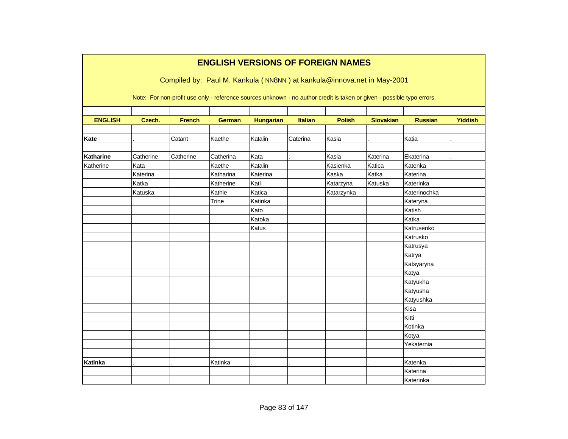|                |           |               |               |                  |                | <b>ENGLISH VERSIONS OF FOREIGN NAMES</b><br>Compiled by: Paul M. Kankula (NN8NN) at kankula@innova.net in May-2001<br>Note: For non-profit use only - reference sources unknown - no author credit is taken or given - possible typo errors. |                  |                |                |
|----------------|-----------|---------------|---------------|------------------|----------------|----------------------------------------------------------------------------------------------------------------------------------------------------------------------------------------------------------------------------------------------|------------------|----------------|----------------|
|                |           |               |               |                  |                |                                                                                                                                                                                                                                              |                  |                |                |
| <b>ENGLISH</b> | Czech.    | <b>French</b> | <b>German</b> | <b>Hungarian</b> | <b>Italian</b> | <b>Polish</b>                                                                                                                                                                                                                                | <b>Slovakian</b> | <b>Russian</b> | <b>Yiddish</b> |
|                |           |               |               |                  |                |                                                                                                                                                                                                                                              |                  |                |                |
| Kate           |           | Catant        | Kaethe        | Katalin          | Caterina       | Kasia                                                                                                                                                                                                                                        |                  | Katia          |                |
|                |           |               |               |                  |                |                                                                                                                                                                                                                                              |                  |                |                |
| Katharine      | Catherine | Catherine     | Catherina     | Kata             |                | Kasia                                                                                                                                                                                                                                        | Katerina         | Ekaterina      |                |
| Katherine      | Kata      |               | Kaethe        | Katalin          |                | Kasienka                                                                                                                                                                                                                                     | Katica           | Katenka        |                |
|                | Katerina  |               | Katharina     | Katerina         |                | Kaska                                                                                                                                                                                                                                        | Katka            | Katerina       |                |
|                | Katka     |               | Katherine     | Kati             |                | Katarzyna                                                                                                                                                                                                                                    | Katuska          | Katerinka      |                |
|                | Katuska   |               | Kathie        | Katica           |                | Katarzynka                                                                                                                                                                                                                                   |                  | Katerinochka   |                |
|                |           |               | Trine         | Katinka          |                |                                                                                                                                                                                                                                              |                  | Kateryna       |                |
|                |           |               |               | Kato             |                |                                                                                                                                                                                                                                              |                  | Katish         |                |
|                |           |               |               | Katoka           |                |                                                                                                                                                                                                                                              |                  | Katka          |                |
|                |           |               |               | Katus            |                |                                                                                                                                                                                                                                              |                  | Katrusenko     |                |
|                |           |               |               |                  |                |                                                                                                                                                                                                                                              |                  | Katrusko       |                |
|                |           |               |               |                  |                |                                                                                                                                                                                                                                              |                  | Katrusya       |                |
|                |           |               |               |                  |                |                                                                                                                                                                                                                                              |                  | Katrya         |                |
|                |           |               |               |                  |                |                                                                                                                                                                                                                                              |                  | Katsyaryna     |                |
|                |           |               |               |                  |                |                                                                                                                                                                                                                                              |                  | Katya          |                |
|                |           |               |               |                  |                |                                                                                                                                                                                                                                              |                  | Katyukha       |                |
|                |           |               |               |                  |                |                                                                                                                                                                                                                                              |                  | Katyusha       |                |
|                |           |               |               |                  |                |                                                                                                                                                                                                                                              |                  | Katyushka      |                |
|                |           |               |               |                  |                |                                                                                                                                                                                                                                              |                  | Kisa           |                |
|                |           |               |               |                  |                |                                                                                                                                                                                                                                              |                  | Kitti          |                |
|                |           |               |               |                  |                |                                                                                                                                                                                                                                              |                  | Kotinka        |                |
|                |           |               |               |                  |                |                                                                                                                                                                                                                                              |                  | Kotya          |                |
|                |           |               |               |                  |                |                                                                                                                                                                                                                                              |                  | Yekaternia     |                |
|                |           |               |               |                  |                |                                                                                                                                                                                                                                              |                  |                |                |
| <b>Katinka</b> |           |               | Katinka       |                  |                |                                                                                                                                                                                                                                              |                  | Katenka        |                |
|                |           |               |               |                  |                |                                                                                                                                                                                                                                              |                  | Katerina       |                |
|                |           |               |               |                  |                |                                                                                                                                                                                                                                              |                  | Katerinka      |                |

٦

 $\mathcal{L}_{\mathcal{A}}$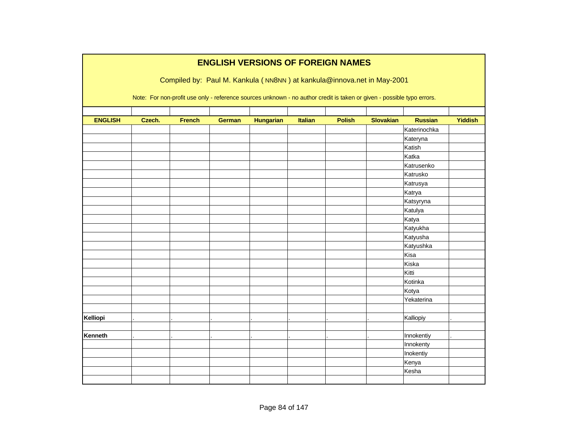|                | <b>ENGLISH VERSIONS OF FOREIGN NAMES</b> |                                                                                                                        |               |                  |                |               |                  |                |                |  |  |  |  |
|----------------|------------------------------------------|------------------------------------------------------------------------------------------------------------------------|---------------|------------------|----------------|---------------|------------------|----------------|----------------|--|--|--|--|
|                |                                          | Compiled by: Paul M. Kankula (NN8NN) at kankula@innova.net in May-2001                                                 |               |                  |                |               |                  |                |                |  |  |  |  |
|                |                                          |                                                                                                                        |               |                  |                |               |                  |                |                |  |  |  |  |
|                |                                          | Note: For non-profit use only - reference sources unknown - no author credit is taken or given - possible typo errors. |               |                  |                |               |                  |                |                |  |  |  |  |
|                |                                          |                                                                                                                        |               |                  |                |               |                  |                |                |  |  |  |  |
| <b>ENGLISH</b> | Czech.                                   | <b>French</b>                                                                                                          | <b>German</b> | <b>Hungarian</b> | <b>Italian</b> | <b>Polish</b> | <b>Slovakian</b> | <b>Russian</b> | <b>Yiddish</b> |  |  |  |  |
|                |                                          |                                                                                                                        |               |                  |                |               |                  | Katerinochka   |                |  |  |  |  |
|                |                                          |                                                                                                                        |               |                  |                |               |                  | Kateryna       |                |  |  |  |  |
|                |                                          |                                                                                                                        |               |                  |                |               |                  | Katish         |                |  |  |  |  |
|                |                                          |                                                                                                                        |               |                  |                |               |                  | Katka          |                |  |  |  |  |
|                |                                          |                                                                                                                        |               |                  |                |               |                  | Katrusenko     |                |  |  |  |  |
|                |                                          |                                                                                                                        |               |                  |                |               |                  | Katrusko       |                |  |  |  |  |
|                |                                          |                                                                                                                        |               |                  |                |               |                  | Katrusya       |                |  |  |  |  |
|                |                                          |                                                                                                                        |               |                  |                |               |                  | Katrya         |                |  |  |  |  |
|                |                                          |                                                                                                                        |               |                  |                |               |                  | Katsyryna      |                |  |  |  |  |
|                |                                          |                                                                                                                        |               |                  |                |               |                  | Katulya        |                |  |  |  |  |
|                |                                          |                                                                                                                        |               |                  |                |               |                  | Katya          |                |  |  |  |  |
|                |                                          |                                                                                                                        |               |                  |                |               |                  | Katyukha       |                |  |  |  |  |
|                |                                          |                                                                                                                        |               |                  |                |               |                  | Katyusha       |                |  |  |  |  |
|                |                                          |                                                                                                                        |               |                  |                |               |                  | Katyushka      |                |  |  |  |  |
|                |                                          |                                                                                                                        |               |                  |                |               |                  | Kisa           |                |  |  |  |  |
|                |                                          |                                                                                                                        |               |                  |                |               |                  | Kiska          |                |  |  |  |  |
|                |                                          |                                                                                                                        |               |                  |                |               |                  | Kitti          |                |  |  |  |  |
|                |                                          |                                                                                                                        |               |                  |                |               |                  | Kotinka        |                |  |  |  |  |
|                |                                          |                                                                                                                        |               |                  |                |               |                  | Kotya          |                |  |  |  |  |
|                |                                          |                                                                                                                        |               |                  |                |               |                  | Yekaterina     |                |  |  |  |  |
|                |                                          |                                                                                                                        |               |                  |                |               |                  |                |                |  |  |  |  |
| Kelliopi       |                                          |                                                                                                                        |               |                  |                |               |                  | Kalliopiy      |                |  |  |  |  |
|                |                                          |                                                                                                                        |               |                  |                |               |                  |                |                |  |  |  |  |
| <b>Kenneth</b> |                                          |                                                                                                                        |               |                  |                |               |                  | Innokentiy     |                |  |  |  |  |
|                |                                          |                                                                                                                        |               |                  |                |               |                  | Innokenty      |                |  |  |  |  |
|                |                                          |                                                                                                                        |               |                  |                |               |                  | Inokentiy      |                |  |  |  |  |
|                |                                          |                                                                                                                        |               |                  |                |               |                  | Kenya          |                |  |  |  |  |
|                |                                          |                                                                                                                        |               |                  |                |               |                  | Kesha          |                |  |  |  |  |
|                |                                          |                                                                                                                        |               |                  |                |               |                  |                |                |  |  |  |  |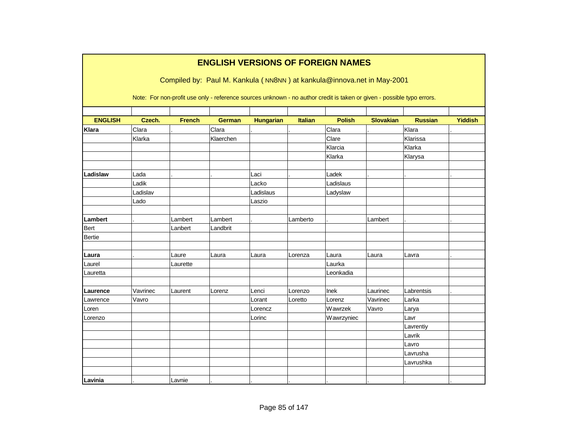|                |          |               |               |                  |                | <b>ENGLISH VERSIONS OF FOREIGN NAMES</b><br>Compiled by: Paul M. Kankula (NN8NN) at kankula@innova.net in May-2001     |                  |                |                |
|----------------|----------|---------------|---------------|------------------|----------------|------------------------------------------------------------------------------------------------------------------------|------------------|----------------|----------------|
|                |          |               |               |                  |                | Note: For non-profit use only - reference sources unknown - no author credit is taken or given - possible typo errors. |                  |                |                |
| <b>ENGLISH</b> | Czech.   | <b>French</b> | <b>German</b> | <b>Hungarian</b> | <b>Italian</b> | <b>Polish</b>                                                                                                          | <b>Slovakian</b> | <b>Russian</b> | <b>Yiddish</b> |
| <b>Klara</b>   | Clara    |               | Clara         |                  |                | Clara                                                                                                                  |                  | Klara          |                |
|                | Klarka   |               | Klaerchen     |                  |                | Clare                                                                                                                  |                  | Klarissa       |                |
|                |          |               |               |                  |                | Klarcia                                                                                                                |                  | Klarka         |                |
|                |          |               |               |                  |                | Klarka                                                                                                                 |                  | Klarysa        |                |
|                |          |               |               |                  |                |                                                                                                                        |                  |                |                |
| Ladislaw       | Lada     |               |               | Laci             |                | Ladek                                                                                                                  |                  |                |                |
|                | Ladik    |               |               | Lacko            |                | Ladislaus                                                                                                              |                  |                |                |
|                | Ladislav |               |               | Ladislaus        |                | Ladyslaw                                                                                                               |                  |                |                |
|                | Lado     |               |               | Laszio           |                |                                                                                                                        |                  |                |                |
|                |          |               |               |                  |                |                                                                                                                        |                  |                |                |
| Lambert        |          | Lambert       | Lambert       |                  | Lamberto       |                                                                                                                        | Lambert          |                |                |
| <b>Bert</b>    |          | Lanbert       | Landbrit      |                  |                |                                                                                                                        |                  |                |                |
| <b>Bertie</b>  |          |               |               |                  |                |                                                                                                                        |                  |                |                |
|                |          |               |               |                  |                |                                                                                                                        |                  |                |                |
| Laura          |          | Laure         | Laura         | Laura            | Lorenza        | Laura                                                                                                                  | Laura            | Lavra          |                |
| Laurel         |          | Laurette      |               |                  |                | Laurka                                                                                                                 |                  |                |                |
| Lauretta       |          |               |               |                  |                | Leonkadia                                                                                                              |                  |                |                |
|                |          |               |               |                  |                |                                                                                                                        |                  |                |                |
| Laurence       | Vavrinec | Laurent       | Lorenz        | Lenci            | Lorenzo        | Inek                                                                                                                   | Laurinec         | Labrentsis     |                |
| Lawrence       | Vavro    |               |               | Lorant           | Loretto        | Lorenz                                                                                                                 | Vavrinec         | Larka          |                |
| Loren          |          |               |               | Lorencz          |                | Wawrzek                                                                                                                | Vavro            | Larya          |                |
| Lorenzo        |          |               |               | Lorinc           |                | Wawrzyniec                                                                                                             |                  | Lavr           |                |
|                |          |               |               |                  |                |                                                                                                                        |                  | Lavrentiy      |                |
|                |          |               |               |                  |                |                                                                                                                        |                  | Lavrik         |                |
|                |          |               |               |                  |                |                                                                                                                        |                  | Lavro          |                |
|                |          |               |               |                  |                |                                                                                                                        |                  | Lavrusha       |                |
|                |          |               |               |                  |                |                                                                                                                        |                  | Lavrushka      |                |
|                |          |               |               |                  |                |                                                                                                                        |                  |                |                |
| Lavinia        |          | Lavnie        |               |                  |                |                                                                                                                        |                  |                |                |

٦

Г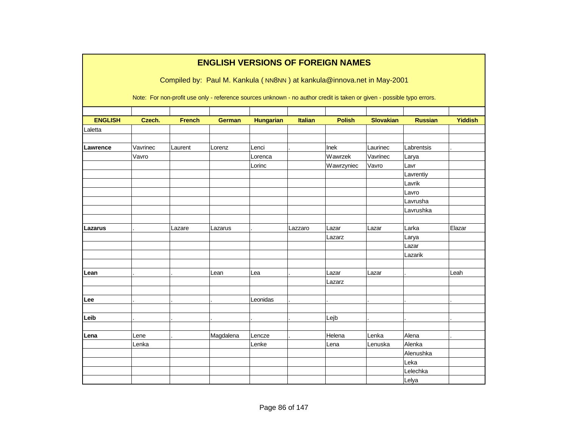|                |          |               |               |                  |                | <b>ENGLISH VERSIONS OF FOREIGN NAMES</b>                                                                               |                  |                |                |
|----------------|----------|---------------|---------------|------------------|----------------|------------------------------------------------------------------------------------------------------------------------|------------------|----------------|----------------|
|                |          |               |               |                  |                | Compiled by: Paul M. Kankula (NN8NN) at kankula@innova.net in May-2001                                                 |                  |                |                |
|                |          |               |               |                  |                |                                                                                                                        |                  |                |                |
|                |          |               |               |                  |                | Note: For non-profit use only - reference sources unknown - no author credit is taken or given - possible typo errors. |                  |                |                |
| <b>ENGLISH</b> | Czech.   | <b>French</b> | <b>German</b> | <b>Hungarian</b> | <b>Italian</b> | <b>Polish</b>                                                                                                          | <b>Slovakian</b> | <b>Russian</b> | <b>Yiddish</b> |
| Laletta        |          |               |               |                  |                |                                                                                                                        |                  |                |                |
|                |          |               |               |                  |                |                                                                                                                        |                  |                |                |
| Lawrence       | Vavrinec | Laurent       | Lorenz        | Lenci            |                | Inek                                                                                                                   | Laurinec         | Labrentsis     |                |
|                | Vavro    |               |               | Lorenca          |                | Wawrzek                                                                                                                | Vavrinec         | Larya          |                |
|                |          |               |               | Lorinc           |                | Wawrzyniec                                                                                                             | Vavro            | Lavr           |                |
|                |          |               |               |                  |                |                                                                                                                        |                  | Lavrentiy      |                |
|                |          |               |               |                  |                |                                                                                                                        |                  | Lavrik         |                |
|                |          |               |               |                  |                |                                                                                                                        |                  | Lavro          |                |
|                |          |               |               |                  |                |                                                                                                                        |                  | Lavrusha       |                |
|                |          |               |               |                  |                |                                                                                                                        |                  | Lavrushka      |                |
| Lazarus        |          | Lazare        | Lazarus       |                  | Lazzaro        | Lazar                                                                                                                  | Lazar            | Larka          | Elazar         |
|                |          |               |               |                  |                | Lazarz                                                                                                                 |                  | Larya          |                |
|                |          |               |               |                  |                |                                                                                                                        |                  | Lazar          |                |
|                |          |               |               |                  |                |                                                                                                                        |                  | Lazarik        |                |
|                |          |               |               |                  |                |                                                                                                                        |                  |                |                |
| Lean           |          |               | Lean          | Lea              |                | Lazar                                                                                                                  | Lazar            |                | Leah           |
|                |          |               |               |                  |                | Lazarz                                                                                                                 |                  |                |                |
|                |          |               |               |                  |                |                                                                                                                        |                  |                |                |
| Lee            |          |               |               | Leonidas         |                |                                                                                                                        |                  |                |                |
|                |          |               |               |                  |                |                                                                                                                        |                  |                |                |
| Leib           |          |               |               |                  |                | Lejb                                                                                                                   |                  |                |                |
|                |          |               |               |                  |                |                                                                                                                        |                  |                |                |
| Lena           | Lene     |               | Magdalena     | Lencze           |                | Helena                                                                                                                 | Lenka            | Alena          |                |
|                | Lenka    |               |               | Lenke            |                | Lena                                                                                                                   | Lenuska          | Alenka         |                |
|                |          |               |               |                  |                |                                                                                                                        |                  | Alenushka      |                |
|                |          |               |               |                  |                |                                                                                                                        |                  | Leka           |                |
|                |          |               |               |                  |                |                                                                                                                        |                  | Lelechka       |                |
|                |          |               |               |                  |                |                                                                                                                        |                  | Lelya          |                |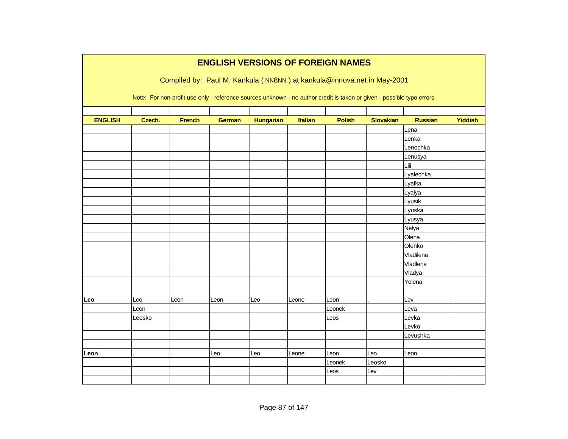|                | <b>ENGLISH VERSIONS OF FOREIGN NAMES</b> |               |               |                  |                |                                                                                                                        |                  |                |                |  |  |  |
|----------------|------------------------------------------|---------------|---------------|------------------|----------------|------------------------------------------------------------------------------------------------------------------------|------------------|----------------|----------------|--|--|--|
|                |                                          |               |               |                  |                | Compiled by: Paul M. Kankula (NN8NN) at kankula@innova.net in May-2001                                                 |                  |                |                |  |  |  |
|                |                                          |               |               |                  |                |                                                                                                                        |                  |                |                |  |  |  |
|                |                                          |               |               |                  |                | Note: For non-profit use only - reference sources unknown - no author credit is taken or given - possible typo errors. |                  |                |                |  |  |  |
|                |                                          |               |               |                  |                |                                                                                                                        |                  |                |                |  |  |  |
| <b>ENGLISH</b> | Czech.                                   | <b>French</b> | <b>German</b> | <b>Hungarian</b> | <b>Italian</b> | <b>Polish</b>                                                                                                          | <b>Slovakian</b> | <b>Russian</b> | <b>Yiddish</b> |  |  |  |
|                |                                          |               |               |                  |                |                                                                                                                        |                  | Lena           |                |  |  |  |
|                |                                          |               |               |                  |                |                                                                                                                        |                  | Lenka          |                |  |  |  |
|                |                                          |               |               |                  |                |                                                                                                                        |                  | Lenochka       |                |  |  |  |
|                |                                          |               |               |                  |                |                                                                                                                        |                  | Lenusya        |                |  |  |  |
|                |                                          |               |               |                  |                |                                                                                                                        |                  | Lili           |                |  |  |  |
|                |                                          |               |               |                  |                |                                                                                                                        |                  | Lyalechka      |                |  |  |  |
|                |                                          |               |               |                  |                |                                                                                                                        |                  | Lyalka         |                |  |  |  |
|                |                                          |               |               |                  |                |                                                                                                                        |                  | Lyalya         |                |  |  |  |
|                |                                          |               |               |                  |                |                                                                                                                        |                  | Lyusik         |                |  |  |  |
|                |                                          |               |               |                  |                |                                                                                                                        |                  | Lyuska         |                |  |  |  |
|                |                                          |               |               |                  |                |                                                                                                                        |                  | Lyusya         |                |  |  |  |
|                |                                          |               |               |                  |                |                                                                                                                        |                  | Nelya          |                |  |  |  |
|                |                                          |               |               |                  |                |                                                                                                                        |                  | Olena          |                |  |  |  |
|                |                                          |               |               |                  |                |                                                                                                                        |                  | Olenko         |                |  |  |  |
|                |                                          |               |               |                  |                |                                                                                                                        |                  | Vladilena      |                |  |  |  |
|                |                                          |               |               |                  |                |                                                                                                                        |                  | Vladlena       |                |  |  |  |
|                |                                          |               |               |                  |                |                                                                                                                        |                  | Vladya         |                |  |  |  |
|                |                                          |               |               |                  |                |                                                                                                                        |                  | Yelena         |                |  |  |  |
|                |                                          |               |               |                  |                |                                                                                                                        |                  |                |                |  |  |  |
| Leo            | Leo                                      | Leon          | Leon          | Leo              | Leone          | Leon                                                                                                                   |                  | Lev            |                |  |  |  |
|                | Leon                                     |               |               |                  |                | Leonek                                                                                                                 |                  | Leva           |                |  |  |  |
|                | Leosko                                   |               |               |                  |                | Leos                                                                                                                   |                  | Levka          |                |  |  |  |
|                |                                          |               |               |                  |                |                                                                                                                        |                  | Levko          |                |  |  |  |
|                |                                          |               |               |                  |                |                                                                                                                        |                  | Levushka       |                |  |  |  |
|                |                                          |               |               |                  |                |                                                                                                                        |                  |                |                |  |  |  |
| Leon           |                                          |               | Leo           | Leo              | Leone          | Leon                                                                                                                   | Leo              | Leon           |                |  |  |  |
|                |                                          |               |               |                  |                | Leonek                                                                                                                 | Leosko           |                |                |  |  |  |
|                |                                          |               |               |                  |                | Leos                                                                                                                   | Lev              |                |                |  |  |  |
|                |                                          |               |               |                  |                |                                                                                                                        |                  |                |                |  |  |  |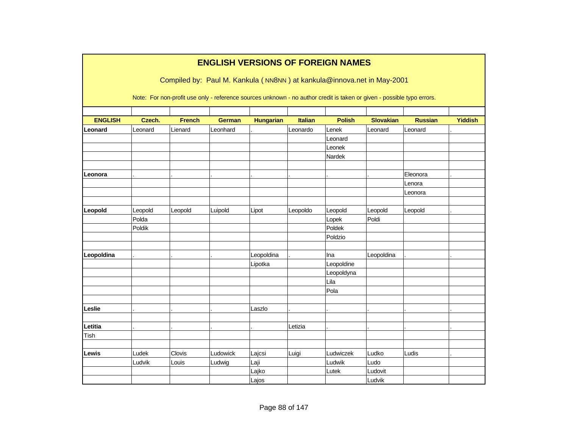|                | <b>ENGLISH VERSIONS OF FOREIGN NAMES</b> |               |               |                  |                |                                                                                                                        |                  |                |                |  |  |  |  |
|----------------|------------------------------------------|---------------|---------------|------------------|----------------|------------------------------------------------------------------------------------------------------------------------|------------------|----------------|----------------|--|--|--|--|
|                |                                          |               |               |                  |                | Compiled by: Paul M. Kankula (NN8NN) at kankula@innova.net in May-2001                                                 |                  |                |                |  |  |  |  |
|                |                                          |               |               |                  |                |                                                                                                                        |                  |                |                |  |  |  |  |
|                |                                          |               |               |                  |                | Note: For non-profit use only - reference sources unknown - no author credit is taken or given - possible typo errors. |                  |                |                |  |  |  |  |
|                |                                          |               |               |                  |                |                                                                                                                        |                  |                |                |  |  |  |  |
| <b>ENGLISH</b> | Czech.                                   | <b>French</b> | <b>German</b> | <b>Hungarian</b> | <b>Italian</b> | <b>Polish</b>                                                                                                          | <b>Slovakian</b> | <b>Russian</b> | <b>Yiddish</b> |  |  |  |  |
| Leonard        | Leonard                                  | Lienard       | Leonhard      |                  | Leonardo       | Lenek                                                                                                                  | Leonard          | Leonard        |                |  |  |  |  |
|                |                                          |               |               |                  |                | Leonard                                                                                                                |                  |                |                |  |  |  |  |
|                |                                          |               |               |                  |                | Leonek                                                                                                                 |                  |                |                |  |  |  |  |
|                |                                          |               |               |                  |                | Nardek                                                                                                                 |                  |                |                |  |  |  |  |
|                |                                          |               |               |                  |                |                                                                                                                        |                  |                |                |  |  |  |  |
| Leonora        |                                          |               |               |                  |                |                                                                                                                        |                  | Eleonora       |                |  |  |  |  |
|                |                                          |               |               |                  |                |                                                                                                                        |                  | Lenora         |                |  |  |  |  |
|                |                                          |               |               |                  |                |                                                                                                                        |                  | Leonora        |                |  |  |  |  |
|                |                                          |               |               |                  |                |                                                                                                                        |                  |                |                |  |  |  |  |
| Leopold        | Leopold                                  | Leopold       | Luipold       | Lipot            | Leopoldo       | Leopold                                                                                                                | Leopold          | Leopold        |                |  |  |  |  |
|                | Polda                                    |               |               |                  |                | Lopek                                                                                                                  | Poldi            |                |                |  |  |  |  |
|                | Poldik                                   |               |               |                  |                | Poldek                                                                                                                 |                  |                |                |  |  |  |  |
|                |                                          |               |               |                  |                | Poldzio                                                                                                                |                  |                |                |  |  |  |  |
|                |                                          |               |               |                  |                |                                                                                                                        |                  |                |                |  |  |  |  |
| Leopoldina     |                                          |               |               | Leopoldina       |                | Ina                                                                                                                    | Leopoldina       |                |                |  |  |  |  |
|                |                                          |               |               | Lipotka          |                | Leopoldine                                                                                                             |                  |                |                |  |  |  |  |
|                |                                          |               |               |                  |                | Leopoldyna                                                                                                             |                  |                |                |  |  |  |  |
|                |                                          |               |               |                  |                | Lila                                                                                                                   |                  |                |                |  |  |  |  |
|                |                                          |               |               |                  |                | Pola                                                                                                                   |                  |                |                |  |  |  |  |
|                |                                          |               |               |                  |                |                                                                                                                        |                  |                |                |  |  |  |  |
| Leslie         |                                          |               |               | Laszlo           |                |                                                                                                                        |                  |                |                |  |  |  |  |
|                |                                          |               |               |                  |                |                                                                                                                        |                  |                |                |  |  |  |  |
| Letitia        |                                          |               |               |                  | Letizia        |                                                                                                                        |                  |                |                |  |  |  |  |
| Tish           |                                          |               |               |                  |                |                                                                                                                        |                  |                |                |  |  |  |  |
|                |                                          |               |               |                  |                |                                                                                                                        |                  |                |                |  |  |  |  |
| Lewis          | Ludek                                    | Clovis        | Ludowick      | Lajcsi           | Luigi          | Ludwiczek                                                                                                              | Ludko            | Ludis          |                |  |  |  |  |
|                | Ludvik                                   | Louis         | Ludwig        | Laji             |                | Ludwik                                                                                                                 | Ludo             |                |                |  |  |  |  |
|                |                                          |               |               | Lajko            |                | Lutek                                                                                                                  | Ludovit          |                |                |  |  |  |  |
|                |                                          |               |               | Lajos            |                |                                                                                                                        | Ludvik           |                |                |  |  |  |  |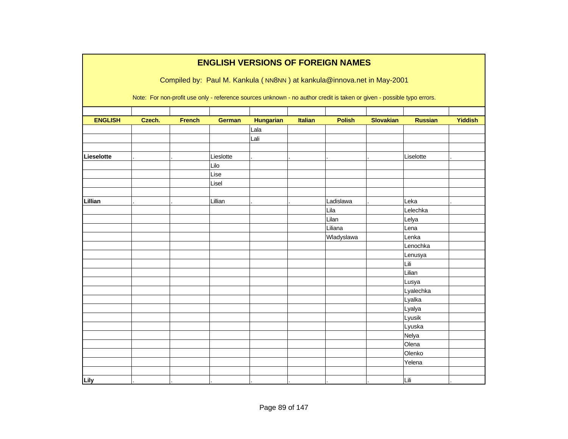|                |        |               |               |                  |                | <b>ENGLISH VERSIONS OF FOREIGN NAMES</b>                                                                               |                  |                |                |
|----------------|--------|---------------|---------------|------------------|----------------|------------------------------------------------------------------------------------------------------------------------|------------------|----------------|----------------|
|                |        |               |               |                  |                | Compiled by: Paul M. Kankula (NN8NN) at kankula@innova.net in May-2001                                                 |                  |                |                |
|                |        |               |               |                  |                |                                                                                                                        |                  |                |                |
|                |        |               |               |                  |                | Note: For non-profit use only - reference sources unknown - no author credit is taken or given - possible typo errors. |                  |                |                |
|                |        |               |               |                  |                |                                                                                                                        |                  |                |                |
| <b>ENGLISH</b> | Czech. | <b>French</b> | <b>German</b> | <b>Hungarian</b> | <b>Italian</b> | <b>Polish</b>                                                                                                          | <b>Slovakian</b> | <b>Russian</b> | <b>Yiddish</b> |
|                |        |               |               | Lala             |                |                                                                                                                        |                  |                |                |
|                |        |               |               | Lali             |                |                                                                                                                        |                  |                |                |
|                |        |               |               |                  |                |                                                                                                                        |                  |                |                |
| Lieselotte     |        |               | Lieslotte     |                  |                |                                                                                                                        |                  | Liselotte      |                |
|                |        |               | Lilo          |                  |                |                                                                                                                        |                  |                |                |
|                |        |               | Lise          |                  |                |                                                                                                                        |                  |                |                |
|                |        |               | Lisel         |                  |                |                                                                                                                        |                  |                |                |
|                |        |               |               |                  |                |                                                                                                                        |                  |                |                |
| Lillian        |        |               | Lillian       |                  |                | Ladislawa                                                                                                              |                  | Leka           |                |
|                |        |               |               |                  |                | Lila                                                                                                                   |                  | Lelechka       |                |
|                |        |               |               |                  |                | Lilan                                                                                                                  |                  | Lelya          |                |
|                |        |               |               |                  |                | Liliana                                                                                                                |                  | Lena           |                |
|                |        |               |               |                  |                | Wladyslawa                                                                                                             |                  | Lenka          |                |
|                |        |               |               |                  |                |                                                                                                                        |                  | Lenochka       |                |
|                |        |               |               |                  |                |                                                                                                                        |                  | Lenusya        |                |
|                |        |               |               |                  |                |                                                                                                                        |                  | Lili           |                |
|                |        |               |               |                  |                |                                                                                                                        |                  | Lilian         |                |
|                |        |               |               |                  |                |                                                                                                                        |                  | Lusya          |                |
|                |        |               |               |                  |                |                                                                                                                        |                  | Lyalechka      |                |
|                |        |               |               |                  |                |                                                                                                                        |                  | Lyalka         |                |
|                |        |               |               |                  |                |                                                                                                                        |                  | Lyalya         |                |
|                |        |               |               |                  |                |                                                                                                                        |                  | Lyusik         |                |
|                |        |               |               |                  |                |                                                                                                                        |                  | Lyuska         |                |
|                |        |               |               |                  |                |                                                                                                                        |                  | Nelya          |                |
|                |        |               |               |                  |                |                                                                                                                        |                  | Olena          |                |
|                |        |               |               |                  |                |                                                                                                                        |                  | Olenko         |                |
|                |        |               |               |                  |                |                                                                                                                        |                  | Yelena         |                |
|                |        |               |               |                  |                |                                                                                                                        |                  |                |                |
| Lily           |        |               |               |                  |                |                                                                                                                        |                  | Lili           |                |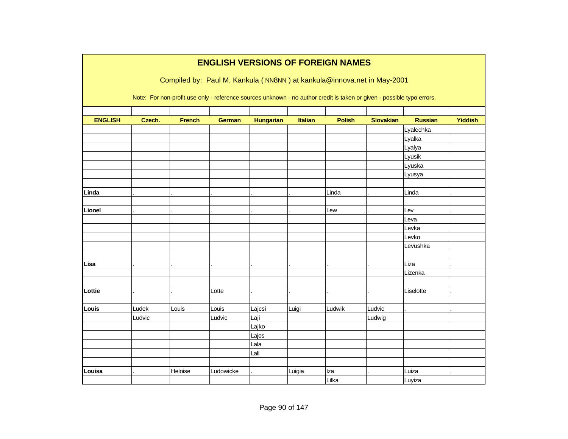|                |        |               |               |                  |         | <b>ENGLISH VERSIONS OF FOREIGN NAMES</b>                                                                               |                  |                |                |
|----------------|--------|---------------|---------------|------------------|---------|------------------------------------------------------------------------------------------------------------------------|------------------|----------------|----------------|
|                |        |               |               |                  |         | Compiled by: Paul M. Kankula (NN8NN) at kankula@innova.net in May-2001                                                 |                  |                |                |
|                |        |               |               |                  |         |                                                                                                                        |                  |                |                |
|                |        |               |               |                  |         | Note: For non-profit use only - reference sources unknown - no author credit is taken or given - possible typo errors. |                  |                |                |
|                |        |               |               |                  |         |                                                                                                                        |                  |                |                |
| <b>ENGLISH</b> | Czech. | <b>French</b> | <b>German</b> | <b>Hungarian</b> | Italian | <b>Polish</b>                                                                                                          | <b>Slovakian</b> | <b>Russian</b> | <b>Yiddish</b> |
|                |        |               |               |                  |         |                                                                                                                        |                  | Lyalechka      |                |
|                |        |               |               |                  |         |                                                                                                                        |                  | Lyalka         |                |
|                |        |               |               |                  |         |                                                                                                                        |                  | Lyalya         |                |
|                |        |               |               |                  |         |                                                                                                                        |                  | Lyusik         |                |
|                |        |               |               |                  |         |                                                                                                                        |                  | Lyuska         |                |
|                |        |               |               |                  |         |                                                                                                                        |                  | Lyusya         |                |
|                |        |               |               |                  |         |                                                                                                                        |                  |                |                |
| Linda          |        |               |               |                  |         | Linda                                                                                                                  |                  | Linda          |                |
| Lionel         |        |               |               |                  |         | Lew                                                                                                                    |                  | Lev            |                |
|                |        |               |               |                  |         |                                                                                                                        |                  | Leva           |                |
|                |        |               |               |                  |         |                                                                                                                        |                  | Levka          |                |
|                |        |               |               |                  |         |                                                                                                                        |                  | Levko          |                |
|                |        |               |               |                  |         |                                                                                                                        |                  | Levushka       |                |
|                |        |               |               |                  |         |                                                                                                                        |                  |                |                |
| Lisa           |        |               |               |                  |         |                                                                                                                        |                  | Liza           |                |
|                |        |               |               |                  |         |                                                                                                                        |                  | Lizenka        |                |
|                |        |               |               |                  |         |                                                                                                                        |                  |                |                |
| Lottie         |        |               | Lotte         |                  |         |                                                                                                                        |                  | Liselotte      |                |
|                |        |               |               |                  |         |                                                                                                                        |                  |                |                |
| Louis          | Ludek  | Louis         | Louis         | Lajcsi           | Luigi   | Ludwik                                                                                                                 | Ludvic           |                |                |
|                | Ludvic |               | Ludvic        | Laji             |         |                                                                                                                        | Ludwig           |                |                |
|                |        |               |               | Lajko            |         |                                                                                                                        |                  |                |                |
|                |        |               |               | Lajos            |         |                                                                                                                        |                  |                |                |
|                |        |               |               | Lala             |         |                                                                                                                        |                  |                |                |
|                |        |               |               | Lali             |         |                                                                                                                        |                  |                |                |
|                |        |               |               |                  |         |                                                                                                                        |                  |                |                |
| Louisa         |        | Heloise       | Ludowicke     |                  | Luigia  | Iza                                                                                                                    |                  | Luiza          |                |
|                |        |               |               |                  |         | Lilka                                                                                                                  |                  | Luyiza         |                |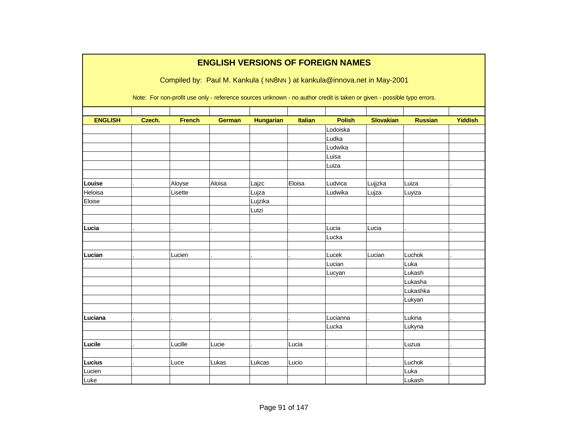|                |        |               | <b>ENGLISH VERSIONS OF FOREIGN NAMES</b>                                                                               |                  |                |               |                  |                |                |
|----------------|--------|---------------|------------------------------------------------------------------------------------------------------------------------|------------------|----------------|---------------|------------------|----------------|----------------|
|                |        |               | Compiled by: Paul M. Kankula (NN8NN) at kankula@innova.net in May-2001                                                 |                  |                |               |                  |                |                |
|                |        |               |                                                                                                                        |                  |                |               |                  |                |                |
|                |        |               | Note: For non-profit use only - reference sources unknown - no author credit is taken or given - possible typo errors. |                  |                |               |                  |                |                |
|                |        |               |                                                                                                                        |                  |                |               |                  |                |                |
| <b>ENGLISH</b> | Czech. | <b>French</b> | <b>German</b>                                                                                                          | <b>Hungarian</b> | <b>Italian</b> | <b>Polish</b> | <b>Slovakian</b> | <b>Russian</b> | <b>Yiddish</b> |
|                |        |               |                                                                                                                        |                  |                | Lodoiska      |                  |                |                |
|                |        |               |                                                                                                                        |                  |                | Ludka         |                  |                |                |
|                |        |               |                                                                                                                        |                  |                | Ludwika       |                  |                |                |
|                |        |               |                                                                                                                        |                  |                | Luisa         |                  |                |                |
|                |        |               |                                                                                                                        |                  |                | Luiza         |                  |                |                |
|                |        |               |                                                                                                                        |                  |                |               |                  |                |                |
| Louise         |        | Aloyse        | Aloisa                                                                                                                 | Lajzc            | Eloisa         | Ludvica       | Lujjzka          | Luiza          |                |
| Heloisa        |        | Lisette       |                                                                                                                        | Lujza            |                | Ludwika       | Lujza            | Luyiza         |                |
| Eloise         |        |               |                                                                                                                        | Lujzika          |                |               |                  |                |                |
|                |        |               |                                                                                                                        | Lutzi            |                |               |                  |                |                |
|                |        |               |                                                                                                                        |                  |                |               |                  |                |                |
| Lucia          |        |               |                                                                                                                        |                  |                | Lucia         | Lucia            |                |                |
|                |        |               |                                                                                                                        |                  |                | Lucka         |                  |                |                |
|                |        |               |                                                                                                                        |                  |                |               |                  |                |                |
| Lucian         |        | Lucien        |                                                                                                                        |                  |                | Lucek         | Lucian           | Luchok         |                |
|                |        |               |                                                                                                                        |                  |                | Lucian        |                  | Luka           |                |
|                |        |               |                                                                                                                        |                  |                | Lucyan        |                  | Lukash         |                |
|                |        |               |                                                                                                                        |                  |                |               |                  | Lukasha        |                |
|                |        |               |                                                                                                                        |                  |                |               |                  | Lukashka       |                |
|                |        |               |                                                                                                                        |                  |                |               |                  | Lukyan         |                |
|                |        |               |                                                                                                                        |                  |                |               |                  |                |                |
| Luciana        |        |               |                                                                                                                        |                  |                | Lucianna      |                  | Lukina         |                |
|                |        |               |                                                                                                                        |                  |                | Lucka         |                  | Lukyna         |                |
|                |        |               |                                                                                                                        |                  |                |               |                  |                |                |
| Lucile         |        | Lucille       | Lucie                                                                                                                  |                  | Lucia          |               |                  | Luzua          |                |
|                |        |               |                                                                                                                        |                  |                |               |                  |                |                |
| <b>Lucius</b>  |        | Luce          | Lukas                                                                                                                  | Lukcas           | Lucio          |               |                  | Luchok         |                |
| Lucien         |        |               |                                                                                                                        |                  |                |               |                  | Luka           |                |
| Luke           |        |               |                                                                                                                        |                  |                |               |                  | Lukash         |                |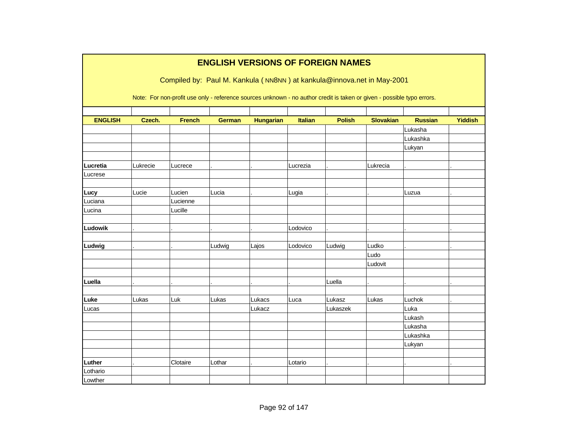|                |          |               |               |                  |                | <b>ENGLISH VERSIONS OF FOREIGN NAMES</b>                                                                               |                  |                |                |
|----------------|----------|---------------|---------------|------------------|----------------|------------------------------------------------------------------------------------------------------------------------|------------------|----------------|----------------|
|                |          |               |               |                  |                | Compiled by: Paul M. Kankula (NN8NN) at kankula@innova.net in May-2001                                                 |                  |                |                |
|                |          |               |               |                  |                |                                                                                                                        |                  |                |                |
|                |          |               |               |                  |                | Note: For non-profit use only - reference sources unknown - no author credit is taken or given - possible typo errors. |                  |                |                |
|                |          |               |               |                  |                |                                                                                                                        |                  |                |                |
| <b>ENGLISH</b> | Czech.   | <b>French</b> | <b>German</b> | <b>Hungarian</b> | <b>Italian</b> | <b>Polish</b>                                                                                                          | <b>Slovakian</b> | <b>Russian</b> | <b>Yiddish</b> |
|                |          |               |               |                  |                |                                                                                                                        |                  | Lukasha        |                |
|                |          |               |               |                  |                |                                                                                                                        |                  | Lukashka       |                |
|                |          |               |               |                  |                |                                                                                                                        |                  | Lukyan         |                |
|                |          |               |               |                  |                |                                                                                                                        |                  |                |                |
| Lucretia       | Lukrecie | Lucrece       |               |                  | Lucrezia       |                                                                                                                        | Lukrecia         |                |                |
| Lucrese        |          |               |               |                  |                |                                                                                                                        |                  |                |                |
|                |          |               |               |                  |                |                                                                                                                        |                  |                |                |
| Lucy           | Lucie    | Lucien        | Lucia         |                  | Lugia          |                                                                                                                        |                  | Luzua          |                |
| Luciana        |          | Lucienne      |               |                  |                |                                                                                                                        |                  |                |                |
| Lucina         |          | Lucille       |               |                  |                |                                                                                                                        |                  |                |                |
|                |          |               |               |                  |                |                                                                                                                        |                  |                |                |
| Ludowik        |          |               |               |                  | Lodovico       |                                                                                                                        |                  |                |                |
|                |          |               |               |                  |                |                                                                                                                        |                  |                |                |
| Ludwig         |          |               | Ludwig        | Lajos            | Lodovico       | Ludwig                                                                                                                 | Ludko            |                |                |
|                |          |               |               |                  |                |                                                                                                                        | Ludo             |                |                |
|                |          |               |               |                  |                |                                                                                                                        | Ludovit          |                |                |
|                |          |               |               |                  |                |                                                                                                                        |                  |                |                |
| Luella         |          |               |               |                  |                | Luella                                                                                                                 |                  |                |                |
|                |          |               |               |                  |                |                                                                                                                        |                  |                |                |
| Luke           | Lukas    | Luk           | Lukas         | Lukacs           | Luca           | Lukasz                                                                                                                 | Lukas            | Luchok         |                |
| Lucas          |          |               |               | Lukacz           |                | Lukaszek                                                                                                               |                  | Luka           |                |
|                |          |               |               |                  |                |                                                                                                                        |                  | Lukash         |                |
|                |          |               |               |                  |                |                                                                                                                        |                  | Lukasha        |                |
|                |          |               |               |                  |                |                                                                                                                        |                  | Lukashka       |                |
|                |          |               |               |                  |                |                                                                                                                        |                  | Lukyan         |                |
|                |          |               |               |                  |                |                                                                                                                        |                  |                |                |
| Luther         |          | Clotaire      | Lothar        |                  | Lotario        |                                                                                                                        |                  |                |                |
| Lothario       |          |               |               |                  |                |                                                                                                                        |                  |                |                |
| Lowther        |          |               |               |                  |                |                                                                                                                        |                  |                |                |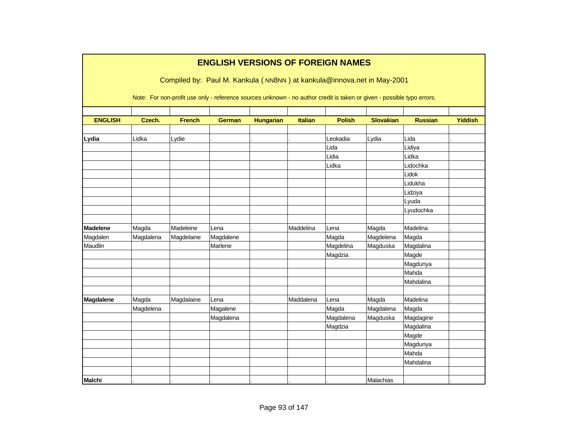|                 |           |               | <b>ENGLISH VERSIONS OF FOREIGN NAMES</b>                                                                               |                  |                |               |                  |                |                |
|-----------------|-----------|---------------|------------------------------------------------------------------------------------------------------------------------|------------------|----------------|---------------|------------------|----------------|----------------|
|                 |           |               | Compiled by: Paul M. Kankula (NN8NN) at kankula@innova.net in May-2001                                                 |                  |                |               |                  |                |                |
|                 |           |               | Note: For non-profit use only - reference sources unknown - no author credit is taken or given - possible typo errors. |                  |                |               |                  |                |                |
| <b>ENGLISH</b>  | Czech.    | <b>French</b> | <b>German</b>                                                                                                          | <b>Hungarian</b> | <b>Italian</b> | <b>Polish</b> | <b>Slovakian</b> | <b>Russian</b> | <b>Yiddish</b> |
|                 |           |               |                                                                                                                        |                  |                |               |                  |                |                |
| Lydia           | Lidka     | Lydie         |                                                                                                                        |                  |                | Leokadia      | Lydia            | Lida           |                |
|                 |           |               |                                                                                                                        |                  |                | Lida          |                  | Lidiya         |                |
|                 |           |               |                                                                                                                        |                  |                | Lidia         |                  | Lidka          |                |
|                 |           |               |                                                                                                                        |                  |                | Lidka         |                  | Lidochka       |                |
|                 |           |               |                                                                                                                        |                  |                |               |                  | Lidok          |                |
|                 |           |               |                                                                                                                        |                  |                |               |                  | Lidukha        |                |
|                 |           |               |                                                                                                                        |                  |                |               |                  | Lidziya        |                |
|                 |           |               |                                                                                                                        |                  |                |               |                  | Lyuda          |                |
|                 |           |               |                                                                                                                        |                  |                |               |                  | Lyudochka      |                |
|                 |           |               |                                                                                                                        |                  |                |               |                  |                |                |
| <b>Madelene</b> | Magda     | Madeleine     | Lena                                                                                                                   |                  | Maddelina      | Lena          | Magda            | Madelina       |                |
| Magdalen        | Magdalena | Magdelaine    | Magdalene                                                                                                              |                  |                | Magda         | Magdelena        | Magda          |                |
| Maudlin         |           |               | Marlene                                                                                                                |                  |                | Magdelina     | Magduska         | Magdalina      |                |
|                 |           |               |                                                                                                                        |                  |                | Magdzia       |                  | Magde          |                |
|                 |           |               |                                                                                                                        |                  |                |               |                  | Magdunya       |                |
|                 |           |               |                                                                                                                        |                  |                |               |                  | Mahda          |                |
|                 |           |               |                                                                                                                        |                  |                |               |                  | Mahdalina      |                |
|                 |           |               |                                                                                                                        |                  | Maddalena      |               |                  | Madelina       |                |
| Magdalene       | Magda     | Magdalaine    | Lena                                                                                                                   |                  |                | Lena          | Magda            |                |                |
|                 | Magdelena |               | Magalene                                                                                                               |                  |                | Magda         | Magdalena        | Magda          |                |
|                 |           |               | Magdalena                                                                                                              |                  |                | Magdalena     | Magduska         | Magdagine      |                |
|                 |           |               |                                                                                                                        |                  |                | Magdzia       |                  | Magdalina      |                |
|                 |           |               |                                                                                                                        |                  |                |               |                  | Magde          |                |
|                 |           |               |                                                                                                                        |                  |                |               |                  | Magdunya       |                |
|                 |           |               |                                                                                                                        |                  |                |               |                  | Mahda          |                |
|                 |           |               |                                                                                                                        |                  |                |               |                  | Mahdalina      |                |
|                 |           |               |                                                                                                                        |                  |                |               |                  |                |                |
| <b>Malchi</b>   |           |               |                                                                                                                        |                  |                |               | Malachias        |                |                |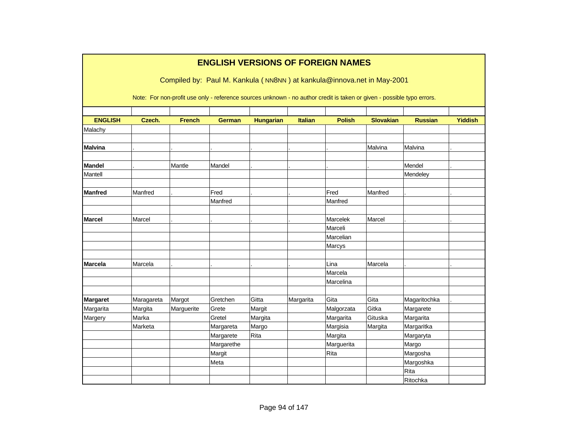|                 |            |               | <b>ENGLISH VERSIONS OF FOREIGN NAMES</b>                                                                               |                  |                |               |                  |                |                |
|-----------------|------------|---------------|------------------------------------------------------------------------------------------------------------------------|------------------|----------------|---------------|------------------|----------------|----------------|
|                 |            |               | Compiled by: Paul M. Kankula (NN8NN) at kankula@innova.net in May-2001                                                 |                  |                |               |                  |                |                |
|                 |            |               | Note: For non-profit use only - reference sources unknown - no author credit is taken or given - possible typo errors. |                  |                |               |                  |                |                |
| <b>ENGLISH</b>  | Czech.     | <b>French</b> | <b>German</b>                                                                                                          | <b>Hungarian</b> | <b>Italian</b> | <b>Polish</b> | <b>Slovakian</b> | <b>Russian</b> | <b>Yiddish</b> |
| Malachy         |            |               |                                                                                                                        |                  |                |               |                  |                |                |
|                 |            |               |                                                                                                                        |                  |                |               |                  |                |                |
| <b>Malvina</b>  |            |               |                                                                                                                        |                  |                |               | Malvina          | Malvina        |                |
|                 |            |               |                                                                                                                        |                  |                |               |                  |                |                |
| <b>Mandel</b>   |            | Mantle        | Mandel                                                                                                                 |                  |                |               |                  | Mendel         |                |
| Mantell         |            |               |                                                                                                                        |                  |                |               |                  | Mendeley       |                |
|                 |            |               |                                                                                                                        |                  |                |               |                  |                |                |
| <b>Manfred</b>  | Manfred    |               | Fred                                                                                                                   |                  |                | Fred          | Manfred          |                |                |
|                 |            |               | Manfred                                                                                                                |                  |                | Manfred       |                  |                |                |
| <b>Marcel</b>   | Marcel     |               |                                                                                                                        |                  |                | Marcelek      | Marcel           |                |                |
|                 |            |               |                                                                                                                        |                  |                | Marceli       |                  |                |                |
|                 |            |               |                                                                                                                        |                  |                | Marcelian     |                  |                |                |
|                 |            |               |                                                                                                                        |                  |                | Marcys        |                  |                |                |
|                 |            |               |                                                                                                                        |                  |                |               |                  |                |                |
| <b>Marcela</b>  | Marcela    |               |                                                                                                                        |                  |                | Lina          | Marcela          |                |                |
|                 |            |               |                                                                                                                        |                  |                | Marcela       |                  |                |                |
|                 |            |               |                                                                                                                        |                  |                | Marcelina     |                  |                |                |
| <b>Margaret</b> | Maragareta | Margot        | Gretchen                                                                                                               | Gitta            | Margarita      | Gita          | Gita             | Magaritochka   |                |
| Margarita       | Margita    | Marguerite    | Grete                                                                                                                  | Margit           |                | Malgorzata    | Gitka            | Margarete      |                |
| Margery         | Marka      |               | Gretel                                                                                                                 | Margita          |                | Margarita     | Gituska          | Margarita      |                |
|                 | Marketa    |               | Margareta                                                                                                              | Margo            |                | Margisia      | Margita          | Margaritka     |                |
|                 |            |               | Margarete                                                                                                              | Rita             |                | Margita       |                  | Margaryta      |                |
|                 |            |               | Margarethe                                                                                                             |                  |                | Marguerita    |                  | Margo          |                |
|                 |            |               | Margit                                                                                                                 |                  |                | Rita          |                  | Margosha       |                |
|                 |            |               | Meta                                                                                                                   |                  |                |               |                  | Margoshka      |                |
|                 |            |               |                                                                                                                        |                  |                |               |                  | Rita           |                |
|                 |            |               |                                                                                                                        |                  |                |               |                  | Ritochka       |                |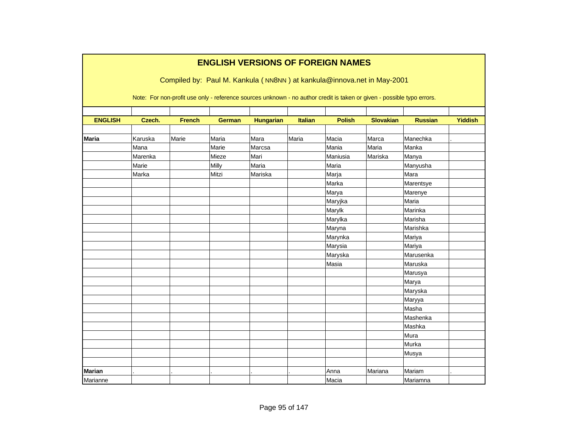|                |         |               | <b>ENGLISH VERSIONS OF FOREIGN NAMES</b><br>Compiled by: Paul M. Kankula (NN8NN) at kankula@innova.net in May-2001<br>Note: For non-profit use only - reference sources unknown - no author credit is taken or given - possible typo errors. |                  |                |               |                  |                |                |
|----------------|---------|---------------|----------------------------------------------------------------------------------------------------------------------------------------------------------------------------------------------------------------------------------------------|------------------|----------------|---------------|------------------|----------------|----------------|
|                |         |               |                                                                                                                                                                                                                                              |                  |                |               |                  |                |                |
| <b>ENGLISH</b> | Czech.  | <b>French</b> | <b>German</b>                                                                                                                                                                                                                                | <b>Hungarian</b> | <b>Italian</b> | <b>Polish</b> | <b>Slovakian</b> | <b>Russian</b> | <b>Yiddish</b> |
| <b>Maria</b>   | Karuska | Marie         | Maria                                                                                                                                                                                                                                        | Mara             | Maria          | Macia         | Marca            | Manechka       |                |
|                | Mana    |               | Marie                                                                                                                                                                                                                                        | Marcsa           |                | Mania         | Maria            | Manka          |                |
|                | Marenka |               | Mieze                                                                                                                                                                                                                                        | Mari             |                | Maniusia      | Mariska          | Manya          |                |
|                | Marie   |               | Milly                                                                                                                                                                                                                                        | Maria            |                | Maria         |                  | Manyusha       |                |
|                | Marka   |               | Mitzi                                                                                                                                                                                                                                        | Mariska          |                | Marja         |                  | Mara           |                |
|                |         |               |                                                                                                                                                                                                                                              |                  |                | Marka         |                  | Marentsye      |                |
|                |         |               |                                                                                                                                                                                                                                              |                  |                | Marya         |                  | Marenye        |                |
|                |         |               |                                                                                                                                                                                                                                              |                  |                | Maryjka       |                  | Maria          |                |
|                |         |               |                                                                                                                                                                                                                                              |                  |                | Marylk        |                  | Marinka        |                |
|                |         |               |                                                                                                                                                                                                                                              |                  |                | Marylka       |                  | Marisha        |                |
|                |         |               |                                                                                                                                                                                                                                              |                  |                | Maryna        |                  | Marishka       |                |
|                |         |               |                                                                                                                                                                                                                                              |                  |                | Marynka       |                  | Mariya         |                |
|                |         |               |                                                                                                                                                                                                                                              |                  |                | Marysia       |                  | Mariya         |                |
|                |         |               |                                                                                                                                                                                                                                              |                  |                | Maryska       |                  | Marusenka      |                |
|                |         |               |                                                                                                                                                                                                                                              |                  |                | Masia         |                  | Maruska        |                |
|                |         |               |                                                                                                                                                                                                                                              |                  |                |               |                  | Marusya        |                |
|                |         |               |                                                                                                                                                                                                                                              |                  |                |               |                  | Marya          |                |
|                |         |               |                                                                                                                                                                                                                                              |                  |                |               |                  | Maryska        |                |
|                |         |               |                                                                                                                                                                                                                                              |                  |                |               |                  | Maryya         |                |
|                |         |               |                                                                                                                                                                                                                                              |                  |                |               |                  | Masha          |                |
|                |         |               |                                                                                                                                                                                                                                              |                  |                |               |                  | Mashenka       |                |
|                |         |               |                                                                                                                                                                                                                                              |                  |                |               |                  | Mashka         |                |
|                |         |               |                                                                                                                                                                                                                                              |                  |                |               |                  | Mura           |                |
|                |         |               |                                                                                                                                                                                                                                              |                  |                |               |                  | Murka          |                |
|                |         |               |                                                                                                                                                                                                                                              |                  |                |               |                  | Musya          |                |
|                |         |               |                                                                                                                                                                                                                                              |                  |                |               |                  |                |                |
| <b>Marian</b>  |         |               |                                                                                                                                                                                                                                              |                  |                | Anna          | Mariana          | Mariam         |                |
| Marianne       |         |               |                                                                                                                                                                                                                                              |                  |                | Macia         |                  | Mariamna       |                |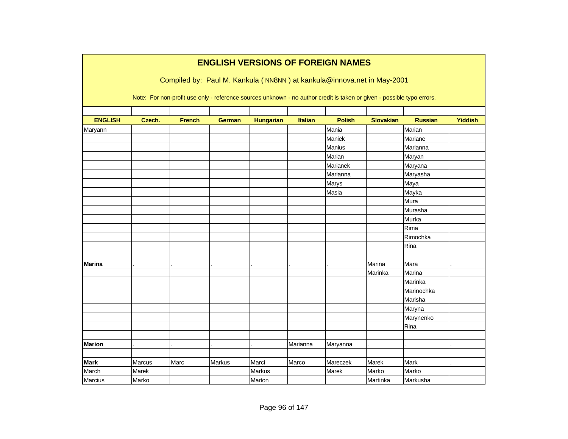|                |        |               | <b>ENGLISH VERSIONS OF FOREIGN NAMES</b>                                                                               |                  |          |               |                  |                |                |
|----------------|--------|---------------|------------------------------------------------------------------------------------------------------------------------|------------------|----------|---------------|------------------|----------------|----------------|
|                |        |               | Compiled by: Paul M. Kankula (NN8NN) at kankula@innova.net in May-2001                                                 |                  |          |               |                  |                |                |
|                |        |               |                                                                                                                        |                  |          |               |                  |                |                |
|                |        |               | Note: For non-profit use only - reference sources unknown - no author credit is taken or given - possible typo errors. |                  |          |               |                  |                |                |
|                |        |               |                                                                                                                        |                  |          |               |                  |                |                |
| <b>ENGLISH</b> | Czech. | <b>French</b> | <b>German</b>                                                                                                          | <b>Hungarian</b> | Italian  | <b>Polish</b> | <b>Slovakian</b> | <b>Russian</b> | <b>Yiddish</b> |
| Maryann        |        |               |                                                                                                                        |                  |          | Mania         |                  | Marian         |                |
|                |        |               |                                                                                                                        |                  |          | Maniek        |                  | Mariane        |                |
|                |        |               |                                                                                                                        |                  |          | Manius        |                  | Marianna       |                |
|                |        |               |                                                                                                                        |                  |          | Marian        |                  | Maryan         |                |
|                |        |               |                                                                                                                        |                  |          | Marianek      |                  | Maryana        |                |
|                |        |               |                                                                                                                        |                  |          | Marianna      |                  | Maryasha       |                |
|                |        |               |                                                                                                                        |                  |          | Marys         |                  | Maya           |                |
|                |        |               |                                                                                                                        |                  |          | Masia         |                  | Mayka          |                |
|                |        |               |                                                                                                                        |                  |          |               |                  | Mura           |                |
|                |        |               |                                                                                                                        |                  |          |               |                  | Murasha        |                |
|                |        |               |                                                                                                                        |                  |          |               |                  | Murka          |                |
|                |        |               |                                                                                                                        |                  |          |               |                  | Rima           |                |
|                |        |               |                                                                                                                        |                  |          |               |                  | Rimochka       |                |
|                |        |               |                                                                                                                        |                  |          |               |                  | Rina           |                |
|                |        |               |                                                                                                                        |                  |          |               |                  |                |                |
| <b>Marina</b>  |        |               |                                                                                                                        |                  |          |               | Marina           | Mara           |                |
|                |        |               |                                                                                                                        |                  |          |               | Marinka          | Marina         |                |
|                |        |               |                                                                                                                        |                  |          |               |                  | Marinka        |                |
|                |        |               |                                                                                                                        |                  |          |               |                  | Marinochka     |                |
|                |        |               |                                                                                                                        |                  |          |               |                  | Marisha        |                |
|                |        |               |                                                                                                                        |                  |          |               |                  | Maryna         |                |
|                |        |               |                                                                                                                        |                  |          |               |                  | Marynenko      |                |
|                |        |               |                                                                                                                        |                  |          |               |                  | Rina           |                |
|                |        |               |                                                                                                                        |                  |          |               |                  |                |                |
| <b>Marion</b>  |        |               |                                                                                                                        |                  | Marianna | Maryanna      |                  |                |                |
|                |        |               |                                                                                                                        |                  |          |               |                  |                |                |
| <b>Mark</b>    | Marcus | Marc          | Markus                                                                                                                 | Marci            | Marco    | Mareczek      | Marek            | Mark           |                |
| March          | Marek  |               |                                                                                                                        | <b>Markus</b>    |          | Marek         | Marko            | Marko          |                |
| Marcius        | Marko  |               |                                                                                                                        | Marton           |          |               | Martinka         | Markusha       |                |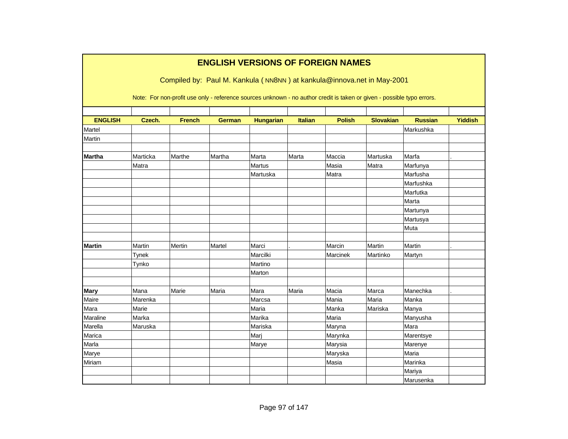|                |              |               |               |                  |                | <b>ENGLISH VERSIONS OF FOREIGN NAMES</b><br>Compiled by: Paul M. Kankula (NN8NN) at kankula@innova.net in May-2001     |                  |                |                |
|----------------|--------------|---------------|---------------|------------------|----------------|------------------------------------------------------------------------------------------------------------------------|------------------|----------------|----------------|
|                |              |               |               |                  |                | Note: For non-profit use only - reference sources unknown - no author credit is taken or given - possible typo errors. |                  |                |                |
| <b>ENGLISH</b> | Czech.       | <b>French</b> | <b>German</b> | <b>Hungarian</b> | <b>Italian</b> | <b>Polish</b>                                                                                                          | <b>Slovakian</b> | <b>Russian</b> | <b>Yiddish</b> |
| Martel         |              |               |               |                  |                |                                                                                                                        |                  | Markushka      |                |
| Martin         |              |               |               |                  |                |                                                                                                                        |                  |                |                |
| <b>Martha</b>  | Marticka     | Marthe        | Martha        | Marta            | Marta          | Maccia                                                                                                                 | Martuska         | Marfa          |                |
|                | Matra        |               |               | Martus           |                | Masia                                                                                                                  | Matra            | Marfunya       |                |
|                |              |               |               | Martuska         |                | Matra                                                                                                                  |                  | Marfusha       |                |
|                |              |               |               |                  |                |                                                                                                                        |                  | Marfushka      |                |
|                |              |               |               |                  |                |                                                                                                                        |                  | Marfutka       |                |
|                |              |               |               |                  |                |                                                                                                                        |                  | Marta          |                |
|                |              |               |               |                  |                |                                                                                                                        |                  | Martunya       |                |
|                |              |               |               |                  |                |                                                                                                                        |                  | Martusya       |                |
|                |              |               |               |                  |                |                                                                                                                        |                  | Muta           |                |
| <b>Martin</b>  | Martin       | Mertin        | Martel        | Marci            |                | Marcin                                                                                                                 | Martin           | Martin         |                |
|                | <b>Tynek</b> |               |               | Marcilki         |                | Marcinek                                                                                                               | Martinko         | Martyn         |                |
|                | Tynko        |               |               | Martino          |                |                                                                                                                        |                  |                |                |
|                |              |               |               | Marton           |                |                                                                                                                        |                  |                |                |
| <b>Mary</b>    | Mana         | Marie         | Maria         | Mara             | Maria          | Macia                                                                                                                  | Marca            | Manechka       |                |
| Maire          | Marenka      |               |               | Marcsa           |                | Mania                                                                                                                  | Maria            | Manka          |                |
| Mara           | Marie        |               |               | Maria            |                | Manka                                                                                                                  | Mariska          | Manya          |                |
| Maraline       | Marka        |               |               | Marika           |                | Maria                                                                                                                  |                  | Manyusha       |                |
| Marella        | Maruska      |               |               | Mariska          |                | Maryna                                                                                                                 |                  | Mara           |                |
| Marica         |              |               |               | Marj             |                | Marynka                                                                                                                |                  | Marentsye      |                |
| Marla          |              |               |               | Marye            |                | Marysia                                                                                                                |                  | Marenye        |                |
| Marye          |              |               |               |                  |                | Maryska                                                                                                                |                  | Maria          |                |
| Miriam         |              |               |               |                  |                | Masia                                                                                                                  |                  | Marinka        |                |
|                |              |               |               |                  |                |                                                                                                                        |                  | Mariya         |                |
|                |              |               |               |                  |                |                                                                                                                        |                  | Marusenka      |                |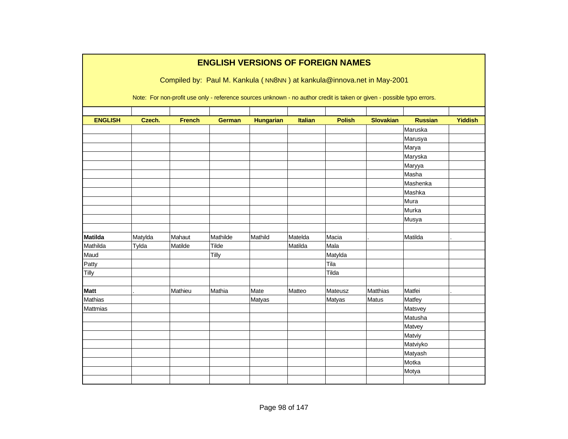|                |         |               |               |                  |         | <b>ENGLISH VERSIONS OF FOREIGN NAMES</b>                                                                               |                  |                |                |
|----------------|---------|---------------|---------------|------------------|---------|------------------------------------------------------------------------------------------------------------------------|------------------|----------------|----------------|
|                |         |               |               |                  |         | Compiled by: Paul M. Kankula (NN8NN) at kankula@innova.net in May-2001                                                 |                  |                |                |
|                |         |               |               |                  |         |                                                                                                                        |                  |                |                |
|                |         |               |               |                  |         | Note: For non-profit use only - reference sources unknown - no author credit is taken or given - possible typo errors. |                  |                |                |
|                |         |               |               |                  |         |                                                                                                                        |                  |                |                |
| <b>ENGLISH</b> | Czech.  | <b>French</b> | <b>German</b> | <b>Hungarian</b> | Italian | <b>Polish</b>                                                                                                          | <b>Slovakian</b> | <b>Russian</b> | <b>Yiddish</b> |
|                |         |               |               |                  |         |                                                                                                                        |                  | Maruska        |                |
|                |         |               |               |                  |         |                                                                                                                        |                  | Marusya        |                |
|                |         |               |               |                  |         |                                                                                                                        |                  | Marya          |                |
|                |         |               |               |                  |         |                                                                                                                        |                  | Maryska        |                |
|                |         |               |               |                  |         |                                                                                                                        |                  | Maryya         |                |
|                |         |               |               |                  |         |                                                                                                                        |                  | Masha          |                |
|                |         |               |               |                  |         |                                                                                                                        |                  | Mashenka       |                |
|                |         |               |               |                  |         |                                                                                                                        |                  | Mashka         |                |
|                |         |               |               |                  |         |                                                                                                                        |                  | Mura           |                |
|                |         |               |               |                  |         |                                                                                                                        |                  | Murka          |                |
|                |         |               |               |                  |         |                                                                                                                        |                  | Musya          |                |
|                |         |               |               |                  |         |                                                                                                                        |                  |                |                |
| <b>Matilda</b> | Matylda | Mahaut        | Mathilde      | Mathild          | Matelda | Macia                                                                                                                  |                  | Matilda        |                |
| Mathilda       | Tylda   | Matilde       | Tilde         |                  | Matilda | Mala                                                                                                                   |                  |                |                |
| Maud           |         |               | Tilly         |                  |         | Matylda                                                                                                                |                  |                |                |
| Patty          |         |               |               |                  |         | Tila                                                                                                                   |                  |                |                |
| Tilly          |         |               |               |                  |         | Tilda                                                                                                                  |                  |                |                |
| <b>Matt</b>    |         | Mathieu       | Mathia        | Mate             | Matteo  | Mateusz                                                                                                                | Matthias         | Matfei         |                |
| Mathias        |         |               |               | Matyas           |         |                                                                                                                        | Matus            | Matfey         |                |
| Mattmias       |         |               |               |                  |         | Matyas                                                                                                                 |                  | Matsvey        |                |
|                |         |               |               |                  |         |                                                                                                                        |                  |                |                |
|                |         |               |               |                  |         |                                                                                                                        |                  | Matusha        |                |
|                |         |               |               |                  |         |                                                                                                                        |                  | Matvey         |                |
|                |         |               |               |                  |         |                                                                                                                        |                  | Matviy         |                |
|                |         |               |               |                  |         |                                                                                                                        |                  | Matviyko       |                |
|                |         |               |               |                  |         |                                                                                                                        |                  | Matyash        |                |
|                |         |               |               |                  |         |                                                                                                                        |                  | Motka          |                |
|                |         |               |               |                  |         |                                                                                                                        |                  | Motya          |                |
|                |         |               |               |                  |         |                                                                                                                        |                  |                |                |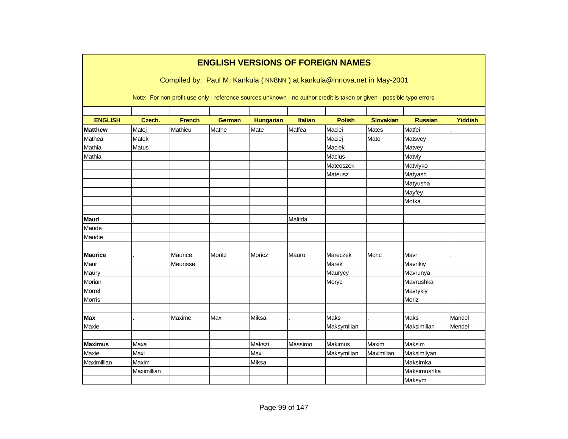|                |             |               |               |                  |                | <b>ENGLISH VERSIONS OF FOREIGN NAMES</b>                                                                               |                  |                |                |
|----------------|-------------|---------------|---------------|------------------|----------------|------------------------------------------------------------------------------------------------------------------------|------------------|----------------|----------------|
|                |             |               |               |                  |                | Compiled by: Paul M. Kankula (NN8NN) at kankula@innova.net in May-2001                                                 |                  |                |                |
|                |             |               |               |                  |                | Note: For non-profit use only - reference sources unknown - no author credit is taken or given - possible typo errors. |                  |                |                |
| <b>ENGLISH</b> | Czech.      | <b>French</b> | <b>German</b> | <b>Hungarian</b> | <b>Italian</b> | <b>Polish</b>                                                                                                          | <b>Slovakian</b> | <b>Russian</b> | <b>Yiddish</b> |
| <b>Matthew</b> | Matej       | Mathieu       | Mathe         | Mate             | Maffea         | Maciei                                                                                                                 | Mates            | Matfei         |                |
| Mathea         | Matek       |               |               |                  |                | Maciej                                                                                                                 | Mato             | Matsvey        |                |
| Mathia         | Matus       |               |               |                  |                | Maciek                                                                                                                 |                  | Matvey         |                |
| Mathia         |             |               |               |                  |                | <b>Macius</b>                                                                                                          |                  | Matviy         |                |
|                |             |               |               |                  |                | Mateoszek                                                                                                              |                  | Matviyko       |                |
|                |             |               |               |                  |                | Mateusz                                                                                                                |                  | Matyash        |                |
|                |             |               |               |                  |                |                                                                                                                        |                  | Matyusha       |                |
|                |             |               |               |                  |                |                                                                                                                        |                  | Mayfey         |                |
|                |             |               |               |                  |                |                                                                                                                        |                  | Motka          |                |
|                |             |               |               |                  |                |                                                                                                                        |                  |                |                |
| Maud           |             |               |               |                  | Maltida        |                                                                                                                        |                  |                |                |
| Maude          |             |               |               |                  |                |                                                                                                                        |                  |                |                |
| Maudie         |             |               |               |                  |                |                                                                                                                        |                  |                |                |
| <b>Maurice</b> |             | Maurice       | Moritz        | Moricz           | Mauro          | Mareczek                                                                                                               | Moric            | Mavr           |                |
| Maur           |             | Meurisse      |               |                  |                | Marek                                                                                                                  |                  | Mavrikiy       |                |
| Maury          |             |               |               |                  |                | Maurycy                                                                                                                |                  | Mavrunya       |                |
| Morian         |             |               |               |                  |                | Moryc                                                                                                                  |                  | Mavrushka      |                |
| Morrel         |             |               |               |                  |                |                                                                                                                        |                  | Mavrykiy       |                |
| <b>Morris</b>  |             |               |               |                  |                |                                                                                                                        |                  | Moriz          |                |
|                |             |               |               |                  |                |                                                                                                                        |                  |                |                |
| <b>Max</b>     |             | Maxime        | Max           | Miksa            |                | <b>Maks</b>                                                                                                            |                  | <b>Maks</b>    | Mandel         |
| Maxie          |             |               |               |                  |                | Maksymilian                                                                                                            |                  | Maksimilian    | Mendel         |
| <b>Maximus</b> | Maxa        |               |               | Makszi           |                | Makimus                                                                                                                | Maxim            | Maksim         |                |
| Maxie          | Maxi        |               |               | Maxi             | Massimo        | Maksymilian                                                                                                            | Maximilian       | Maksimilyan    |                |
| Maximillian    | Maxim       |               |               | Miksa            |                |                                                                                                                        |                  | Maksimka       |                |
|                | Maximillian |               |               |                  |                |                                                                                                                        |                  | Maksimushka    |                |
|                |             |               |               |                  |                |                                                                                                                        |                  |                |                |
|                |             |               |               |                  |                |                                                                                                                        |                  | Maksym         |                |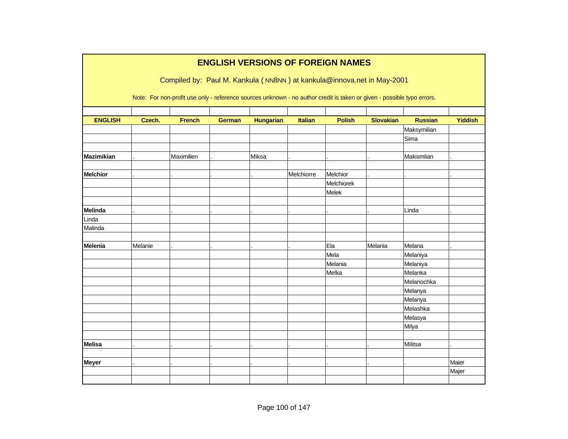|                   | <b>ENGLISH VERSIONS OF FOREIGN NAMES</b> |                                                                                                                        |               |                  |                |               |                  |                |                |  |  |  |
|-------------------|------------------------------------------|------------------------------------------------------------------------------------------------------------------------|---------------|------------------|----------------|---------------|------------------|----------------|----------------|--|--|--|
|                   |                                          | Compiled by: Paul M. Kankula (NN8NN) at kankula@innova.net in May-2001                                                 |               |                  |                |               |                  |                |                |  |  |  |
|                   |                                          |                                                                                                                        |               |                  |                |               |                  |                |                |  |  |  |
|                   |                                          | Note: For non-profit use only - reference sources unknown - no author credit is taken or given - possible typo errors. |               |                  |                |               |                  |                |                |  |  |  |
|                   |                                          |                                                                                                                        |               |                  |                |               |                  |                |                |  |  |  |
| <b>ENGLISH</b>    | Czech.                                   | <b>French</b>                                                                                                          | <b>German</b> | <b>Hungarian</b> | <b>Italian</b> | <b>Polish</b> | <b>Slovakian</b> | <b>Russian</b> | <b>Yiddish</b> |  |  |  |
|                   |                                          |                                                                                                                        |               |                  |                |               |                  | Maksymilian    |                |  |  |  |
|                   |                                          |                                                                                                                        |               |                  |                |               |                  | Sima           |                |  |  |  |
|                   |                                          |                                                                                                                        |               |                  |                |               |                  |                |                |  |  |  |
| <b>Mazimikian</b> |                                          | Maximilien                                                                                                             |               | Miksa            |                |               |                  | Makismlian     |                |  |  |  |
|                   |                                          |                                                                                                                        |               |                  |                |               |                  |                |                |  |  |  |
| <b>Melchior</b>   |                                          |                                                                                                                        |               |                  | Melchiorre     | Melchior      |                  |                |                |  |  |  |
|                   |                                          |                                                                                                                        |               |                  |                | Melchiorek    |                  |                |                |  |  |  |
|                   |                                          |                                                                                                                        |               |                  |                | Melek         |                  |                |                |  |  |  |
| Melinda           |                                          |                                                                                                                        |               |                  |                |               |                  | Linda          |                |  |  |  |
| Linda             |                                          |                                                                                                                        |               |                  |                |               |                  |                |                |  |  |  |
| Malinda           |                                          |                                                                                                                        |               |                  |                |               |                  |                |                |  |  |  |
|                   |                                          |                                                                                                                        |               |                  |                |               |                  |                |                |  |  |  |
| Melenia           | Melanie                                  |                                                                                                                        |               |                  |                | Ela           | Melania          | Melana         |                |  |  |  |
|                   |                                          |                                                                                                                        |               |                  |                | Mela          |                  | Melaniya       |                |  |  |  |
|                   |                                          |                                                                                                                        |               |                  |                | Melania       |                  | Melaniya       |                |  |  |  |
|                   |                                          |                                                                                                                        |               |                  |                | Melka         |                  | Melanka        |                |  |  |  |
|                   |                                          |                                                                                                                        |               |                  |                |               |                  | Melanochka     |                |  |  |  |
|                   |                                          |                                                                                                                        |               |                  |                |               |                  | Melanya        |                |  |  |  |
|                   |                                          |                                                                                                                        |               |                  |                |               |                  | Melanya        |                |  |  |  |
|                   |                                          |                                                                                                                        |               |                  |                |               |                  | Melashka       |                |  |  |  |
|                   |                                          |                                                                                                                        |               |                  |                |               |                  | Melasya        |                |  |  |  |
|                   |                                          |                                                                                                                        |               |                  |                |               |                  | Milya          |                |  |  |  |
|                   |                                          |                                                                                                                        |               |                  |                |               |                  |                |                |  |  |  |
| <b>Melisa</b>     |                                          |                                                                                                                        |               |                  |                |               |                  | Militsa        |                |  |  |  |
|                   |                                          |                                                                                                                        |               |                  |                |               |                  |                |                |  |  |  |
| <b>Meyer</b>      |                                          |                                                                                                                        |               |                  |                |               |                  |                | Maier          |  |  |  |
|                   |                                          |                                                                                                                        |               |                  |                |               |                  |                | Majer          |  |  |  |
|                   |                                          |                                                                                                                        |               |                  |                |               |                  |                |                |  |  |  |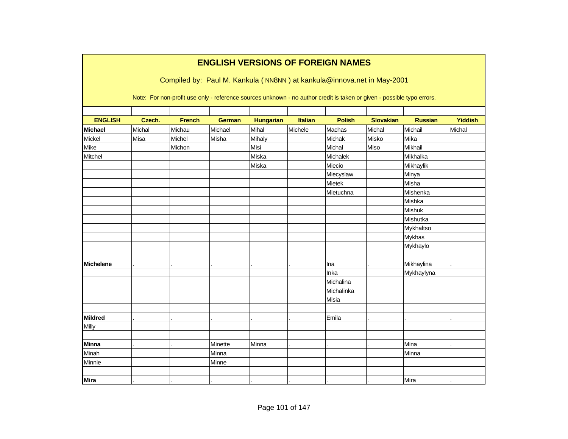|                  |        |                                                                                                                        | <b>ENGLISH VERSIONS OF FOREIGN NAMES</b> |                  |                |               |                  |                |                |
|------------------|--------|------------------------------------------------------------------------------------------------------------------------|------------------------------------------|------------------|----------------|---------------|------------------|----------------|----------------|
|                  |        | Compiled by: Paul M. Kankula (NN8NN) at kankula@innova.net in May-2001                                                 |                                          |                  |                |               |                  |                |                |
|                  |        |                                                                                                                        |                                          |                  |                |               |                  |                |                |
|                  |        | Note: For non-profit use only - reference sources unknown - no author credit is taken or given - possible typo errors. |                                          |                  |                |               |                  |                |                |
|                  |        |                                                                                                                        |                                          |                  |                |               |                  |                |                |
| <b>ENGLISH</b>   | Czech. | <b>French</b>                                                                                                          | <b>German</b>                            | <b>Hungarian</b> | <b>Italian</b> | <b>Polish</b> | <b>Slovakian</b> | <b>Russian</b> | <b>Yiddish</b> |
| <b>Michael</b>   | Michal | Michau                                                                                                                 | Michael                                  | Mihal            | Michele        | Machas        | Michal           | Michail        | Michal         |
| Mickel           | Misa   | Michel                                                                                                                 | Misha                                    | Mihaly           |                | Michak        | Misko            | Mika           |                |
| Mike             |        | Michon                                                                                                                 |                                          | Misi             |                | Michal        | Miso             | <b>Mikhail</b> |                |
| Mitchel          |        |                                                                                                                        |                                          | Miska            |                | Michalek      |                  | Mikhalka       |                |
|                  |        |                                                                                                                        |                                          | Miska            |                | Miecio        |                  | Mikhaylik      |                |
|                  |        |                                                                                                                        |                                          |                  |                | Miecyslaw     |                  | Minya          |                |
|                  |        |                                                                                                                        |                                          |                  |                | Mietek        |                  | Misha          |                |
|                  |        |                                                                                                                        |                                          |                  |                | Mietuchna     |                  | Mishenka       |                |
|                  |        |                                                                                                                        |                                          |                  |                |               |                  | Mishka         |                |
|                  |        |                                                                                                                        |                                          |                  |                |               |                  | Mishuk         |                |
|                  |        |                                                                                                                        |                                          |                  |                |               |                  | Mishutka       |                |
|                  |        |                                                                                                                        |                                          |                  |                |               |                  | Mykhaltso      |                |
|                  |        |                                                                                                                        |                                          |                  |                |               |                  | Mykhas         |                |
|                  |        |                                                                                                                        |                                          |                  |                |               |                  | Mykhaylo       |                |
|                  |        |                                                                                                                        |                                          |                  |                |               |                  |                |                |
| <b>Michelene</b> |        |                                                                                                                        |                                          |                  |                | Ina           |                  | Mikhaylina     |                |
|                  |        |                                                                                                                        |                                          |                  |                | Inka          |                  | Mykhaylyna     |                |
|                  |        |                                                                                                                        |                                          |                  |                | Michalina     |                  |                |                |
|                  |        |                                                                                                                        |                                          |                  |                | Michalinka    |                  |                |                |
|                  |        |                                                                                                                        |                                          |                  |                | Misia         |                  |                |                |
|                  |        |                                                                                                                        |                                          |                  |                |               |                  |                |                |
| <b>Mildred</b>   |        |                                                                                                                        |                                          |                  |                | Emila         |                  |                |                |
| Milly            |        |                                                                                                                        |                                          |                  |                |               |                  |                |                |
|                  |        |                                                                                                                        |                                          |                  |                |               |                  |                |                |
| <b>Minna</b>     |        |                                                                                                                        | Minette                                  | Minna            |                |               |                  | Mina           |                |
| Minah            |        |                                                                                                                        | Minna                                    |                  |                |               |                  | Minna          |                |
| Minnie           |        |                                                                                                                        | Minne                                    |                  |                |               |                  |                |                |
|                  |        |                                                                                                                        |                                          |                  |                |               |                  |                |                |
| <b>Mira</b>      |        |                                                                                                                        |                                          |                  |                |               |                  | Mira           |                |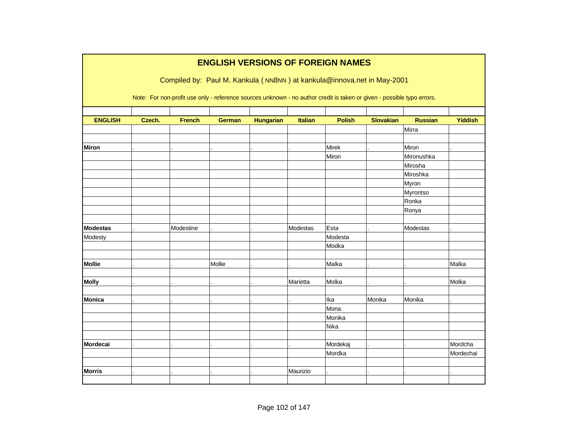|                 |        |               | <b>ENGLISH VERSIONS OF FOREIGN NAMES</b>                                                                               |                  |                |               |                  |                |                |
|-----------------|--------|---------------|------------------------------------------------------------------------------------------------------------------------|------------------|----------------|---------------|------------------|----------------|----------------|
|                 |        |               |                                                                                                                        |                  |                |               |                  |                |                |
|                 |        |               | Compiled by: Paul M. Kankula (NN8NN) at kankula@innova.net in May-2001                                                 |                  |                |               |                  |                |                |
|                 |        |               | Note: For non-profit use only - reference sources unknown - no author credit is taken or given - possible typo errors. |                  |                |               |                  |                |                |
|                 |        |               |                                                                                                                        |                  |                |               |                  |                |                |
| <b>ENGLISH</b>  | Czech. | <b>French</b> | <b>German</b>                                                                                                          | <b>Hungarian</b> | <b>Italian</b> | <b>Polish</b> | <b>Slovakian</b> | <b>Russian</b> | <b>Yiddish</b> |
|                 |        |               |                                                                                                                        |                  |                |               |                  | Mirra          |                |
|                 |        |               |                                                                                                                        |                  |                |               |                  |                |                |
| <b>Miron</b>    |        |               |                                                                                                                        |                  |                | Mirek         |                  | Miron          |                |
|                 |        |               |                                                                                                                        |                  |                | Miron         |                  | Mironushka     |                |
|                 |        |               |                                                                                                                        |                  |                |               |                  | Mirosha        |                |
|                 |        |               |                                                                                                                        |                  |                |               |                  | Miroshka       |                |
|                 |        |               |                                                                                                                        |                  |                |               |                  | Myron          |                |
|                 |        |               |                                                                                                                        |                  |                |               |                  | Myrontso       |                |
|                 |        |               |                                                                                                                        |                  |                |               |                  | Ronka          |                |
|                 |        |               |                                                                                                                        |                  |                |               |                  | Ronya          |                |
|                 |        |               |                                                                                                                        |                  |                |               |                  |                |                |
| <b>Modestas</b> |        | Modestine     |                                                                                                                        |                  | Modestas       | Esta          |                  | Modestas       |                |
| Modesty         |        |               |                                                                                                                        |                  |                | Modesta       |                  |                |                |
|                 |        |               |                                                                                                                        |                  |                | Modka         |                  |                |                |
|                 |        |               |                                                                                                                        |                  |                |               |                  |                |                |
| <b>Mollie</b>   |        |               | Mollie                                                                                                                 |                  |                | Malka         |                  |                | Malka          |
|                 |        |               |                                                                                                                        |                  |                |               |                  |                |                |
| <b>Molly</b>    |        |               |                                                                                                                        |                  | Marietta       | Molka         |                  |                | Molka          |
|                 |        |               |                                                                                                                        |                  |                |               |                  |                |                |
| <b>Monica</b>   |        |               |                                                                                                                        |                  |                | Ika           | Monika           | Monika         |                |
|                 |        |               |                                                                                                                        |                  |                | Mona          |                  |                |                |
|                 |        |               |                                                                                                                        |                  |                | Monika        |                  |                |                |
|                 |        |               |                                                                                                                        |                  |                | Nika          |                  |                |                |
|                 |        |               |                                                                                                                        |                  |                |               |                  |                |                |
| <b>Mordecai</b> |        |               |                                                                                                                        |                  |                | Mordekaj      |                  |                | Mordcha        |
|                 |        |               |                                                                                                                        |                  |                | Mordka        |                  |                | Mordechai      |
|                 |        |               |                                                                                                                        |                  |                |               |                  |                |                |
| <b>Morris</b>   |        |               |                                                                                                                        |                  | Maurizio       |               |                  |                |                |
|                 |        |               |                                                                                                                        |                  |                |               |                  |                |                |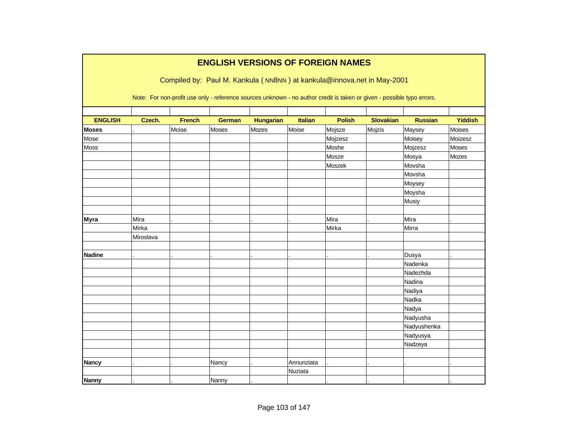|                |           |               | <b>ENGLISH VERSIONS OF FOREIGN NAMES</b>                                                                               |                  |                |               |                  |                |                |
|----------------|-----------|---------------|------------------------------------------------------------------------------------------------------------------------|------------------|----------------|---------------|------------------|----------------|----------------|
|                |           |               | Compiled by: Paul M. Kankula (NN8NN) at kankula@innova.net in May-2001                                                 |                  |                |               |                  |                |                |
|                |           |               | Note: For non-profit use only - reference sources unknown - no author credit is taken or given - possible typo errors. |                  |                |               |                  |                |                |
| <b>ENGLISH</b> | Czech.    | <b>French</b> | <b>German</b>                                                                                                          | <b>Hungarian</b> | <b>Italian</b> | <b>Polish</b> | <b>Slovakian</b> | <b>Russian</b> | <b>Yiddish</b> |
| <b>Moses</b>   |           | Moise         | Moses                                                                                                                  | Mozes            | Moise          | Mojsze        | Mojzis           | Maysey         | Moises         |
| Mose           |           |               |                                                                                                                        |                  |                | Mojzesz       |                  | Moisey         | Moizesz        |
| Moss           |           |               |                                                                                                                        |                  |                | Moshe         |                  | Mojzesz        | Moses          |
|                |           |               |                                                                                                                        |                  |                | Mosze         |                  | Mosya          | Mozes          |
|                |           |               |                                                                                                                        |                  |                | Moszek        |                  | Movsha         |                |
|                |           |               |                                                                                                                        |                  |                |               |                  | Movsha         |                |
|                |           |               |                                                                                                                        |                  |                |               |                  | Moysey         |                |
|                |           |               |                                                                                                                        |                  |                |               |                  | Moysha         |                |
|                |           |               |                                                                                                                        |                  |                |               |                  | Musiy          |                |
|                |           |               |                                                                                                                        |                  |                |               |                  |                |                |
| <b>Myra</b>    | Mira      |               |                                                                                                                        |                  |                | Mira          |                  | Mira           |                |
|                | Mirka     |               |                                                                                                                        |                  |                | Mirka         |                  | Mirra          |                |
|                | Miroslava |               |                                                                                                                        |                  |                |               |                  |                |                |
|                |           |               |                                                                                                                        |                  |                |               |                  |                |                |
| <b>Nadine</b>  |           |               |                                                                                                                        |                  |                |               |                  | Dusya          |                |
|                |           |               |                                                                                                                        |                  |                |               |                  | Nadenka        |                |
|                |           |               |                                                                                                                        |                  |                |               |                  | Nadezhda       |                |
|                |           |               |                                                                                                                        |                  |                |               |                  | Nadina         |                |
|                |           |               |                                                                                                                        |                  |                |               |                  | Nadiya         |                |
|                |           |               |                                                                                                                        |                  |                |               |                  | Nadka          |                |
|                |           |               |                                                                                                                        |                  |                |               |                  | Nadya          |                |
|                |           |               |                                                                                                                        |                  |                |               |                  | Nadyusha       |                |
|                |           |               |                                                                                                                        |                  |                |               |                  | Nadyushenka    |                |
|                |           |               |                                                                                                                        |                  |                |               |                  | Nadyusya       |                |
|                |           |               |                                                                                                                        |                  |                |               |                  | Nadzeya        |                |
|                |           |               |                                                                                                                        |                  |                |               |                  |                |                |
| <b>Nancy</b>   |           |               | Nancy                                                                                                                  |                  | Annunziata     |               |                  |                |                |
|                |           |               |                                                                                                                        |                  | Nuziata        |               |                  |                |                |
| <b>Nanny</b>   |           |               | Nanny                                                                                                                  |                  |                |               |                  |                |                |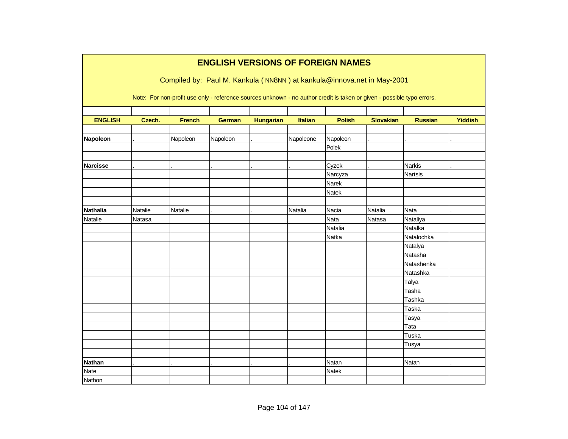|                 |         |               | <b>ENGLISH VERSIONS OF FOREIGN NAMES</b>                                                                               |                  |                |               |                  |                |                |
|-----------------|---------|---------------|------------------------------------------------------------------------------------------------------------------------|------------------|----------------|---------------|------------------|----------------|----------------|
|                 |         |               | Compiled by: Paul M. Kankula (NN8NN) at kankula@innova.net in May-2001                                                 |                  |                |               |                  |                |                |
|                 |         |               | Note: For non-profit use only - reference sources unknown - no author credit is taken or given - possible typo errors. |                  |                |               |                  |                |                |
|                 |         |               |                                                                                                                        |                  |                |               |                  |                |                |
| <b>ENGLISH</b>  | Czech.  | <b>French</b> | <b>German</b>                                                                                                          | <b>Hungarian</b> | <b>Italian</b> | <b>Polish</b> | <b>Slovakian</b> | <b>Russian</b> | <b>Yiddish</b> |
| Napoleon        |         | Napoleon      | Napoleon                                                                                                               |                  | Napoleone      | Napoleon      |                  |                |                |
|                 |         |               |                                                                                                                        |                  |                | Polek         |                  |                |                |
|                 |         |               |                                                                                                                        |                  |                |               |                  |                |                |
| <b>Narcisse</b> |         |               |                                                                                                                        |                  |                | Cyzek         |                  | Narkis         |                |
|                 |         |               |                                                                                                                        |                  |                | Narcyza       |                  | <b>Nartsis</b> |                |
|                 |         |               |                                                                                                                        |                  |                | Narek         |                  |                |                |
|                 |         |               |                                                                                                                        |                  |                | Natek         |                  |                |                |
|                 |         |               |                                                                                                                        |                  |                |               |                  |                |                |
| <b>Nathalia</b> | Natalie | Natalie       |                                                                                                                        |                  | Natalia        | Nacia         | Natalia          | <b>Nata</b>    |                |
| Natalie         | Natasa  |               |                                                                                                                        |                  |                | Nata          | Natasa           | Nataliya       |                |
|                 |         |               |                                                                                                                        |                  |                | Natalia       |                  | Natalka        |                |
|                 |         |               |                                                                                                                        |                  |                | Natka         |                  | Natalochka     |                |
|                 |         |               |                                                                                                                        |                  |                |               |                  | Natalya        |                |
|                 |         |               |                                                                                                                        |                  |                |               |                  | Natasha        |                |
|                 |         |               |                                                                                                                        |                  |                |               |                  | Natashenka     |                |
|                 |         |               |                                                                                                                        |                  |                |               |                  | Natashka       |                |
|                 |         |               |                                                                                                                        |                  |                |               |                  | Talya          |                |
|                 |         |               |                                                                                                                        |                  |                |               |                  | Tasha          |                |
|                 |         |               |                                                                                                                        |                  |                |               |                  | Tashka         |                |
|                 |         |               |                                                                                                                        |                  |                |               |                  | Taska          |                |
|                 |         |               |                                                                                                                        |                  |                |               |                  | Tasya          |                |
|                 |         |               |                                                                                                                        |                  |                |               |                  | Tata           |                |
|                 |         |               |                                                                                                                        |                  |                |               |                  | Tuska          |                |
|                 |         |               |                                                                                                                        |                  |                |               |                  | Tusya          |                |
|                 |         |               |                                                                                                                        |                  |                |               |                  |                |                |
| <b>Nathan</b>   |         |               |                                                                                                                        |                  |                | Natan         |                  | Natan          |                |
| <b>Nate</b>     |         |               |                                                                                                                        |                  |                | <b>Natek</b>  |                  |                |                |
| Nathon          |         |               |                                                                                                                        |                  |                |               |                  |                |                |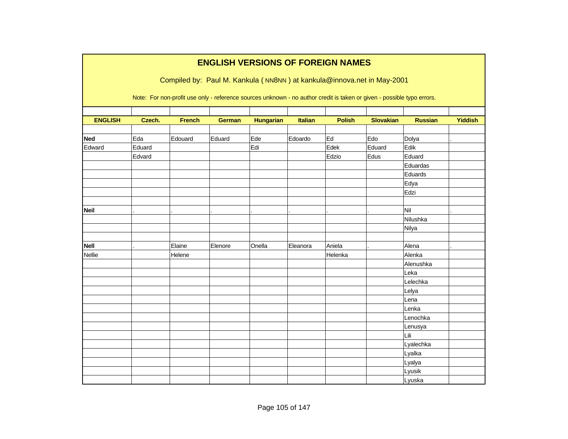|                |        |               | <b>ENGLISH VERSIONS OF FOREIGN NAMES</b> |                  |          |               |                                                                                                                        |                |                |
|----------------|--------|---------------|------------------------------------------|------------------|----------|---------------|------------------------------------------------------------------------------------------------------------------------|----------------|----------------|
|                |        |               |                                          |                  |          |               | Compiled by: Paul M. Kankula (NN8NN) at kankula@innova.net in May-2001                                                 |                |                |
|                |        |               |                                          |                  |          |               | Note: For non-profit use only - reference sources unknown - no author credit is taken or given - possible typo errors. |                |                |
|                |        |               |                                          |                  |          |               |                                                                                                                        |                |                |
| <b>ENGLISH</b> | Czech. | <b>French</b> | <b>German</b>                            | <b>Hungarian</b> | Italian  | <b>Polish</b> | <b>Slovakian</b>                                                                                                       | <b>Russian</b> | <b>Yiddish</b> |
| <b>Ned</b>     | Eda    | Edouard       | Eduard                                   | Ede              | Edoardo  | Ed            | Edo                                                                                                                    | Dolya          |                |
| Edward         | Eduard |               |                                          | Edi              |          | Edek          | Eduard                                                                                                                 | Edik           |                |
|                | Edvard |               |                                          |                  |          | Edzio         | Edus                                                                                                                   | Eduard         |                |
|                |        |               |                                          |                  |          |               |                                                                                                                        | Eduardas       |                |
|                |        |               |                                          |                  |          |               |                                                                                                                        | Eduards        |                |
|                |        |               |                                          |                  |          |               |                                                                                                                        | Edya           |                |
|                |        |               |                                          |                  |          |               |                                                                                                                        | Edzi           |                |
|                |        |               |                                          |                  |          |               |                                                                                                                        |                |                |
| <b>Neil</b>    |        |               |                                          |                  |          |               |                                                                                                                        | Nil            |                |
|                |        |               |                                          |                  |          |               |                                                                                                                        | Nilushka       |                |
|                |        |               |                                          |                  |          |               |                                                                                                                        | Nilya          |                |
|                |        |               |                                          |                  |          |               |                                                                                                                        |                |                |
| <b>Nell</b>    |        | Elaine        | Elenore                                  | Onella           | Eleanora | Aniela        |                                                                                                                        | Alena          |                |
| <b>Nellie</b>  |        | Helene        |                                          |                  |          | Helenka       |                                                                                                                        | Alenka         |                |
|                |        |               |                                          |                  |          |               |                                                                                                                        | Alenushka      |                |
|                |        |               |                                          |                  |          |               |                                                                                                                        | Leka           |                |
|                |        |               |                                          |                  |          |               |                                                                                                                        | Lelechka       |                |
|                |        |               |                                          |                  |          |               |                                                                                                                        | Lelya          |                |
|                |        |               |                                          |                  |          |               |                                                                                                                        | Lena           |                |
|                |        |               |                                          |                  |          |               |                                                                                                                        | Lenka          |                |
|                |        |               |                                          |                  |          |               |                                                                                                                        | Lenochka       |                |
|                |        |               |                                          |                  |          |               |                                                                                                                        | Lenusya        |                |
|                |        |               |                                          |                  |          |               |                                                                                                                        | Lili           |                |
|                |        |               |                                          |                  |          |               |                                                                                                                        | Lyalechka      |                |
|                |        |               |                                          |                  |          |               |                                                                                                                        | Lyalka         |                |
|                |        |               |                                          |                  |          |               |                                                                                                                        | Lyalya         |                |
|                |        |               |                                          |                  |          |               |                                                                                                                        | Lyusik         |                |
|                |        |               |                                          |                  |          |               |                                                                                                                        | Lyuska         |                |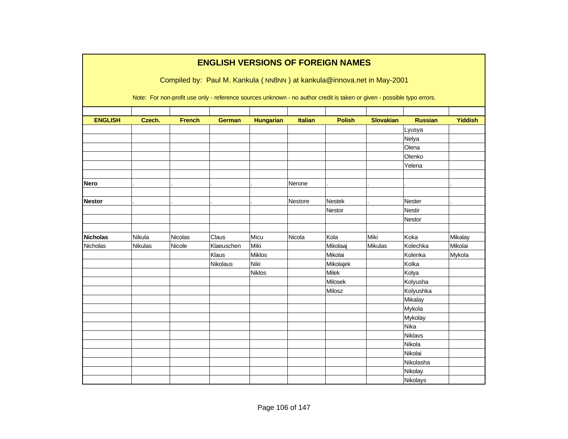|                 |         |               |               |                  |                | <b>ENGLISH VERSIONS OF FOREIGN NAMES</b>                                                                               |                  |                |                |
|-----------------|---------|---------------|---------------|------------------|----------------|------------------------------------------------------------------------------------------------------------------------|------------------|----------------|----------------|
|                 |         |               |               |                  |                | Compiled by: Paul M. Kankula (NN8NN) at kankula@innova.net in May-2001                                                 |                  |                |                |
|                 |         |               |               |                  |                |                                                                                                                        |                  |                |                |
|                 |         |               |               |                  |                | Note: For non-profit use only - reference sources unknown - no author credit is taken or given - possible typo errors. |                  |                |                |
|                 |         |               |               |                  |                |                                                                                                                        |                  |                |                |
| <b>ENGLISH</b>  | Czech.  | <b>French</b> | <b>German</b> | <b>Hungarian</b> | <b>Italian</b> | <b>Polish</b>                                                                                                          | <b>Slovakian</b> | <b>Russian</b> | <b>Yiddish</b> |
|                 |         |               |               |                  |                |                                                                                                                        |                  | Lyusya         |                |
|                 |         |               |               |                  |                |                                                                                                                        |                  | Nelya          |                |
|                 |         |               |               |                  |                |                                                                                                                        |                  | Olena          |                |
|                 |         |               |               |                  |                |                                                                                                                        |                  | Olenko         |                |
|                 |         |               |               |                  |                |                                                                                                                        |                  | Yelena         |                |
|                 |         |               |               |                  |                |                                                                                                                        |                  |                |                |
| <b>Nero</b>     |         |               |               |                  | Nerone         |                                                                                                                        |                  |                |                |
|                 |         |               |               |                  |                |                                                                                                                        |                  |                |                |
| <b>Nestor</b>   |         |               |               |                  | Nestore        | Nestek                                                                                                                 |                  | Nester         |                |
|                 |         |               |               |                  |                | Nestor                                                                                                                 |                  | <b>Nestir</b>  |                |
|                 |         |               |               |                  |                |                                                                                                                        |                  | Nestor         |                |
|                 |         |               |               |                  |                |                                                                                                                        |                  |                |                |
| <b>Nicholas</b> | Nikula  | Nicolas       | Claus         | Micu             | Nicola         | Kola                                                                                                                   | Miki             | Koka           | Mikalay        |
| Nicholas        | Nikulas | Nicole        | Klaeuschen    | Miki             |                | Mikolaaj                                                                                                               | Mikulas          | Kolechka       | Mikolai        |
|                 |         |               | Klaus         | <b>Miklos</b>    |                | Mikolai                                                                                                                |                  | Kolenka        | Mykola         |
|                 |         |               | Nikolaus      | Niki             |                | Mikolajek                                                                                                              |                  | Kolka          |                |
|                 |         |               |               | <b>Niklos</b>    |                | Milek                                                                                                                  |                  | Kolya          |                |
|                 |         |               |               |                  |                | Milosek                                                                                                                |                  | Kolyusha       |                |
|                 |         |               |               |                  |                | Milosz                                                                                                                 |                  | Kolyushka      |                |
|                 |         |               |               |                  |                |                                                                                                                        |                  | Mikalay        |                |
|                 |         |               |               |                  |                |                                                                                                                        |                  | Mykola         |                |
|                 |         |               |               |                  |                |                                                                                                                        |                  | Mykolay        |                |
|                 |         |               |               |                  |                |                                                                                                                        |                  | Nika           |                |
|                 |         |               |               |                  |                |                                                                                                                        |                  | Niklavs        |                |
|                 |         |               |               |                  |                |                                                                                                                        |                  | Nikola         |                |
|                 |         |               |               |                  |                |                                                                                                                        |                  | Nikolai        |                |
|                 |         |               |               |                  |                |                                                                                                                        |                  | Nikolasha      |                |
|                 |         |               |               |                  |                |                                                                                                                        |                  | Nikolay        |                |
|                 |         |               |               |                  |                |                                                                                                                        |                  | Nikolays       |                |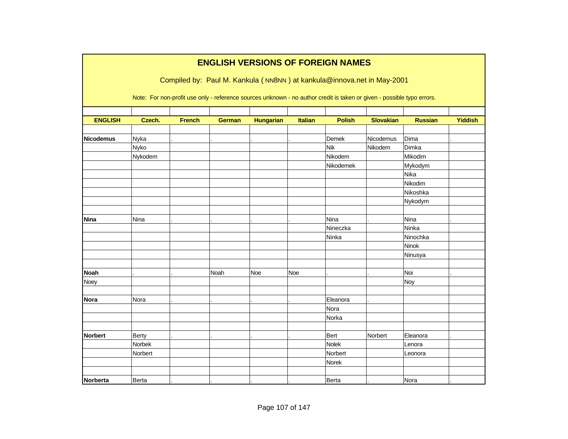|                  |              |               |               |                  |                | <b>ENGLISH VERSIONS OF FOREIGN NAMES</b>                                                                               |                  |                |                |
|------------------|--------------|---------------|---------------|------------------|----------------|------------------------------------------------------------------------------------------------------------------------|------------------|----------------|----------------|
|                  |              |               |               |                  |                | Compiled by: Paul M. Kankula (NN8NN) at kankula@innova.net in May-2001                                                 |                  |                |                |
|                  |              |               |               |                  |                | Note: For non-profit use only - reference sources unknown - no author credit is taken or given - possible typo errors. |                  |                |                |
| <b>ENGLISH</b>   | Czech.       | <b>French</b> | <b>German</b> | <b>Hungarian</b> | <b>Italian</b> | <b>Polish</b>                                                                                                          | <b>Slovakian</b> | <b>Russian</b> | <b>Yiddish</b> |
| <b>Nicodemus</b> | Nyka         |               |               |                  |                | Demek                                                                                                                  | Nicodemus        | Dima           |                |
|                  | Nyko         |               |               |                  |                | <b>Nik</b>                                                                                                             | Nikodem          | Dimka          |                |
|                  | Nykodem      |               |               |                  |                | Nikodem                                                                                                                |                  | Mikodim        |                |
|                  |              |               |               |                  |                | Nikodemek                                                                                                              |                  | Mykodym        |                |
|                  |              |               |               |                  |                |                                                                                                                        |                  | Nika           |                |
|                  |              |               |               |                  |                |                                                                                                                        |                  | Nikodim        |                |
|                  |              |               |               |                  |                |                                                                                                                        |                  | Nikoshka       |                |
|                  |              |               |               |                  |                |                                                                                                                        |                  | Nykodym        |                |
| <b>Nina</b>      | Nina         |               |               |                  |                | Nina                                                                                                                   |                  | Nina           |                |
|                  |              |               |               |                  |                | Nineczka                                                                                                               |                  | Ninka          |                |
|                  |              |               |               |                  |                | Ninka                                                                                                                  |                  | Ninochka       |                |
|                  |              |               |               |                  |                |                                                                                                                        |                  | Ninok          |                |
|                  |              |               |               |                  |                |                                                                                                                        |                  | Ninusya        |                |
| <b>Noah</b>      |              |               | Noah          | <b>Noe</b>       | <b>Noe</b>     |                                                                                                                        |                  | Noi            |                |
| Noey             |              |               |               |                  |                |                                                                                                                        |                  | Noy            |                |
| <b>Nora</b>      | Nora         |               |               |                  |                | Eleanora                                                                                                               |                  |                |                |
|                  |              |               |               |                  |                | Nora                                                                                                                   |                  |                |                |
|                  |              |               |               |                  |                | Norka                                                                                                                  |                  |                |                |
| <b>Norbert</b>   | <b>Berty</b> |               |               |                  |                | Bert                                                                                                                   | Norbert          | Eleanora       |                |
|                  | Norbek       |               |               |                  |                | Nolek                                                                                                                  |                  | Lenora         |                |
|                  | Norbert      |               |               |                  |                | Norbert                                                                                                                |                  | Leonora        |                |
|                  |              |               |               |                  |                | Norek                                                                                                                  |                  |                |                |
|                  |              |               |               |                  |                |                                                                                                                        |                  |                |                |
| Norberta         | Berta        |               |               |                  |                | Berta                                                                                                                  |                  | Nora           |                |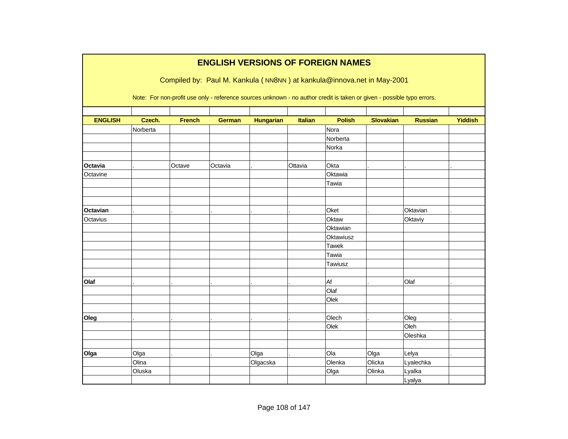|                |          |               |               |                  |                | <b>ENGLISH VERSIONS OF FOREIGN NAMES</b>                                                                               |                  |                |                |
|----------------|----------|---------------|---------------|------------------|----------------|------------------------------------------------------------------------------------------------------------------------|------------------|----------------|----------------|
|                |          |               |               |                  |                | Compiled by: Paul M. Kankula (NN8NN) at kankula@innova.net in May-2001                                                 |                  |                |                |
|                |          |               |               |                  |                | Note: For non-profit use only - reference sources unknown - no author credit is taken or given - possible typo errors. |                  |                |                |
| <b>ENGLISH</b> | Czech.   | <b>French</b> | <b>German</b> | <b>Hungarian</b> | <b>Italian</b> | <b>Polish</b>                                                                                                          | <b>Slovakian</b> | <b>Russian</b> | <b>Yiddish</b> |
|                | Norberta |               |               |                  |                | Nora                                                                                                                   |                  |                |                |
|                |          |               |               |                  |                | Norberta                                                                                                               |                  |                |                |
|                |          |               |               |                  |                | Norka                                                                                                                  |                  |                |                |
|                |          |               |               |                  |                |                                                                                                                        |                  |                |                |
| Octavia        |          | Octave        | Octavia       |                  | Ottavia        | Okta                                                                                                                   |                  |                |                |
| Octavine       |          |               |               |                  |                | Oktawia                                                                                                                |                  |                |                |
|                |          |               |               |                  |                | Tawia                                                                                                                  |                  |                |                |
|                |          |               |               |                  |                |                                                                                                                        |                  |                |                |
|                |          |               |               |                  |                |                                                                                                                        |                  |                |                |
| Octavian       |          |               |               |                  |                | Oket                                                                                                                   |                  | Oktavian       |                |
| Octavius       |          |               |               |                  |                | Oktaw                                                                                                                  |                  | Oktaviy        |                |
|                |          |               |               |                  |                | Oktawian                                                                                                               |                  |                |                |
|                |          |               |               |                  |                | Oktawiusz                                                                                                              |                  |                |                |
|                |          |               |               |                  |                | <b>Tawek</b>                                                                                                           |                  |                |                |
|                |          |               |               |                  |                | Tawia                                                                                                                  |                  |                |                |
|                |          |               |               |                  |                | Tawiusz                                                                                                                |                  |                |                |
| Olaf           |          |               |               |                  |                | Af                                                                                                                     |                  | Olaf           |                |
|                |          |               |               |                  |                | Olaf                                                                                                                   |                  |                |                |
|                |          |               |               |                  |                | Olek                                                                                                                   |                  |                |                |
|                |          |               |               |                  |                |                                                                                                                        |                  |                |                |
| Oleg           |          |               |               |                  |                | Olech                                                                                                                  |                  | Oleg           |                |
|                |          |               |               |                  |                | Olek                                                                                                                   |                  | Oleh           |                |
|                |          |               |               |                  |                |                                                                                                                        |                  | Oleshka        |                |
|                |          |               |               |                  |                |                                                                                                                        |                  |                |                |
| Olga           | Olga     |               |               | Olga             |                | Ola                                                                                                                    | Olga             | Lelya          |                |
|                | Olina    |               |               | Olgacska         |                | Olenka                                                                                                                 | Olicka           | Lyalechka      |                |
|                | Oluska   |               |               |                  |                | Olga                                                                                                                   | Olinka           | Lyalka         |                |
|                |          |               |               |                  |                |                                                                                                                        |                  | Lyalya         |                |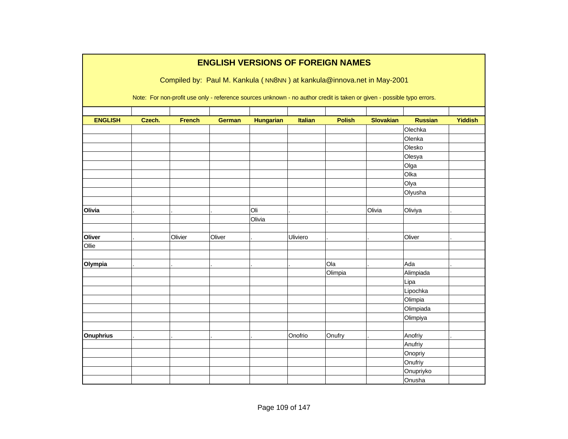|                  |        |               |               |                  |                | <b>ENGLISH VERSIONS OF FOREIGN NAMES</b>                                                                               |                  |                |                |
|------------------|--------|---------------|---------------|------------------|----------------|------------------------------------------------------------------------------------------------------------------------|------------------|----------------|----------------|
|                  |        |               |               |                  |                | Compiled by: Paul M. Kankula (NN8NN) at kankula@innova.net in May-2001                                                 |                  |                |                |
|                  |        |               |               |                  |                |                                                                                                                        |                  |                |                |
|                  |        |               |               |                  |                | Note: For non-profit use only - reference sources unknown - no author credit is taken or given - possible typo errors. |                  |                |                |
|                  |        |               |               |                  |                |                                                                                                                        |                  |                |                |
| <b>ENGLISH</b>   | Czech. | <b>French</b> | <b>German</b> | <b>Hungarian</b> | <b>Italian</b> | <b>Polish</b>                                                                                                          | <b>Slovakian</b> | <b>Russian</b> | <b>Yiddish</b> |
|                  |        |               |               |                  |                |                                                                                                                        |                  | Olechka        |                |
|                  |        |               |               |                  |                |                                                                                                                        |                  | Olenka         |                |
|                  |        |               |               |                  |                |                                                                                                                        |                  | Olesko         |                |
|                  |        |               |               |                  |                |                                                                                                                        |                  | Olesya         |                |
|                  |        |               |               |                  |                |                                                                                                                        |                  | Olga           |                |
|                  |        |               |               |                  |                |                                                                                                                        |                  | Olka           |                |
|                  |        |               |               |                  |                |                                                                                                                        |                  | Olya           |                |
|                  |        |               |               |                  |                |                                                                                                                        |                  | Olyusha        |                |
|                  |        |               |               |                  |                |                                                                                                                        |                  |                |                |
| Olivia           |        |               |               | Oli              |                |                                                                                                                        | Olivia           | Oliviya        |                |
|                  |        |               |               | Olivia           |                |                                                                                                                        |                  |                |                |
|                  |        |               |               |                  |                |                                                                                                                        |                  |                |                |
| Oliver           |        | Olivier       | Oliver        |                  | Uliviero       |                                                                                                                        |                  | Oliver         |                |
| Ollie            |        |               |               |                  |                |                                                                                                                        |                  |                |                |
|                  |        |               |               |                  |                |                                                                                                                        |                  |                |                |
| Olympia          |        |               |               |                  |                | Ola                                                                                                                    |                  | Ada            |                |
|                  |        |               |               |                  |                | Olimpia                                                                                                                |                  | Alimpiada      |                |
|                  |        |               |               |                  |                |                                                                                                                        |                  | Lipa           |                |
|                  |        |               |               |                  |                |                                                                                                                        |                  | Lipochka       |                |
|                  |        |               |               |                  |                |                                                                                                                        |                  | Olimpia        |                |
|                  |        |               |               |                  |                |                                                                                                                        |                  | Olimpiada      |                |
|                  |        |               |               |                  |                |                                                                                                                        |                  | Olimpiya       |                |
|                  |        |               |               |                  |                |                                                                                                                        |                  |                |                |
| <b>Onuphrius</b> |        |               |               |                  | Onofrio        | Onufry                                                                                                                 |                  | Anofriy        |                |
|                  |        |               |               |                  |                |                                                                                                                        |                  | Anufriy        |                |
|                  |        |               |               |                  |                |                                                                                                                        |                  | Onopriy        |                |
|                  |        |               |               |                  |                |                                                                                                                        |                  | Onufriy        |                |
|                  |        |               |               |                  |                |                                                                                                                        |                  | Onupriyko      |                |
|                  |        |               |               |                  |                |                                                                                                                        |                  | Onusha         |                |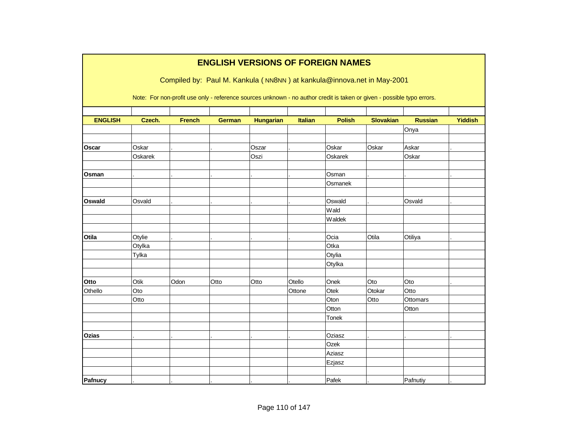|                |         |               | <b>ENGLISH VERSIONS OF FOREIGN NAMES</b> |                  |                |                |                                                                                                                        |                |                |
|----------------|---------|---------------|------------------------------------------|------------------|----------------|----------------|------------------------------------------------------------------------------------------------------------------------|----------------|----------------|
|                |         |               |                                          |                  |                |                | Compiled by: Paul M. Kankula (NN8NN) at kankula@innova.net in May-2001                                                 |                |                |
|                |         |               |                                          |                  |                |                |                                                                                                                        |                |                |
|                |         |               |                                          |                  |                |                | Note: For non-profit use only - reference sources unknown - no author credit is taken or given - possible typo errors. |                |                |
|                |         |               |                                          |                  |                |                |                                                                                                                        |                |                |
| <b>ENGLISH</b> | Czech.  | <b>French</b> | <b>German</b>                            | <b>Hungarian</b> | <b>Italian</b> | <b>Polish</b>  | <b>Slovakian</b>                                                                                                       | <b>Russian</b> | <b>Yiddish</b> |
|                |         |               |                                          |                  |                |                |                                                                                                                        | Onya           |                |
| <b>Oscar</b>   | Oskar   |               |                                          | Oszar            |                | Oskar          | Oskar                                                                                                                  | Askar          |                |
|                | Oskarek |               |                                          | Oszi             |                | Oskarek        |                                                                                                                        | Oskar          |                |
|                |         |               |                                          |                  |                |                |                                                                                                                        |                |                |
| Osman          |         |               |                                          |                  |                | Osman          |                                                                                                                        |                |                |
|                |         |               |                                          |                  |                | Osmanek        |                                                                                                                        |                |                |
|                |         |               |                                          |                  |                |                |                                                                                                                        |                |                |
| Oswald         | Osvald  |               |                                          |                  |                | Oswald<br>Wald |                                                                                                                        | Osvald         |                |
|                |         |               |                                          |                  |                |                |                                                                                                                        |                |                |
|                |         |               |                                          |                  |                | Waldek         |                                                                                                                        |                |                |
| Otila          | Otylie  |               |                                          |                  |                | Ocia           | Otila                                                                                                                  | Otiliya        |                |
|                | Otylka  |               |                                          |                  |                | Otka           |                                                                                                                        |                |                |
|                | Tylka   |               |                                          |                  |                | Otylia         |                                                                                                                        |                |                |
|                |         |               |                                          |                  |                | Otylka         |                                                                                                                        |                |                |
|                |         |               |                                          |                  |                |                |                                                                                                                        |                |                |
| Otto           | Otik    | Odon          | Otto                                     | Otto             | Otello         | Onek           | Oto                                                                                                                    | Oto            |                |
| Othello        | Oto     |               |                                          |                  | Ottone         | Otek           | Otokar                                                                                                                 | Otto           |                |
|                | Otto    |               |                                          |                  |                | Oton           | Otto                                                                                                                   | Ottomars       |                |
|                |         |               |                                          |                  |                | Otton          |                                                                                                                        | Otton          |                |
|                |         |               |                                          |                  |                | Tonek          |                                                                                                                        |                |                |
|                |         |               |                                          |                  |                | Oziasz         |                                                                                                                        |                |                |
| Ozias          |         |               |                                          |                  |                |                |                                                                                                                        |                |                |
|                |         |               |                                          |                  |                | Ozek<br>Aziasz |                                                                                                                        |                |                |
|                |         |               |                                          |                  |                | Ezjasz         |                                                                                                                        |                |                |
|                |         |               |                                          |                  |                |                |                                                                                                                        |                |                |
| Pafnucy        |         |               |                                          |                  |                | Pafek          |                                                                                                                        | Pafnutiy       |                |
|                |         |               |                                          |                  |                |                |                                                                                                                        |                |                |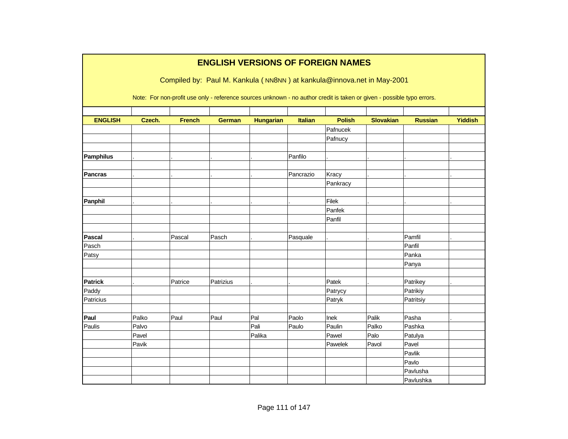|                  |        |               | <b>ENGLISH VERSIONS OF FOREIGN NAMES</b> |                  |                |               |                                                                                                                        |                |                |
|------------------|--------|---------------|------------------------------------------|------------------|----------------|---------------|------------------------------------------------------------------------------------------------------------------------|----------------|----------------|
|                  |        |               |                                          |                  |                |               | Compiled by: Paul M. Kankula (NN8NN) at kankula@innova.net in May-2001                                                 |                |                |
|                  |        |               |                                          |                  |                |               |                                                                                                                        |                |                |
|                  |        |               |                                          |                  |                |               | Note: For non-profit use only - reference sources unknown - no author credit is taken or given - possible typo errors. |                |                |
|                  |        |               |                                          |                  |                |               |                                                                                                                        |                |                |
| <b>ENGLISH</b>   | Czech. | <b>French</b> | <b>German</b>                            | <b>Hungarian</b> | <b>Italian</b> | <b>Polish</b> | <b>Slovakian</b>                                                                                                       | <b>Russian</b> | <b>Yiddish</b> |
|                  |        |               |                                          |                  |                | Pafnucek      |                                                                                                                        |                |                |
|                  |        |               |                                          |                  |                | Pafnucy       |                                                                                                                        |                |                |
|                  |        |               |                                          |                  |                |               |                                                                                                                        |                |                |
| <b>Pamphilus</b> |        |               |                                          |                  | Panfilo        |               |                                                                                                                        |                |                |
| <b>Pancras</b>   |        |               |                                          |                  | Pancrazio      | Kracy         |                                                                                                                        |                |                |
|                  |        |               |                                          |                  |                | Pankracy      |                                                                                                                        |                |                |
|                  |        |               |                                          |                  |                |               |                                                                                                                        |                |                |
| Panphil          |        |               |                                          |                  |                | Filek         |                                                                                                                        |                |                |
|                  |        |               |                                          |                  |                | Panfek        |                                                                                                                        |                |                |
|                  |        |               |                                          |                  |                | Panfil        |                                                                                                                        |                |                |
|                  |        |               |                                          |                  |                |               |                                                                                                                        |                |                |
| <b>Pascal</b>    |        | Pascal        | Pasch                                    |                  | Pasquale       |               |                                                                                                                        | Pamfil         |                |
| Pasch            |        |               |                                          |                  |                |               |                                                                                                                        | Panfil         |                |
| Patsy            |        |               |                                          |                  |                |               |                                                                                                                        | Panka          |                |
|                  |        |               |                                          |                  |                |               |                                                                                                                        | Panya          |                |
|                  |        |               |                                          |                  |                |               |                                                                                                                        |                |                |
| <b>Patrick</b>   |        | Patrice       | Patrizius                                |                  |                | Patek         |                                                                                                                        | Patrikey       |                |
| Paddy            |        |               |                                          |                  |                | Patrycy       |                                                                                                                        | Patrikiy       |                |
| Patricius        |        |               |                                          |                  |                | Patryk        |                                                                                                                        | Patritsiy      |                |
|                  |        |               |                                          |                  |                |               |                                                                                                                        |                |                |
| Paul             | Palko  | Paul          | Paul                                     | Pal              | Paolo          | Inek          | Palik                                                                                                                  | Pasha          |                |
| Paulis           | Palvo  |               |                                          | Pali             | Paulo          | Paulin        | Palko                                                                                                                  | Pashka         |                |
|                  | Pavel  |               |                                          | Palika           |                | Pawel         | Palo                                                                                                                   | Patulya        |                |
|                  | Pavik  |               |                                          |                  |                | Pawelek       | Pavol                                                                                                                  | Pavel          |                |
|                  |        |               |                                          |                  |                |               |                                                                                                                        | Pavlik         |                |
|                  |        |               |                                          |                  |                |               |                                                                                                                        | Pavlo          |                |
|                  |        |               |                                          |                  |                |               |                                                                                                                        | Pavlusha       |                |
|                  |        |               |                                          |                  |                |               |                                                                                                                        | Pavlushka      |                |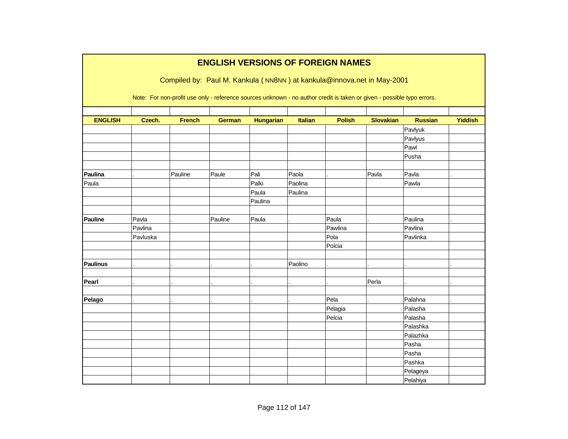|                 |          |               | <b>ENGLISH VERSIONS OF FOREIGN NAMES</b> |                  |                |               |                                                                                                                        |                |                |
|-----------------|----------|---------------|------------------------------------------|------------------|----------------|---------------|------------------------------------------------------------------------------------------------------------------------|----------------|----------------|
|                 |          |               |                                          |                  |                |               | Compiled by: Paul M. Kankula (NN8NN) at kankula@innova.net in May-2001                                                 |                |                |
|                 |          |               |                                          |                  |                |               |                                                                                                                        |                |                |
|                 |          |               |                                          |                  |                |               | Note: For non-profit use only - reference sources unknown - no author credit is taken or given - possible typo errors. |                |                |
|                 |          |               |                                          |                  |                |               |                                                                                                                        |                |                |
| <b>ENGLISH</b>  | Czech.   | <b>French</b> | <b>German</b>                            | <b>Hungarian</b> | <b>Italian</b> | <b>Polish</b> | <b>Slovakian</b>                                                                                                       | <b>Russian</b> | <b>Yiddish</b> |
|                 |          |               |                                          |                  |                |               |                                                                                                                        | Pavlyuk        |                |
|                 |          |               |                                          |                  |                |               |                                                                                                                        | Pavlyus        |                |
|                 |          |               |                                          |                  |                |               |                                                                                                                        | Pawl           |                |
|                 |          |               |                                          |                  |                |               |                                                                                                                        | Pusha          |                |
| Paulina         |          | Pauline       | Paule                                    | Pali             | Paola          |               | Pavla                                                                                                                  | Pavla          |                |
| Paula           |          |               |                                          | Palki            | Paolina        |               |                                                                                                                        | Pawla          |                |
|                 |          |               |                                          | Paula            | Paulina        |               |                                                                                                                        |                |                |
|                 |          |               |                                          | Paulina          |                |               |                                                                                                                        |                |                |
|                 |          |               |                                          |                  |                |               |                                                                                                                        |                |                |
| <b>Pauline</b>  | Pavla    |               | Pauline                                  | Paula            |                | Paula         |                                                                                                                        | Paulina        |                |
|                 | Pavlina  |               |                                          |                  |                | Pawlina       |                                                                                                                        | Pavlina        |                |
|                 | Pavluska |               |                                          |                  |                | Pola          |                                                                                                                        | Pavlinka       |                |
|                 |          |               |                                          |                  |                | Polcia        |                                                                                                                        |                |                |
|                 |          |               |                                          |                  |                |               |                                                                                                                        |                |                |
| <b>Paulinus</b> |          |               |                                          |                  | Paolino        |               |                                                                                                                        |                |                |
|                 |          |               |                                          |                  |                |               |                                                                                                                        |                |                |
| Pearl           |          |               |                                          |                  |                |               | Perla                                                                                                                  |                |                |
| Pelago          |          |               |                                          |                  |                | Pela          |                                                                                                                        | Palahna        |                |
|                 |          |               |                                          |                  |                | Pelagia       |                                                                                                                        | Palasha        |                |
|                 |          |               |                                          |                  |                | Pelcia        |                                                                                                                        | Palasha        |                |
|                 |          |               |                                          |                  |                |               |                                                                                                                        | Palashka       |                |
|                 |          |               |                                          |                  |                |               |                                                                                                                        | Palazhka       |                |
|                 |          |               |                                          |                  |                |               |                                                                                                                        | Pasha          |                |
|                 |          |               |                                          |                  |                |               |                                                                                                                        | Pasha          |                |
|                 |          |               |                                          |                  |                |               |                                                                                                                        | Pashka         |                |
|                 |          |               |                                          |                  |                |               |                                                                                                                        | Pelageya       |                |
|                 |          |               |                                          |                  |                |               |                                                                                                                        | Pelahiya       |                |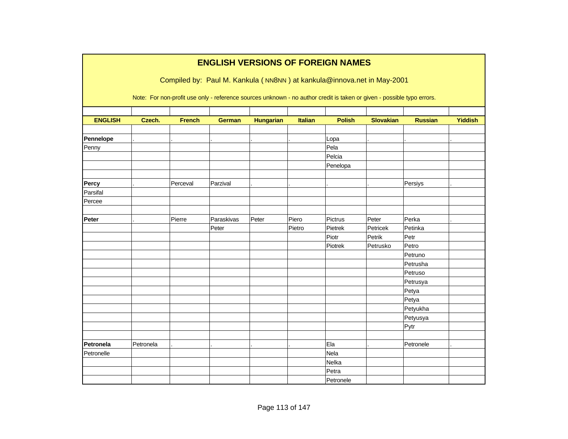|                | <b>ENGLISH VERSIONS OF FOREIGN NAMES</b> |               |               |                  |                |               |                                                                                                                        |                |                |  |  |  |
|----------------|------------------------------------------|---------------|---------------|------------------|----------------|---------------|------------------------------------------------------------------------------------------------------------------------|----------------|----------------|--|--|--|
|                |                                          |               |               |                  |                |               | Compiled by: Paul M. Kankula (NN8NN) at kankula@innova.net in May-2001                                                 |                |                |  |  |  |
|                |                                          |               |               |                  |                |               | Note: For non-profit use only - reference sources unknown - no author credit is taken or given - possible typo errors. |                |                |  |  |  |
| <b>ENGLISH</b> | Czech.                                   | <b>French</b> | <b>German</b> | <b>Hungarian</b> | <b>Italian</b> | <b>Polish</b> | <b>Slovakian</b>                                                                                                       | <b>Russian</b> | <b>Yiddish</b> |  |  |  |
|                |                                          |               |               |                  |                |               |                                                                                                                        |                |                |  |  |  |
| Pennelope      |                                          |               |               |                  |                | Lopa          |                                                                                                                        |                |                |  |  |  |
| Penny          |                                          |               |               |                  |                | Pela          |                                                                                                                        |                |                |  |  |  |
|                |                                          |               |               |                  |                | Pelcia        |                                                                                                                        |                |                |  |  |  |
|                |                                          |               |               |                  |                | Penelopa      |                                                                                                                        |                |                |  |  |  |
|                |                                          |               |               |                  |                |               |                                                                                                                        |                |                |  |  |  |
| Percy          |                                          | Perceval      | Parzival      |                  |                |               |                                                                                                                        | Persiys        |                |  |  |  |
| Parsifal       |                                          |               |               |                  |                |               |                                                                                                                        |                |                |  |  |  |
| Percee         |                                          |               |               |                  |                |               |                                                                                                                        |                |                |  |  |  |
|                |                                          |               |               |                  |                |               |                                                                                                                        |                |                |  |  |  |
| Peter          |                                          | Pierre        | Paraskivas    | Peter            | Piero          | Pictrus       | Peter                                                                                                                  | Perka          |                |  |  |  |
|                |                                          |               | Peter         |                  | Pietro         | Pietrek       | Petricek                                                                                                               | Petinka        |                |  |  |  |
|                |                                          |               |               |                  |                | Piotr         | Petrik                                                                                                                 | Petr           |                |  |  |  |
|                |                                          |               |               |                  |                | Piotrek       | Petrusko                                                                                                               | Petro          |                |  |  |  |
|                |                                          |               |               |                  |                |               |                                                                                                                        | Petruno        |                |  |  |  |
|                |                                          |               |               |                  |                |               |                                                                                                                        | Petrusha       |                |  |  |  |
|                |                                          |               |               |                  |                |               |                                                                                                                        | Petruso        |                |  |  |  |
|                |                                          |               |               |                  |                |               |                                                                                                                        | Petrusya       |                |  |  |  |
|                |                                          |               |               |                  |                |               |                                                                                                                        | Petya          |                |  |  |  |
|                |                                          |               |               |                  |                |               |                                                                                                                        | Petya          |                |  |  |  |
|                |                                          |               |               |                  |                |               |                                                                                                                        | Petyukha       |                |  |  |  |
|                |                                          |               |               |                  |                |               |                                                                                                                        | Petyusya       |                |  |  |  |
|                |                                          |               |               |                  |                |               |                                                                                                                        | Pytr           |                |  |  |  |
|                |                                          |               |               |                  |                |               |                                                                                                                        |                |                |  |  |  |
| Petronela      | Petronela                                |               |               |                  |                | Ela           |                                                                                                                        | Petronele      |                |  |  |  |
| Petronelle     |                                          |               |               |                  |                | Nela          |                                                                                                                        |                |                |  |  |  |
|                |                                          |               |               |                  |                | Nelka         |                                                                                                                        |                |                |  |  |  |
|                |                                          |               |               |                  |                | Petra         |                                                                                                                        |                |                |  |  |  |
|                |                                          |               |               |                  |                | Petronele     |                                                                                                                        |                |                |  |  |  |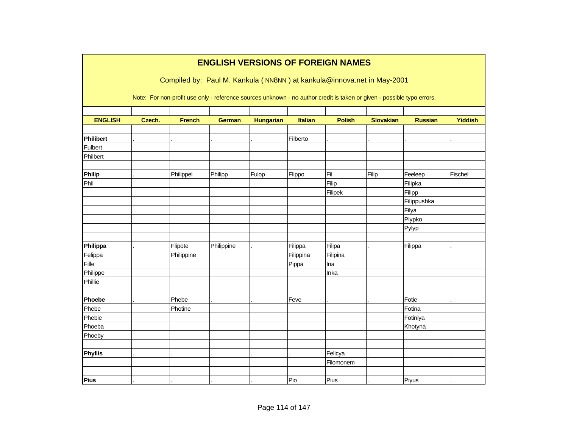|                  |        |               |               |                  |                | <b>ENGLISH VERSIONS OF FOREIGN NAMES</b> |                                                                                                                        |                |                |
|------------------|--------|---------------|---------------|------------------|----------------|------------------------------------------|------------------------------------------------------------------------------------------------------------------------|----------------|----------------|
|                  |        |               |               |                  |                |                                          | Compiled by: Paul M. Kankula (NN8NN) at kankula@innova.net in May-2001                                                 |                |                |
|                  |        |               |               |                  |                |                                          |                                                                                                                        |                |                |
|                  |        |               |               |                  |                |                                          | Note: For non-profit use only - reference sources unknown - no author credit is taken or given - possible typo errors. |                |                |
| <b>ENGLISH</b>   | Czech. | <b>French</b> | <b>German</b> | <b>Hungarian</b> | <b>Italian</b> | <b>Polish</b>                            | <b>Slovakian</b>                                                                                                       | <b>Russian</b> | <b>Yiddish</b> |
|                  |        |               |               |                  |                |                                          |                                                                                                                        |                |                |
| <b>Philibert</b> |        |               |               |                  | Filberto       |                                          |                                                                                                                        |                |                |
| Fulbert          |        |               |               |                  |                |                                          |                                                                                                                        |                |                |
| Philbert         |        |               |               |                  |                |                                          |                                                                                                                        |                |                |
| Philip           |        | Philippel     | Philipp       | Fulop            | Flippo         | Fil                                      | Filip                                                                                                                  | Feeleep        | Fischel        |
| Phil             |        |               |               |                  |                | Filip                                    |                                                                                                                        | Filipka        |                |
|                  |        |               |               |                  |                | Filipek                                  |                                                                                                                        | Filipp         |                |
|                  |        |               |               |                  |                |                                          |                                                                                                                        | Filippushka    |                |
|                  |        |               |               |                  |                |                                          |                                                                                                                        | Filya          |                |
|                  |        |               |               |                  |                |                                          |                                                                                                                        | Plypko         |                |
|                  |        |               |               |                  |                |                                          |                                                                                                                        | Pylyp          |                |
| Philippa         |        | Flipote       | Philippine    |                  | Filippa        | Filipa                                   |                                                                                                                        | Filippa        |                |
| Felippa          |        | Philippine    |               |                  | Filippina      | Filipina                                 |                                                                                                                        |                |                |
| Fille            |        |               |               |                  | Pippa          | Ina                                      |                                                                                                                        |                |                |
| Philippe         |        |               |               |                  |                | Inka                                     |                                                                                                                        |                |                |
| Phillie          |        |               |               |                  |                |                                          |                                                                                                                        |                |                |
| Phoebe           |        | Phebe         |               |                  | Feve           |                                          |                                                                                                                        | Fotie          |                |
| Phebe            |        | Photine       |               |                  |                |                                          |                                                                                                                        | Fotina         |                |
| Phebie           |        |               |               |                  |                |                                          |                                                                                                                        | Fotiniya       |                |
| Phoeba           |        |               |               |                  |                |                                          |                                                                                                                        | Khotyna        |                |
| Phoeby           |        |               |               |                  |                |                                          |                                                                                                                        |                |                |
| Phyllis          |        |               |               |                  |                | Felicya                                  |                                                                                                                        |                |                |
|                  |        |               |               |                  |                | Filomonem                                |                                                                                                                        |                |                |
|                  |        |               |               |                  |                |                                          |                                                                                                                        |                |                |
| Pius             |        |               |               |                  | Pio            | Pius                                     |                                                                                                                        | Piyus          |                |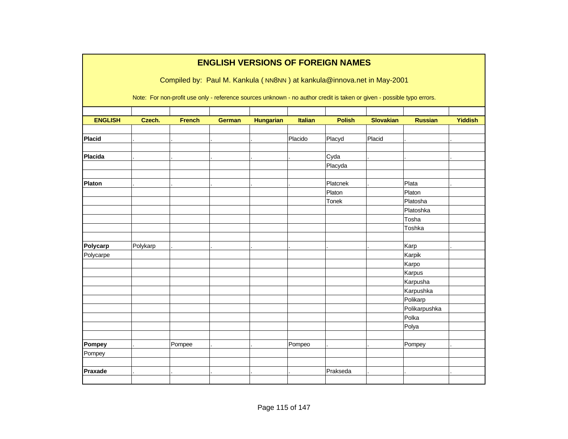|                | <b>ENGLISH VERSIONS OF FOREIGN NAMES</b>                               |               |               |                  |         |                                                                                                                        |                  |                |                |  |  |  |  |
|----------------|------------------------------------------------------------------------|---------------|---------------|------------------|---------|------------------------------------------------------------------------------------------------------------------------|------------------|----------------|----------------|--|--|--|--|
|                | Compiled by: Paul M. Kankula (NN8NN) at kankula@innova.net in May-2001 |               |               |                  |         |                                                                                                                        |                  |                |                |  |  |  |  |
|                |                                                                        |               |               |                  |         | Note: For non-profit use only - reference sources unknown - no author credit is taken or given - possible typo errors. |                  |                |                |  |  |  |  |
|                |                                                                        |               |               |                  |         |                                                                                                                        |                  |                |                |  |  |  |  |
| <b>ENGLISH</b> | Czech.                                                                 | <b>French</b> | <b>German</b> | <b>Hungarian</b> | Italian | <b>Polish</b>                                                                                                          | <b>Slovakian</b> | <b>Russian</b> | <b>Yiddish</b> |  |  |  |  |
| <b>Placid</b>  |                                                                        |               |               |                  | Placido |                                                                                                                        | Placid           |                |                |  |  |  |  |
|                |                                                                        |               |               |                  |         | Placyd                                                                                                                 |                  |                |                |  |  |  |  |
| Placida        |                                                                        |               |               |                  |         | Cyda                                                                                                                   |                  |                |                |  |  |  |  |
|                |                                                                        |               |               |                  |         | Placyda                                                                                                                |                  |                |                |  |  |  |  |
|                |                                                                        |               |               |                  |         |                                                                                                                        |                  |                |                |  |  |  |  |
| Platon         |                                                                        |               |               |                  |         | Platcnek                                                                                                               |                  | Plata          |                |  |  |  |  |
|                |                                                                        |               |               |                  |         | Platon                                                                                                                 |                  | Platon         |                |  |  |  |  |
|                |                                                                        |               |               |                  |         | Tonek                                                                                                                  |                  | Platosha       |                |  |  |  |  |
|                |                                                                        |               |               |                  |         |                                                                                                                        |                  | Platoshka      |                |  |  |  |  |
|                |                                                                        |               |               |                  |         |                                                                                                                        |                  | Tosha          |                |  |  |  |  |
|                |                                                                        |               |               |                  |         |                                                                                                                        |                  | Toshka         |                |  |  |  |  |
|                |                                                                        |               |               |                  |         |                                                                                                                        |                  |                |                |  |  |  |  |
| Polycarp       | Polykarp                                                               |               |               |                  |         |                                                                                                                        |                  | Karp           |                |  |  |  |  |
| Polycarpe      |                                                                        |               |               |                  |         |                                                                                                                        |                  | Karpik         |                |  |  |  |  |
|                |                                                                        |               |               |                  |         |                                                                                                                        |                  | Karpo          |                |  |  |  |  |
|                |                                                                        |               |               |                  |         |                                                                                                                        |                  | Karpus         |                |  |  |  |  |
|                |                                                                        |               |               |                  |         |                                                                                                                        |                  | Karpusha       |                |  |  |  |  |
|                |                                                                        |               |               |                  |         |                                                                                                                        |                  | Karpushka      |                |  |  |  |  |
|                |                                                                        |               |               |                  |         |                                                                                                                        |                  | Polikarp       |                |  |  |  |  |
|                |                                                                        |               |               |                  |         |                                                                                                                        |                  | Polikarpushka  |                |  |  |  |  |
|                |                                                                        |               |               |                  |         |                                                                                                                        |                  | Polka          |                |  |  |  |  |
|                |                                                                        |               |               |                  |         |                                                                                                                        |                  | Polya          |                |  |  |  |  |
|                |                                                                        |               |               |                  |         |                                                                                                                        |                  |                |                |  |  |  |  |
| Pompey         |                                                                        | Pompee        |               |                  | Pompeo  |                                                                                                                        |                  | Pompey         |                |  |  |  |  |
| Pompey         |                                                                        |               |               |                  |         |                                                                                                                        |                  |                |                |  |  |  |  |
|                |                                                                        |               |               |                  |         |                                                                                                                        |                  |                |                |  |  |  |  |
| Praxade        |                                                                        |               |               |                  |         | Prakseda                                                                                                               |                  |                |                |  |  |  |  |
|                |                                                                        |               |               |                  |         |                                                                                                                        |                  |                |                |  |  |  |  |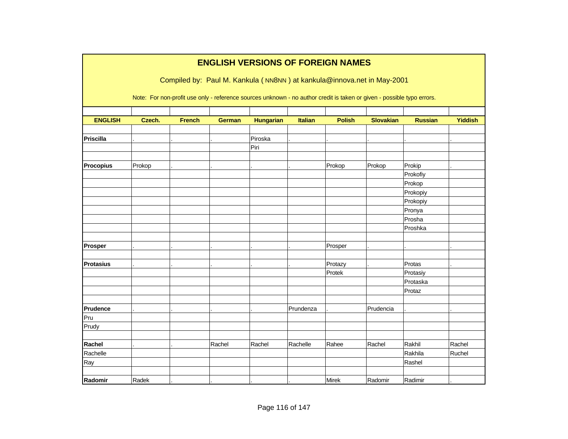|                  |        |               |               |                  |           | <b>ENGLISH VERSIONS OF FOREIGN NAMES</b>                                                                               |                  |                |                |
|------------------|--------|---------------|---------------|------------------|-----------|------------------------------------------------------------------------------------------------------------------------|------------------|----------------|----------------|
|                  |        |               |               |                  |           | Compiled by: Paul M. Kankula (NN8NN) at kankula@innova.net in May-2001                                                 |                  |                |                |
|                  |        |               |               |                  |           | Note: For non-profit use only - reference sources unknown - no author credit is taken or given - possible typo errors. |                  |                |                |
| <b>ENGLISH</b>   | Czech. | <b>French</b> | <b>German</b> | <b>Hungarian</b> | Italian   | <b>Polish</b>                                                                                                          | <b>Slovakian</b> | <b>Russian</b> | <b>Yiddish</b> |
|                  |        |               |               |                  |           |                                                                                                                        |                  |                |                |
| Priscilla        |        |               |               | Piroska          |           |                                                                                                                        |                  |                |                |
|                  |        |               |               | Piri             |           |                                                                                                                        |                  |                |                |
|                  |        |               |               |                  |           |                                                                                                                        |                  |                |                |
| <b>Procopius</b> | Prokop |               |               |                  |           | Prokop                                                                                                                 | Prokop           | Prokip         |                |
|                  |        |               |               |                  |           |                                                                                                                        |                  | Prokofiy       |                |
|                  |        |               |               |                  |           |                                                                                                                        |                  | Prokop         |                |
|                  |        |               |               |                  |           |                                                                                                                        |                  | Prokopiy       |                |
|                  |        |               |               |                  |           |                                                                                                                        |                  | Prokopiy       |                |
|                  |        |               |               |                  |           |                                                                                                                        |                  | Pronya         |                |
|                  |        |               |               |                  |           |                                                                                                                        |                  | Prosha         |                |
|                  |        |               |               |                  |           |                                                                                                                        |                  | Proshka        |                |
|                  |        |               |               |                  |           |                                                                                                                        |                  |                |                |
| Prosper          |        |               |               |                  |           | Prosper                                                                                                                |                  |                |                |
|                  |        |               |               |                  |           |                                                                                                                        |                  |                |                |
| <b>Protasius</b> |        |               |               |                  |           | Protazy                                                                                                                |                  | Protas         |                |
|                  |        |               |               |                  |           | Protek                                                                                                                 |                  | Protasiy       |                |
|                  |        |               |               |                  |           |                                                                                                                        |                  | Protaska       |                |
|                  |        |               |               |                  |           |                                                                                                                        |                  | Protaz         |                |
|                  |        |               |               |                  |           |                                                                                                                        |                  |                |                |
| Prudence         |        |               |               |                  | Prundenza |                                                                                                                        | Prudencia        |                |                |
| Pru              |        |               |               |                  |           |                                                                                                                        |                  |                |                |
| Prudy            |        |               |               |                  |           |                                                                                                                        |                  |                |                |
|                  |        |               |               |                  |           |                                                                                                                        |                  |                |                |
| Rachel           |        |               | Rachel        | Rachel           | Rachelle  | Rahee                                                                                                                  | Rachel           | Rakhil         | Rachel         |
| Rachelle         |        |               |               |                  |           |                                                                                                                        |                  | Rakhila        | Ruchel         |
| Ray              |        |               |               |                  |           |                                                                                                                        |                  | Rashel         |                |
| Radomir          | Radek  |               |               |                  |           | Mirek                                                                                                                  | Radomir          | Radimir        |                |
|                  |        |               |               |                  |           |                                                                                                                        |                  |                |                |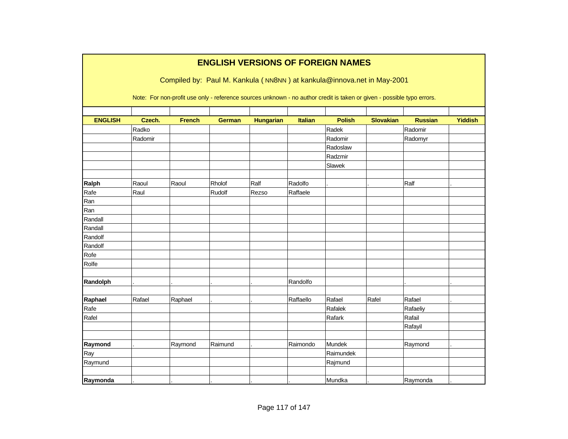|                |         |               |               |                  |                | <b>ENGLISH VERSIONS OF FOREIGN NAMES</b>                                                                               |                  |                |         |
|----------------|---------|---------------|---------------|------------------|----------------|------------------------------------------------------------------------------------------------------------------------|------------------|----------------|---------|
|                |         |               |               |                  |                | Compiled by: Paul M. Kankula (NN8NN) at kankula@innova.net in May-2001                                                 |                  |                |         |
|                |         |               |               |                  |                | Note: For non-profit use only - reference sources unknown - no author credit is taken or given - possible typo errors. |                  |                |         |
| <b>ENGLISH</b> | Czech.  | <b>French</b> | <b>German</b> | <b>Hungarian</b> | <b>Italian</b> | <b>Polish</b>                                                                                                          | <b>Slovakian</b> | <b>Russian</b> | Yiddish |
|                | Radko   |               |               |                  |                | Radek                                                                                                                  |                  | Radomir        |         |
|                | Radomir |               |               |                  |                | Radomir                                                                                                                |                  | Radomyr        |         |
|                |         |               |               |                  |                | Radoslaw                                                                                                               |                  |                |         |
|                |         |               |               |                  |                | Radzmir                                                                                                                |                  |                |         |
|                |         |               |               |                  |                | Slawek                                                                                                                 |                  |                |         |
| Ralph          | Raoul   | Raoul         | Rholof        | Ralf             | Radolfo        |                                                                                                                        |                  | Ralf           |         |
| Rafe           | Raul    |               | Rudolf        | Rezso            | Raffaele       |                                                                                                                        |                  |                |         |
| Ran            |         |               |               |                  |                |                                                                                                                        |                  |                |         |
| Ran            |         |               |               |                  |                |                                                                                                                        |                  |                |         |
| Randall        |         |               |               |                  |                |                                                                                                                        |                  |                |         |
| Randall        |         |               |               |                  |                |                                                                                                                        |                  |                |         |
| Randolf        |         |               |               |                  |                |                                                                                                                        |                  |                |         |
| Randolf        |         |               |               |                  |                |                                                                                                                        |                  |                |         |
| Rofe           |         |               |               |                  |                |                                                                                                                        |                  |                |         |
| Rolfe          |         |               |               |                  |                |                                                                                                                        |                  |                |         |
| Randolph       |         |               |               |                  | Randolfo       |                                                                                                                        |                  |                |         |
| Raphael        | Rafael  | Raphael       |               |                  | Raffaello      | Rafael                                                                                                                 | Rafel            | Rafael         |         |
| Rafe           |         |               |               |                  |                | Rafalek                                                                                                                |                  | Rafaeliy       |         |
| Rafel          |         |               |               |                  |                | Rafark                                                                                                                 |                  | Rafail         |         |
|                |         |               |               |                  |                |                                                                                                                        |                  | Rafayil        |         |
| Raymond        |         | Raymond       | Raimund       |                  | Raimondo       | Mundek                                                                                                                 |                  | Raymond        |         |
| Ray            |         |               |               |                  |                | Raimundek                                                                                                              |                  |                |         |
| Raymund        |         |               |               |                  |                | Rajmund                                                                                                                |                  |                |         |
|                |         |               |               |                  |                |                                                                                                                        |                  |                |         |
| Raymonda       |         |               |               |                  |                | Mundka                                                                                                                 |                  | Raymonda       |         |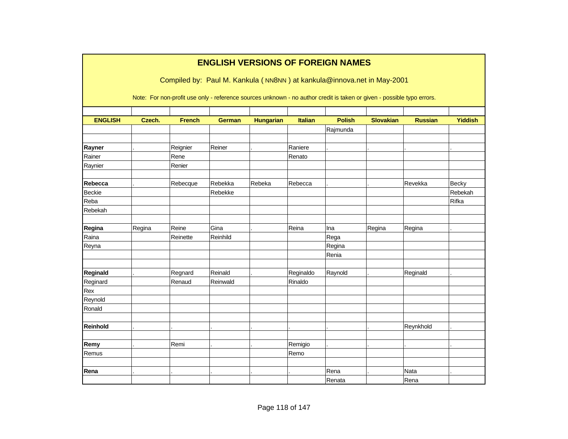|                |        |               |               |                  |                | <b>ENGLISH VERSIONS OF FOREIGN NAMES</b>                                                                               |                  |                |                |
|----------------|--------|---------------|---------------|------------------|----------------|------------------------------------------------------------------------------------------------------------------------|------------------|----------------|----------------|
|                |        |               |               |                  |                |                                                                                                                        |                  |                |                |
|                |        |               |               |                  |                | Compiled by: Paul M. Kankula (NN8NN) at kankula@innova.net in May-2001                                                 |                  |                |                |
|                |        |               |               |                  |                | Note: For non-profit use only - reference sources unknown - no author credit is taken or given - possible typo errors. |                  |                |                |
|                |        |               |               |                  |                |                                                                                                                        |                  |                |                |
| <b>ENGLISH</b> | Czech. | <b>French</b> | <b>German</b> | <b>Hungarian</b> | <b>Italian</b> | <b>Polish</b>                                                                                                          | <b>Slovakian</b> | <b>Russian</b> | <b>Yiddish</b> |
|                |        |               |               |                  |                | Rajmunda                                                                                                               |                  |                |                |
| Rayner         |        | Reignier      | Reiner        |                  | Raniere        |                                                                                                                        |                  |                |                |
| Rainer         |        | Rene          |               |                  | Renato         |                                                                                                                        |                  |                |                |
| Raynier        |        | Renier        |               |                  |                |                                                                                                                        |                  |                |                |
|                |        |               |               |                  |                |                                                                                                                        |                  |                |                |
| Rebecca        |        | Rebecque      | Rebekka       | Rebeka           | Rebecca        |                                                                                                                        |                  | Revekka        | Becky          |
| <b>Beckie</b>  |        |               | Rebekke       |                  |                |                                                                                                                        |                  |                | Rebekah        |
| Reba           |        |               |               |                  |                |                                                                                                                        |                  |                | Rifka          |
| Rebekah        |        |               |               |                  |                |                                                                                                                        |                  |                |                |
| Regina         | Regina | Reine         | Gina          |                  | Reina          | Ina                                                                                                                    | Regina           | Regina         |                |
| Raina          |        | Reinette      | Reinhild      |                  |                | Rega                                                                                                                   |                  |                |                |
| Reyna          |        |               |               |                  |                | Regina                                                                                                                 |                  |                |                |
|                |        |               |               |                  |                | Renia                                                                                                                  |                  |                |                |
|                |        |               |               |                  |                |                                                                                                                        |                  |                |                |
| Reginald       |        | Regnard       | Reinald       |                  | Reginaldo      | Raynold                                                                                                                |                  | Reginald       |                |
| Reginard       |        | Renaud        | Reinwald      |                  | Rinaldo        |                                                                                                                        |                  |                |                |
| Rex            |        |               |               |                  |                |                                                                                                                        |                  |                |                |
| Reynold        |        |               |               |                  |                |                                                                                                                        |                  |                |                |
| Ronald         |        |               |               |                  |                |                                                                                                                        |                  |                |                |
| Reinhold       |        |               |               |                  |                |                                                                                                                        |                  | Reynkhold      |                |
|                |        |               |               |                  |                |                                                                                                                        |                  |                |                |
| Remy           |        | Remi          |               |                  | Remigio        |                                                                                                                        |                  |                |                |
| Remus          |        |               |               |                  | Remo           |                                                                                                                        |                  |                |                |
|                |        |               |               |                  |                |                                                                                                                        |                  |                |                |
| Rena           |        |               |               |                  |                | Rena                                                                                                                   |                  | Nata           |                |
|                |        |               |               |                  |                | Renata                                                                                                                 |                  | Rena           |                |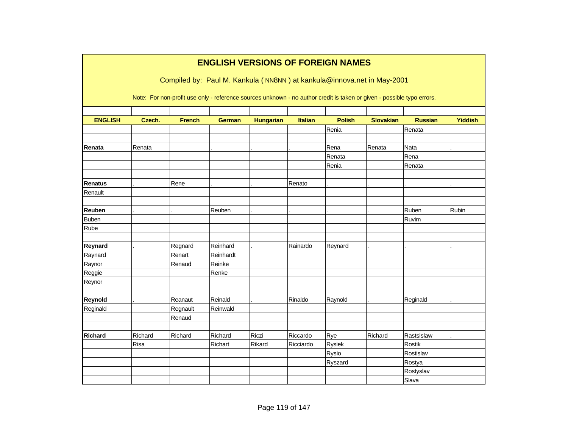|                |         |               |               |                  |                | <b>ENGLISH VERSIONS OF FOREIGN NAMES</b>                                                                               |                  |                |                |
|----------------|---------|---------------|---------------|------------------|----------------|------------------------------------------------------------------------------------------------------------------------|------------------|----------------|----------------|
|                |         |               |               |                  |                | Compiled by: Paul M. Kankula (NN8NN) at kankula@innova.net in May-2001                                                 |                  |                |                |
|                |         |               |               |                  |                |                                                                                                                        |                  |                |                |
|                |         |               |               |                  |                | Note: For non-profit use only - reference sources unknown - no author credit is taken or given - possible typo errors. |                  |                |                |
|                |         |               |               |                  |                |                                                                                                                        |                  |                |                |
| <b>ENGLISH</b> | Czech.  | <b>French</b> | <b>German</b> | <b>Hungarian</b> | <b>Italian</b> | <b>Polish</b>                                                                                                          | <b>Slovakian</b> | <b>Russian</b> | <b>Yiddish</b> |
|                |         |               |               |                  |                | Renia                                                                                                                  |                  | Renata         |                |
| Renata         | Renata  |               |               |                  |                | Rena                                                                                                                   | Renata           | Nata           |                |
|                |         |               |               |                  |                | Renata                                                                                                                 |                  | Rena           |                |
|                |         |               |               |                  |                | Renia                                                                                                                  |                  | Renata         |                |
|                |         |               |               |                  |                |                                                                                                                        |                  |                |                |
| <b>Renatus</b> |         | Rene          |               |                  | Renato         |                                                                                                                        |                  |                |                |
| Renault        |         |               |               |                  |                |                                                                                                                        |                  |                |                |
|                |         |               |               |                  |                |                                                                                                                        |                  |                |                |
| Reuben         |         |               | Reuben        |                  |                |                                                                                                                        |                  | Ruben          | Rubin          |
| <b>Buben</b>   |         |               |               |                  |                |                                                                                                                        |                  | Ruvim          |                |
| Rube           |         |               |               |                  |                |                                                                                                                        |                  |                |                |
|                |         |               |               |                  |                |                                                                                                                        |                  |                |                |
| Reynard        |         | Regnard       | Reinhard      |                  | Rainardo       | Reynard                                                                                                                |                  |                |                |
| Raynard        |         | Renart        | Reinhardt     |                  |                |                                                                                                                        |                  |                |                |
| Raynor         |         | Renaud        | Reinke        |                  |                |                                                                                                                        |                  |                |                |
| Reggie         |         |               | Renke         |                  |                |                                                                                                                        |                  |                |                |
| Reynor         |         |               |               |                  |                |                                                                                                                        |                  |                |                |
| Reynold        |         | Reanaut       | Reinald       |                  | Rinaldo        | Raynold                                                                                                                |                  | Reginald       |                |
| Reginald       |         | Regnault      | Reinwald      |                  |                |                                                                                                                        |                  |                |                |
|                |         | Renaud        |               |                  |                |                                                                                                                        |                  |                |                |
|                |         |               |               |                  |                |                                                                                                                        |                  |                |                |
| <b>Richard</b> | Richard | Richard       | Richard       | Riczi            | Riccardo       | Rye                                                                                                                    | Richard          | Rastsislaw     |                |
|                | Risa    |               | Richart       | Rikard           | Ricciardo      | Rysiek                                                                                                                 |                  | Rostik         |                |
|                |         |               |               |                  |                | Rysio                                                                                                                  |                  | Rostislav      |                |
|                |         |               |               |                  |                | Ryszard                                                                                                                |                  | Rostya         |                |
|                |         |               |               |                  |                |                                                                                                                        |                  | Rostyslav      |                |
|                |         |               |               |                  |                |                                                                                                                        |                  | Slava          |                |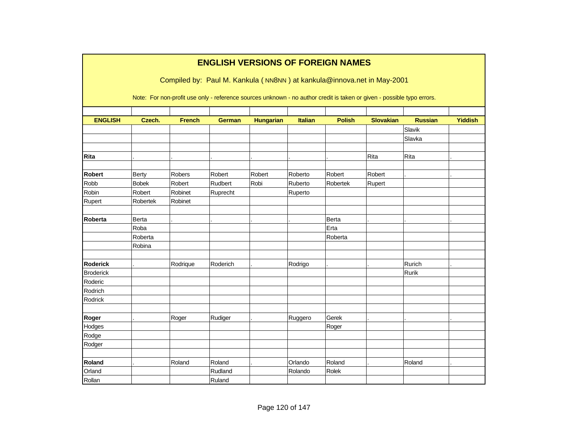|                  |              |               |               |                  |                | <b>ENGLISH VERSIONS OF FOREIGN NAMES</b>                                                                               |                  |                |                |
|------------------|--------------|---------------|---------------|------------------|----------------|------------------------------------------------------------------------------------------------------------------------|------------------|----------------|----------------|
|                  |              |               |               |                  |                | Compiled by: Paul M. Kankula (NN8NN) at kankula@innova.net in May-2001                                                 |                  |                |                |
|                  |              |               |               |                  |                | Note: For non-profit use only - reference sources unknown - no author credit is taken or given - possible typo errors. |                  |                |                |
| <b>ENGLISH</b>   | Czech.       | <b>French</b> | <b>German</b> | <b>Hungarian</b> | <b>Italian</b> | <b>Polish</b>                                                                                                          | <b>Slovakian</b> | <b>Russian</b> | <b>Yiddish</b> |
|                  |              |               |               |                  |                |                                                                                                                        |                  | Slavik         |                |
|                  |              |               |               |                  |                |                                                                                                                        |                  | Slavka         |                |
|                  |              |               |               |                  |                |                                                                                                                        |                  |                |                |
| Rita             |              |               |               |                  |                |                                                                                                                        | Rita             | Rita           |                |
|                  |              |               |               |                  |                |                                                                                                                        |                  |                |                |
| <b>Robert</b>    | Berty        | <b>Robers</b> | Robert        | Robert           | Roberto        | Robert                                                                                                                 | Robert           |                |                |
| Robb             | <b>Bobek</b> | Robert        | Rudbert       | Robi             | Ruberto        | Robertek                                                                                                               | Rupert           |                |                |
| Robin            | Robert       | Robinet       | Ruprecht      |                  | Ruperto        |                                                                                                                        |                  |                |                |
| Rupert           | Robertek     | Robinet       |               |                  |                |                                                                                                                        |                  |                |                |
| <b>Roberta</b>   | Berta        |               |               |                  |                | Berta                                                                                                                  |                  |                |                |
|                  | Roba         |               |               |                  |                | Erta                                                                                                                   |                  |                |                |
|                  | Roberta      |               |               |                  |                | Roberta                                                                                                                |                  |                |                |
|                  | Robina       |               |               |                  |                |                                                                                                                        |                  |                |                |
|                  |              |               |               |                  |                |                                                                                                                        |                  |                |                |
| <b>Roderick</b>  |              | Rodrique      | Roderich      |                  | Rodrigo        |                                                                                                                        |                  | Rurich         |                |
| <b>Broderick</b> |              |               |               |                  |                |                                                                                                                        |                  | Rurik          |                |
| Roderic          |              |               |               |                  |                |                                                                                                                        |                  |                |                |
| Rodrich          |              |               |               |                  |                |                                                                                                                        |                  |                |                |
| Rodrick          |              |               |               |                  |                |                                                                                                                        |                  |                |                |
|                  |              |               |               |                  |                |                                                                                                                        |                  |                |                |
| Roger            |              | Roger         | Rudiger       |                  | Ruggero        | Gerek                                                                                                                  |                  |                |                |
| Hodges           |              |               |               |                  |                | Roger                                                                                                                  |                  |                |                |
| Rodge            |              |               |               |                  |                |                                                                                                                        |                  |                |                |
| Rodger           |              |               |               |                  |                |                                                                                                                        |                  |                |                |
|                  |              |               |               |                  |                |                                                                                                                        |                  |                |                |
| Roland           |              | Roland        | Roland        |                  | Orlando        | Roland                                                                                                                 |                  | Roland         |                |
| Orland           |              |               | Rudland       |                  | Rolando        | Rolek                                                                                                                  |                  |                |                |
| Rollan           |              |               | Ruland        |                  |                |                                                                                                                        |                  |                |                |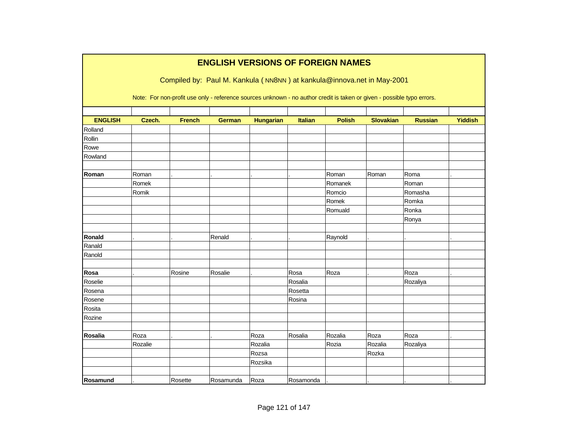|                |         |               | <b>ENGLISH VERSIONS OF FOREIGN NAMES</b>                                                                               |                  |                |               |                  |                |                |
|----------------|---------|---------------|------------------------------------------------------------------------------------------------------------------------|------------------|----------------|---------------|------------------|----------------|----------------|
|                |         |               | Compiled by: Paul M. Kankula (NN8NN) at kankula@innova.net in May-2001                                                 |                  |                |               |                  |                |                |
|                |         |               | Note: For non-profit use only - reference sources unknown - no author credit is taken or given - possible typo errors. |                  |                |               |                  |                |                |
| <b>ENGLISH</b> | Czech.  | <b>French</b> | <b>German</b>                                                                                                          | <b>Hungarian</b> | <b>Italian</b> | <b>Polish</b> | <b>Slovakian</b> | <b>Russian</b> | <b>Yiddish</b> |
| Rolland        |         |               |                                                                                                                        |                  |                |               |                  |                |                |
| Rollin         |         |               |                                                                                                                        |                  |                |               |                  |                |                |
| Rowe           |         |               |                                                                                                                        |                  |                |               |                  |                |                |
| Rowland        |         |               |                                                                                                                        |                  |                |               |                  |                |                |
| Roman          | Roman   |               |                                                                                                                        |                  |                | Roman         | Roman            | Roma           |                |
|                | Romek   |               |                                                                                                                        |                  |                | Romanek       |                  | Roman          |                |
|                | Romik   |               |                                                                                                                        |                  |                | Romcio        |                  | Romasha        |                |
|                |         |               |                                                                                                                        |                  |                | Romek         |                  | Romka          |                |
|                |         |               |                                                                                                                        |                  |                | Romuald       |                  | Ronka          |                |
|                |         |               |                                                                                                                        |                  |                |               |                  | Ronya          |                |
|                |         |               |                                                                                                                        |                  |                |               |                  |                |                |
| Ronald         |         |               | Renald                                                                                                                 |                  |                | Raynold       |                  |                |                |
| Ranald         |         |               |                                                                                                                        |                  |                |               |                  |                |                |
| Ranold         |         |               |                                                                                                                        |                  |                |               |                  |                |                |
| Rosa           |         | Rosine        | Rosalie                                                                                                                |                  | Rosa           | Roza          |                  | Roza           |                |
| Roselie        |         |               |                                                                                                                        |                  | Rosalia        |               |                  | Rozaliya       |                |
| Rosena         |         |               |                                                                                                                        |                  | Rosetta        |               |                  |                |                |
| Rosene         |         |               |                                                                                                                        |                  | Rosina         |               |                  |                |                |
| Rosita         |         |               |                                                                                                                        |                  |                |               |                  |                |                |
| Rozine         |         |               |                                                                                                                        |                  |                |               |                  |                |                |
| <b>Rosalia</b> | Roza    |               |                                                                                                                        | Roza             | Rosalia        | Rozalia       | Roza             | Roza           |                |
|                | Rozalie |               |                                                                                                                        | Rozalia          |                | Rozia         | Rozalia          | Rozaliya       |                |
|                |         |               |                                                                                                                        | Rozsa            |                |               | Rozka            |                |                |
|                |         |               |                                                                                                                        | Rozsika          |                |               |                  |                |                |
|                |         |               |                                                                                                                        |                  |                |               |                  |                |                |
| Rosamund       |         | Rosette       | Rosamunda                                                                                                              | Roza             | Rosamonda      |               |                  |                |                |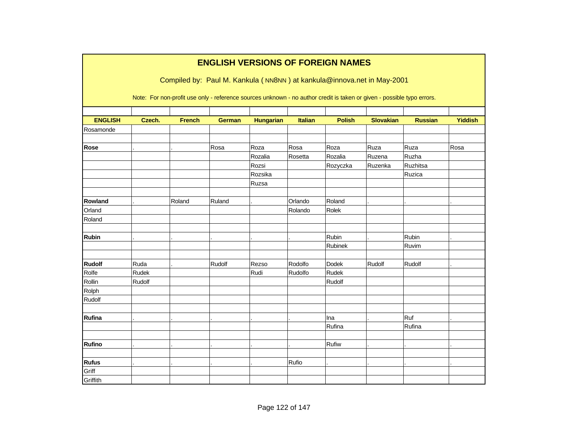|                        |        |                                                                                                                        |               |                  |                    | <b>ENGLISH VERSIONS OF FOREIGN NAMES</b> |                  |                |                |
|------------------------|--------|------------------------------------------------------------------------------------------------------------------------|---------------|------------------|--------------------|------------------------------------------|------------------|----------------|----------------|
|                        |        | Compiled by: Paul M. Kankula (NN8NN) at kankula@innova.net in May-2001                                                 |               |                  |                    |                                          |                  |                |                |
|                        |        | Note: For non-profit use only - reference sources unknown - no author credit is taken or given - possible typo errors. |               |                  |                    |                                          |                  |                |                |
| <b>ENGLISH</b>         | Czech. | <b>French</b>                                                                                                          |               |                  | Italian            | <b>Polish</b>                            | <b>Slovakian</b> | <b>Russian</b> | <b>Yiddish</b> |
| Rosamonde              |        |                                                                                                                        | <b>German</b> | <b>Hungarian</b> |                    |                                          |                  |                |                |
|                        |        |                                                                                                                        |               |                  |                    |                                          |                  |                |                |
| <b>Rose</b>            |        |                                                                                                                        | Rosa          | Roza             | Rosa               | Roza                                     | Ruza             | Ruza           | Rosa           |
|                        |        |                                                                                                                        |               | Rozalia          | Rosetta            | Rozalia                                  | Ruzena           | Ruzha          |                |
|                        |        |                                                                                                                        |               | Rozsi            |                    | Rozyczka                                 | Ruzenka          | Ruzhitsa       |                |
|                        |        |                                                                                                                        |               | Rozsika          |                    |                                          |                  | Ruzica         |                |
|                        |        |                                                                                                                        |               | Ruzsa            |                    |                                          |                  |                |                |
|                        |        |                                                                                                                        |               |                  |                    |                                          |                  |                |                |
| Rowland                |        | Roland                                                                                                                 | Ruland        |                  | Orlando            | Roland                                   |                  |                |                |
| Orland                 |        |                                                                                                                        |               |                  | Rolando            | Rolek                                    |                  |                |                |
| Roland                 |        |                                                                                                                        |               |                  |                    |                                          |                  |                |                |
|                        |        |                                                                                                                        |               |                  |                    |                                          |                  |                |                |
| <b>Rubin</b>           |        |                                                                                                                        |               |                  |                    | Rubin                                    |                  | Rubin          |                |
|                        |        |                                                                                                                        |               |                  |                    | Rubinek                                  |                  | Ruvim          |                |
|                        | Ruda   |                                                                                                                        |               |                  |                    |                                          |                  |                |                |
| <b>Rudolf</b><br>Rolfe | Rudek  |                                                                                                                        | Rudolf        | Rezso<br>Rudi    | Rodolfo<br>Rudolfo | Dodek<br>Rudek                           | Rudolf           | Rudolf         |                |
| Rollin                 | Rudolf |                                                                                                                        |               |                  |                    | Rudolf                                   |                  |                |                |
| Rolph                  |        |                                                                                                                        |               |                  |                    |                                          |                  |                |                |
| Rudolf                 |        |                                                                                                                        |               |                  |                    |                                          |                  |                |                |
|                        |        |                                                                                                                        |               |                  |                    |                                          |                  |                |                |
| Rufina                 |        |                                                                                                                        |               |                  |                    | Ina                                      |                  | Ruf            |                |
|                        |        |                                                                                                                        |               |                  |                    | Rufina                                   |                  | Rufina         |                |
|                        |        |                                                                                                                        |               |                  |                    |                                          |                  |                |                |
| <b>Rufino</b>          |        |                                                                                                                        |               |                  |                    | Rufiw                                    |                  |                |                |
|                        |        |                                                                                                                        |               |                  |                    |                                          |                  |                |                |
| <b>Rufus</b>           |        |                                                                                                                        |               |                  | Rufio              |                                          |                  |                |                |
| Griff                  |        |                                                                                                                        |               |                  |                    |                                          |                  |                |                |
| Griffith               |        |                                                                                                                        |               |                  |                    |                                          |                  |                |                |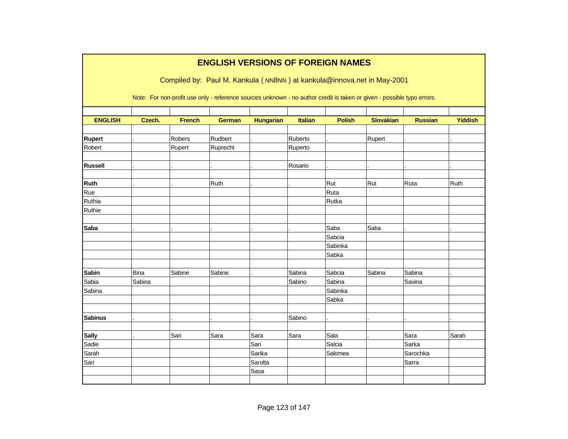|                |             |               | <b>ENGLISH VERSIONS OF FOREIGN NAMES</b>                                                                               |                  |                |               |           |                |                |
|----------------|-------------|---------------|------------------------------------------------------------------------------------------------------------------------|------------------|----------------|---------------|-----------|----------------|----------------|
|                |             |               |                                                                                                                        |                  |                |               |           |                |                |
|                |             |               | Compiled by: Paul M. Kankula (NN8NN) at kankula@innova.net in May-2001                                                 |                  |                |               |           |                |                |
|                |             |               | Note: For non-profit use only - reference sources unknown - no author credit is taken or given - possible typo errors. |                  |                |               |           |                |                |
| <b>ENGLISH</b> | Czech.      | <b>French</b> | <b>German</b>                                                                                                          | <b>Hungarian</b> | <b>Italian</b> | <b>Polish</b> | Slovakian | <b>Russian</b> | <b>Yiddish</b> |
| <b>Rupert</b>  |             | Robers        | Rudbert                                                                                                                |                  | Ruberto        |               | Rupert    |                |                |
| Robert         |             | Rupert        | Ruprecht                                                                                                               |                  | Ruperto        |               |           |                |                |
| <b>Russell</b> |             |               |                                                                                                                        |                  | Rosario        |               |           |                |                |
| <b>Ruth</b>    |             |               | Ruth                                                                                                                   |                  |                | Rut           | Rut       | Ruta           | Ruth           |
| Rue            |             |               |                                                                                                                        |                  |                | Ruta          |           |                |                |
| Ruthia         |             |               |                                                                                                                        |                  |                | Rutka         |           |                |                |
| Ruthie         |             |               |                                                                                                                        |                  |                |               |           |                |                |
| <b>Saba</b>    |             |               |                                                                                                                        |                  |                | Saba          | Saba      |                |                |
|                |             |               |                                                                                                                        |                  |                | Sabcia        |           |                |                |
|                |             |               |                                                                                                                        |                  |                | Sabinka       |           |                |                |
|                |             |               |                                                                                                                        |                  |                | Sabka         |           |                |                |
| <b>Sabin</b>   | <b>Bina</b> | Sabine        | Sabine                                                                                                                 |                  | Sabina         | Sabcia        | Sabina    | Sabina         |                |
| Sabia          | Sabina      |               |                                                                                                                        |                  | Sabino         | Sabina        |           | Savina         |                |
| Sabina         |             |               |                                                                                                                        |                  |                | Sabinka       |           |                |                |
|                |             |               |                                                                                                                        |                  |                | Sabka         |           |                |                |
| <b>Sabinus</b> |             |               |                                                                                                                        |                  | Sabino         |               |           |                |                |
| <b>Sally</b>   |             | Sari          | Sara                                                                                                                   | Sara             | Sara           | Sala          |           | Sara           | Sarah          |
| Sadie          |             |               |                                                                                                                        | Sari             |                | Salcia        |           | Sarka          |                |
| Sarah          |             |               |                                                                                                                        | Sarika           |                | Salomea       |           | Sarochka       |                |
| Sari           |             |               |                                                                                                                        | Sarolta          |                |               |           | Sarra          |                |
|                |             |               |                                                                                                                        | Sasa             |                |               |           |                |                |
|                |             |               |                                                                                                                        |                  |                |               |           |                |                |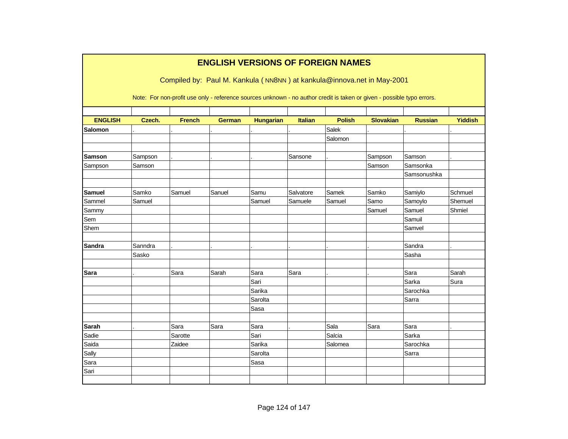|                |         |               | <b>ENGLISH VERSIONS OF FOREIGN NAMES</b> |                  |                |               | Compiled by: Paul M. Kankula (NN8NN) at kankula@innova.net in May-2001                                                 |                |                |
|----------------|---------|---------------|------------------------------------------|------------------|----------------|---------------|------------------------------------------------------------------------------------------------------------------------|----------------|----------------|
|                |         |               |                                          |                  |                |               | Note: For non-profit use only - reference sources unknown - no author credit is taken or given - possible typo errors. |                |                |
| <b>ENGLISH</b> | Czech.  | <b>French</b> | <b>German</b>                            | <b>Hungarian</b> | <b>Italian</b> | <b>Polish</b> | <b>Slovakian</b>                                                                                                       | <b>Russian</b> | <b>Yiddish</b> |
| <b>Salomon</b> |         |               |                                          |                  |                | Salek         |                                                                                                                        |                |                |
|                |         |               |                                          |                  |                | Salomon       |                                                                                                                        |                |                |
|                |         |               |                                          |                  |                |               |                                                                                                                        |                |                |
| <b>Samson</b>  | Sampson |               |                                          |                  | Sansone        |               | Sampson                                                                                                                | Samson         |                |
| Sampson        | Samson  |               |                                          |                  |                |               | Samson                                                                                                                 | Samsonka       |                |
|                |         |               |                                          |                  |                |               |                                                                                                                        | Samsonushka    |                |
|                |         |               |                                          |                  |                |               |                                                                                                                        |                |                |
| <b>Samuel</b>  | Samko   | Samuel        | Sanuel                                   | Samu             | Salvatore      | Samek         | Samko                                                                                                                  | Samiylo        | Schmuel        |
| Sammel         | Samuel  |               |                                          | Samuel           | Samuele        | Samuel        | Samo                                                                                                                   | Samoylo        | Shemuel        |
| Sammy          |         |               |                                          |                  |                |               | Samuel                                                                                                                 | Samuel         | Shmiel         |
| Sem            |         |               |                                          |                  |                |               |                                                                                                                        | Samuil         |                |
| Shem           |         |               |                                          |                  |                |               |                                                                                                                        | Samvel         |                |
| <b>Sandra</b>  | Sanndra |               |                                          |                  |                |               |                                                                                                                        | Sandra         |                |
|                | Sasko   |               |                                          |                  |                |               |                                                                                                                        | Sasha          |                |
|                |         |               |                                          |                  |                |               |                                                                                                                        |                |                |
| <b>Sara</b>    |         | Sara          | Sarah                                    | Sara             | Sara           |               |                                                                                                                        | Sara           | Sarah          |
|                |         |               |                                          | Sari             |                |               |                                                                                                                        | Sarka          | Sura           |
|                |         |               |                                          | Sarika           |                |               |                                                                                                                        | Sarochka       |                |
|                |         |               |                                          | Sarolta          |                |               |                                                                                                                        | Sarra          |                |
|                |         |               |                                          | Sasa             |                |               |                                                                                                                        |                |                |
|                |         |               |                                          |                  |                |               |                                                                                                                        |                |                |
| <b>Sarah</b>   |         | Sara          | Sara                                     | Sara             |                | Sala          | Sara                                                                                                                   | Sara           |                |
| Sadie          |         | Sarotte       |                                          | Sari             |                | Salcia        |                                                                                                                        | Sarka          |                |
| Saida          |         | Zaidee        |                                          | Sarika           |                | Salomea       |                                                                                                                        | Sarochka       |                |
| Sally          |         |               |                                          | Sarolta          |                |               |                                                                                                                        | Sarra          |                |
| Sara           |         |               |                                          | Sasa             |                |               |                                                                                                                        |                |                |
| Sari           |         |               |                                          |                  |                |               |                                                                                                                        |                |                |
|                |         |               |                                          |                  |                |               |                                                                                                                        |                |                |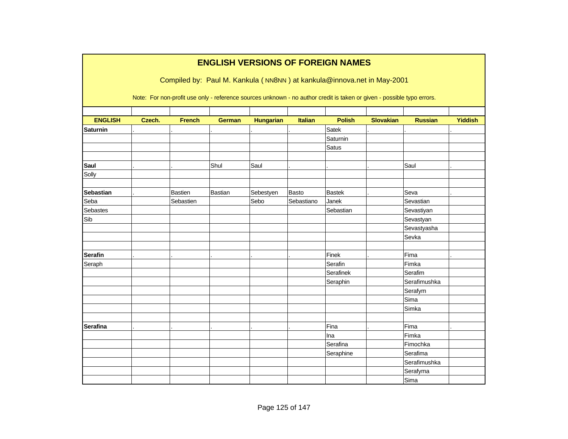|                  |        |                | <b>ENGLISH VERSIONS OF FOREIGN NAMES</b>                                                                                                                                                         |                  |                |               |                  |                |                |
|------------------|--------|----------------|--------------------------------------------------------------------------------------------------------------------------------------------------------------------------------------------------|------------------|----------------|---------------|------------------|----------------|----------------|
|                  |        |                | Compiled by: Paul M. Kankula (NN8NN) at kankula@innova.net in May-2001<br>Note: For non-profit use only - reference sources unknown - no author credit is taken or given - possible typo errors. |                  |                |               |                  |                |                |
| <b>ENGLISH</b>   | Czech. | <b>French</b>  | <b>German</b>                                                                                                                                                                                    | <b>Hungarian</b> | <b>Italian</b> | <b>Polish</b> | <b>Slovakian</b> | <b>Russian</b> | <b>Yiddish</b> |
| <b>Saturnin</b>  |        |                |                                                                                                                                                                                                  |                  |                | Satek         |                  |                |                |
|                  |        |                |                                                                                                                                                                                                  |                  |                | Saturnin      |                  |                |                |
|                  |        |                |                                                                                                                                                                                                  |                  |                | Satus         |                  |                |                |
| Saul             |        |                | Shul                                                                                                                                                                                             | Saul             |                |               |                  | Saul           |                |
| Solly            |        |                |                                                                                                                                                                                                  |                  |                |               |                  |                |                |
| <b>Sebastian</b> |        | <b>Bastien</b> | Bastian                                                                                                                                                                                          | Sebestyen        | <b>Basto</b>   | <b>Bastek</b> |                  | Seva           |                |
| Seba             |        | Sebastien      |                                                                                                                                                                                                  | Sebo             | Sebastiano     | Janek         |                  | Sevastian      |                |
| <b>Sebastes</b>  |        |                |                                                                                                                                                                                                  |                  |                | Sebastian     |                  | Sevastiyan     |                |
| Sib              |        |                |                                                                                                                                                                                                  |                  |                |               |                  | Sevastyan      |                |
|                  |        |                |                                                                                                                                                                                                  |                  |                |               |                  | Sevastyasha    |                |
|                  |        |                |                                                                                                                                                                                                  |                  |                |               |                  | Sevka          |                |
| <b>Serafin</b>   |        |                |                                                                                                                                                                                                  |                  |                | Finek         |                  | Fima           |                |
| Seraph           |        |                |                                                                                                                                                                                                  |                  |                | Serafin       |                  | Fimka          |                |
|                  |        |                |                                                                                                                                                                                                  |                  |                | Serafinek     |                  | Serafim        |                |
|                  |        |                |                                                                                                                                                                                                  |                  |                | Seraphin      |                  | Serafimushka   |                |
|                  |        |                |                                                                                                                                                                                                  |                  |                |               |                  | Serafym        |                |
|                  |        |                |                                                                                                                                                                                                  |                  |                |               |                  | Sima           |                |
|                  |        |                |                                                                                                                                                                                                  |                  |                |               |                  | Simka          |                |
|                  |        |                |                                                                                                                                                                                                  |                  |                |               |                  |                |                |
| <b>Serafina</b>  |        |                |                                                                                                                                                                                                  |                  |                | Fina          |                  | Fima           |                |
|                  |        |                |                                                                                                                                                                                                  |                  |                | Ina           |                  | Fimka          |                |
|                  |        |                |                                                                                                                                                                                                  |                  |                | Serafina      |                  | Fimochka       |                |
|                  |        |                |                                                                                                                                                                                                  |                  |                | Seraphine     |                  | Serafima       |                |
|                  |        |                |                                                                                                                                                                                                  |                  |                |               |                  | Serafimushka   |                |
|                  |        |                |                                                                                                                                                                                                  |                  |                |               |                  | Serafyma       |                |
|                  |        |                |                                                                                                                                                                                                  |                  |                |               |                  | Sima           |                |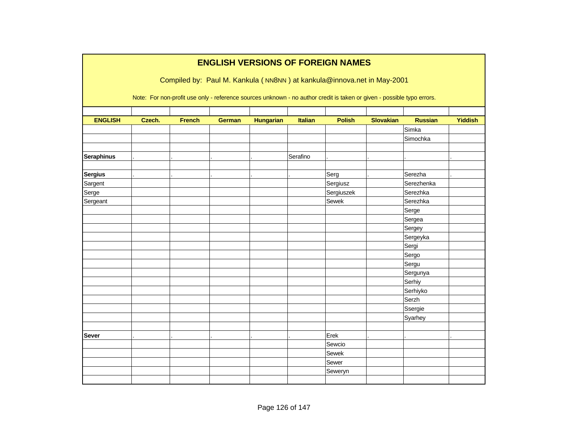|                   |        |               |               |                  |                | <b>ENGLISH VERSIONS OF FOREIGN NAMES</b>                                                                               |                  |                |                |
|-------------------|--------|---------------|---------------|------------------|----------------|------------------------------------------------------------------------------------------------------------------------|------------------|----------------|----------------|
|                   |        |               |               |                  |                | Compiled by: Paul M. Kankula (NN8NN) at kankula@innova.net in May-2001                                                 |                  |                |                |
|                   |        |               |               |                  |                |                                                                                                                        |                  |                |                |
|                   |        |               |               |                  |                | Note: For non-profit use only - reference sources unknown - no author credit is taken or given - possible typo errors. |                  |                |                |
|                   |        |               |               |                  |                |                                                                                                                        |                  |                |                |
| <b>ENGLISH</b>    | Czech. | <b>French</b> | <b>German</b> | <b>Hungarian</b> | <b>Italian</b> | <b>Polish</b>                                                                                                          | <b>Slovakian</b> | <b>Russian</b> | <b>Yiddish</b> |
|                   |        |               |               |                  |                |                                                                                                                        |                  | Simka          |                |
|                   |        |               |               |                  |                |                                                                                                                        |                  | Simochka       |                |
|                   |        |               |               |                  |                |                                                                                                                        |                  |                |                |
| <b>Seraphinus</b> |        |               |               |                  | Serafino       |                                                                                                                        |                  |                |                |
|                   |        |               |               |                  |                |                                                                                                                        |                  |                |                |
| <b>Sergius</b>    |        |               |               |                  |                | Serg                                                                                                                   |                  | Serezha        |                |
| Sargent           |        |               |               |                  |                | Sergiusz                                                                                                               |                  | Serezhenka     |                |
| Serge             |        |               |               |                  |                | Sergiuszek                                                                                                             |                  | Serezhka       |                |
| Sergeant          |        |               |               |                  |                | Sewek                                                                                                                  |                  | Serezhka       |                |
|                   |        |               |               |                  |                |                                                                                                                        |                  | Serge          |                |
|                   |        |               |               |                  |                |                                                                                                                        |                  | Sergea         |                |
|                   |        |               |               |                  |                |                                                                                                                        |                  | Sergey         |                |
|                   |        |               |               |                  |                |                                                                                                                        |                  | Sergeyka       |                |
|                   |        |               |               |                  |                |                                                                                                                        |                  | Sergi          |                |
|                   |        |               |               |                  |                |                                                                                                                        |                  | Sergo          |                |
|                   |        |               |               |                  |                |                                                                                                                        |                  | Sergu          |                |
|                   |        |               |               |                  |                |                                                                                                                        |                  | Sergunya       |                |
|                   |        |               |               |                  |                |                                                                                                                        |                  | Serhiy         |                |
|                   |        |               |               |                  |                |                                                                                                                        |                  | Serhiyko       |                |
|                   |        |               |               |                  |                |                                                                                                                        |                  | Serzh          |                |
|                   |        |               |               |                  |                |                                                                                                                        |                  | Ssergie        |                |
|                   |        |               |               |                  |                |                                                                                                                        |                  | Syarhey        |                |
|                   |        |               |               |                  |                |                                                                                                                        |                  |                |                |
| <b>Sever</b>      |        |               |               |                  |                | Erek                                                                                                                   |                  |                |                |
|                   |        |               |               |                  |                | Sewcio                                                                                                                 |                  |                |                |
|                   |        |               |               |                  |                | Sewek                                                                                                                  |                  |                |                |
|                   |        |               |               |                  |                | Sewer                                                                                                                  |                  |                |                |
|                   |        |               |               |                  |                | Seweryn                                                                                                                |                  |                |                |
|                   |        |               |               |                  |                |                                                                                                                        |                  |                |                |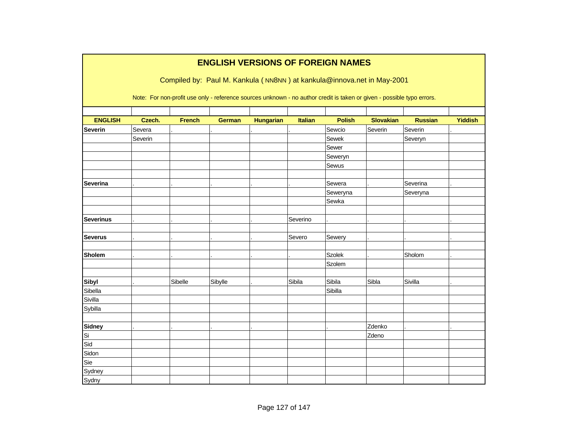|                  |         |               | <b>ENGLISH VERSIONS OF FOREIGN NAMES</b>                                                                               |                  |                |               |                  |                |                |
|------------------|---------|---------------|------------------------------------------------------------------------------------------------------------------------|------------------|----------------|---------------|------------------|----------------|----------------|
|                  |         |               | Compiled by: Paul M. Kankula (NN8NN) at kankula@innova.net in May-2001                                                 |                  |                |               |                  |                |                |
|                  |         |               | Note: For non-profit use only - reference sources unknown - no author credit is taken or given - possible typo errors. |                  |                |               |                  |                |                |
| <b>ENGLISH</b>   | Czech.  | <b>French</b> | <b>German</b>                                                                                                          | <b>Hungarian</b> | <b>Italian</b> | <b>Polish</b> | <b>Slovakian</b> | <b>Russian</b> | <b>Yiddish</b> |
| <b>Severin</b>   | Severa  |               |                                                                                                                        |                  |                | Sewcio        | Severin          | Severin        |                |
|                  | Severin |               |                                                                                                                        |                  |                | Sewek         |                  | Severyn        |                |
|                  |         |               |                                                                                                                        |                  |                | Sewer         |                  |                |                |
|                  |         |               |                                                                                                                        |                  |                | Seweryn       |                  |                |                |
|                  |         |               |                                                                                                                        |                  |                | Sewus         |                  |                |                |
|                  |         |               |                                                                                                                        |                  |                |               |                  |                |                |
| <b>Severina</b>  |         |               |                                                                                                                        |                  |                | Sewera        |                  | Severina       |                |
|                  |         |               |                                                                                                                        |                  |                | Seweryna      |                  | Severyna       |                |
|                  |         |               |                                                                                                                        |                  |                | Sewka         |                  |                |                |
|                  |         |               |                                                                                                                        |                  |                |               |                  |                |                |
| <b>Severinus</b> |         |               |                                                                                                                        |                  | Severino       |               |                  |                |                |
|                  |         |               |                                                                                                                        |                  |                |               |                  |                |                |
| <b>Severus</b>   |         |               |                                                                                                                        |                  | Severo         | Sewery        |                  |                |                |
|                  |         |               |                                                                                                                        |                  |                |               |                  |                |                |
| <b>Sholem</b>    |         |               |                                                                                                                        |                  |                | <b>Szolek</b> |                  | Sholom         |                |
|                  |         |               |                                                                                                                        |                  |                | Szolem        |                  |                |                |
|                  |         |               |                                                                                                                        |                  |                |               |                  |                |                |
| <b>Sibyl</b>     |         | Sibelle       | Sibylle                                                                                                                |                  | Sibila         | Sibila        | Sibla            | Sivilla        |                |
| Sibella          |         |               |                                                                                                                        |                  |                | Sibilla       |                  |                |                |
| Sivilla          |         |               |                                                                                                                        |                  |                |               |                  |                |                |
| Sybilla          |         |               |                                                                                                                        |                  |                |               |                  |                |                |
| <b>Sidney</b>    |         |               |                                                                                                                        |                  |                |               | Zdenko           |                |                |
| Si               |         |               |                                                                                                                        |                  |                |               | Zdeno            |                |                |
| Sid              |         |               |                                                                                                                        |                  |                |               |                  |                |                |
| Sidon            |         |               |                                                                                                                        |                  |                |               |                  |                |                |
| Sie              |         |               |                                                                                                                        |                  |                |               |                  |                |                |
| Sydney           |         |               |                                                                                                                        |                  |                |               |                  |                |                |
| Sydny            |         |               |                                                                                                                        |                  |                |               |                  |                |                |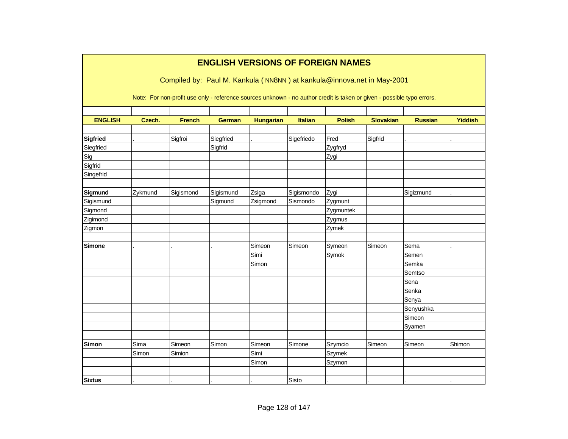|                 |         |               | <b>ENGLISH VERSIONS OF FOREIGN NAMES</b>                                                                               |                  |                |               |                  |                |                |
|-----------------|---------|---------------|------------------------------------------------------------------------------------------------------------------------|------------------|----------------|---------------|------------------|----------------|----------------|
|                 |         |               | Compiled by: Paul M. Kankula (NN8NN) at kankula@innova.net in May-2001                                                 |                  |                |               |                  |                |                |
|                 |         |               | Note: For non-profit use only - reference sources unknown - no author credit is taken or given - possible typo errors. |                  |                |               |                  |                |                |
| <b>ENGLISH</b>  | Czech.  | <b>French</b> | <b>German</b>                                                                                                          | <b>Hungarian</b> | <b>Italian</b> | <b>Polish</b> | <b>Slovakian</b> | <b>Russian</b> | <b>Yiddish</b> |
|                 |         |               |                                                                                                                        |                  |                |               |                  |                |                |
| <b>Sigfried</b> |         | Sigfroi       | Siegfried                                                                                                              |                  | Sigefriedo     | Fred          | Sigfrid          |                |                |
| Siegfried       |         |               | Sigfrid                                                                                                                |                  |                | Zygfryd       |                  |                |                |
| Sig             |         |               |                                                                                                                        |                  |                | Zygi          |                  |                |                |
| Sigfrid         |         |               |                                                                                                                        |                  |                |               |                  |                |                |
| Singefrid       |         |               |                                                                                                                        |                  |                |               |                  |                |                |
| Sigmund         | Zykmund | Sigismond     | Sigismund                                                                                                              | Zsiga            | Sigismondo     | Zygi          |                  | Sigizmund      |                |
| Sigismund       |         |               | Sigmund                                                                                                                | Zsigmond         | Sismondo       | Zygmunt       |                  |                |                |
| Sigmond         |         |               |                                                                                                                        |                  |                | Zygmuntek     |                  |                |                |
| Zigimond        |         |               |                                                                                                                        |                  |                | Zygmus        |                  |                |                |
| Zigmon          |         |               |                                                                                                                        |                  |                | Zymek         |                  |                |                |
| Simone          |         |               |                                                                                                                        | Simeon           | Simeon         | Symeon        | Simeon           | Sema           |                |
|                 |         |               |                                                                                                                        | Simi             |                | Symok         |                  | Semen          |                |
|                 |         |               |                                                                                                                        | Simon            |                |               |                  | Semka          |                |
|                 |         |               |                                                                                                                        |                  |                |               |                  | Semtso         |                |
|                 |         |               |                                                                                                                        |                  |                |               |                  | Sena           |                |
|                 |         |               |                                                                                                                        |                  |                |               |                  | Senka          |                |
|                 |         |               |                                                                                                                        |                  |                |               |                  | Senya          |                |
|                 |         |               |                                                                                                                        |                  |                |               |                  | Senyushka      |                |
|                 |         |               |                                                                                                                        |                  |                |               |                  | Simeon         |                |
|                 |         |               |                                                                                                                        |                  |                |               |                  | Syamen         |                |
| <b>Simon</b>    | Sima    | Simeon        | Simon                                                                                                                  | Simeon           | Simone         | Szymcio       | Simeon           | Simeon         | Shimon         |
|                 | Simon   | Simion        |                                                                                                                        | Simi             |                | <b>Szymek</b> |                  |                |                |
|                 |         |               |                                                                                                                        | Simon            |                | Szymon        |                  |                |                |
|                 |         |               |                                                                                                                        |                  |                |               |                  |                |                |
| <b>Sixtus</b>   |         |               |                                                                                                                        |                  | Sisto          |               |                  |                |                |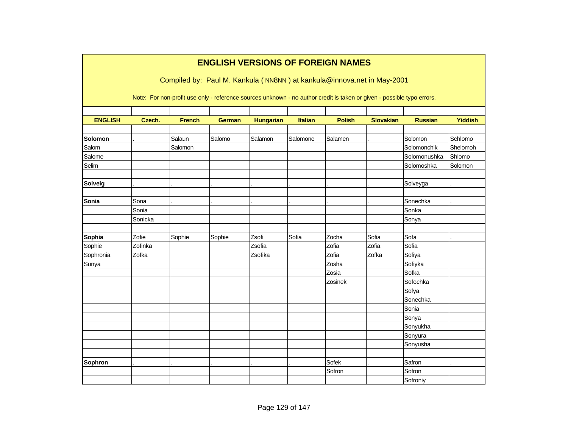|                |         |               |               |                  |                | <b>ENGLISH VERSIONS OF FOREIGN NAMES</b>                                                                               |                  |                |                |
|----------------|---------|---------------|---------------|------------------|----------------|------------------------------------------------------------------------------------------------------------------------|------------------|----------------|----------------|
|                |         |               |               |                  |                | Compiled by: Paul M. Kankula (NN8NN) at kankula@innova.net in May-2001                                                 |                  |                |                |
|                |         |               |               |                  |                |                                                                                                                        |                  |                |                |
|                |         |               |               |                  |                | Note: For non-profit use only - reference sources unknown - no author credit is taken or given - possible typo errors. |                  |                |                |
|                |         |               |               |                  |                |                                                                                                                        |                  |                |                |
| <b>ENGLISH</b> | Czech.  | <b>French</b> | <b>German</b> | <b>Hungarian</b> | <b>Italian</b> | <b>Polish</b>                                                                                                          | <b>Slovakian</b> | <b>Russian</b> | <b>Yiddish</b> |
|                |         |               |               |                  |                |                                                                                                                        |                  |                |                |
| Solomon        |         | Salaun        | Salomo        | Salamon          | Salomone       | Salamen                                                                                                                |                  | Solomon        | Schlomo        |
| Salom          |         | Salomon       |               |                  |                |                                                                                                                        |                  | Solomonchik    | Shelomoh       |
| Salome         |         |               |               |                  |                |                                                                                                                        |                  | Solomonushka   | Shlomo         |
| Selim          |         |               |               |                  |                |                                                                                                                        |                  | Solomoshka     | Solomon        |
|                |         |               |               |                  |                |                                                                                                                        |                  |                |                |
| Solveig        |         |               |               |                  |                |                                                                                                                        |                  | Solveyga       |                |
| Sonia          | Sona    |               |               |                  |                |                                                                                                                        |                  | Sonechka       |                |
|                | Sonia   |               |               |                  |                |                                                                                                                        |                  | Sonka          |                |
|                | Sonicka |               |               |                  |                |                                                                                                                        |                  |                |                |
|                |         |               |               |                  |                |                                                                                                                        |                  | Sonya          |                |
| Sophia         | Zofie   | Sophie        | Sophie        | Zsofi            | Sofia          | Zocha                                                                                                                  | Sofia            | Sofa           |                |
| Sophie         | Zofinka |               |               | Zsofia           |                | Zofia                                                                                                                  | Zofia            | Sofia          |                |
| Sophronia      | Zofka   |               |               | Zsofika          |                | Zofia                                                                                                                  | Zofka            | Sofiya         |                |
| Sunya          |         |               |               |                  |                | Zosha                                                                                                                  |                  | Sofiyka        |                |
|                |         |               |               |                  |                | Zosia                                                                                                                  |                  | Sofka          |                |
|                |         |               |               |                  |                | Zosinek                                                                                                                |                  | Sofochka       |                |
|                |         |               |               |                  |                |                                                                                                                        |                  | Sofya          |                |
|                |         |               |               |                  |                |                                                                                                                        |                  | Sonechka       |                |
|                |         |               |               |                  |                |                                                                                                                        |                  | Sonia          |                |
|                |         |               |               |                  |                |                                                                                                                        |                  | Sonya          |                |
|                |         |               |               |                  |                |                                                                                                                        |                  | Sonyukha       |                |
|                |         |               |               |                  |                |                                                                                                                        |                  | Sonyura        |                |
|                |         |               |               |                  |                |                                                                                                                        |                  | Sonyusha       |                |
|                |         |               |               |                  |                |                                                                                                                        |                  |                |                |
| <b>Sophron</b> |         |               |               |                  |                | Sofek                                                                                                                  |                  | Safron         |                |
|                |         |               |               |                  |                | Sofron                                                                                                                 |                  | Sofron         |                |
|                |         |               |               |                  |                |                                                                                                                        |                  | Sofroniy       |                |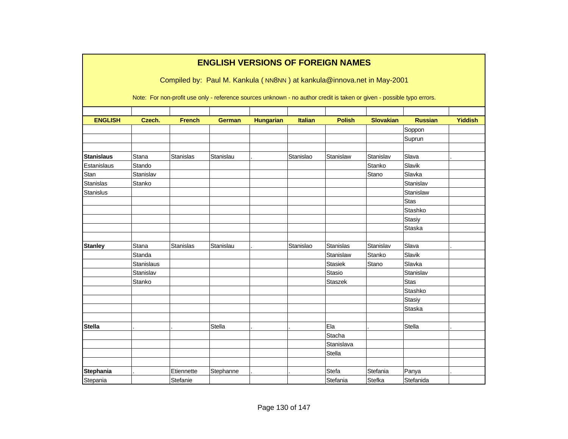|                                  |                   |                                                                                                                                                                                                  | <b>ENGLISH VERSIONS OF FOREIGN NAMES</b> |                  |                |                |                  |                 |                |
|----------------------------------|-------------------|--------------------------------------------------------------------------------------------------------------------------------------------------------------------------------------------------|------------------------------------------|------------------|----------------|----------------|------------------|-----------------|----------------|
|                                  |                   | Compiled by: Paul M. Kankula (NN8NN) at kankula@innova.net in May-2001<br>Note: For non-profit use only - reference sources unknown - no author credit is taken or given - possible typo errors. |                                          |                  |                |                |                  |                 |                |
| <b>ENGLISH</b>                   | Czech.            | <b>French</b>                                                                                                                                                                                    | <b>German</b>                            | <b>Hungarian</b> | <b>Italian</b> | <b>Polish</b>  | <b>Slovakian</b> | <b>Russian</b>  | <b>Yiddish</b> |
|                                  |                   |                                                                                                                                                                                                  |                                          |                  |                |                |                  | Soppon          |                |
|                                  |                   |                                                                                                                                                                                                  |                                          |                  |                |                |                  | Suprun          |                |
|                                  |                   |                                                                                                                                                                                                  |                                          |                  |                |                |                  |                 |                |
| <b>Stanislaus</b><br>Estanislaus | Stana<br>Stando   | <b>Stanislas</b>                                                                                                                                                                                 | Stanislau                                |                  | Stanislao      | Stanislaw      | Stanislav        | Slava<br>Slavik |                |
| Stan                             | Stanislav         |                                                                                                                                                                                                  |                                          |                  |                |                | Stanko           | Slavka          |                |
|                                  |                   |                                                                                                                                                                                                  |                                          |                  |                |                | Stano            |                 |                |
| <b>Stanislas</b>                 | Stanko            |                                                                                                                                                                                                  |                                          |                  |                |                |                  | Stanislav       |                |
| <b>Stanislus</b>                 |                   |                                                                                                                                                                                                  |                                          |                  |                |                |                  | Stanislaw       |                |
|                                  |                   |                                                                                                                                                                                                  |                                          |                  |                |                |                  | <b>Stas</b>     |                |
|                                  |                   |                                                                                                                                                                                                  |                                          |                  |                |                |                  | Stashko         |                |
|                                  |                   |                                                                                                                                                                                                  |                                          |                  |                |                |                  | Stasiy          |                |
|                                  |                   |                                                                                                                                                                                                  |                                          |                  |                |                |                  | Staska          |                |
| <b>Stanley</b>                   | Stana             | <b>Stanislas</b>                                                                                                                                                                                 | Stanislau                                |                  | Stanislao      | Stanislas      | Stanislav        | Slava           |                |
|                                  | Standa            |                                                                                                                                                                                                  |                                          |                  |                | Stanislaw      | Stanko           | Slavik          |                |
|                                  | <b>Stanislaus</b> |                                                                                                                                                                                                  |                                          |                  |                | <b>Stasiek</b> | Stano            | Slavka          |                |
|                                  | Stanislav         |                                                                                                                                                                                                  |                                          |                  |                | Stasio         |                  | Stanislav       |                |
|                                  | Stanko            |                                                                                                                                                                                                  |                                          |                  |                | <b>Staszek</b> |                  | <b>Stas</b>     |                |
|                                  |                   |                                                                                                                                                                                                  |                                          |                  |                |                |                  | Stashko         |                |
|                                  |                   |                                                                                                                                                                                                  |                                          |                  |                |                |                  | Stasiy          |                |
|                                  |                   |                                                                                                                                                                                                  |                                          |                  |                |                |                  | Staska          |                |
|                                  |                   |                                                                                                                                                                                                  |                                          |                  |                |                |                  |                 |                |
| <b>Stella</b>                    |                   |                                                                                                                                                                                                  | <b>Stella</b>                            |                  |                | Ela            |                  | Stella          |                |
|                                  |                   |                                                                                                                                                                                                  |                                          |                  |                | Stacha         |                  |                 |                |
|                                  |                   |                                                                                                                                                                                                  |                                          |                  |                | Stanislava     |                  |                 |                |
|                                  |                   |                                                                                                                                                                                                  |                                          |                  |                | Stella         |                  |                 |                |
|                                  |                   |                                                                                                                                                                                                  |                                          |                  |                |                |                  |                 |                |
| Stephania                        |                   | Etiennette                                                                                                                                                                                       | Stephanne                                |                  |                | Stefa          | Stefania         | Panya           |                |
| Stepania                         |                   | Stefanie                                                                                                                                                                                         |                                          |                  |                | Stefania       | Stefka           | Stefanida       |                |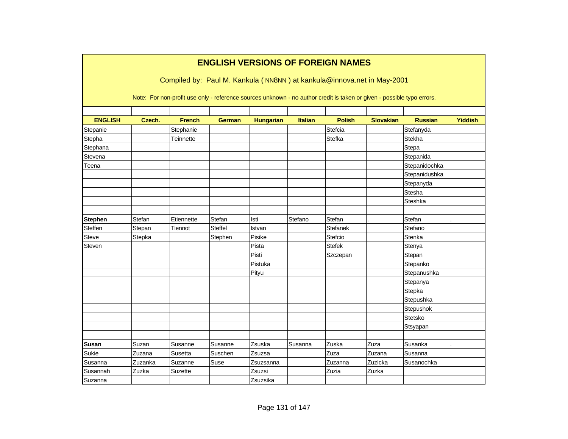|                |         |                                                                                                                        |                |                  |                | <b>ENGLISH VERSIONS OF FOREIGN NAMES</b> |                  |                |                |
|----------------|---------|------------------------------------------------------------------------------------------------------------------------|----------------|------------------|----------------|------------------------------------------|------------------|----------------|----------------|
|                |         | Compiled by: Paul M. Kankula (NN8NN) at kankula@innova.net in May-2001                                                 |                |                  |                |                                          |                  |                |                |
|                |         | Note: For non-profit use only - reference sources unknown - no author credit is taken or given - possible typo errors. |                |                  |                |                                          |                  |                |                |
|                |         |                                                                                                                        |                |                  |                |                                          |                  |                |                |
| <b>ENGLISH</b> | Czech.  | <b>French</b>                                                                                                          | <b>German</b>  | <b>Hungarian</b> | <b>Italian</b> | <b>Polish</b>                            | <b>Slovakian</b> | <b>Russian</b> | <b>Yiddish</b> |
| Stepanie       |         | Stephanie                                                                                                              |                |                  |                | Stefcia                                  |                  | Stefanyda      |                |
| Stepha         |         | Teinnette                                                                                                              |                |                  |                | <b>Stefka</b>                            |                  | Stekha         |                |
| Stephana       |         |                                                                                                                        |                |                  |                |                                          |                  | Stepa          |                |
| Stevena        |         |                                                                                                                        |                |                  |                |                                          |                  | Stepanida      |                |
| Teena          |         |                                                                                                                        |                |                  |                |                                          |                  | Stepanidochka  |                |
|                |         |                                                                                                                        |                |                  |                |                                          |                  | Stepanidushka  |                |
|                |         |                                                                                                                        |                |                  |                |                                          |                  | Stepanyda      |                |
|                |         |                                                                                                                        |                |                  |                |                                          |                  | Stesha         |                |
|                |         |                                                                                                                        |                |                  |                |                                          |                  | Steshka        |                |
| <b>Stephen</b> | Stefan  | Etiennette                                                                                                             | Stefan         | Isti             | Stefano        | Stefan                                   |                  | Stefan         |                |
| Steffen        | Stepan  | Tiennot                                                                                                                | <b>Steffel</b> | Istvan           |                | <b>Stefanek</b>                          |                  | Stefano        |                |
| <b>Steve</b>   | Stepka  |                                                                                                                        | Stephen        | Pisike           |                | Stefcio                                  |                  | Stenka         |                |
| Steven         |         |                                                                                                                        |                | Pista            |                | <b>Stefek</b>                            |                  | Stenya         |                |
|                |         |                                                                                                                        |                | Pisti            |                | Szczepan                                 |                  | Stepan         |                |
|                |         |                                                                                                                        |                | Pistuka          |                |                                          |                  | Stepanko       |                |
|                |         |                                                                                                                        |                | Pityu            |                |                                          |                  | Stepanushka    |                |
|                |         |                                                                                                                        |                |                  |                |                                          |                  | Stepanya       |                |
|                |         |                                                                                                                        |                |                  |                |                                          |                  | Stepka         |                |
|                |         |                                                                                                                        |                |                  |                |                                          |                  | Stepushka      |                |
|                |         |                                                                                                                        |                |                  |                |                                          |                  | Stepushok      |                |
|                |         |                                                                                                                        |                |                  |                |                                          |                  | Stetsko        |                |
|                |         |                                                                                                                        |                |                  |                |                                          |                  | Stsyapan       |                |
|                |         |                                                                                                                        |                |                  |                |                                          |                  |                |                |
| <b>Susan</b>   | Suzan   | Susanne                                                                                                                | Susanne        | Zsuska           | Susanna        | Zuska                                    | Zuza             | Susanka        |                |
| Sukie          | Zuzana  | Susetta                                                                                                                | Suschen        | Zsuzsa           |                | Zuza                                     | Zuzana           | Susanna        |                |
| Susanna        | Zuzanka | Suzanne                                                                                                                | Suse           | Zsuzsanna        |                | Zuzanna                                  | Zuzicka          | Susanochka     |                |
| Susannah       | Zuzka   | Suzette                                                                                                                |                | Zsuzsi           |                | Zuzia                                    | Zuzka            |                |                |
| Suzanna        |         |                                                                                                                        |                | Zsuzsika         |                |                                          |                  |                |                |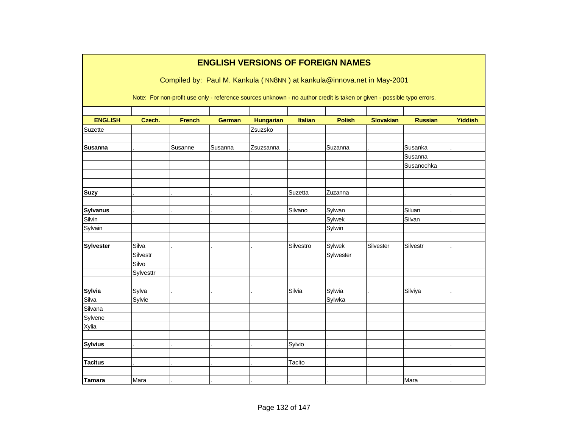|                  |           |               | <b>ENGLISH VERSIONS OF FOREIGN NAMES</b>                                                                               |                  |                |               |                  |                |                |
|------------------|-----------|---------------|------------------------------------------------------------------------------------------------------------------------|------------------|----------------|---------------|------------------|----------------|----------------|
|                  |           |               | Compiled by: Paul M. Kankula (NN8NN) at kankula@innova.net in May-2001                                                 |                  |                |               |                  |                |                |
|                  |           |               | Note: For non-profit use only - reference sources unknown - no author credit is taken or given - possible typo errors. |                  |                |               |                  |                |                |
| <b>ENGLISH</b>   | Czech.    | <b>French</b> | <b>German</b>                                                                                                          | <b>Hungarian</b> | <b>Italian</b> | <b>Polish</b> | <b>Slovakian</b> | <b>Russian</b> | <b>Yiddish</b> |
| Suzette          |           |               |                                                                                                                        | Zsuzsko          |                |               |                  |                |                |
| <b>Susanna</b>   |           | Susanne       | Susanna                                                                                                                | Zsuzsanna        |                | Suzanna       |                  | Susanka        |                |
|                  |           |               |                                                                                                                        |                  |                |               |                  | Susanna        |                |
|                  |           |               |                                                                                                                        |                  |                |               |                  | Susanochka     |                |
|                  |           |               |                                                                                                                        |                  |                |               |                  |                |                |
| <b>Suzy</b>      |           |               |                                                                                                                        |                  | Suzetta        | Zuzanna       |                  |                |                |
| <b>Sylvanus</b>  |           |               |                                                                                                                        |                  | Silvano        | Sylwan        |                  | Siluan         |                |
| Silvin           |           |               |                                                                                                                        |                  |                | Sylwek        |                  | Silvan         |                |
| Sylvain          |           |               |                                                                                                                        |                  |                | Sylwin        |                  |                |                |
| <b>Sylvester</b> | Silva     |               |                                                                                                                        |                  | Silvestro      | Sylwek        | Silvester        | Silvestr       |                |
|                  | Silvestr  |               |                                                                                                                        |                  |                | Sylwester     |                  |                |                |
|                  | Silvo     |               |                                                                                                                        |                  |                |               |                  |                |                |
|                  | Sylvesttr |               |                                                                                                                        |                  |                |               |                  |                |                |
| <b>Sylvia</b>    | Sylva     |               |                                                                                                                        |                  | Silvia         | Sylwia        |                  | Silviya        |                |
| Silva            | Sylvie    |               |                                                                                                                        |                  |                | Sylwka        |                  |                |                |
| Silvana          |           |               |                                                                                                                        |                  |                |               |                  |                |                |
| Sylvene          |           |               |                                                                                                                        |                  |                |               |                  |                |                |
| Xylia            |           |               |                                                                                                                        |                  |                |               |                  |                |                |
| <b>Sylvius</b>   |           |               |                                                                                                                        |                  | Sylvio         |               |                  |                |                |
|                  |           |               |                                                                                                                        |                  |                |               |                  |                |                |
| <b>Tacitus</b>   |           |               |                                                                                                                        |                  | Tacito         |               |                  |                |                |
| <b>Tamara</b>    | Mara      |               |                                                                                                                        |                  |                |               |                  | Mara           |                |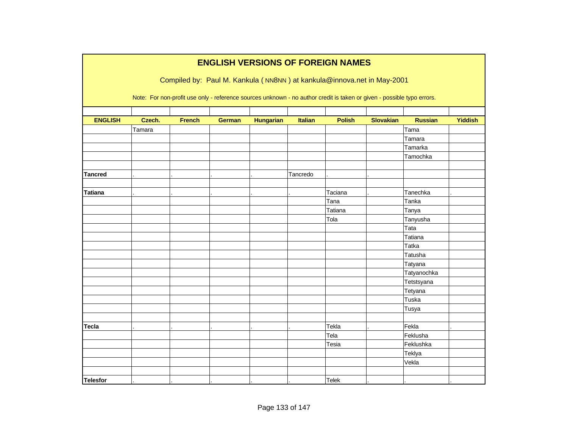|                 |        |               |               |                  |                | <b>ENGLISH VERSIONS OF FOREIGN NAMES</b>                                                                                                                                                         |                  |                |                |
|-----------------|--------|---------------|---------------|------------------|----------------|--------------------------------------------------------------------------------------------------------------------------------------------------------------------------------------------------|------------------|----------------|----------------|
|                 |        |               |               |                  |                | Compiled by: Paul M. Kankula (NN8NN) at kankula@innova.net in May-2001<br>Note: For non-profit use only - reference sources unknown - no author credit is taken or given - possible typo errors. |                  |                |                |
| <b>ENGLISH</b>  | Czech. | <b>French</b> | <b>German</b> | <b>Hungarian</b> | <b>Italian</b> | <b>Polish</b>                                                                                                                                                                                    | <b>Slovakian</b> | <b>Russian</b> | <b>Yiddish</b> |
|                 | Tamara |               |               |                  |                |                                                                                                                                                                                                  |                  | Tama           |                |
|                 |        |               |               |                  |                |                                                                                                                                                                                                  |                  | Tamara         |                |
|                 |        |               |               |                  |                |                                                                                                                                                                                                  |                  | Tamarka        |                |
|                 |        |               |               |                  |                |                                                                                                                                                                                                  |                  | Tamochka       |                |
|                 |        |               |               |                  |                |                                                                                                                                                                                                  |                  |                |                |
| <b>Tancred</b>  |        |               |               |                  | Tancredo       |                                                                                                                                                                                                  |                  |                |                |
|                 |        |               |               |                  |                |                                                                                                                                                                                                  |                  |                |                |
| <b>Tatiana</b>  |        |               |               |                  |                | Taciana                                                                                                                                                                                          |                  | Tanechka       |                |
|                 |        |               |               |                  |                | Tana                                                                                                                                                                                             |                  | Tanka          |                |
|                 |        |               |               |                  |                | Tatiana                                                                                                                                                                                          |                  | Tanya          |                |
|                 |        |               |               |                  |                | Tola                                                                                                                                                                                             |                  | Tanyusha       |                |
|                 |        |               |               |                  |                |                                                                                                                                                                                                  |                  | Tata           |                |
|                 |        |               |               |                  |                |                                                                                                                                                                                                  |                  | Tatiana        |                |
|                 |        |               |               |                  |                |                                                                                                                                                                                                  |                  | <b>Tatka</b>   |                |
|                 |        |               |               |                  |                |                                                                                                                                                                                                  |                  | Tatusha        |                |
|                 |        |               |               |                  |                |                                                                                                                                                                                                  |                  | Tatyana        |                |
|                 |        |               |               |                  |                |                                                                                                                                                                                                  |                  | Tatyanochka    |                |
|                 |        |               |               |                  |                |                                                                                                                                                                                                  |                  | Tetstsyana     |                |
|                 |        |               |               |                  |                |                                                                                                                                                                                                  |                  | Tetyana        |                |
|                 |        |               |               |                  |                |                                                                                                                                                                                                  |                  | Tuska          |                |
|                 |        |               |               |                  |                |                                                                                                                                                                                                  |                  | Tusya          |                |
|                 |        |               |               |                  |                |                                                                                                                                                                                                  |                  |                |                |
| <b>Tecla</b>    |        |               |               |                  |                | Tekla                                                                                                                                                                                            |                  | Fekla          |                |
|                 |        |               |               |                  |                | Tela                                                                                                                                                                                             |                  | Feklusha       |                |
|                 |        |               |               |                  |                | Tesia                                                                                                                                                                                            |                  | Feklushka      |                |
|                 |        |               |               |                  |                |                                                                                                                                                                                                  |                  | Teklya         |                |
|                 |        |               |               |                  |                |                                                                                                                                                                                                  |                  | Vekla          |                |
|                 |        |               |               |                  |                |                                                                                                                                                                                                  |                  |                |                |
| <b>Telesfor</b> |        |               |               |                  |                | <b>Telek</b>                                                                                                                                                                                     |                  |                |                |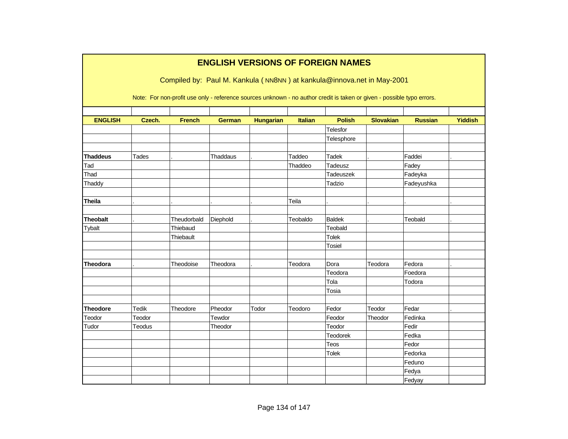|                 |               |                                                                                                                        |               |                  |                | <b>ENGLISH VERSIONS OF FOREIGN NAMES</b> |                  |                  |                |
|-----------------|---------------|------------------------------------------------------------------------------------------------------------------------|---------------|------------------|----------------|------------------------------------------|------------------|------------------|----------------|
|                 |               | Compiled by: Paul M. Kankula (NN8NN) at kankula@innova.net in May-2001                                                 |               |                  |                |                                          |                  |                  |                |
|                 |               | Note: For non-profit use only - reference sources unknown - no author credit is taken or given - possible typo errors. |               |                  |                |                                          |                  |                  |                |
|                 |               |                                                                                                                        |               |                  |                |                                          |                  |                  |                |
| <b>ENGLISH</b>  | Czech.        | <b>French</b>                                                                                                          | <b>German</b> | <b>Hungarian</b> | <b>Italian</b> | <b>Polish</b>                            | <b>Slovakian</b> | <b>Russian</b>   | <b>Yiddish</b> |
|                 |               |                                                                                                                        |               |                  |                | Telesfor<br>Telesphore                   |                  |                  |                |
|                 |               |                                                                                                                        |               |                  |                |                                          |                  |                  |                |
| <b>Thaddeus</b> | Tades         |                                                                                                                        | Thaddaus      |                  | Taddeo         | Tadek                                    |                  | Faddei           |                |
| Tad             |               |                                                                                                                        |               |                  | Thaddeo        | Tadeusz                                  |                  | Fadey            |                |
| Thad            |               |                                                                                                                        |               |                  |                | Tadeuszek                                |                  | Fadeyka          |                |
| Thaddy          |               |                                                                                                                        |               |                  |                | Tadzio                                   |                  | Fadeyushka       |                |
|                 |               |                                                                                                                        |               |                  |                |                                          |                  |                  |                |
| <b>Theila</b>   |               |                                                                                                                        |               |                  | Teila          |                                          |                  |                  |                |
| <b>Theobalt</b> |               | Theudorbald                                                                                                            | Diephold      |                  | Teobaldo       | <b>Baldek</b>                            |                  | <b>Teobald</b>   |                |
| Tybalt          |               | Thiebaud                                                                                                               |               |                  |                | Teobald                                  |                  |                  |                |
|                 |               | Thiebault                                                                                                              |               |                  |                | <b>Tolek</b>                             |                  |                  |                |
|                 |               |                                                                                                                        |               |                  |                | Tosiel                                   |                  |                  |                |
| <b>Theodora</b> |               | Theodoise                                                                                                              | Theodora      |                  | Teodora        | Dora                                     | Teodora          | Fedora           |                |
|                 |               |                                                                                                                        |               |                  |                | Teodora                                  |                  | Foedora          |                |
|                 |               |                                                                                                                        |               |                  |                | Tola                                     |                  | Todora           |                |
|                 |               |                                                                                                                        |               |                  |                | Tosia                                    |                  |                  |                |
|                 |               |                                                                                                                        |               |                  |                |                                          |                  |                  |                |
| <b>Theodore</b> | Tedik         | Theodore                                                                                                               | Pheodor       | Todor            | Teodoro        | Fedor                                    | Teodor           | Fedar            |                |
| Teodor<br>Tudor | Teodor        |                                                                                                                        | Tewdor        |                  |                | Feodor<br>Teodor                         | Theodor          | Fedinka<br>Fedir |                |
|                 | <b>Teodus</b> |                                                                                                                        | Theodor       |                  |                |                                          |                  | Fedka            |                |
|                 |               |                                                                                                                        |               |                  |                | Teodorek<br>Teos                         |                  | Fedor            |                |
|                 |               |                                                                                                                        |               |                  |                | <b>Tolek</b>                             |                  | Fedorka          |                |
|                 |               |                                                                                                                        |               |                  |                |                                          |                  | Feduno           |                |
|                 |               |                                                                                                                        |               |                  |                |                                          |                  | Fedya            |                |
|                 |               |                                                                                                                        |               |                  |                |                                          |                  | Fedyay           |                |
|                 |               |                                                                                                                        |               |                  |                |                                          |                  |                  |                |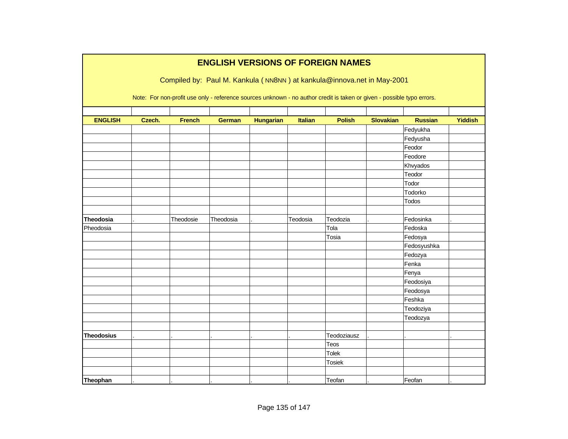|                   |        |               |               |                  |                | <b>ENGLISH VERSIONS OF FOREIGN NAMES</b>                                                                               |                  |                |                |
|-------------------|--------|---------------|---------------|------------------|----------------|------------------------------------------------------------------------------------------------------------------------|------------------|----------------|----------------|
|                   |        |               |               |                  |                | Compiled by: Paul M. Kankula (NN8NN) at kankula@innova.net in May-2001                                                 |                  |                |                |
|                   |        |               |               |                  |                |                                                                                                                        |                  |                |                |
|                   |        |               |               |                  |                | Note: For non-profit use only - reference sources unknown - no author credit is taken or given - possible typo errors. |                  |                |                |
|                   |        |               |               |                  |                |                                                                                                                        |                  |                |                |
| <b>ENGLISH</b>    | Czech. | <b>French</b> | <b>German</b> | <b>Hungarian</b> | <b>Italian</b> | <b>Polish</b>                                                                                                          | <b>Slovakian</b> | <b>Russian</b> | <b>Yiddish</b> |
|                   |        |               |               |                  |                |                                                                                                                        |                  | Fedyukha       |                |
|                   |        |               |               |                  |                |                                                                                                                        |                  | Fedyusha       |                |
|                   |        |               |               |                  |                |                                                                                                                        |                  | Feodor         |                |
|                   |        |               |               |                  |                |                                                                                                                        |                  | Feodore        |                |
|                   |        |               |               |                  |                |                                                                                                                        |                  | Khvyados       |                |
|                   |        |               |               |                  |                |                                                                                                                        |                  | Teodor         |                |
|                   |        |               |               |                  |                |                                                                                                                        |                  | Todor          |                |
|                   |        |               |               |                  |                |                                                                                                                        |                  | Todorko        |                |
|                   |        |               |               |                  |                |                                                                                                                        |                  | Todos          |                |
|                   |        |               |               |                  |                |                                                                                                                        |                  |                |                |
| <b>Theodosia</b>  |        | Theodosie     | Theodosia     |                  | Teodosia       | Teodozia                                                                                                               |                  | Fedosinka      |                |
| Pheodosia         |        |               |               |                  |                | Tola                                                                                                                   |                  | Fedoska        |                |
|                   |        |               |               |                  |                | Tosia                                                                                                                  |                  | Fedosya        |                |
|                   |        |               |               |                  |                |                                                                                                                        |                  | Fedosyushka    |                |
|                   |        |               |               |                  |                |                                                                                                                        |                  | Fedozya        |                |
|                   |        |               |               |                  |                |                                                                                                                        |                  | Fenka          |                |
|                   |        |               |               |                  |                |                                                                                                                        |                  | Fenya          |                |
|                   |        |               |               |                  |                |                                                                                                                        |                  | Feodosiya      |                |
|                   |        |               |               |                  |                |                                                                                                                        |                  | Feodosya       |                |
|                   |        |               |               |                  |                |                                                                                                                        |                  | Feshka         |                |
|                   |        |               |               |                  |                |                                                                                                                        |                  | Teodoziya      |                |
|                   |        |               |               |                  |                |                                                                                                                        |                  | Teodozya       |                |
|                   |        |               |               |                  |                |                                                                                                                        |                  |                |                |
| <b>Theodosius</b> |        |               |               |                  |                | Teodoziausz                                                                                                            |                  |                |                |
|                   |        |               |               |                  |                | Teos                                                                                                                   |                  |                |                |
|                   |        |               |               |                  |                | Tolek                                                                                                                  |                  |                |                |
|                   |        |               |               |                  |                | Tosiek                                                                                                                 |                  |                |                |
|                   |        |               |               |                  |                |                                                                                                                        |                  |                |                |
| Theophan          |        |               |               |                  |                | Teofan                                                                                                                 |                  | Feofan         |                |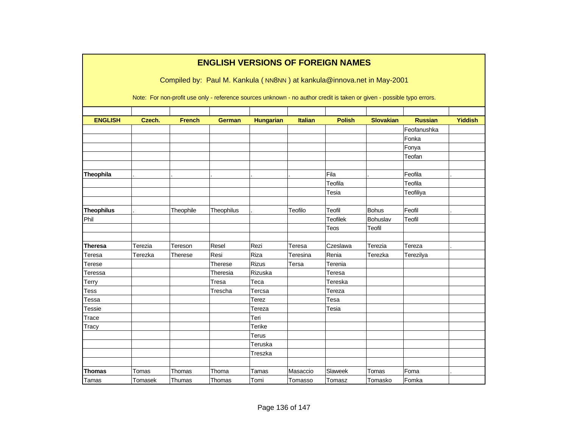|                   |         |               |                |                  |                | <b>ENGLISH VERSIONS OF FOREIGN NAMES</b>                                                                               |                  |                |                |
|-------------------|---------|---------------|----------------|------------------|----------------|------------------------------------------------------------------------------------------------------------------------|------------------|----------------|----------------|
|                   |         |               |                |                  |                | Compiled by: Paul M. Kankula (NN8NN) at kankula@innova.net in May-2001                                                 |                  |                |                |
|                   |         |               |                |                  |                |                                                                                                                        |                  |                |                |
|                   |         |               |                |                  |                | Note: For non-profit use only - reference sources unknown - no author credit is taken or given - possible typo errors. |                  |                |                |
|                   |         |               |                |                  |                |                                                                                                                        |                  |                |                |
| <b>ENGLISH</b>    | Czech.  | <b>French</b> | <b>German</b>  | <b>Hungarian</b> | <b>Italian</b> | <b>Polish</b>                                                                                                          | <b>Slovakian</b> | <b>Russian</b> | <b>Yiddish</b> |
|                   |         |               |                |                  |                |                                                                                                                        |                  | Feofanushka    |                |
|                   |         |               |                |                  |                |                                                                                                                        |                  | Fonka          |                |
|                   |         |               |                |                  |                |                                                                                                                        |                  | Fonya          |                |
|                   |         |               |                |                  |                |                                                                                                                        |                  | Teofan         |                |
|                   |         |               |                |                  |                |                                                                                                                        |                  |                |                |
| Theophila         |         |               |                |                  |                | Fila                                                                                                                   |                  | Feofila        |                |
|                   |         |               |                |                  |                | Teofila                                                                                                                |                  | Teofila        |                |
|                   |         |               |                |                  |                | Tesia                                                                                                                  |                  | Teofiliya      |                |
|                   |         |               |                |                  |                |                                                                                                                        |                  |                |                |
| <b>Theophilus</b> |         | Theophile     | Theophilus     |                  | Teofilo        | Teofil                                                                                                                 | <b>Bohus</b>     | Feofil         |                |
| Phil              |         |               |                |                  |                | <b>Teofilek</b>                                                                                                        | Bohuslav         | Teofil         |                |
|                   |         |               |                |                  |                | Teos                                                                                                                   | Teofil           |                |                |
|                   |         |               |                |                  |                |                                                                                                                        |                  |                |                |
| Theresa           | Terezia | Tereson       | Resel          | Rezi             | Teresa         | Czeslawa                                                                                                               | Terezia          | Tereza         |                |
| Teresa            | Terezka | Therese       | Resi           | Riza             | Teresina       | Renia                                                                                                                  | Terezka          | Terezilya      |                |
| Terese            |         |               | <b>Therese</b> | Rizus            | Tersa          | Terenia                                                                                                                |                  |                |                |
| Teressa           |         |               | Theresia       | Rizuska          |                | Teresa                                                                                                                 |                  |                |                |
| Terry             |         |               | Tresa          | Teca             |                | Tereska                                                                                                                |                  |                |                |
| Tess              |         |               | Trescha        | Tercsa           |                | Tereza                                                                                                                 |                  |                |                |
| Tessa             |         |               |                | Terez            |                | Tesa                                                                                                                   |                  |                |                |
| <b>Tessie</b>     |         |               |                | Tereza           |                | Tesia                                                                                                                  |                  |                |                |
| Trace             |         |               |                | Teri             |                |                                                                                                                        |                  |                |                |
| Tracy             |         |               |                | <b>Terike</b>    |                |                                                                                                                        |                  |                |                |
|                   |         |               |                | Terus            |                |                                                                                                                        |                  |                |                |
|                   |         |               |                | Teruska          |                |                                                                                                                        |                  |                |                |
|                   |         |               |                | Treszka          |                |                                                                                                                        |                  |                |                |
|                   |         |               |                |                  |                |                                                                                                                        |                  |                |                |
| Thomas            | Tomas   | Thomas        | Thoma          | Tamas            | Masaccio       | Slaweek                                                                                                                | Tomas            | Foma           |                |
| Tamas             | Tomasek | Thumas        | Thomas         | Tomi             | Tomasso        | Tomasz                                                                                                                 | Tomasko          | Fomka          |                |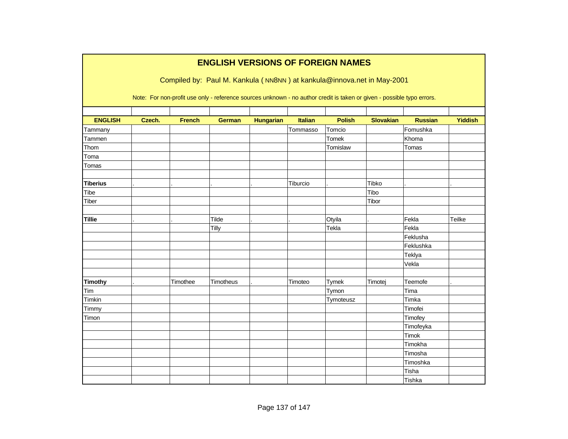|                 |        |               | <b>ENGLISH VERSIONS OF FOREIGN NAMES</b>                                                                               |                  |                |               |                  |                |         |
|-----------------|--------|---------------|------------------------------------------------------------------------------------------------------------------------|------------------|----------------|---------------|------------------|----------------|---------|
|                 |        |               | Compiled by: Paul M. Kankula (NN8NN) at kankula@innova.net in May-2001                                                 |                  |                |               |                  |                |         |
|                 |        |               | Note: For non-profit use only - reference sources unknown - no author credit is taken or given - possible typo errors. |                  |                |               |                  |                |         |
| <b>ENGLISH</b>  | Czech. | <b>French</b> | <b>German</b>                                                                                                          | <b>Hungarian</b> | <b>Italian</b> | <b>Polish</b> | <b>Slovakian</b> | <b>Russian</b> | Yiddish |
| Tammany         |        |               |                                                                                                                        |                  | Tommasso       | Tomcio        |                  | Fomushka       |         |
| Tammen          |        |               |                                                                                                                        |                  |                | Tomek         |                  | Khoma          |         |
| Thom            |        |               |                                                                                                                        |                  |                | Tomislaw      |                  | Tomas          |         |
| Toma            |        |               |                                                                                                                        |                  |                |               |                  |                |         |
| Tomas           |        |               |                                                                                                                        |                  |                |               |                  |                |         |
|                 |        |               |                                                                                                                        |                  |                |               |                  |                |         |
| <b>Tiberius</b> |        |               |                                                                                                                        |                  | Tiburcio       |               | Tibko            |                |         |
| Tibe            |        |               |                                                                                                                        |                  |                |               | Tibo             |                |         |
| Tiber           |        |               |                                                                                                                        |                  |                |               | Tibor            |                |         |
| <b>Tillie</b>   |        |               | Tilde                                                                                                                  |                  |                | Otyila        |                  | Fekla          | Teilke  |
|                 |        |               | Tilly                                                                                                                  |                  |                | Tekla         |                  | Fekla          |         |
|                 |        |               |                                                                                                                        |                  |                |               |                  | Feklusha       |         |
|                 |        |               |                                                                                                                        |                  |                |               |                  | Feklushka      |         |
|                 |        |               |                                                                                                                        |                  |                |               |                  | Teklya         |         |
|                 |        |               |                                                                                                                        |                  |                |               |                  | Vekla          |         |
| <b>Timothy</b>  |        | Timothee      | Timotheus                                                                                                              |                  | Timoteo        | Tymek         | Timotej          | Teemofe        |         |
| Tim             |        |               |                                                                                                                        |                  |                | Tymon         |                  | Tima           |         |
| Timkin          |        |               |                                                                                                                        |                  |                | Tymoteusz     |                  | Timka          |         |
| Timmy           |        |               |                                                                                                                        |                  |                |               |                  | Timofei        |         |
| Timon           |        |               |                                                                                                                        |                  |                |               |                  | Timofey        |         |
|                 |        |               |                                                                                                                        |                  |                |               |                  | Timofeyka      |         |
|                 |        |               |                                                                                                                        |                  |                |               |                  | Timok          |         |
|                 |        |               |                                                                                                                        |                  |                |               |                  | Timokha        |         |
|                 |        |               |                                                                                                                        |                  |                |               |                  | Timosha        |         |
|                 |        |               |                                                                                                                        |                  |                |               |                  | Timoshka       |         |
|                 |        |               |                                                                                                                        |                  |                |               |                  | Tisha          |         |
|                 |        |               |                                                                                                                        |                  |                |               |                  | Tishka         |         |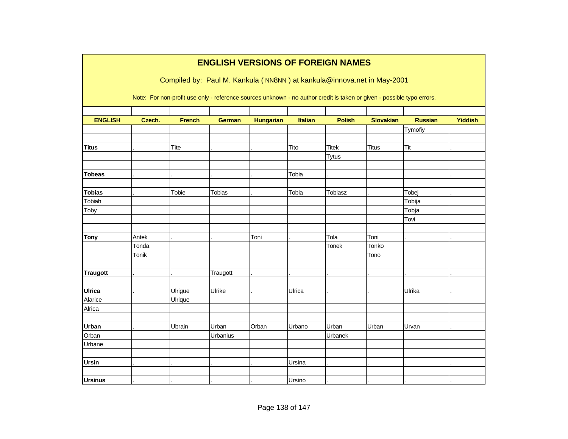|                 |        |               |               |                  |                | <b>ENGLISH VERSIONS OF FOREIGN NAMES</b>                                                                               |                  |                |                |
|-----------------|--------|---------------|---------------|------------------|----------------|------------------------------------------------------------------------------------------------------------------------|------------------|----------------|----------------|
|                 |        |               |               |                  |                | Compiled by: Paul M. Kankula (NN8NN) at kankula@innova.net in May-2001                                                 |                  |                |                |
|                 |        |               |               |                  |                | Note: For non-profit use only - reference sources unknown - no author credit is taken or given - possible typo errors. |                  |                |                |
| <b>ENGLISH</b>  | Czech. | <b>French</b> | <b>German</b> | <b>Hungarian</b> | <b>Italian</b> | <b>Polish</b>                                                                                                          | <b>Slovakian</b> | <b>Russian</b> | <b>Yiddish</b> |
|                 |        |               |               |                  |                |                                                                                                                        |                  | Tymofiy        |                |
|                 |        |               |               |                  |                |                                                                                                                        |                  |                |                |
| <b>Titus</b>    |        | Tite          |               |                  | Tito           | <b>Titek</b>                                                                                                           | <b>Titus</b>     | Tit            |                |
|                 |        |               |               |                  |                | <b>Tytus</b>                                                                                                           |                  |                |                |
|                 |        |               |               |                  |                |                                                                                                                        |                  |                |                |
| <b>Tobeas</b>   |        |               |               |                  | Tobia          |                                                                                                                        |                  |                |                |
|                 |        |               |               |                  |                |                                                                                                                        |                  |                |                |
| <b>Tobias</b>   |        | Tobie         | <b>Tobias</b> |                  | Tobia          | <b>Tobiasz</b>                                                                                                         |                  | Tobej          |                |
| Tobiah          |        |               |               |                  |                |                                                                                                                        |                  | Tobija         |                |
| Toby            |        |               |               |                  |                |                                                                                                                        |                  | Tobja          |                |
|                 |        |               |               |                  |                |                                                                                                                        |                  | Tovi           |                |
| <b>Tony</b>     | Antek  |               |               | Toni             |                | Tola                                                                                                                   | Toni             |                |                |
|                 | Tonda  |               |               |                  |                | Tonek                                                                                                                  | Tonko            |                |                |
|                 | Tonik  |               |               |                  |                |                                                                                                                        | Tono             |                |                |
|                 |        |               |               |                  |                |                                                                                                                        |                  |                |                |
| <b>Traugott</b> |        |               | Traugott      |                  |                |                                                                                                                        |                  |                |                |
|                 |        |               |               |                  |                |                                                                                                                        |                  |                |                |
| <b>Ulrica</b>   |        | Ulrigue       | Ulrike        |                  | Ulrica         |                                                                                                                        |                  | Ulrika         |                |
| Alarice         |        | Ulrique       |               |                  |                |                                                                                                                        |                  |                |                |
| Alrica          |        |               |               |                  |                |                                                                                                                        |                  |                |                |
|                 |        |               |               |                  |                |                                                                                                                        |                  |                |                |
| <b>Urban</b>    |        | Ubrain        | Urban         | Orban            | Urbano         | Urban                                                                                                                  | Urban            | Urvan          |                |
| Orban           |        |               | Urbanius      |                  |                | Urbanek                                                                                                                |                  |                |                |
| Urbane          |        |               |               |                  |                |                                                                                                                        |                  |                |                |
|                 |        |               |               |                  |                |                                                                                                                        |                  |                |                |
| <b>Ursin</b>    |        |               |               |                  | Ursina         |                                                                                                                        |                  |                |                |
|                 |        |               |               |                  |                |                                                                                                                        |                  |                |                |
| <b>Ursinus</b>  |        |               |               |                  | Ursino         |                                                                                                                        |                  |                |                |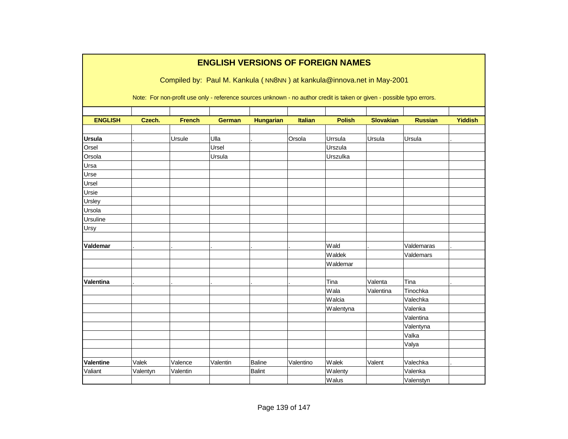|                  | <b>ENGLISH VERSIONS OF FOREIGN NAMES</b> |               |                                                                                                                        |                  |                |               |                  |                |                |  |  |  |  |
|------------------|------------------------------------------|---------------|------------------------------------------------------------------------------------------------------------------------|------------------|----------------|---------------|------------------|----------------|----------------|--|--|--|--|
|                  |                                          |               | Compiled by: Paul M. Kankula (NN8NN) at kankula@innova.net in May-2001                                                 |                  |                |               |                  |                |                |  |  |  |  |
|                  |                                          |               | Note: For non-profit use only - reference sources unknown - no author credit is taken or given - possible typo errors. |                  |                |               |                  |                |                |  |  |  |  |
| <b>ENGLISH</b>   | Czech.                                   | <b>French</b> | <b>German</b>                                                                                                          | <b>Hungarian</b> | <b>Italian</b> | <b>Polish</b> | <b>Slovakian</b> | <b>Russian</b> | <b>Yiddish</b> |  |  |  |  |
|                  |                                          |               |                                                                                                                        |                  |                |               |                  |                |                |  |  |  |  |
| <b>Ursula</b>    |                                          | Ursule        | Ulla                                                                                                                   |                  | Orsola         | Urrsula       | Ursula           | Ursula         |                |  |  |  |  |
| Orsel            |                                          |               | Ursel                                                                                                                  |                  |                | Urszula       |                  |                |                |  |  |  |  |
| Orsola           |                                          |               | Ursula                                                                                                                 |                  |                | Urszulka      |                  |                |                |  |  |  |  |
| Ursa             |                                          |               |                                                                                                                        |                  |                |               |                  |                |                |  |  |  |  |
| Urse             |                                          |               |                                                                                                                        |                  |                |               |                  |                |                |  |  |  |  |
| Ursel            |                                          |               |                                                                                                                        |                  |                |               |                  |                |                |  |  |  |  |
| Ursie            |                                          |               |                                                                                                                        |                  |                |               |                  |                |                |  |  |  |  |
| Ursley           |                                          |               |                                                                                                                        |                  |                |               |                  |                |                |  |  |  |  |
| Ursola           |                                          |               |                                                                                                                        |                  |                |               |                  |                |                |  |  |  |  |
| Ursuline         |                                          |               |                                                                                                                        |                  |                |               |                  |                |                |  |  |  |  |
| Ursy             |                                          |               |                                                                                                                        |                  |                |               |                  |                |                |  |  |  |  |
|                  |                                          |               |                                                                                                                        |                  |                |               |                  |                |                |  |  |  |  |
| Valdemar         |                                          |               |                                                                                                                        |                  |                | Wald          |                  | Valdemaras     |                |  |  |  |  |
|                  |                                          |               |                                                                                                                        |                  |                | Waldek        |                  | Valdemars      |                |  |  |  |  |
|                  |                                          |               |                                                                                                                        |                  |                | Waldemar      |                  |                |                |  |  |  |  |
|                  |                                          |               |                                                                                                                        |                  |                |               |                  |                |                |  |  |  |  |
| <b>Valentina</b> |                                          |               |                                                                                                                        |                  |                | Tina          | Valenta          | Tina           |                |  |  |  |  |
|                  |                                          |               |                                                                                                                        |                  |                | Wala          | Valentina        | Tinochka       |                |  |  |  |  |
|                  |                                          |               |                                                                                                                        |                  |                | Walcia        |                  | Valechka       |                |  |  |  |  |
|                  |                                          |               |                                                                                                                        |                  |                | Walentyna     |                  | Valenka        |                |  |  |  |  |
|                  |                                          |               |                                                                                                                        |                  |                |               |                  | Valentina      |                |  |  |  |  |
|                  |                                          |               |                                                                                                                        |                  |                |               |                  | Valentyna      |                |  |  |  |  |
|                  |                                          |               |                                                                                                                        |                  |                |               |                  | Valka          |                |  |  |  |  |
|                  |                                          |               |                                                                                                                        |                  |                |               |                  | Valya          |                |  |  |  |  |
|                  |                                          |               |                                                                                                                        |                  |                |               |                  |                |                |  |  |  |  |
| Valentine        | Valek                                    | Valence       | Valentin                                                                                                               | <b>Baline</b>    | Valentino      | Walek         | Valent           | Valechka       |                |  |  |  |  |
| Valiant          | Valentyn                                 | Valentin      |                                                                                                                        | <b>Balint</b>    |                | Walenty       |                  | Valenka        |                |  |  |  |  |
|                  |                                          |               |                                                                                                                        |                  |                | Walus         |                  | Valenstyn      |                |  |  |  |  |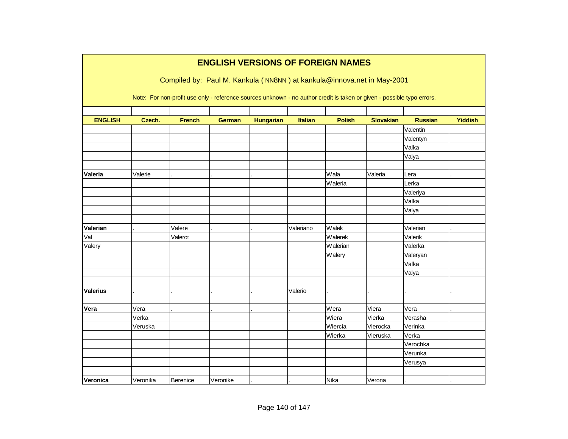|                 |          |               |               |                  |                | <b>ENGLISH VERSIONS OF FOREIGN NAMES</b>                                                                               |                  |                |                |
|-----------------|----------|---------------|---------------|------------------|----------------|------------------------------------------------------------------------------------------------------------------------|------------------|----------------|----------------|
|                 |          |               |               |                  |                | Compiled by: Paul M. Kankula (NN8NN) at kankula@innova.net in May-2001                                                 |                  |                |                |
|                 |          |               |               |                  |                |                                                                                                                        |                  |                |                |
|                 |          |               |               |                  |                | Note: For non-profit use only - reference sources unknown - no author credit is taken or given - possible typo errors. |                  |                |                |
|                 |          |               |               |                  |                |                                                                                                                        |                  |                |                |
| <b>ENGLISH</b>  | Czech.   | <b>French</b> | <b>German</b> | <b>Hungarian</b> | <b>Italian</b> | <b>Polish</b>                                                                                                          | <b>Slovakian</b> | <b>Russian</b> | <b>Yiddish</b> |
|                 |          |               |               |                  |                |                                                                                                                        |                  | Valentin       |                |
|                 |          |               |               |                  |                |                                                                                                                        |                  | Valentyn       |                |
|                 |          |               |               |                  |                |                                                                                                                        |                  | Valka          |                |
|                 |          |               |               |                  |                |                                                                                                                        |                  | Valya          |                |
| Valeria         | Valerie  |               |               |                  |                | Wala                                                                                                                   | Valeria          | Lera           |                |
|                 |          |               |               |                  |                | Waleria                                                                                                                |                  | Lerka          |                |
|                 |          |               |               |                  |                |                                                                                                                        |                  | Valeriya       |                |
|                 |          |               |               |                  |                |                                                                                                                        |                  | Valka          |                |
|                 |          |               |               |                  |                |                                                                                                                        |                  | Valya          |                |
|                 |          |               |               |                  |                |                                                                                                                        |                  |                |                |
| Valerian        |          | Valere        |               |                  | Valeriano      | Walek                                                                                                                  |                  | Valerian       |                |
| Val             |          | Valerot       |               |                  |                | Walerek                                                                                                                |                  | Valerik        |                |
| Valery          |          |               |               |                  |                | Walerian                                                                                                               |                  | Valerka        |                |
|                 |          |               |               |                  |                | Walery                                                                                                                 |                  | Valeryan       |                |
|                 |          |               |               |                  |                |                                                                                                                        |                  | Valka          |                |
|                 |          |               |               |                  |                |                                                                                                                        |                  | Valya          |                |
|                 |          |               |               |                  |                |                                                                                                                        |                  |                |                |
| <b>Valerius</b> |          |               |               |                  | Valerio        |                                                                                                                        |                  |                |                |
|                 |          |               |               |                  |                |                                                                                                                        |                  |                |                |
| Vera            | Vera     |               |               |                  |                | Wera                                                                                                                   | Viera            | Vera           |                |
|                 | Verka    |               |               |                  |                | Wiera                                                                                                                  | Vierka           | Verasha        |                |
|                 | Veruska  |               |               |                  |                | Wiercia                                                                                                                | Vierocka         | Verinka        |                |
|                 |          |               |               |                  |                | Wierka                                                                                                                 | Vieruska         | Verka          |                |
|                 |          |               |               |                  |                |                                                                                                                        |                  | Verochka       |                |
|                 |          |               |               |                  |                |                                                                                                                        |                  | Verunka        |                |
|                 |          |               |               |                  |                |                                                                                                                        |                  | Verusya        |                |
|                 |          |               |               |                  |                |                                                                                                                        |                  |                |                |
| Veronica        | Veronika | Berenice      | Veronike      |                  |                | Nika                                                                                                                   | Verona           |                |                |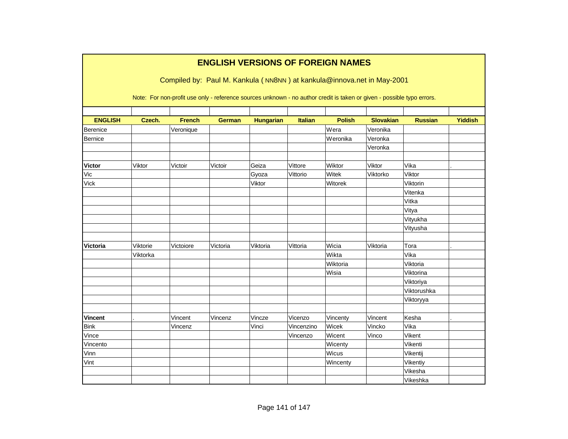|                 |          |               | <b>ENGLISH VERSIONS OF FOREIGN NAMES</b> |                  |                |               |                                                                                                                        |                |                |
|-----------------|----------|---------------|------------------------------------------|------------------|----------------|---------------|------------------------------------------------------------------------------------------------------------------------|----------------|----------------|
|                 |          |               |                                          |                  |                |               | Compiled by: Paul M. Kankula (NN8NN) at kankula@innova.net in May-2001                                                 |                |                |
|                 |          |               |                                          |                  |                |               | Note: For non-profit use only - reference sources unknown - no author credit is taken or given - possible typo errors. |                |                |
|                 |          |               |                                          |                  |                |               |                                                                                                                        |                |                |
| <b>ENGLISH</b>  | Czech.   | <b>French</b> | <b>German</b>                            | <b>Hungarian</b> | <b>Italian</b> | <b>Polish</b> | <b>Slovakian</b>                                                                                                       | <b>Russian</b> | <b>Yiddish</b> |
| Berenice        |          | Veronique     |                                          |                  |                | Wera          | Veronika                                                                                                               |                |                |
| Bernice         |          |               |                                          |                  |                | Weronika      | Veronka                                                                                                                |                |                |
|                 |          |               |                                          |                  |                |               | Veronka                                                                                                                |                |                |
| <b>Victor</b>   | Viktor   | Victoir       | Victoir                                  | Geiza            | Vittore        | Wiktor        | Viktor                                                                                                                 | Vika           |                |
| Vic             |          |               |                                          | Gyoza            | Vittorio       | Witek         | Viktorko                                                                                                               | Viktor         |                |
| <b>Vick</b>     |          |               |                                          | Viktor           |                | Witorek       |                                                                                                                        | Viktorin       |                |
|                 |          |               |                                          |                  |                |               |                                                                                                                        | Vitenka        |                |
|                 |          |               |                                          |                  |                |               |                                                                                                                        | Vitka          |                |
|                 |          |               |                                          |                  |                |               |                                                                                                                        | Vitya          |                |
|                 |          |               |                                          |                  |                |               |                                                                                                                        |                |                |
|                 |          |               |                                          |                  |                |               |                                                                                                                        | Vityukha       |                |
|                 |          |               |                                          |                  |                |               |                                                                                                                        | Vityusha       |                |
| <b>Victoria</b> | Viktorie | Victoiore     | Victoria                                 | Viktoria         | Vittoria       | Wicia         | Viktoria                                                                                                               | Tora           |                |
|                 | Viktorka |               |                                          |                  |                | Wikta         |                                                                                                                        | Vika           |                |
|                 |          |               |                                          |                  |                | Wiktoria      |                                                                                                                        | Viktoria       |                |
|                 |          |               |                                          |                  |                | Wisia         |                                                                                                                        | Viktorina      |                |
|                 |          |               |                                          |                  |                |               |                                                                                                                        | Viktoriya      |                |
|                 |          |               |                                          |                  |                |               |                                                                                                                        | Viktorushka    |                |
|                 |          |               |                                          |                  |                |               |                                                                                                                        | Viktoryya      |                |
|                 |          |               |                                          |                  |                |               |                                                                                                                        |                |                |
| <b>Vincent</b>  |          | Vincent       | Vincenz                                  | Vincze           | Vicenzo        | Vincenty      | Vincent                                                                                                                | Kesha          |                |
| <b>Bink</b>     |          | Vincenz       |                                          | Vinci            | Vincenzino     | Wicek         | Vincko                                                                                                                 | Vika           |                |
| Vince           |          |               |                                          |                  | Vincenzo       | Wicent        | Vinco                                                                                                                  | Vikent         |                |
| Vincento        |          |               |                                          |                  |                | Wicenty       |                                                                                                                        | Vikenti        |                |
| Vinn            |          |               |                                          |                  |                | Wicus         |                                                                                                                        | Vikentij       |                |
| Vint            |          |               |                                          |                  |                | Wincenty      |                                                                                                                        | Vikentiy       |                |
|                 |          |               |                                          |                  |                |               |                                                                                                                        | Vikesha        |                |
|                 |          |               |                                          |                  |                |               |                                                                                                                        | Vikeshka       |                |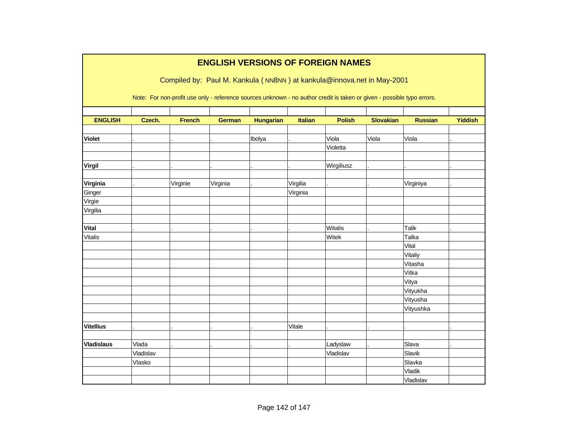|                   |           |               | <b>ENGLISH VERSIONS OF FOREIGN NAMES</b>                                                                               |                  |                |                   |                  |                |                |
|-------------------|-----------|---------------|------------------------------------------------------------------------------------------------------------------------|------------------|----------------|-------------------|------------------|----------------|----------------|
|                   |           |               | Compiled by: Paul M. Kankula (NN8NN) at kankula@innova.net in May-2001                                                 |                  |                |                   |                  |                |                |
|                   |           |               | Note: For non-profit use only - reference sources unknown - no author credit is taken or given - possible typo errors. |                  |                |                   |                  |                |                |
| <b>ENGLISH</b>    | Czech.    | <b>French</b> | <b>German</b>                                                                                                          | <b>Hungarian</b> | <b>Italian</b> | <b>Polish</b>     | <b>Slovakian</b> | <b>Russian</b> | <b>Yiddish</b> |
| <b>Violet</b>     |           |               |                                                                                                                        | Ibolya           |                | Viola<br>Violetta | Viola            | Viola          |                |
| Virgil            |           |               |                                                                                                                        |                  |                | Wirgiliusz        |                  |                |                |
|                   |           |               |                                                                                                                        |                  |                |                   |                  |                |                |
| Virginia          |           | Virginie      | Virginia                                                                                                               |                  | Virgilia       |                   |                  | Virginiya      |                |
| Ginger            |           |               |                                                                                                                        |                  | Virginia       |                   |                  |                |                |
| Virgie            |           |               |                                                                                                                        |                  |                |                   |                  |                |                |
| Virgilia          |           |               |                                                                                                                        |                  |                |                   |                  |                |                |
|                   |           |               |                                                                                                                        |                  |                |                   |                  |                |                |
| <b>Vital</b>      |           |               |                                                                                                                        |                  |                | <b>Witalis</b>    |                  | <b>Talik</b>   |                |
| Vitalis           |           |               |                                                                                                                        |                  |                | Witek             |                  | Talka          |                |
|                   |           |               |                                                                                                                        |                  |                |                   |                  | Vital          |                |
|                   |           |               |                                                                                                                        |                  |                |                   |                  | Vitaliy        |                |
|                   |           |               |                                                                                                                        |                  |                |                   |                  | Vitasha        |                |
|                   |           |               |                                                                                                                        |                  |                |                   |                  | Vitka          |                |
|                   |           |               |                                                                                                                        |                  |                |                   |                  | Vitya          |                |
|                   |           |               |                                                                                                                        |                  |                |                   |                  | Vityukha       |                |
|                   |           |               |                                                                                                                        |                  |                |                   |                  | Vityusha       |                |
|                   |           |               |                                                                                                                        |                  |                |                   |                  | Vityushka      |                |
|                   |           |               |                                                                                                                        |                  |                |                   |                  |                |                |
| <b>Vitellius</b>  |           |               |                                                                                                                        |                  | Vitale         |                   |                  |                |                |
| <b>Vladislaus</b> | Vlada     |               |                                                                                                                        |                  |                | Ladyslaw          |                  | Slava          |                |
|                   | Vladislav |               |                                                                                                                        |                  |                | Vladislav         |                  | Slavik         |                |
|                   | Vlasko    |               |                                                                                                                        |                  |                |                   |                  | Slavka         |                |
|                   |           |               |                                                                                                                        |                  |                |                   |                  | Vladik         |                |
|                   |           |               |                                                                                                                        |                  |                |                   |                  | Vladislav      |                |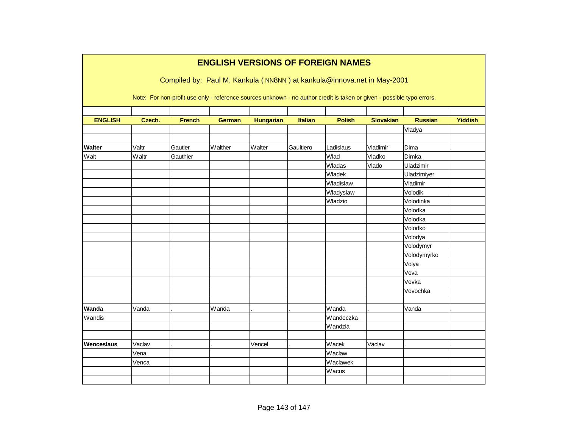|                |        |               |               |                  |                | <b>ENGLISH VERSIONS OF FOREIGN NAMES</b>                                                                               |                  |                |                |
|----------------|--------|---------------|---------------|------------------|----------------|------------------------------------------------------------------------------------------------------------------------|------------------|----------------|----------------|
|                |        |               |               |                  |                | Compiled by: Paul M. Kankula (NN8NN) at kankula@innova.net in May-2001                                                 |                  |                |                |
|                |        |               |               |                  |                | Note: For non-profit use only - reference sources unknown - no author credit is taken or given - possible typo errors. |                  |                |                |
| <b>ENGLISH</b> | Czech. | <b>French</b> | <b>German</b> | <b>Hungarian</b> | <b>Italian</b> | <b>Polish</b>                                                                                                          | <b>Slovakian</b> | <b>Russian</b> | <b>Yiddish</b> |
|                |        |               |               |                  |                |                                                                                                                        |                  | Vladya         |                |
|                |        |               |               |                  |                |                                                                                                                        |                  |                |                |
| <b>Walter</b>  | Valtr  | Gautier       | Walther       | Walter           | Gaultiero      | Ladislaus                                                                                                              | Vladimir         | Dima           |                |
| Walt           | Waltr  | Gauthier      |               |                  |                | Wlad                                                                                                                   | Vladko           | Dimka          |                |
|                |        |               |               |                  |                | Wladas                                                                                                                 | Vlado            | Uladzimir      |                |
|                |        |               |               |                  |                | Wladek                                                                                                                 |                  | Uladzimiyer    |                |
|                |        |               |               |                  |                | Wladislaw                                                                                                              |                  | Vladimir       |                |
|                |        |               |               |                  |                | Wladyslaw                                                                                                              |                  | Volodik        |                |
|                |        |               |               |                  |                | Wladzio                                                                                                                |                  | Volodinka      |                |
|                |        |               |               |                  |                |                                                                                                                        |                  | Volodka        |                |
|                |        |               |               |                  |                |                                                                                                                        |                  | Volodka        |                |
|                |        |               |               |                  |                |                                                                                                                        |                  | Volodko        |                |
|                |        |               |               |                  |                |                                                                                                                        |                  | Volodya        |                |
|                |        |               |               |                  |                |                                                                                                                        |                  | Volodymyr      |                |
|                |        |               |               |                  |                |                                                                                                                        |                  | Volodymyrko    |                |
|                |        |               |               |                  |                |                                                                                                                        |                  | Volya          |                |
|                |        |               |               |                  |                |                                                                                                                        |                  | Vova           |                |
|                |        |               |               |                  |                |                                                                                                                        |                  | Vovka          |                |
|                |        |               |               |                  |                |                                                                                                                        |                  | Vovochka       |                |
|                |        |               |               |                  |                |                                                                                                                        |                  |                |                |
| Wanda          | Vanda  |               | Wanda         |                  |                | Wanda                                                                                                                  |                  | Vanda          |                |
| Wandis         |        |               |               |                  |                | Wandeczka                                                                                                              |                  |                |                |
|                |        |               |               |                  |                | Wandzia                                                                                                                |                  |                |                |
|                |        |               |               |                  |                |                                                                                                                        |                  |                |                |
| Wenceslaus     | Vaclav |               |               | Vencel           |                | Wacek                                                                                                                  | Vaclav           |                |                |
|                | Vena   |               |               |                  |                | Waclaw                                                                                                                 |                  |                |                |
|                | Venca  |               |               |                  |                | Waclawek                                                                                                               |                  |                |                |
|                |        |               |               |                  |                | Wacus                                                                                                                  |                  |                |                |
|                |        |               |               |                  |                |                                                                                                                        |                  |                |                |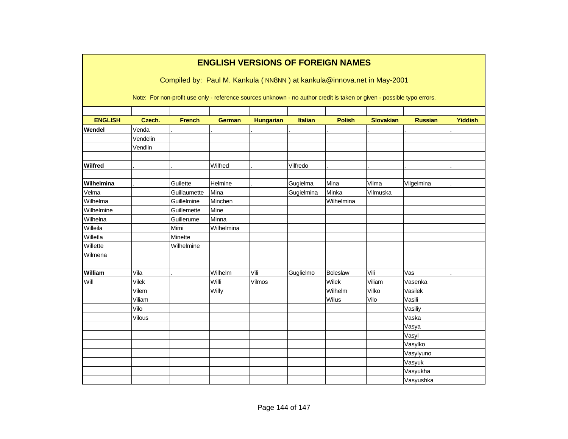|                |               |                                                                                                                        |               | <b>ENGLISH VERSIONS OF FOREIGN NAMES</b> |                |               |                  |                |                |
|----------------|---------------|------------------------------------------------------------------------------------------------------------------------|---------------|------------------------------------------|----------------|---------------|------------------|----------------|----------------|
|                |               | Compiled by: Paul M. Kankula (NN8NN) at kankula@innova.net in May-2001                                                 |               |                                          |                |               |                  |                |                |
|                |               | Note: For non-profit use only - reference sources unknown - no author credit is taken or given - possible typo errors. |               |                                          |                |               |                  |                |                |
| <b>ENGLISH</b> | Czech.        | <b>French</b>                                                                                                          | <b>German</b> | <b>Hungarian</b>                         | <b>Italian</b> | <b>Polish</b> | <b>Slovakian</b> | <b>Russian</b> | <b>Yiddish</b> |
| Wendel         | Venda         |                                                                                                                        |               |                                          |                |               |                  |                |                |
|                | Vendelin      |                                                                                                                        |               |                                          |                |               |                  |                |                |
|                | Vendlin       |                                                                                                                        |               |                                          |                |               |                  |                |                |
| Wilfred        |               |                                                                                                                        | Wilfred       |                                          | Vilfredo       |               |                  |                |                |
| Wilhelmina     |               | Guilette                                                                                                               | Helmine       |                                          | Gugielma       | Mina          | Vilma            | Vilgelmina     |                |
| Velma          |               | Guillaumette                                                                                                           | Mina          |                                          | Gugielmina     | Minka         | Vilmuska         |                |                |
| Wilhelma       |               | Guillelmine                                                                                                            | Minchen       |                                          |                | Wilhelmina    |                  |                |                |
| Wilhelmine     |               | Guillemette                                                                                                            | Mine          |                                          |                |               |                  |                |                |
| Wilhelna       |               | Guillerume                                                                                                             | Minna         |                                          |                |               |                  |                |                |
| Willeila       |               | Mimi                                                                                                                   | Wilhelmina    |                                          |                |               |                  |                |                |
| Willetla       |               | Minette                                                                                                                |               |                                          |                |               |                  |                |                |
| Willette       |               | Wilhelmine                                                                                                             |               |                                          |                |               |                  |                |                |
| Wilmena        |               |                                                                                                                        |               |                                          |                |               |                  |                |                |
|                |               |                                                                                                                        |               |                                          |                |               |                  |                |                |
| William        | Vila          |                                                                                                                        | Wilhelm       | Vili                                     | Guglielmo      | Boleslaw      | Vili             | Vas            |                |
| Will           | <b>Vilek</b>  |                                                                                                                        | Willi         | Vilmos                                   |                | Wilek         | Viliam           | Vasenka        |                |
|                | Vilem         |                                                                                                                        | Willy         |                                          |                | Wilhelm       | Vilko            | Vasilek        |                |
|                | Viliam        |                                                                                                                        |               |                                          |                | Wilus         | Vilo             | Vasili         |                |
|                | Vilo          |                                                                                                                        |               |                                          |                |               |                  | Vasiliy        |                |
|                | <b>Vilous</b> |                                                                                                                        |               |                                          |                |               |                  | Vaska          |                |
|                |               |                                                                                                                        |               |                                          |                |               |                  | Vasya          |                |
|                |               |                                                                                                                        |               |                                          |                |               |                  | Vasyl          |                |
|                |               |                                                                                                                        |               |                                          |                |               |                  | Vasylko        |                |
|                |               |                                                                                                                        |               |                                          |                |               |                  | Vasylyuno      |                |
|                |               |                                                                                                                        |               |                                          |                |               |                  | Vasyuk         |                |
|                |               |                                                                                                                        |               |                                          |                |               |                  | Vasyukha       |                |
|                |               |                                                                                                                        |               |                                          |                |               |                  | Vasyushka      |                |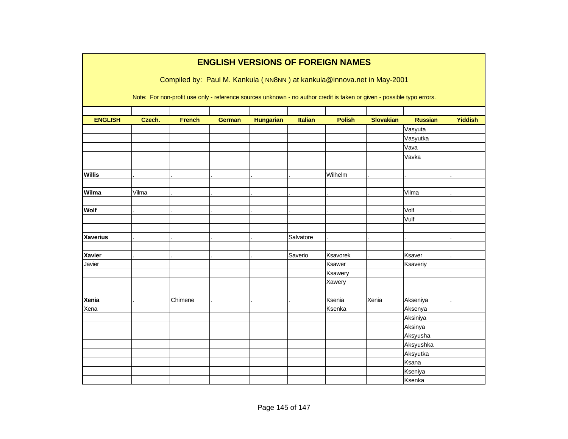|                 |        |                                                                                                                        |               |                  |           | <b>ENGLISH VERSIONS OF FOREIGN NAMES</b> |                  |                |                |
|-----------------|--------|------------------------------------------------------------------------------------------------------------------------|---------------|------------------|-----------|------------------------------------------|------------------|----------------|----------------|
|                 |        | Compiled by: Paul M. Kankula (NN8NN) at kankula@innova.net in May-2001                                                 |               |                  |           |                                          |                  |                |                |
|                 |        |                                                                                                                        |               |                  |           |                                          |                  |                |                |
|                 |        | Note: For non-profit use only - reference sources unknown - no author credit is taken or given - possible typo errors. |               |                  |           |                                          |                  |                |                |
|                 |        |                                                                                                                        |               |                  |           |                                          |                  |                |                |
| <b>ENGLISH</b>  | Czech. | <b>French</b>                                                                                                          | <b>German</b> | <b>Hungarian</b> | Italian   | <b>Polish</b>                            | <b>Slovakian</b> | <b>Russian</b> | <b>Yiddish</b> |
|                 |        |                                                                                                                        |               |                  |           |                                          |                  | Vasyuta        |                |
|                 |        |                                                                                                                        |               |                  |           |                                          |                  | Vasyutka       |                |
|                 |        |                                                                                                                        |               |                  |           |                                          |                  | Vava           |                |
|                 |        |                                                                                                                        |               |                  |           |                                          |                  | Vavka          |                |
| <b>Willis</b>   |        |                                                                                                                        |               |                  |           | Wilhelm                                  |                  |                |                |
|                 |        |                                                                                                                        |               |                  |           |                                          |                  |                |                |
| Wilma           | Vilma  |                                                                                                                        |               |                  |           |                                          |                  | Vilma          |                |
|                 |        |                                                                                                                        |               |                  |           |                                          |                  |                |                |
| Wolf            |        |                                                                                                                        |               |                  |           |                                          |                  | Volf           |                |
|                 |        |                                                                                                                        |               |                  |           |                                          |                  | Vulf           |                |
|                 |        |                                                                                                                        |               |                  |           |                                          |                  |                |                |
| <b>Xaverius</b> |        |                                                                                                                        |               |                  | Salvatore |                                          |                  |                |                |
|                 |        |                                                                                                                        |               |                  |           |                                          |                  |                |                |
| <b>Xavier</b>   |        |                                                                                                                        |               |                  | Saverio   | Ksavorek                                 |                  | Ksaver         |                |
| Javier          |        |                                                                                                                        |               |                  |           | Ksawer                                   |                  | Ksaveriy       |                |
|                 |        |                                                                                                                        |               |                  |           | Ksawery                                  |                  |                |                |
|                 |        |                                                                                                                        |               |                  |           | Xawery                                   |                  |                |                |
| Xenia           |        | Chimene                                                                                                                |               |                  |           | Ksenia                                   | Xenia            | Akseniya       |                |
| Xena            |        |                                                                                                                        |               |                  |           | Ksenka                                   |                  | Aksenya        |                |
|                 |        |                                                                                                                        |               |                  |           |                                          |                  | Aksiniya       |                |
|                 |        |                                                                                                                        |               |                  |           |                                          |                  | Aksinya        |                |
|                 |        |                                                                                                                        |               |                  |           |                                          |                  | Aksyusha       |                |
|                 |        |                                                                                                                        |               |                  |           |                                          |                  | Aksyushka      |                |
|                 |        |                                                                                                                        |               |                  |           |                                          |                  | Aksyutka       |                |
|                 |        |                                                                                                                        |               |                  |           |                                          |                  | Ksana          |                |
|                 |        |                                                                                                                        |               |                  |           |                                          |                  | Kseniya        |                |
|                 |        |                                                                                                                        |               |                  |           |                                          |                  | Ksenka         |                |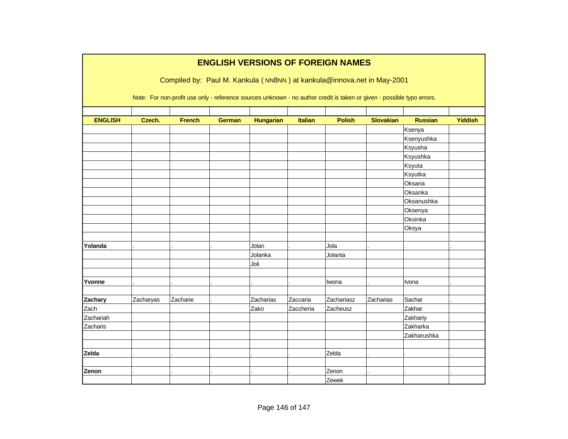|                |           |                                                                                                                        |               |                  |                | <b>ENGLISH VERSIONS OF FOREIGN NAMES</b> |                  |                |                |
|----------------|-----------|------------------------------------------------------------------------------------------------------------------------|---------------|------------------|----------------|------------------------------------------|------------------|----------------|----------------|
|                |           | Compiled by: Paul M. Kankula (NN8NN) at kankula@innova.net in May-2001                                                 |               |                  |                |                                          |                  |                |                |
|                |           |                                                                                                                        |               |                  |                |                                          |                  |                |                |
|                |           | Note: For non-profit use only - reference sources unknown - no author credit is taken or given - possible typo errors. |               |                  |                |                                          |                  |                |                |
|                |           |                                                                                                                        |               |                  |                |                                          |                  |                |                |
| <b>ENGLISH</b> | Czech.    | <b>French</b>                                                                                                          | <b>German</b> | <b>Hungarian</b> | <b>Italian</b> | <b>Polish</b>                            | <b>Slovakian</b> | <b>Russian</b> | <b>Yiddish</b> |
|                |           |                                                                                                                        |               |                  |                |                                          |                  | Ksenya         |                |
|                |           |                                                                                                                        |               |                  |                |                                          |                  | Ksenyushka     |                |
|                |           |                                                                                                                        |               |                  |                |                                          |                  | Ksyusha        |                |
|                |           |                                                                                                                        |               |                  |                |                                          |                  | Ksyushka       |                |
|                |           |                                                                                                                        |               |                  |                |                                          |                  | Ksyuta         |                |
|                |           |                                                                                                                        |               |                  |                |                                          |                  | Ksyutka        |                |
|                |           |                                                                                                                        |               |                  |                |                                          |                  | Oksana         |                |
|                |           |                                                                                                                        |               |                  |                |                                          |                  | Oksanka        |                |
|                |           |                                                                                                                        |               |                  |                |                                          |                  | Oksanushka     |                |
|                |           |                                                                                                                        |               |                  |                |                                          |                  | Oksenya        |                |
|                |           |                                                                                                                        |               |                  |                |                                          |                  | Oksinka        |                |
|                |           |                                                                                                                        |               |                  |                |                                          |                  | Oksya          |                |
|                |           |                                                                                                                        |               |                  |                |                                          |                  |                |                |
| Yolanda        |           |                                                                                                                        |               | Jolan            |                | Jola                                     |                  |                |                |
|                |           |                                                                                                                        |               | Jolanka          |                | Jolanta                                  |                  |                |                |
|                |           |                                                                                                                        |               | Joli             |                |                                          |                  |                |                |
|                |           |                                                                                                                        |               |                  |                |                                          |                  |                |                |
| Yvonne         |           |                                                                                                                        |               |                  |                | Iwona                                    |                  | Ivona          |                |
|                |           |                                                                                                                        |               |                  |                |                                          |                  |                |                |
| Zachary        | Zacharyas | Zacharie                                                                                                               |               | Zacharias        | Zaccaria       | Zachariasz                               | Zacharias        | Sachar         |                |
| Zach           |           |                                                                                                                        |               | Zako             | Zaccheria      | Zacheusz                                 |                  | Zakhar         |                |
| Zachariah      |           |                                                                                                                        |               |                  |                |                                          |                  | Zakhariy       |                |
| Zacharis       |           |                                                                                                                        |               |                  |                |                                          |                  | Zakharka       |                |
|                |           |                                                                                                                        |               |                  |                |                                          |                  | Zakharushka    |                |
|                |           |                                                                                                                        |               |                  |                |                                          |                  |                |                |
| Zelda          |           |                                                                                                                        |               |                  |                | Zelda                                    |                  |                |                |
|                |           |                                                                                                                        |               |                  |                |                                          |                  |                |                |
| Zenon          |           |                                                                                                                        |               |                  |                | Zenon                                    |                  |                |                |
|                |           |                                                                                                                        |               |                  |                | Zewek                                    |                  |                |                |